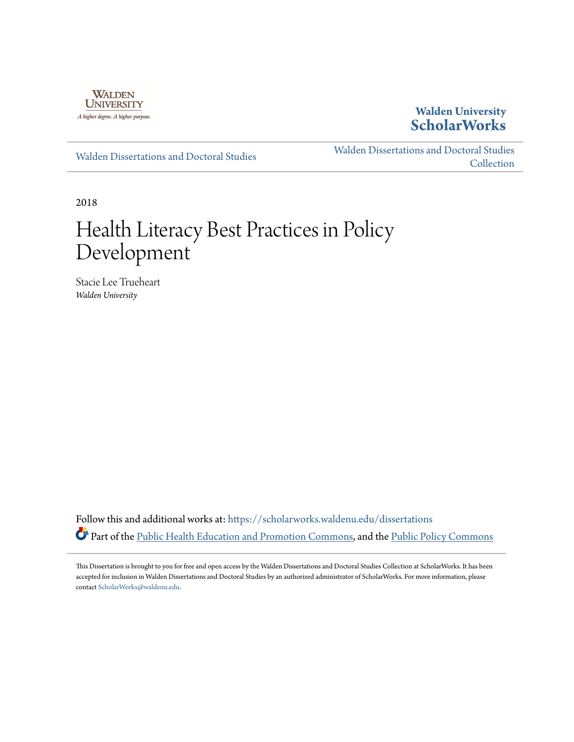

## **Walden University [ScholarWorks](https://scholarworks.waldenu.edu?utm_source=scholarworks.waldenu.edu%2Fdissertations%2F4989&utm_medium=PDF&utm_campaign=PDFCoverPages)**

[Walden Dissertations and Doctoral Studies](https://scholarworks.waldenu.edu/dissertations?utm_source=scholarworks.waldenu.edu%2Fdissertations%2F4989&utm_medium=PDF&utm_campaign=PDFCoverPages)

[Walden Dissertations and Doctoral Studies](https://scholarworks.waldenu.edu/dissanddoc?utm_source=scholarworks.waldenu.edu%2Fdissertations%2F4989&utm_medium=PDF&utm_campaign=PDFCoverPages) **[Collection](https://scholarworks.waldenu.edu/dissanddoc?utm_source=scholarworks.waldenu.edu%2Fdissertations%2F4989&utm_medium=PDF&utm_campaign=PDFCoverPages)** 

2018

# Health Literacy Best Practices in Policy Development

Stacie Lee Trueheart *Walden University*

Follow this and additional works at: [https://scholarworks.waldenu.edu/dissertations](https://scholarworks.waldenu.edu/dissertations?utm_source=scholarworks.waldenu.edu%2Fdissertations%2F4989&utm_medium=PDF&utm_campaign=PDFCoverPages) Part of the [Public Health Education and Promotion Commons,](http://network.bepress.com/hgg/discipline/743?utm_source=scholarworks.waldenu.edu%2Fdissertations%2F4989&utm_medium=PDF&utm_campaign=PDFCoverPages) and the [Public Policy Commons](http://network.bepress.com/hgg/discipline/400?utm_source=scholarworks.waldenu.edu%2Fdissertations%2F4989&utm_medium=PDF&utm_campaign=PDFCoverPages)

This Dissertation is brought to you for free and open access by the Walden Dissertations and Doctoral Studies Collection at ScholarWorks. It has been accepted for inclusion in Walden Dissertations and Doctoral Studies by an authorized administrator of ScholarWorks. For more information, please contact [ScholarWorks@waldenu.edu](mailto:ScholarWorks@waldenu.edu).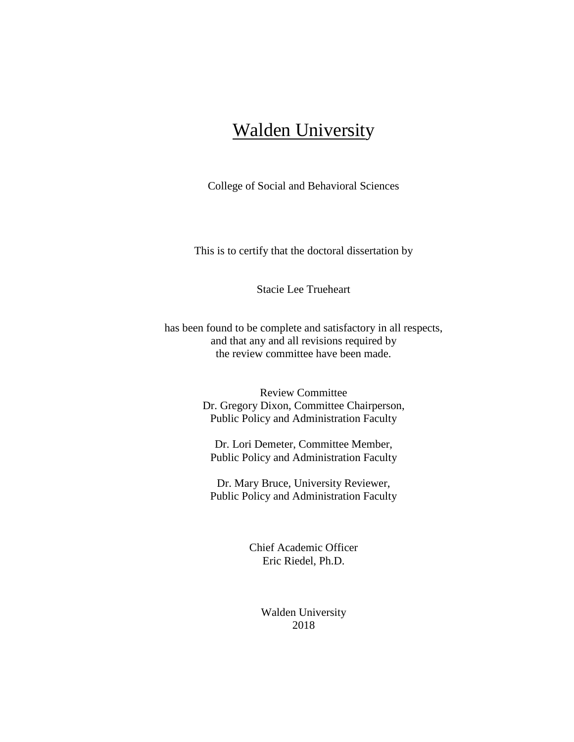## Walden University

College of Social and Behavioral Sciences

This is to certify that the doctoral dissertation by

Stacie Lee Trueheart

has been found to be complete and satisfactory in all respects, and that any and all revisions required by the review committee have been made.

> Review Committee Dr. Gregory Dixon, Committee Chairperson, Public Policy and Administration Faculty

Dr. Lori Demeter, Committee Member, Public Policy and Administration Faculty

Dr. Mary Bruce, University Reviewer, Public Policy and Administration Faculty

> Chief Academic Officer Eric Riedel, Ph.D.

> > Walden University 2018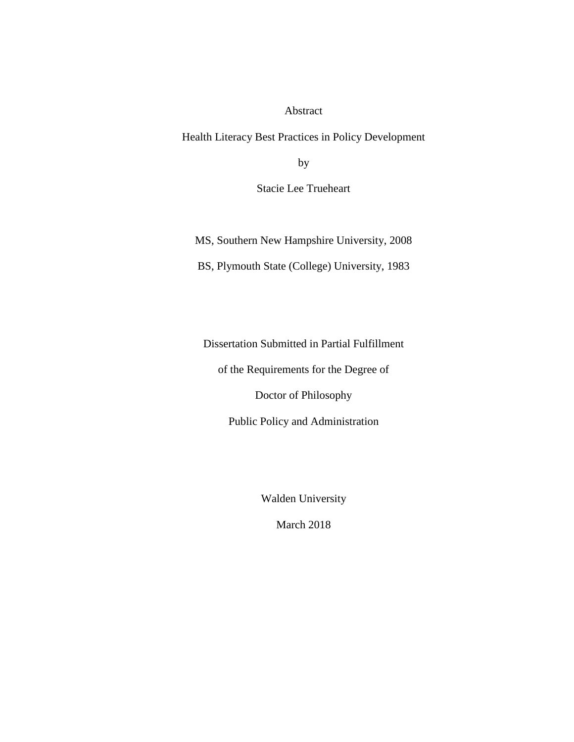#### Abstract

Health Literacy Best Practices in Policy Development

by

Stacie Lee Trueheart

MS, Southern New Hampshire University, 2008

BS, Plymouth State (College) University, 1983

Dissertation Submitted in Partial Fulfillment

of the Requirements for the Degree of

Doctor of Philosophy

Public Policy and Administration

Walden University

March 2018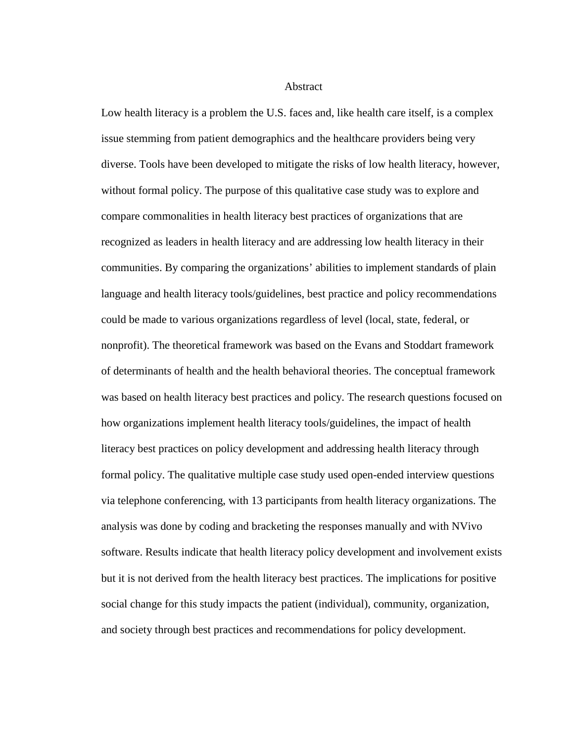**Abstract** 

Low health literacy is a problem the U.S. faces and, like health care itself, is a complex issue stemming from patient demographics and the healthcare providers being very diverse. Tools have been developed to mitigate the risks of low health literacy, however, without formal policy. The purpose of this qualitative case study was to explore and compare commonalities in health literacy best practices of organizations that are recognized as leaders in health literacy and are addressing low health literacy in their communities. By comparing the organizations' abilities to implement standards of plain language and health literacy tools/guidelines, best practice and policy recommendations could be made to various organizations regardless of level (local, state, federal, or nonprofit). The theoretical framework was based on the Evans and Stoddart framework of determinants of health and the health behavioral theories. The conceptual framework was based on health literacy best practices and policy. The research questions focused on how organizations implement health literacy tools/guidelines, the impact of health literacy best practices on policy development and addressing health literacy through formal policy. The qualitative multiple case study used open-ended interview questions via telephone conferencing, with 13 participants from health literacy organizations. The analysis was done by coding and bracketing the responses manually and with NVivo software. Results indicate that health literacy policy development and involvement exists but it is not derived from the health literacy best practices. The implications for positive social change for this study impacts the patient (individual), community, organization, and society through best practices and recommendations for policy development.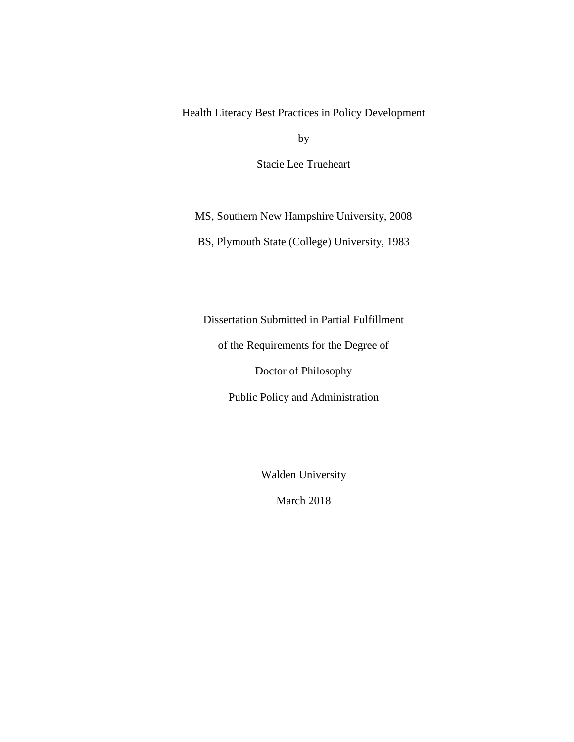Health Literacy Best Practices in Policy Development

by

Stacie Lee Trueheart

MS, Southern New Hampshire University, 2008

BS, Plymouth State (College) University, 1983

Dissertation Submitted in Partial Fulfillment

of the Requirements for the Degree of

Doctor of Philosophy

Public Policy and Administration

Walden University

March 2018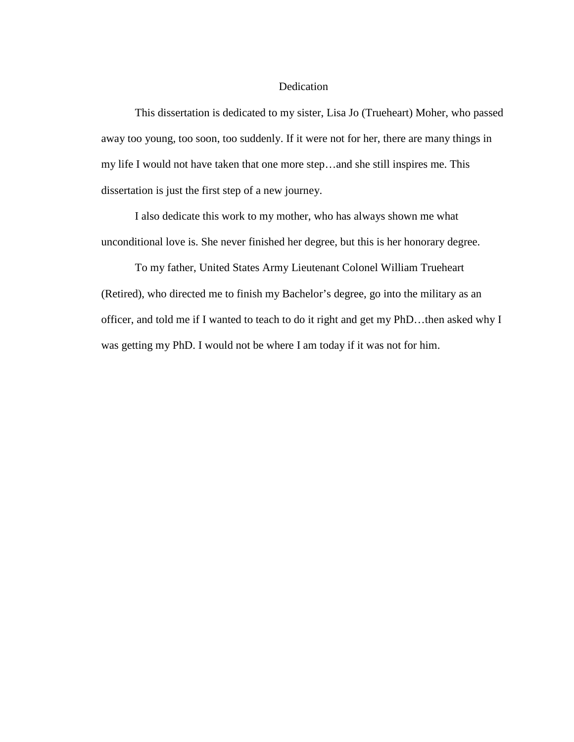#### Dedication

This dissertation is dedicated to my sister, Lisa Jo (Trueheart) Moher, who passed away too young, too soon, too suddenly. If it were not for her, there are many things in my life I would not have taken that one more step…and she still inspires me. This dissertation is just the first step of a new journey.

I also dedicate this work to my mother, who has always shown me what unconditional love is. She never finished her degree, but this is her honorary degree.

To my father, United States Army Lieutenant Colonel William Trueheart (Retired), who directed me to finish my Bachelor's degree, go into the military as an officer, and told me if I wanted to teach to do it right and get my PhD…then asked why I was getting my PhD. I would not be where I am today if it was not for him.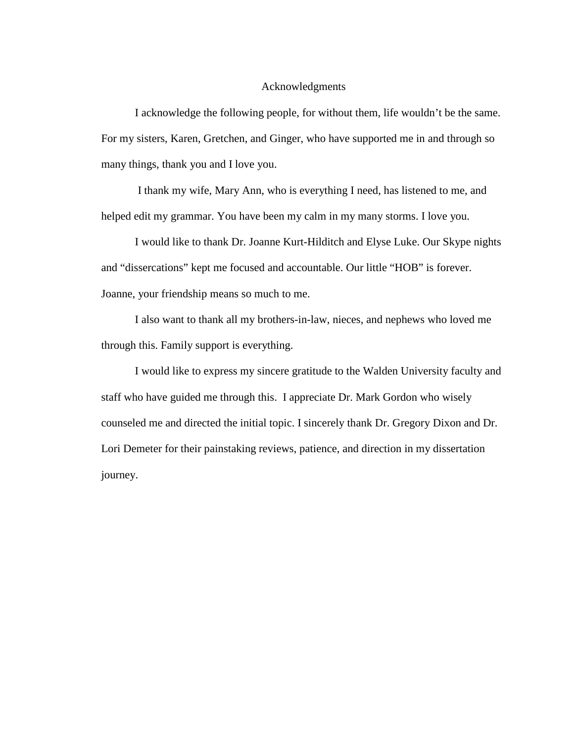#### Acknowledgments

I acknowledge the following people, for without them, life wouldn't be the same. For my sisters, Karen, Gretchen, and Ginger, who have supported me in and through so many things, thank you and I love you.

I thank my wife, Mary Ann, who is everything I need, has listened to me, and helped edit my grammar. You have been my calm in my many storms. I love you.

I would like to thank Dr. Joanne Kurt-Hilditch and Elyse Luke. Our Skype nights and "dissercations" kept me focused and accountable. Our little "HOB" is forever. Joanne, your friendship means so much to me.

I also want to thank all my brothers-in-law, nieces, and nephews who loved me through this. Family support is everything.

I would like to express my sincere gratitude to the Walden University faculty and staff who have guided me through this. I appreciate Dr. Mark Gordon who wisely counseled me and directed the initial topic. I sincerely thank Dr. Gregory Dixon and Dr. Lori Demeter for their painstaking reviews, patience, and direction in my dissertation journey.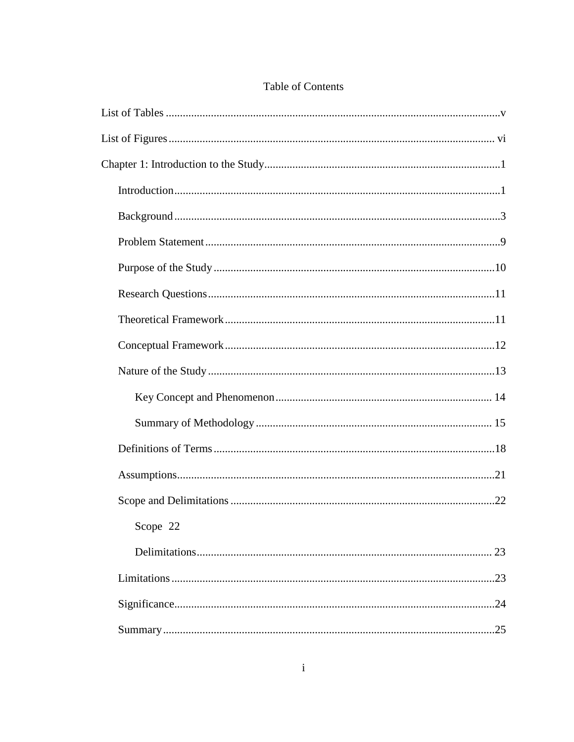| Scope 22 |
|----------|
| 23       |
| .23      |
|          |
|          |

### Table of Contents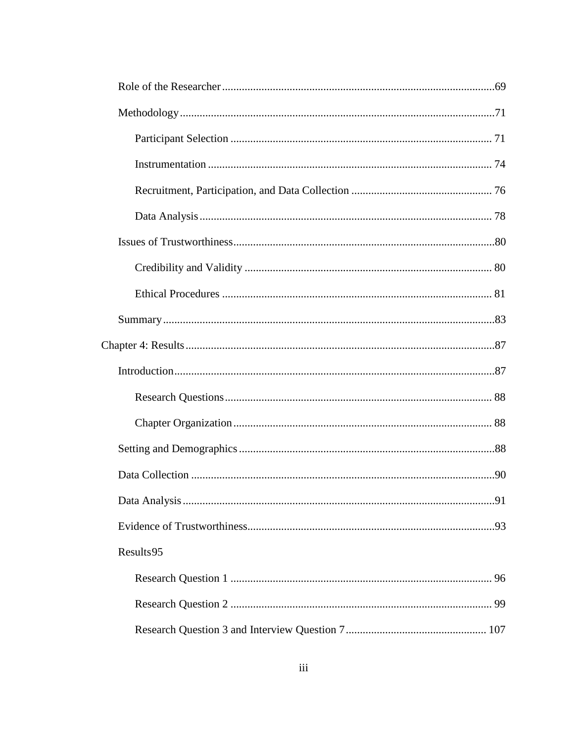| Results95 |  |
|-----------|--|
|           |  |
|           |  |
|           |  |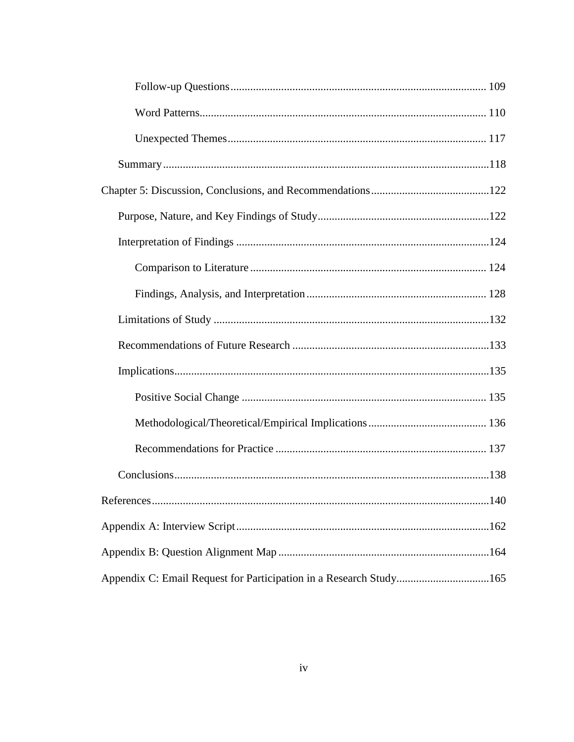| Appendix C: Email Request for Participation in a Research Study165 |  |
|--------------------------------------------------------------------|--|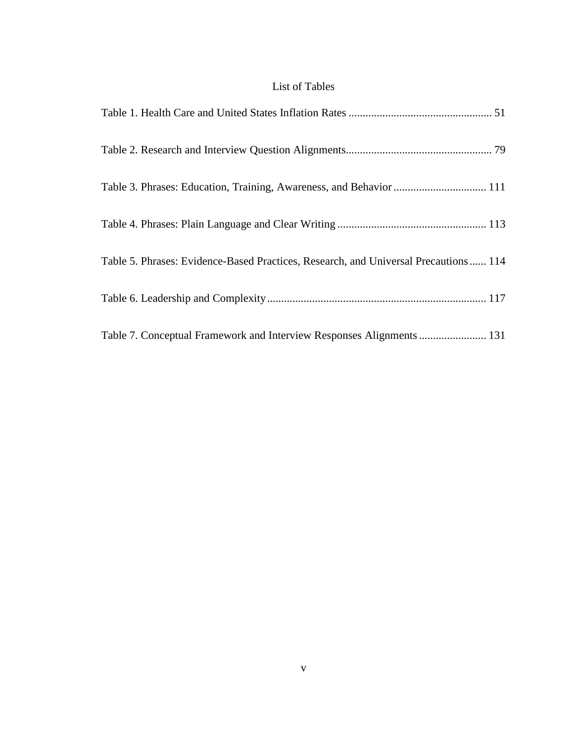### List of Tables

| Table 3. Phrases: Education, Training, Awareness, and Behavior  111                 |
|-------------------------------------------------------------------------------------|
|                                                                                     |
| Table 5. Phrases: Evidence-Based Practices, Research, and Universal Precautions 114 |
|                                                                                     |
| Table 7. Conceptual Framework and Interview Responses Alignments  131               |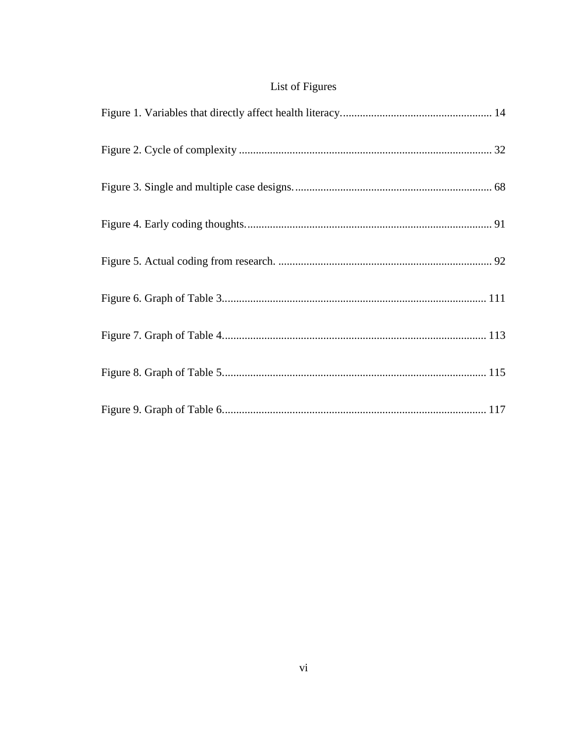## List of Figures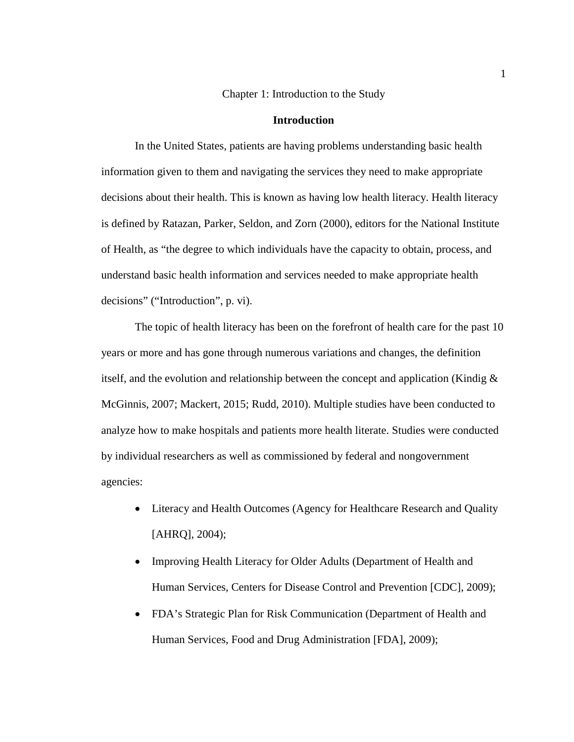Chapter 1: Introduction to the Study

#### **Introduction**

In the United States, patients are having problems understanding basic health information given to them and navigating the services they need to make appropriate decisions about their health. This is known as having low health literacy. Health literacy is defined by Ratazan, Parker, Seldon, and Zorn (2000), editors for the National Institute of Health, as "the degree to which individuals have the capacity to obtain, process, and understand basic health information and services needed to make appropriate health decisions" ("Introduction", p. vi).

The topic of health literacy has been on the forefront of health care for the past 10 years or more and has gone through numerous variations and changes, the definition itself, and the evolution and relationship between the concept and application (Kindig & McGinnis, 2007; Mackert, 2015; Rudd, 2010). Multiple studies have been conducted to analyze how to make hospitals and patients more health literate. Studies were conducted by individual researchers as well as commissioned by federal and nongovernment agencies:

- Literacy and Health Outcomes (Agency for Healthcare Research and Quality [AHRQ], 2004);
- Improving Health Literacy for Older Adults (Department of Health and Human Services, Centers for Disease Control and Prevention [CDC], 2009);
- FDA's Strategic Plan for Risk Communication (Department of Health and Human Services, Food and Drug Administration [FDA], 2009);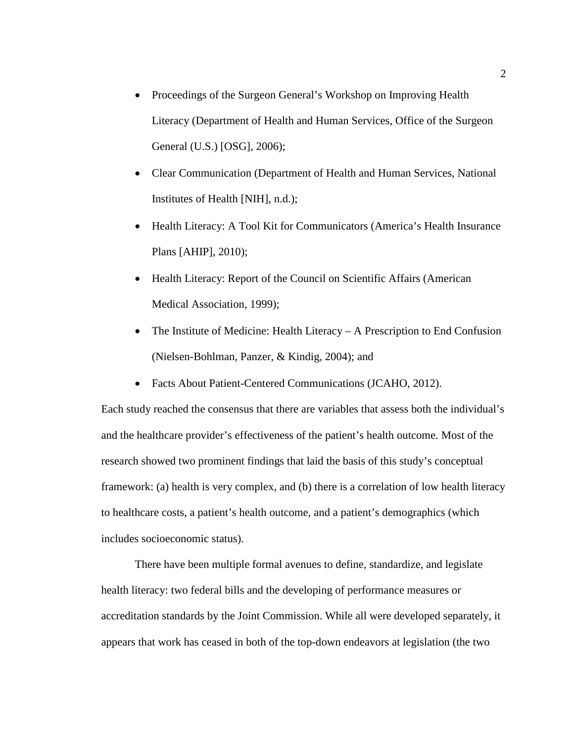- Proceedings of the Surgeon General's Workshop on Improving Health Literacy (Department of Health and Human Services, Office of the Surgeon General (U.S.) [OSG], 2006);
- Clear Communication (Department of Health and Human Services, National Institutes of Health [NIH], n.d.);
- Health Literacy: A Tool Kit for Communicators (America's Health Insurance Plans [AHIP], 2010);
- Health Literacy: Report of the Council on Scientific Affairs (American Medical Association, 1999);
- The Institute of Medicine: Health Literacy  $-$  A Prescription to End Confusion (Nielsen-Bohlman, Panzer, & Kindig, 2004); and
- Facts About Patient-Centered Communications (JCAHO, 2012).

Each study reached the consensus that there are variables that assess both the individual's and the healthcare provider's effectiveness of the patient's health outcome. Most of the research showed two prominent findings that laid the basis of this study's conceptual framework: (a) health is very complex, and (b) there is a correlation of low health literacy to healthcare costs, a patient's health outcome, and a patient's demographics (which includes socioeconomic status).

There have been multiple formal avenues to define, standardize, and legislate health literacy: two federal bills and the developing of performance measures or accreditation standards by the Joint Commission. While all were developed separately, it appears that work has ceased in both of the top-down endeavors at legislation (the two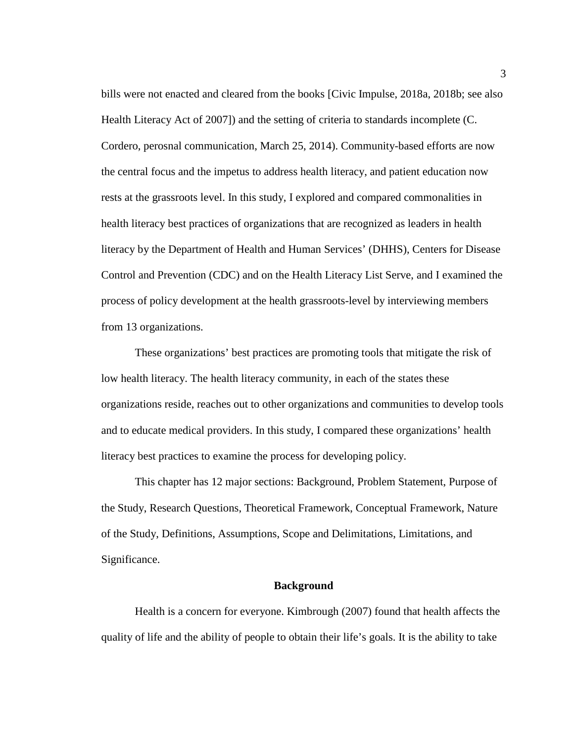bills were not enacted and cleared from the books [Civic Impulse, 2018a, 2018b; see also Health Literacy Act of 2007]) and the setting of criteria to standards incomplete (C. Cordero, perosnal communication, March 25, 2014). Community-based efforts are now the central focus and the impetus to address health literacy, and patient education now rests at the grassroots level. In this study, I explored and compared commonalities in health literacy best practices of organizations that are recognized as leaders in health literacy by the Department of Health and Human Services' (DHHS), Centers for Disease Control and Prevention (CDC) and on the Health Literacy List Serve, and I examined the process of policy development at the health grassroots-level by interviewing members from 13 organizations.

These organizations' best practices are promoting tools that mitigate the risk of low health literacy. The health literacy community, in each of the states these organizations reside, reaches out to other organizations and communities to develop tools and to educate medical providers. In this study, I compared these organizations' health literacy best practices to examine the process for developing policy.

This chapter has 12 major sections: Background, Problem Statement, Purpose of the Study, Research Questions, Theoretical Framework, Conceptual Framework, Nature of the Study, Definitions, Assumptions, Scope and Delimitations, Limitations, and Significance.

#### **Background**

Health is a concern for everyone. Kimbrough (2007) found that health affects the quality of life and the ability of people to obtain their life's goals. It is the ability to take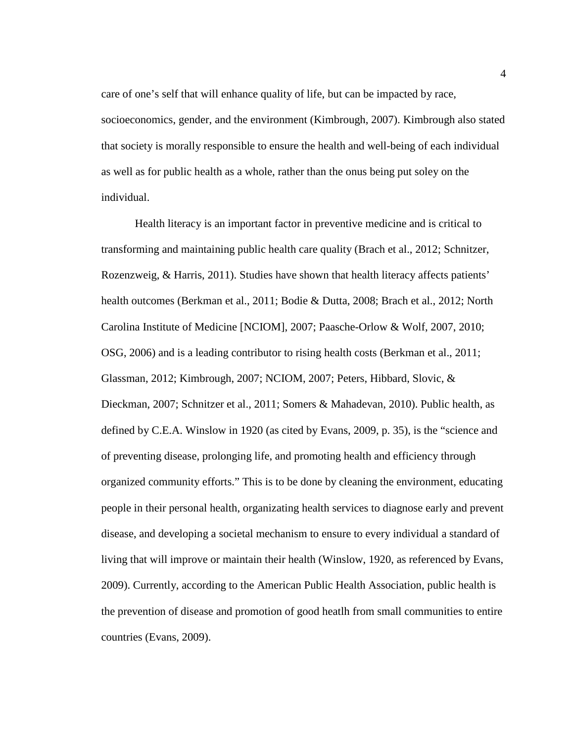care of one's self that will enhance quality of life, but can be impacted by race, socioeconomics, gender, and the environment (Kimbrough, 2007). Kimbrough also stated that society is morally responsible to ensure the health and well-being of each individual as well as for public health as a whole, rather than the onus being put soley on the individual.

Health literacy is an important factor in preventive medicine and is critical to transforming and maintaining public health care quality (Brach et al., 2012; Schnitzer, Rozenzweig, & Harris, 2011). Studies have shown that health literacy affects patients' health outcomes (Berkman et al., 2011; Bodie & Dutta, 2008; Brach et al., 2012; North Carolina Institute of Medicine [NCIOM], 2007; Paasche-Orlow & Wolf, 2007, 2010; OSG, 2006) and is a leading contributor to rising health costs (Berkman et al., 2011; Glassman, 2012; Kimbrough, 2007; NCIOM, 2007; Peters, Hibbard, Slovic, & Dieckman, 2007; Schnitzer et al., 2011; Somers & Mahadevan, 2010). Public health, as defined by C.E.A. Winslow in 1920 (as cited by Evans, 2009, p. 35), is the "science and of preventing disease, prolonging life, and promoting health and efficiency through organized community efforts." This is to be done by cleaning the environment, educating people in their personal health, organizating health services to diagnose early and prevent disease, and developing a societal mechanism to ensure to every individual a standard of living that will improve or maintain their health (Winslow, 1920, as referenced by Evans, 2009). Currently, according to the American Public Health Association, public health is the prevention of disease and promotion of good heatlh from small communities to entire countries (Evans, 2009).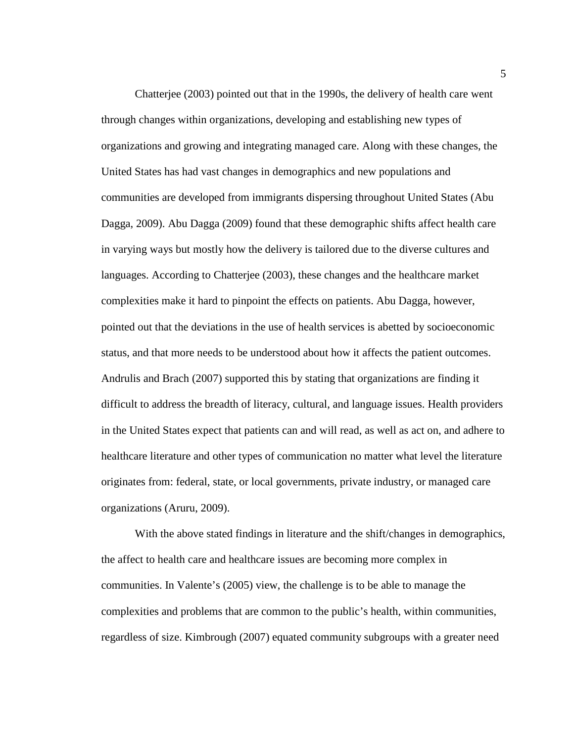Chatterjee (2003) pointed out that in the 1990s, the delivery of health care went through changes within organizations, developing and establishing new types of organizations and growing and integrating managed care. Along with these changes, the United States has had vast changes in demographics and new populations and communities are developed from immigrants dispersing throughout United States (Abu Dagga, 2009). Abu Dagga (2009) found that these demographic shifts affect health care in varying ways but mostly how the delivery is tailored due to the diverse cultures and languages. According to Chatterjee (2003), these changes and the healthcare market complexities make it hard to pinpoint the effects on patients. Abu Dagga, however, pointed out that the deviations in the use of health services is abetted by socioeconomic status, and that more needs to be understood about how it affects the patient outcomes. Andrulis and Brach (2007) supported this by stating that organizations are finding it difficult to address the breadth of literacy, cultural, and language issues. Health providers in the United States expect that patients can and will read, as well as act on, and adhere to healthcare literature and other types of communication no matter what level the literature originates from: federal, state, or local governments, private industry, or managed care organizations (Aruru, 2009).

With the above stated findings in literature and the shift/changes in demographics, the affect to health care and healthcare issues are becoming more complex in communities. In Valente's (2005) view, the challenge is to be able to manage the complexities and problems that are common to the public's health, within communities, regardless of size. Kimbrough (2007) equated community subgroups with a greater need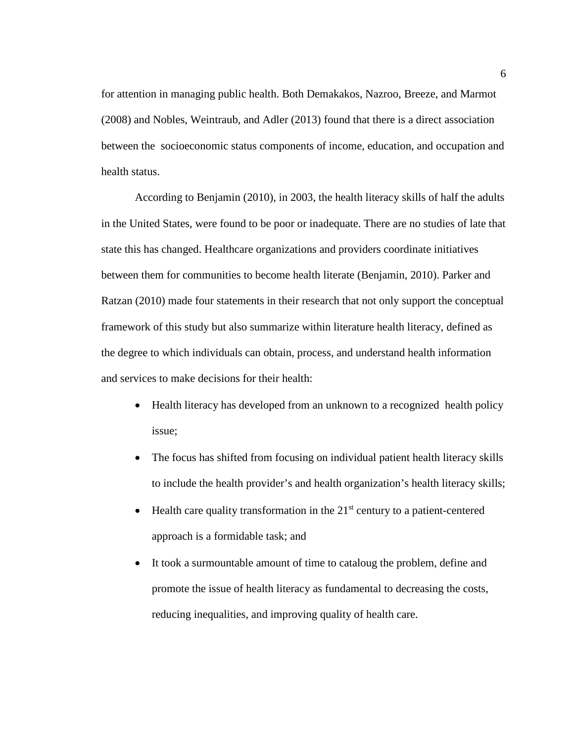for attention in managing public health. Both Demakakos, Nazroo, Breeze, and Marmot (2008) and Nobles, Weintraub, and Adler (2013) found that there is a direct association between the socioeconomic status components of income, education, and occupation and health status.

According to Benjamin (2010), in 2003, the health literacy skills of half the adults in the United States, were found to be poor or inadequate. There are no studies of late that state this has changed. Healthcare organizations and providers coordinate initiatives between them for communities to become health literate (Benjamin, 2010). Parker and Ratzan (2010) made four statements in their research that not only support the conceptual framework of this study but also summarize within literature health literacy, defined as the degree to which individuals can obtain, process, and understand health information and services to make decisions for their health:

- Health literacy has developed from an unknown to a recognized health policy issue;
- The focus has shifted from focusing on individual patient health literacy skills to include the health provider's and health organization's health literacy skills;
- Health care quality transformation in the  $21<sup>st</sup>$  century to a patient-centered approach is a formidable task; and
- It took a surmountable amount of time to cataloug the problem, define and promote the issue of health literacy as fundamental to decreasing the costs, reducing inequalities, and improving quality of health care.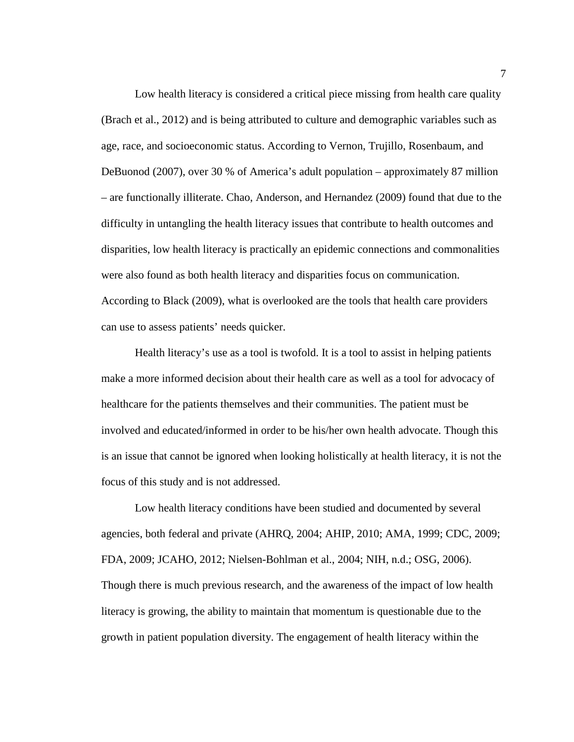Low health literacy is considered a critical piece missing from health care quality (Brach et al., 2012) and is being attributed to culture and demographic variables such as age, race, and socioeconomic status. According to Vernon, Trujillo, Rosenbaum, and DeBuonod (2007), over 30 % of America's adult population – approximately 87 million – are functionally illiterate. Chao, Anderson, and Hernandez (2009) found that due to the difficulty in untangling the health literacy issues that contribute to health outcomes and disparities, low health literacy is practically an epidemic connections and commonalities were also found as both health literacy and disparities focus on communication. According to Black (2009), what is overlooked are the tools that health care providers can use to assess patients' needs quicker.

Health literacy's use as a tool is twofold. It is a tool to assist in helping patients make a more informed decision about their health care as well as a tool for advocacy of healthcare for the patients themselves and their communities. The patient must be involved and educated/informed in order to be his/her own health advocate. Though this is an issue that cannot be ignored when looking holistically at health literacy, it is not the focus of this study and is not addressed.

Low health literacy conditions have been studied and documented by several agencies, both federal and private (AHRQ, 2004; AHIP, 2010; AMA, 1999; CDC, 2009; FDA, 2009; JCAHO, 2012; Nielsen-Bohlman et al., 2004; NIH, n.d.; OSG, 2006). Though there is much previous research, and the awareness of the impact of low health literacy is growing, the ability to maintain that momentum is questionable due to the growth in patient population diversity. The engagement of health literacy within the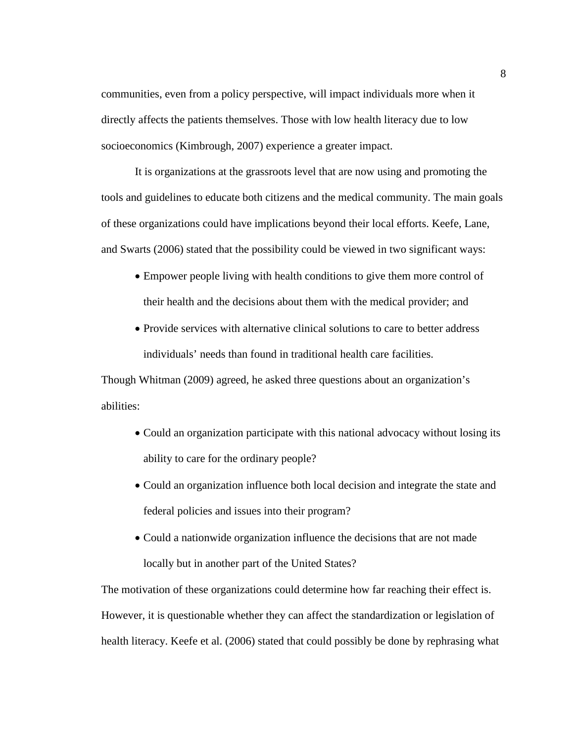communities, even from a policy perspective, will impact individuals more when it directly affects the patients themselves. Those with low health literacy due to low socioeconomics (Kimbrough, 2007) experience a greater impact.

It is organizations at the grassroots level that are now using and promoting the tools and guidelines to educate both citizens and the medical community. The main goals of these organizations could have implications beyond their local efforts. Keefe, Lane, and Swarts (2006) stated that the possibility could be viewed in two significant ways:

- Empower people living with health conditions to give them more control of their health and the decisions about them with the medical provider; and
- Provide services with alternative clinical solutions to care to better address individuals' needs than found in traditional health care facilities.

Though Whitman (2009) agreed, he asked three questions about an organization's abilities:

- Could an organization participate with this national advocacy without losing its ability to care for the ordinary people?
- Could an organization influence both local decision and integrate the state and federal policies and issues into their program?
- Could a nationwide organization influence the decisions that are not made locally but in another part of the United States?

The motivation of these organizations could determine how far reaching their effect is. However, it is questionable whether they can affect the standardization or legislation of health literacy. Keefe et al. (2006) stated that could possibly be done by rephrasing what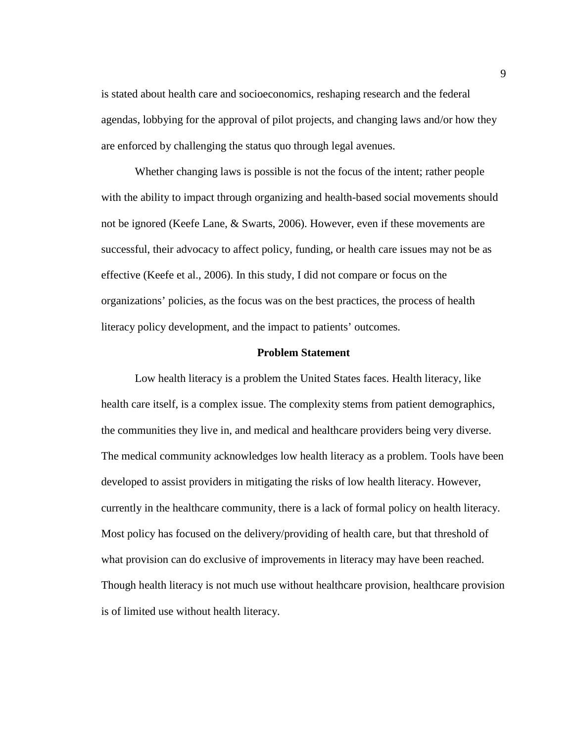is stated about health care and socioeconomics, reshaping research and the federal agendas, lobbying for the approval of pilot projects, and changing laws and/or how they are enforced by challenging the status quo through legal avenues.

Whether changing laws is possible is not the focus of the intent; rather people with the ability to impact through organizing and health-based social movements should not be ignored (Keefe Lane, & Swarts, 2006). However, even if these movements are successful, their advocacy to affect policy, funding, or health care issues may not be as effective (Keefe et al., 2006). In this study, I did not compare or focus on the organizations' policies, as the focus was on the best practices, the process of health literacy policy development, and the impact to patients' outcomes.

#### **Problem Statement**

Low health literacy is a problem the United States faces. Health literacy, like health care itself, is a complex issue. The complexity stems from patient demographics, the communities they live in, and medical and healthcare providers being very diverse. The medical community acknowledges low health literacy as a problem. Tools have been developed to assist providers in mitigating the risks of low health literacy. However, currently in the healthcare community, there is a lack of formal policy on health literacy. Most policy has focused on the delivery/providing of health care, but that threshold of what provision can do exclusive of improvements in literacy may have been reached. Though health literacy is not much use without healthcare provision, healthcare provision is of limited use without health literacy.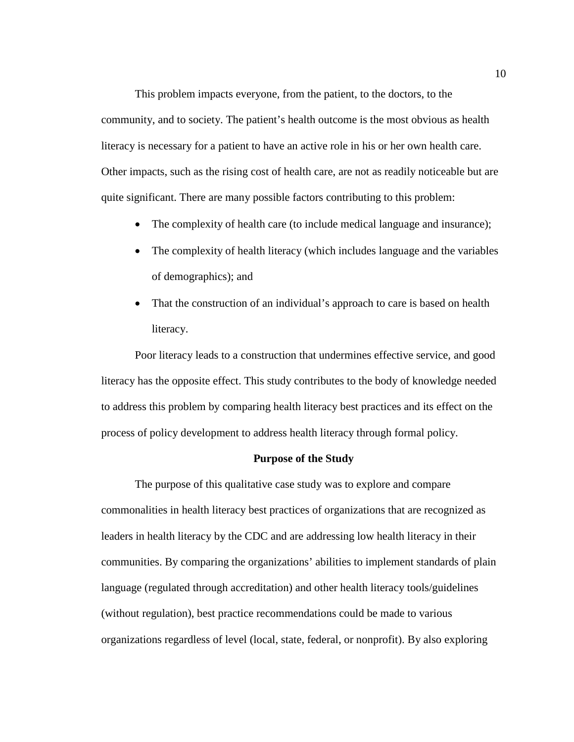This problem impacts everyone, from the patient, to the doctors, to the community, and to society. The patient's health outcome is the most obvious as health literacy is necessary for a patient to have an active role in his or her own health care. Other impacts, such as the rising cost of health care, are not as readily noticeable but are quite significant. There are many possible factors contributing to this problem:

- The complexity of health care (to include medical language and insurance);
- The complexity of health literacy (which includes language and the variables of demographics); and
- That the construction of an individual's approach to care is based on health literacy.

Poor literacy leads to a construction that undermines effective service, and good literacy has the opposite effect. This study contributes to the body of knowledge needed to address this problem by comparing health literacy best practices and its effect on the process of policy development to address health literacy through formal policy.

#### **Purpose of the Study**

The purpose of this qualitative case study was to explore and compare commonalities in health literacy best practices of organizations that are recognized as leaders in health literacy by the CDC and are addressing low health literacy in their communities. By comparing the organizations' abilities to implement standards of plain language (regulated through accreditation) and other health literacy tools/guidelines (without regulation), best practice recommendations could be made to various organizations regardless of level (local, state, federal, or nonprofit). By also exploring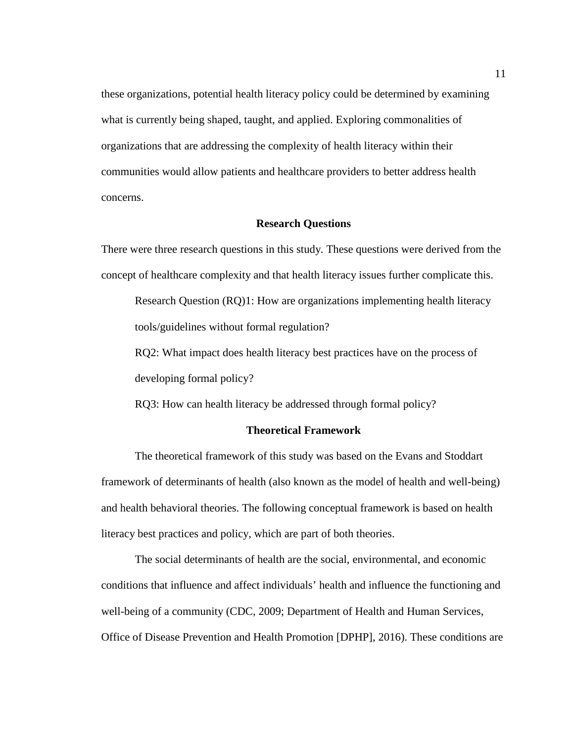these organizations, potential health literacy policy could be determined by examining what is currently being shaped, taught, and applied. Exploring commonalities of organizations that are addressing the complexity of health literacy within their communities would allow patients and healthcare providers to better address health concerns.

#### **Research Questions**

There were three research questions in this study. These questions were derived from the concept of healthcare complexity and that health literacy issues further complicate this.

Research Question (RQ)1: How are organizations implementing health literacy tools/guidelines without formal regulation?

RQ2: What impact does health literacy best practices have on the process of developing formal policy?

RQ3: How can health literacy be addressed through formal policy?

#### **Theoretical Framework**

The theoretical framework of this study was based on the Evans and Stoddart framework of determinants of health (also known as the model of health and well-being) and health behavioral theories. The following conceptual framework is based on health literacy best practices and policy, which are part of both theories.

The social determinants of health are the social, environmental, and economic conditions that influence and affect individuals' health and influence the functioning and well-being of a community (CDC, 2009; Department of Health and Human Services, Office of Disease Prevention and Health Promotion [DPHP], 2016). These conditions are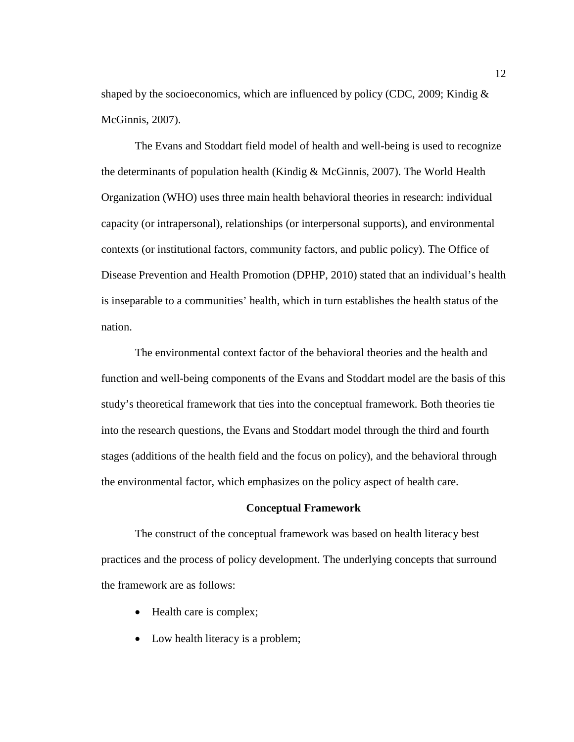shaped by the socioeconomics, which are influenced by policy (CDC, 2009; Kindig  $\&$ McGinnis, 2007).

The Evans and Stoddart field model of health and well-being is used to recognize the determinants of population health (Kindig & McGinnis, 2007). The World Health Organization (WHO) uses three main health behavioral theories in research: individual capacity (or intrapersonal), relationships (or interpersonal supports), and environmental contexts (or institutional factors, community factors, and public policy). The Office of Disease Prevention and Health Promotion (DPHP, 2010) stated that an individual's health is inseparable to a communities' health, which in turn establishes the health status of the nation.

The environmental context factor of the behavioral theories and the health and function and well-being components of the Evans and Stoddart model are the basis of this study's theoretical framework that ties into the conceptual framework. Both theories tie into the research questions, the Evans and Stoddart model through the third and fourth stages (additions of the health field and the focus on policy), and the behavioral through the environmental factor, which emphasizes on the policy aspect of health care.

#### **Conceptual Framework**

The construct of the conceptual framework was based on health literacy best practices and the process of policy development. The underlying concepts that surround the framework are as follows:

- Health care is complex;
- Low health literacy is a problem;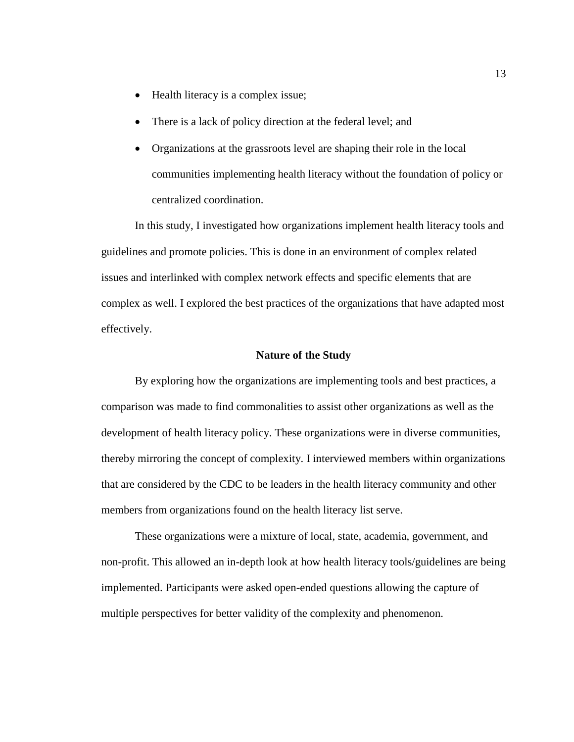- Health literacy is a complex issue;
- There is a lack of policy direction at the federal level; and
- Organizations at the grassroots level are shaping their role in the local communities implementing health literacy without the foundation of policy or centralized coordination.

In this study, I investigated how organizations implement health literacy tools and guidelines and promote policies. This is done in an environment of complex related issues and interlinked with complex network effects and specific elements that are complex as well. I explored the best practices of the organizations that have adapted most effectively.

#### **Nature of the Study**

By exploring how the organizations are implementing tools and best practices, a comparison was made to find commonalities to assist other organizations as well as the development of health literacy policy. These organizations were in diverse communities, thereby mirroring the concept of complexity. I interviewed members within organizations that are considered by the CDC to be leaders in the health literacy community and other members from organizations found on the health literacy list serve.

These organizations were a mixture of local, state, academia, government, and non-profit. This allowed an in-depth look at how health literacy tools/guidelines are being implemented. Participants were asked open-ended questions allowing the capture of multiple perspectives for better validity of the complexity and phenomenon.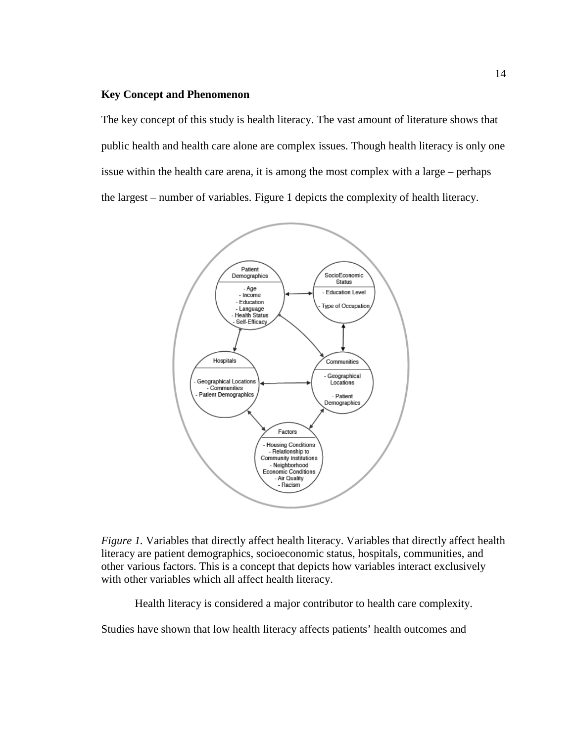#### **Key Concept and Phenomenon**

The key concept of this study is health literacy. The vast amount of literature shows that public health and health care alone are complex issues. Though health literacy is only one issue within the health care arena, it is among the most complex with a large – perhaps the largest – number of variables. Figure 1 depicts the complexity of health literacy.



*Figure 1.* Variables that directly affect health literacy. Variables that directly affect health literacy are patient demographics, socioeconomic status, hospitals, communities, and other various factors. This is a concept that depicts how variables interact exclusively with other variables which all affect health literacy.

Health literacy is considered a major contributor to health care complexity.

Studies have shown that low health literacy affects patients' health outcomes and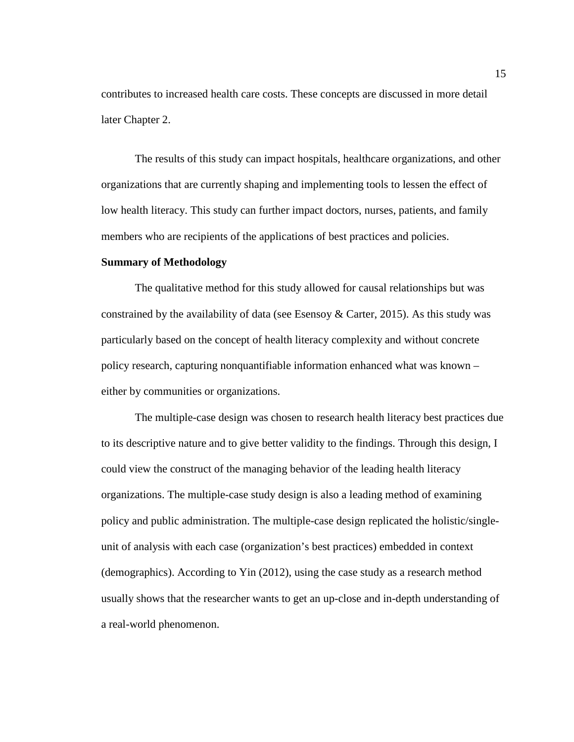contributes to increased health care costs. These concepts are discussed in more detail later Chapter 2.

The results of this study can impact hospitals, healthcare organizations, and other organizations that are currently shaping and implementing tools to lessen the effect of low health literacy. This study can further impact doctors, nurses, patients, and family members who are recipients of the applications of best practices and policies.

#### **Summary of Methodology**

The qualitative method for this study allowed for causal relationships but was constrained by the availability of data (see Esensoy  $&$  Carter, 2015). As this study was particularly based on the concept of health literacy complexity and without concrete policy research, capturing nonquantifiable information enhanced what was known – either by communities or organizations.

The multiple-case design was chosen to research health literacy best practices due to its descriptive nature and to give better validity to the findings. Through this design, I could view the construct of the managing behavior of the leading health literacy organizations. The multiple-case study design is also a leading method of examining policy and public administration. The multiple-case design replicated the holistic/singleunit of analysis with each case (organization's best practices) embedded in context (demographics). According to Yin (2012), using the case study as a research method usually shows that the researcher wants to get an up-close and in-depth understanding of a real-world phenomenon.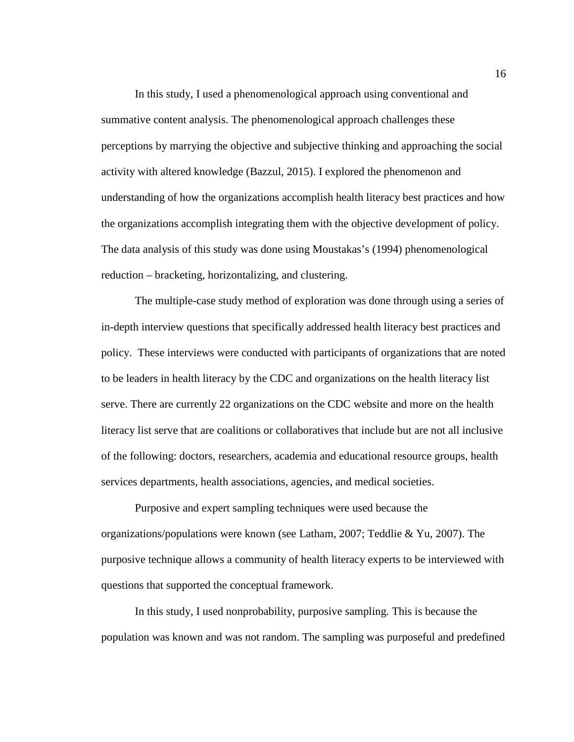In this study, I used a phenomenological approach using conventional and summative content analysis. The phenomenological approach challenges these perceptions by marrying the objective and subjective thinking and approaching the social activity with altered knowledge (Bazzul, 2015). I explored the phenomenon and understanding of how the organizations accomplish health literacy best practices and how the organizations accomplish integrating them with the objective development of policy. The data analysis of this study was done using Moustakas's (1994) phenomenological reduction – bracketing, horizontalizing, and clustering.

The multiple-case study method of exploration was done through using a series of in-depth interview questions that specifically addressed health literacy best practices and policy. These interviews were conducted with participants of organizations that are noted to be leaders in health literacy by the CDC and organizations on the health literacy list serve. There are currently 22 organizations on the CDC website and more on the health literacy list serve that are coalitions or collaboratives that include but are not all inclusive of the following: doctors, researchers, academia and educational resource groups, health services departments, health associations, agencies, and medical societies.

Purposive and expert sampling techniques were used because the organizations/populations were known (see Latham, 2007; Teddlie & Yu, 2007). The purposive technique allows a community of health literacy experts to be interviewed with questions that supported the conceptual framework.

In this study, I used nonprobability, purposive sampling. This is because the population was known and was not random. The sampling was purposeful and predefined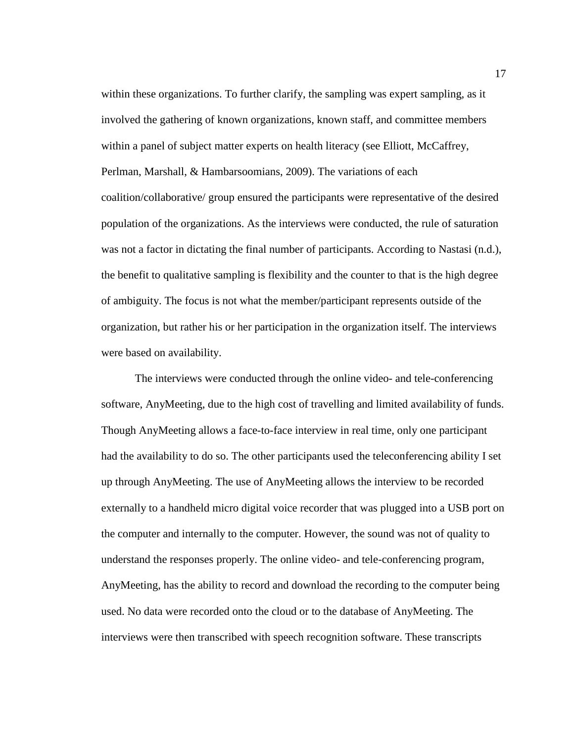within these organizations. To further clarify, the sampling was expert sampling, as it involved the gathering of known organizations, known staff, and committee members within a panel of subject matter experts on health literacy (see Elliott, McCaffrey, Perlman, Marshall, & Hambarsoomians, 2009). The variations of each coalition/collaborative/ group ensured the participants were representative of the desired population of the organizations. As the interviews were conducted, the rule of saturation was not a factor in dictating the final number of participants. According to Nastasi (n.d.), the benefit to qualitative sampling is flexibility and the counter to that is the high degree of ambiguity. The focus is not what the member/participant represents outside of the organization, but rather his or her participation in the organization itself. The interviews were based on availability.

The interviews were conducted through the online video- and tele-conferencing software, AnyMeeting, due to the high cost of travelling and limited availability of funds. Though AnyMeeting allows a face-to-face interview in real time, only one participant had the availability to do so. The other participants used the teleconferencing ability I set up through AnyMeeting. The use of AnyMeeting allows the interview to be recorded externally to a handheld micro digital voice recorder that was plugged into a USB port on the computer and internally to the computer. However, the sound was not of quality to understand the responses properly. The online video- and tele-conferencing program, AnyMeeting, has the ability to record and download the recording to the computer being used. No data were recorded onto the cloud or to the database of AnyMeeting. The interviews were then transcribed with speech recognition software. These transcripts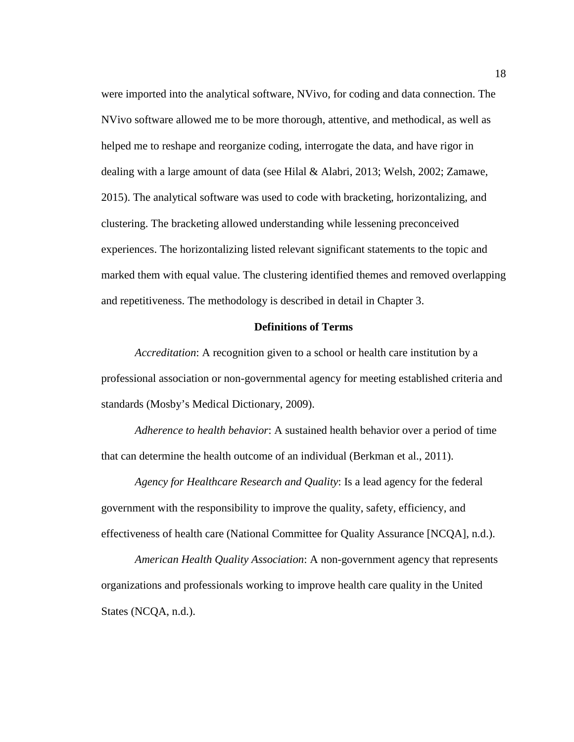were imported into the analytical software, NVivo, for coding and data connection. The NVivo software allowed me to be more thorough, attentive, and methodical, as well as helped me to reshape and reorganize coding, interrogate the data, and have rigor in dealing with a large amount of data (see Hilal & Alabri, 2013; Welsh, 2002; Zamawe, 2015). The analytical software was used to code with bracketing, horizontalizing, and clustering. The bracketing allowed understanding while lessening preconceived experiences. The horizontalizing listed relevant significant statements to the topic and marked them with equal value. The clustering identified themes and removed overlapping and repetitiveness. The methodology is described in detail in Chapter 3.

#### **Definitions of Terms**

*Accreditation*: A recognition given to a school or health care institution by a professional association or non-governmental agency for meeting established criteria and standards (Mosby's Medical Dictionary, 2009).

*Adherence to health behavior*: A sustained health behavior over a period of time that can determine the health outcome of an individual (Berkman et al., 2011).

*Agency for Healthcare Research and Quality*: Is a lead agency for the federal government with the responsibility to improve the quality, safety, efficiency, and effectiveness of health care (National Committee for Quality Assurance [NCQA], n.d.).

*American Health Quality Association*: A non-government agency that represents organizations and professionals working to improve health care quality in the United States (NCQA, n.d.).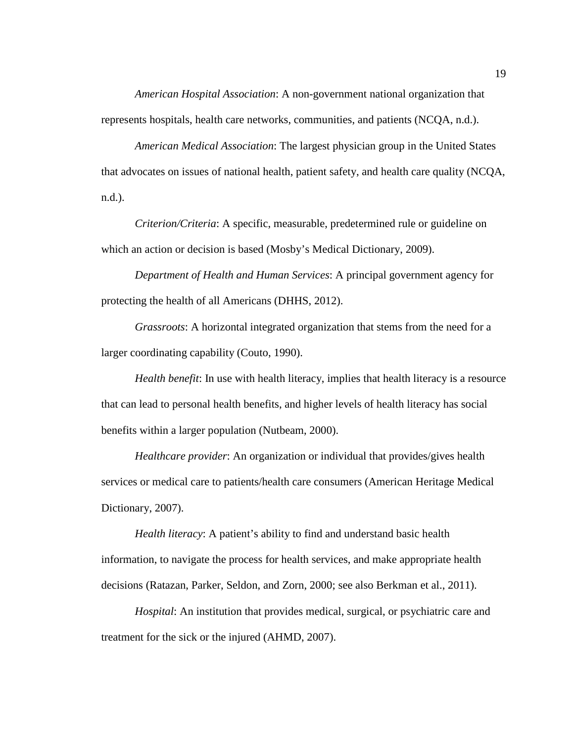*American Hospital Association*: A non-government national organization that represents hospitals, health care networks, communities, and patients (NCQA, n.d.).

*American Medical Association*: The largest physician group in the United States that advocates on issues of national health, patient safety, and health care quality (NCQA, n.d.).

*Criterion/Criteria*: A specific, measurable, predetermined rule or guideline on which an action or decision is based (Mosby's Medical Dictionary, 2009).

*Department of Health and Human Services*: A principal government agency for protecting the health of all Americans (DHHS, 2012).

*Grassroots*: A horizontal integrated organization that stems from the need for a larger coordinating capability (Couto, 1990).

*Health benefit*: In use with health literacy, implies that health literacy is a resource that can lead to personal health benefits, and higher levels of health literacy has social benefits within a larger population (Nutbeam, 2000).

*Healthcare provider*: An organization or individual that provides/gives health services or medical care to patients/health care consumers (American Heritage Medical Dictionary, 2007).

*Health literacy*: A patient's ability to find and understand basic health information, to navigate the process for health services, and make appropriate health decisions (Ratazan, Parker, Seldon, and Zorn, 2000; see also Berkman et al., 2011).

*Hospital*: An institution that provides medical, surgical, or psychiatric care and treatment for the sick or the injured (AHMD, 2007).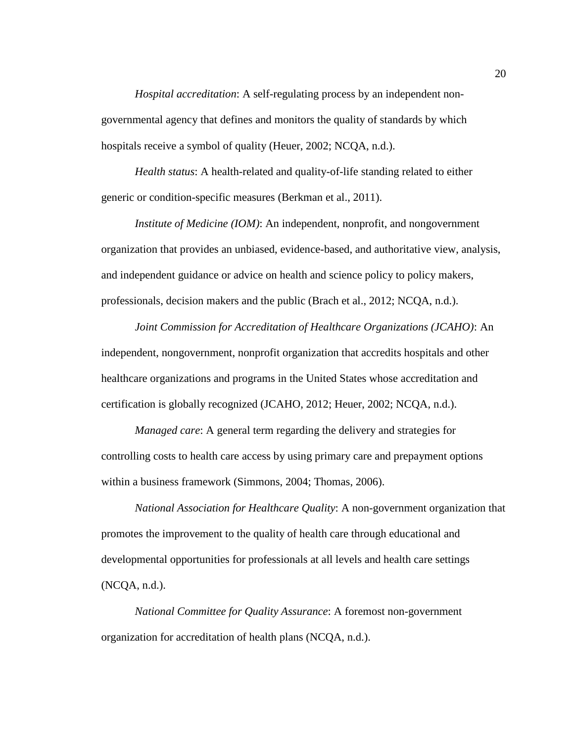*Hospital accreditation*: A self-regulating process by an independent nongovernmental agency that defines and monitors the quality of standards by which hospitals receive a symbol of quality (Heuer, 2002; NCQA, n.d.).

*Health status*: A health-related and quality-of-life standing related to either generic or condition-specific measures (Berkman et al., 2011).

*Institute of Medicine (IOM)*: An independent, nonprofit, and nongovernment organization that provides an unbiased, evidence-based, and authoritative view, analysis, and independent guidance or advice on health and science policy to policy makers, professionals, decision makers and the public (Brach et al., 2012; NCQA, n.d.).

*Joint Commission for Accreditation of Healthcare Organizations (JCAHO)*: An independent, nongovernment, nonprofit organization that accredits hospitals and other healthcare organizations and programs in the United States whose accreditation and certification is globally recognized (JCAHO, 2012; Heuer, 2002; NCQA, n.d.).

*Managed care*: A general term regarding the delivery and strategies for controlling costs to health care access by using primary care and prepayment options within a business framework (Simmons, 2004; Thomas, 2006).

*National Association for Healthcare Quality*: A non-government organization that promotes the improvement to the quality of health care through educational and developmental opportunities for professionals at all levels and health care settings (NCQA, n.d.).

*National Committee for Quality Assurance*: A foremost non-government organization for accreditation of health plans (NCQA, n.d.).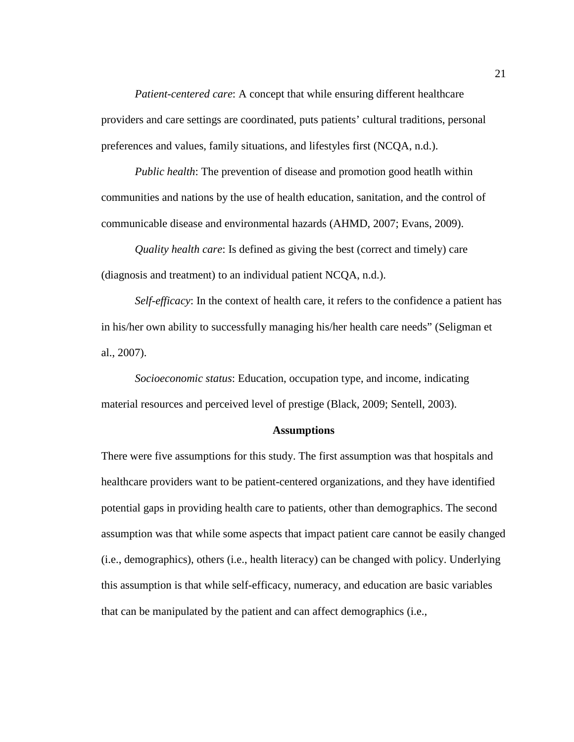*Patient-centered care*: A concept that while ensuring different healthcare providers and care settings are coordinated, puts patients' cultural traditions, personal preferences and values, family situations, and lifestyles first (NCQA, n.d.).

*Public health*: The prevention of disease and promotion good heatlh within communities and nations by the use of health education, sanitation, and the control of communicable disease and environmental hazards (AHMD, 2007; Evans, 2009).

*Quality health care*: Is defined as giving the best (correct and timely) care (diagnosis and treatment) to an individual patient NCQA, n.d.).

*Self-efficacy*: In the context of health care, it refers to the confidence a patient has in his/her own ability to successfully managing his/her health care needs" (Seligman et al., 2007).

*Socioeconomic status*: Education, occupation type, and income, indicating material resources and perceived level of prestige (Black, 2009; Sentell, 2003).

#### **Assumptions**

There were five assumptions for this study. The first assumption was that hospitals and healthcare providers want to be patient-centered organizations, and they have identified potential gaps in providing health care to patients, other than demographics. The second assumption was that while some aspects that impact patient care cannot be easily changed (i.e., demographics), others (i.e., health literacy) can be changed with policy. Underlying this assumption is that while self-efficacy, numeracy, and education are basic variables that can be manipulated by the patient and can affect demographics (i.e.,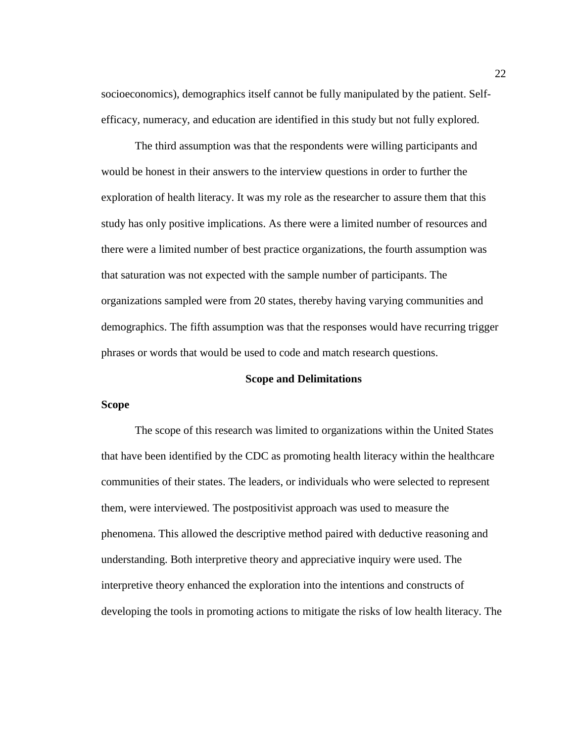socioeconomics), demographics itself cannot be fully manipulated by the patient. Selfefficacy, numeracy, and education are identified in this study but not fully explored.

The third assumption was that the respondents were willing participants and would be honest in their answers to the interview questions in order to further the exploration of health literacy. It was my role as the researcher to assure them that this study has only positive implications. As there were a limited number of resources and there were a limited number of best practice organizations, the fourth assumption was that saturation was not expected with the sample number of participants. The organizations sampled were from 20 states, thereby having varying communities and demographics. The fifth assumption was that the responses would have recurring trigger phrases or words that would be used to code and match research questions.

#### **Scope and Delimitations**

#### **Scope**

The scope of this research was limited to organizations within the United States that have been identified by the CDC as promoting health literacy within the healthcare communities of their states. The leaders, or individuals who were selected to represent them, were interviewed. The postpositivist approach was used to measure the phenomena. This allowed the descriptive method paired with deductive reasoning and understanding. Both interpretive theory and appreciative inquiry were used. The interpretive theory enhanced the exploration into the intentions and constructs of developing the tools in promoting actions to mitigate the risks of low health literacy. The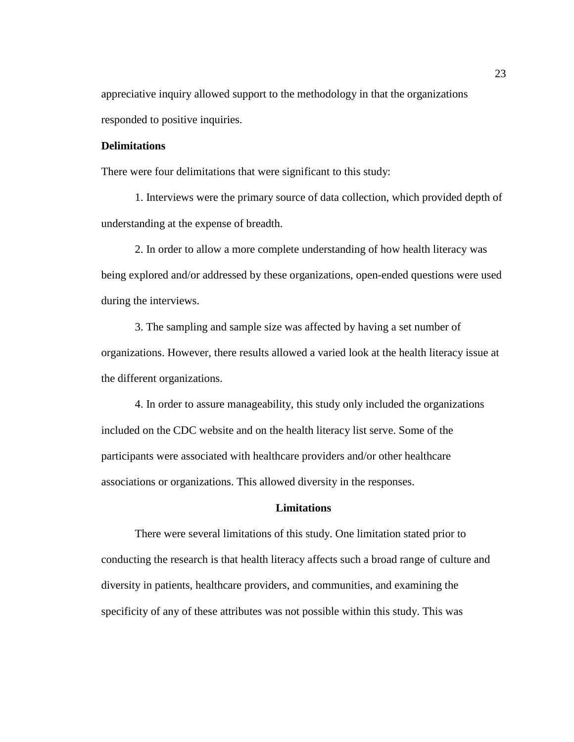appreciative inquiry allowed support to the methodology in that the organizations responded to positive inquiries.

#### **Delimitations**

There were four delimitations that were significant to this study:

1. Interviews were the primary source of data collection, which provided depth of understanding at the expense of breadth.

2. In order to allow a more complete understanding of how health literacy was being explored and/or addressed by these organizations, open-ended questions were used during the interviews.

3. The sampling and sample size was affected by having a set number of organizations. However, there results allowed a varied look at the health literacy issue at the different organizations.

4. In order to assure manageability, this study only included the organizations included on the CDC website and on the health literacy list serve. Some of the participants were associated with healthcare providers and/or other healthcare associations or organizations. This allowed diversity in the responses.

#### **Limitations**

There were several limitations of this study. One limitation stated prior to conducting the research is that health literacy affects such a broad range of culture and diversity in patients, healthcare providers, and communities, and examining the specificity of any of these attributes was not possible within this study. This was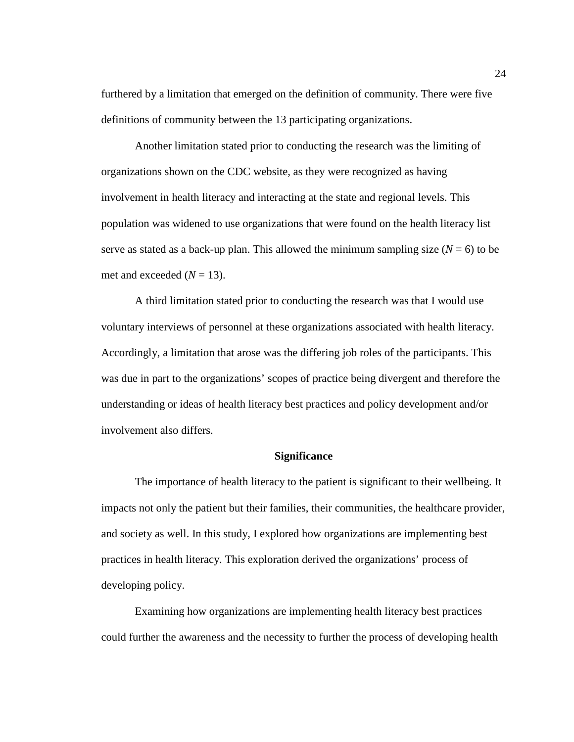furthered by a limitation that emerged on the definition of community. There were five definitions of community between the 13 participating organizations.

Another limitation stated prior to conducting the research was the limiting of organizations shown on the CDC website, as they were recognized as having involvement in health literacy and interacting at the state and regional levels. This population was widened to use organizations that were found on the health literacy list serve as stated as a back-up plan. This allowed the minimum sampling size  $(N = 6)$  to be met and exceeded  $(N = 13)$ .

A third limitation stated prior to conducting the research was that I would use voluntary interviews of personnel at these organizations associated with health literacy. Accordingly, a limitation that arose was the differing job roles of the participants. This was due in part to the organizations' scopes of practice being divergent and therefore the understanding or ideas of health literacy best practices and policy development and/or involvement also differs.

#### **Significance**

The importance of health literacy to the patient is significant to their wellbeing. It impacts not only the patient but their families, their communities, the healthcare provider, and society as well. In this study, I explored how organizations are implementing best practices in health literacy. This exploration derived the organizations' process of developing policy.

Examining how organizations are implementing health literacy best practices could further the awareness and the necessity to further the process of developing health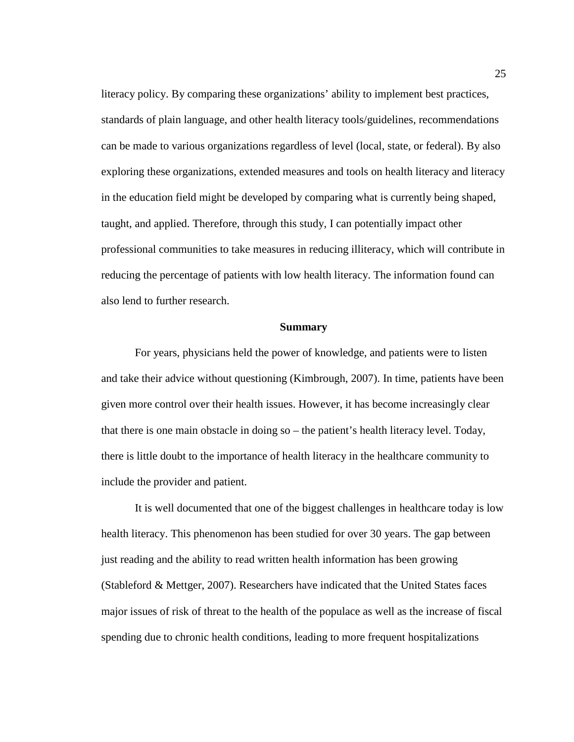literacy policy. By comparing these organizations' ability to implement best practices, standards of plain language, and other health literacy tools/guidelines, recommendations can be made to various organizations regardless of level (local, state, or federal). By also exploring these organizations, extended measures and tools on health literacy and literacy in the education field might be developed by comparing what is currently being shaped, taught, and applied. Therefore, through this study, I can potentially impact other professional communities to take measures in reducing illiteracy, which will contribute in reducing the percentage of patients with low health literacy. The information found can also lend to further research.

#### **Summary**

For years, physicians held the power of knowledge, and patients were to listen and take their advice without questioning (Kimbrough, 2007). In time, patients have been given more control over their health issues. However, it has become increasingly clear that there is one main obstacle in doing so – the patient's health literacy level. Today, there is little doubt to the importance of health literacy in the healthcare community to include the provider and patient.

It is well documented that one of the biggest challenges in healthcare today is low health literacy. This phenomenon has been studied for over 30 years. The gap between just reading and the ability to read written health information has been growing (Stableford & Mettger, 2007). Researchers have indicated that the United States faces major issues of risk of threat to the health of the populace as well as the increase of fiscal spending due to chronic health conditions, leading to more frequent hospitalizations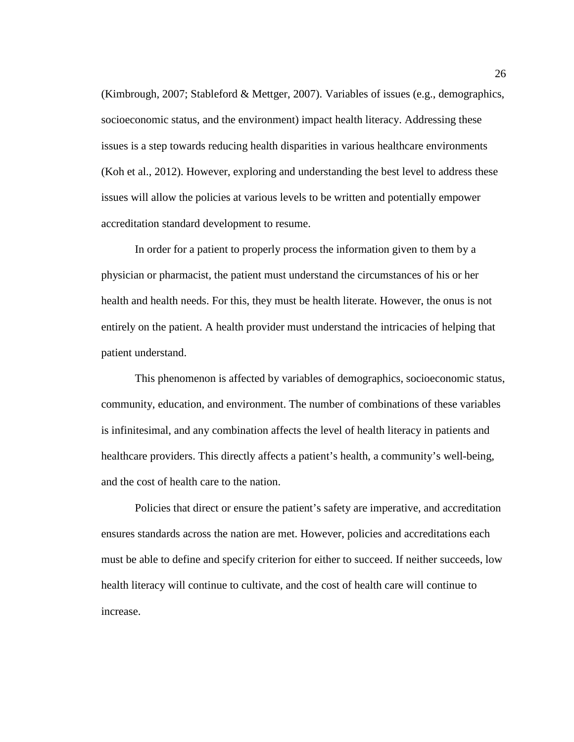(Kimbrough, 2007; Stableford & Mettger, 2007). Variables of issues (e.g., demographics, socioeconomic status, and the environment) impact health literacy. Addressing these issues is a step towards reducing health disparities in various healthcare environments (Koh et al., 2012). However, exploring and understanding the best level to address these issues will allow the policies at various levels to be written and potentially empower accreditation standard development to resume.

In order for a patient to properly process the information given to them by a physician or pharmacist, the patient must understand the circumstances of his or her health and health needs. For this, they must be health literate. However, the onus is not entirely on the patient. A health provider must understand the intricacies of helping that patient understand.

This phenomenon is affected by variables of demographics, socioeconomic status, community, education, and environment. The number of combinations of these variables is infinitesimal, and any combination affects the level of health literacy in patients and healthcare providers. This directly affects a patient's health, a community's well-being, and the cost of health care to the nation.

Policies that direct or ensure the patient's safety are imperative, and accreditation ensures standards across the nation are met. However, policies and accreditations each must be able to define and specify criterion for either to succeed. If neither succeeds, low health literacy will continue to cultivate, and the cost of health care will continue to increase.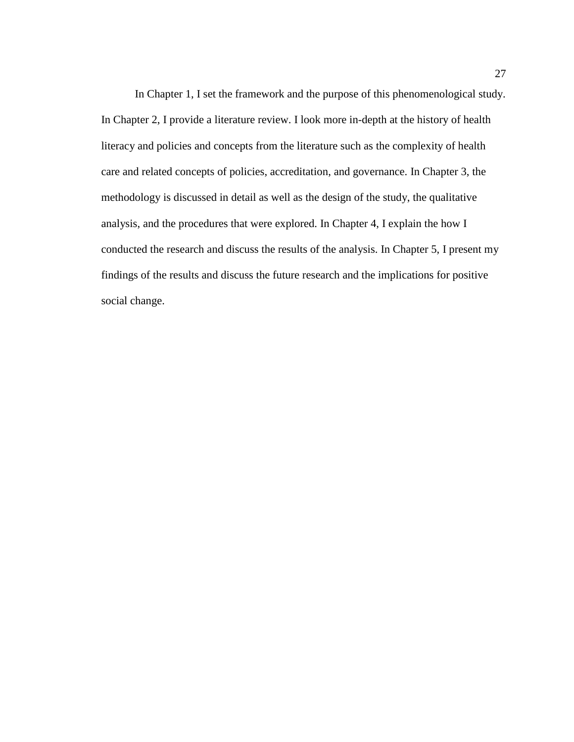In Chapter 1, I set the framework and the purpose of this phenomenological study. In Chapter 2, I provide a literature review. I look more in-depth at the history of health literacy and policies and concepts from the literature such as the complexity of health care and related concepts of policies, accreditation, and governance. In Chapter 3, the methodology is discussed in detail as well as the design of the study, the qualitative analysis, and the procedures that were explored. In Chapter 4, I explain the how I conducted the research and discuss the results of the analysis. In Chapter 5, I present my findings of the results and discuss the future research and the implications for positive social change.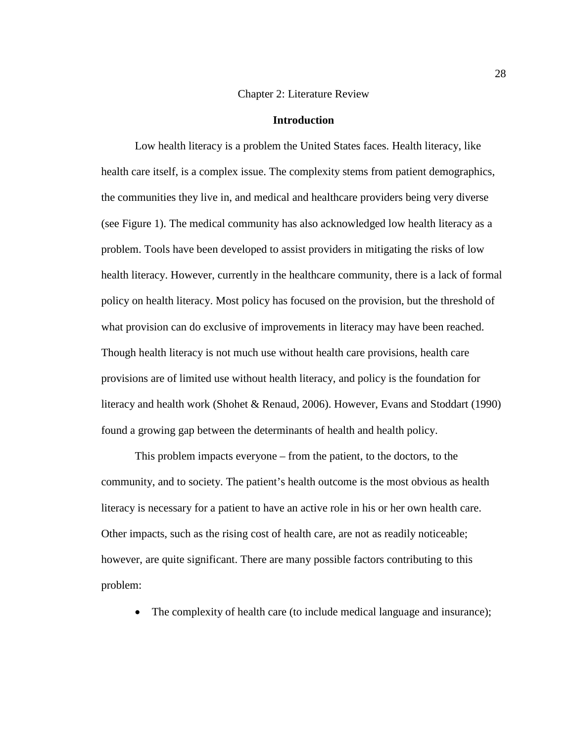#### Chapter 2: Literature Review

## **Introduction**

Low health literacy is a problem the United States faces. Health literacy, like health care itself, is a complex issue. The complexity stems from patient demographics, the communities they live in, and medical and healthcare providers being very diverse (see Figure 1). The medical community has also acknowledged low health literacy as a problem. Tools have been developed to assist providers in mitigating the risks of low health literacy. However, currently in the healthcare community, there is a lack of formal policy on health literacy. Most policy has focused on the provision, but the threshold of what provision can do exclusive of improvements in literacy may have been reached. Though health literacy is not much use without health care provisions, health care provisions are of limited use without health literacy, and policy is the foundation for literacy and health work (Shohet & Renaud, 2006). However, Evans and Stoddart (1990) found a growing gap between the determinants of health and health policy.

This problem impacts everyone – from the patient, to the doctors, to the community, and to society. The patient's health outcome is the most obvious as health literacy is necessary for a patient to have an active role in his or her own health care. Other impacts, such as the rising cost of health care, are not as readily noticeable; however, are quite significant. There are many possible factors contributing to this problem:

The complexity of health care (to include medical language and insurance);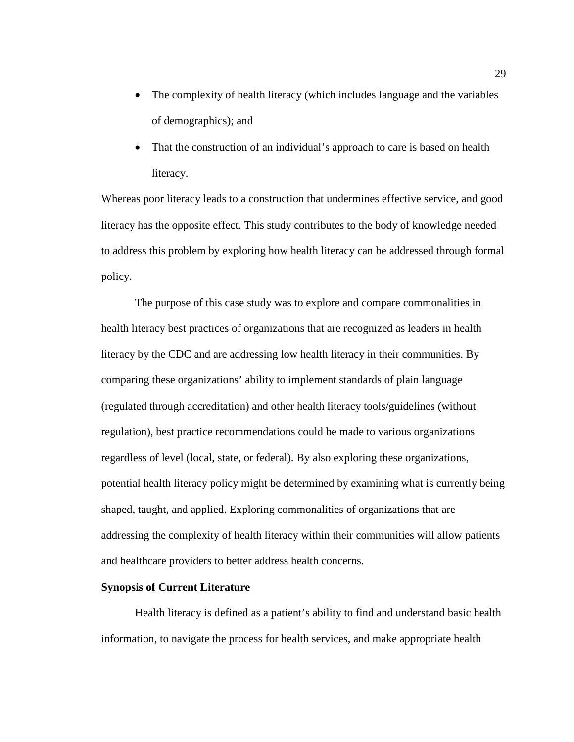- The complexity of health literacy (which includes language and the variables of demographics); and
- That the construction of an individual's approach to care is based on health literacy.

Whereas poor literacy leads to a construction that undermines effective service, and good literacy has the opposite effect. This study contributes to the body of knowledge needed to address this problem by exploring how health literacy can be addressed through formal policy.

The purpose of this case study was to explore and compare commonalities in health literacy best practices of organizations that are recognized as leaders in health literacy by the CDC and are addressing low health literacy in their communities. By comparing these organizations' ability to implement standards of plain language (regulated through accreditation) and other health literacy tools/guidelines (without regulation), best practice recommendations could be made to various organizations regardless of level (local, state, or federal). By also exploring these organizations, potential health literacy policy might be determined by examining what is currently being shaped, taught, and applied. Exploring commonalities of organizations that are addressing the complexity of health literacy within their communities will allow patients and healthcare providers to better address health concerns.

## **Synopsis of Current Literature**

Health literacy is defined as a patient's ability to find and understand basic health information, to navigate the process for health services, and make appropriate health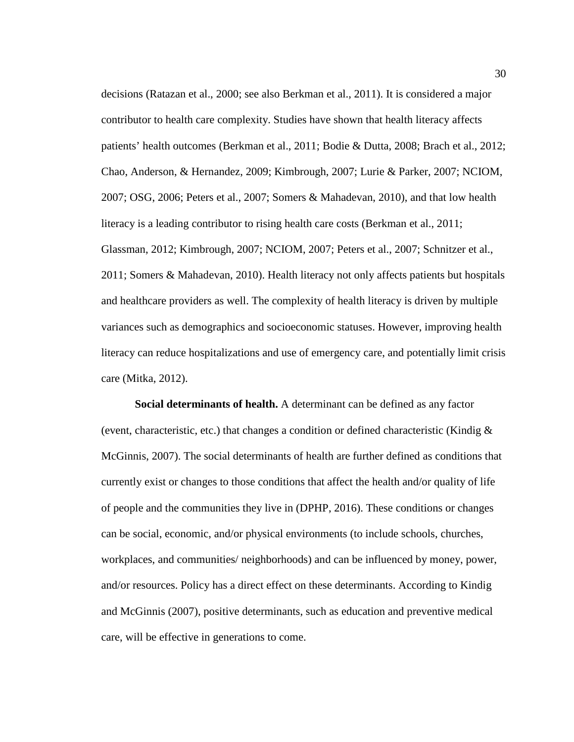decisions (Ratazan et al., 2000; see also Berkman et al., 2011). It is considered a major contributor to health care complexity. Studies have shown that health literacy affects patients' health outcomes (Berkman et al., 2011; Bodie & Dutta, 2008; Brach et al., 2012; Chao, Anderson, & Hernandez, 2009; Kimbrough, 2007; Lurie & Parker, 2007; NCIOM, 2007; OSG, 2006; Peters et al., 2007; Somers & Mahadevan, 2010), and that low health literacy is a leading contributor to rising health care costs (Berkman et al., 2011; Glassman, 2012; Kimbrough, 2007; NCIOM, 2007; Peters et al., 2007; Schnitzer et al., 2011; Somers & Mahadevan, 2010). Health literacy not only affects patients but hospitals and healthcare providers as well. The complexity of health literacy is driven by multiple variances such as demographics and socioeconomic statuses. However, improving health literacy can reduce hospitalizations and use of emergency care, and potentially limit crisis care (Mitka, 2012).

**Social determinants of health.** A determinant can be defined as any factor (event, characteristic, etc.) that changes a condition or defined characteristic (Kindig  $\&$ McGinnis, 2007). The social determinants of health are further defined as conditions that currently exist or changes to those conditions that affect the health and/or quality of life of people and the communities they live in (DPHP, 2016). These conditions or changes can be social, economic, and/or physical environments (to include schools, churches, workplaces, and communities/ neighborhoods) and can be influenced by money, power, and/or resources. Policy has a direct effect on these determinants. According to Kindig and McGinnis (2007), positive determinants, such as education and preventive medical care, will be effective in generations to come.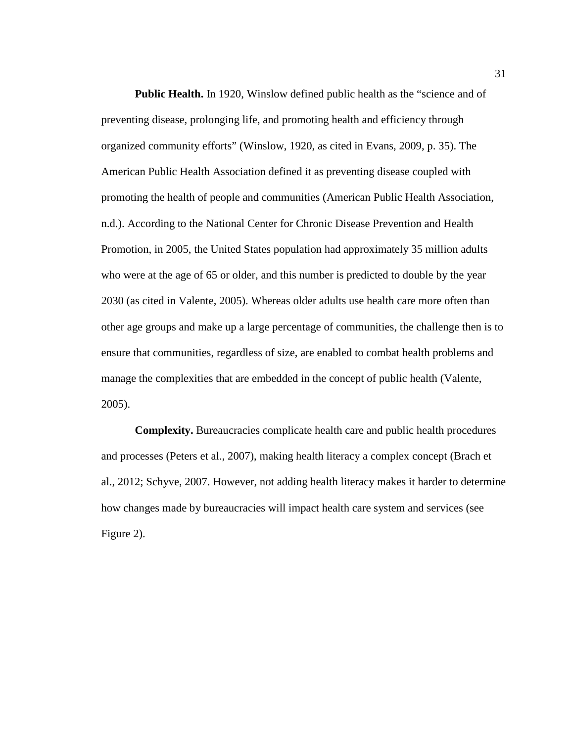Public Health. In 1920, Winslow defined public health as the "science and of preventing disease, prolonging life, and promoting health and efficiency through organized community efforts" (Winslow, 1920, as cited in Evans, 2009, p. 35). The American Public Health Association defined it as preventing disease coupled with promoting the health of people and communities (American Public Health Association, n.d.). According to the National Center for Chronic Disease Prevention and Health Promotion, in 2005, the United States population had approximately 35 million adults who were at the age of 65 or older, and this number is predicted to double by the year 2030 (as cited in Valente, 2005). Whereas older adults use health care more often than other age groups and make up a large percentage of communities, the challenge then is to ensure that communities, regardless of size, are enabled to combat health problems and manage the complexities that are embedded in the concept of public health (Valente, 2005).

**Complexity.** Bureaucracies complicate health care and public health procedures and processes (Peters et al., 2007), making health literacy a complex concept (Brach et al., 2012; Schyve, 2007. However, not adding health literacy makes it harder to determine how changes made by bureaucracies will impact health care system and services (see Figure 2).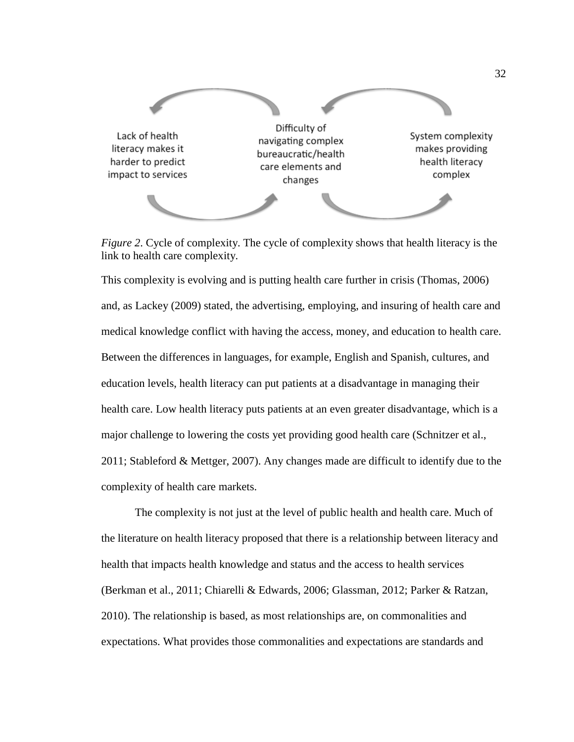

*Figure 2*. Cycle of complexity. The cycle of complexity shows that health literacy is the link to health care complexity.

This complexity is evolving and is putting health care further in crisis (Thomas, 2006) and, as Lackey (2009) stated, the advertising, employing, and insuring of health care and medical knowledge conflict with having the access, money, and education to health care. Between the differences in languages, for example, English and Spanish, cultures, and education levels, health literacy can put patients at a disadvantage in managing their health care. Low health literacy puts patients at an even greater disadvantage, which is a major challenge to lowering the costs yet providing good health care (Schnitzer et al., 2011; Stableford & Mettger, 2007). Any changes made are difficult to identify due to the complexity of health care markets.

The complexity is not just at the level of public health and health care. Much of the literature on health literacy proposed that there is a relationship between literacy and health that impacts health knowledge and status and the access to health services (Berkman et al., 2011; Chiarelli & Edwards, 2006; Glassman, 2012; Parker & Ratzan, 2010). The relationship is based, as most relationships are, on commonalities and expectations. What provides those commonalities and expectations are standards and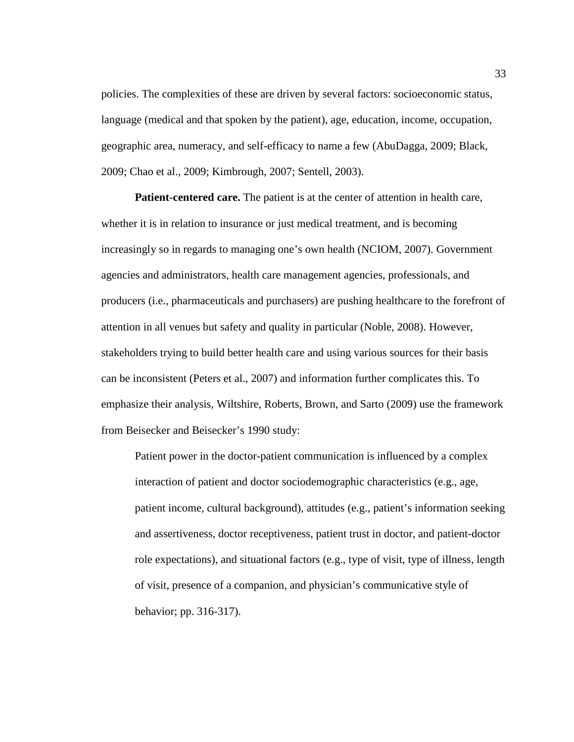policies. The complexities of these are driven by several factors: socioeconomic status, language (medical and that spoken by the patient), age, education, income, occupation, geographic area, numeracy, and self-efficacy to name a few (AbuDagga, 2009; Black, 2009; Chao et al., 2009; Kimbrough, 2007; Sentell, 2003).

**Patient-centered care.** The patient is at the center of attention in health care, whether it is in relation to insurance or just medical treatment, and is becoming increasingly so in regards to managing one's own health (NCIOM, 2007). Government agencies and administrators, health care management agencies, professionals, and producers (i.e., pharmaceuticals and purchasers) are pushing healthcare to the forefront of attention in all venues but safety and quality in particular (Noble, 2008). However, stakeholders trying to build better health care and using various sources for their basis can be inconsistent (Peters et al., 2007) and information further complicates this. To emphasize their analysis, Wiltshire, Roberts, Brown, and Sarto (2009) use the framework from Beisecker and Beisecker's 1990 study:

Patient power in the doctor-patient communication is influenced by a complex interaction of patient and doctor sociodemographic characteristics (e.g., age, patient income, cultural background), attitudes (e.g., patient's information seeking and assertiveness, doctor receptiveness, patient trust in doctor, and patient-doctor role expectations), and situational factors (e.g., type of visit, type of illness, length of visit, presence of a companion, and physician's communicative style of behavior; pp. 316-317).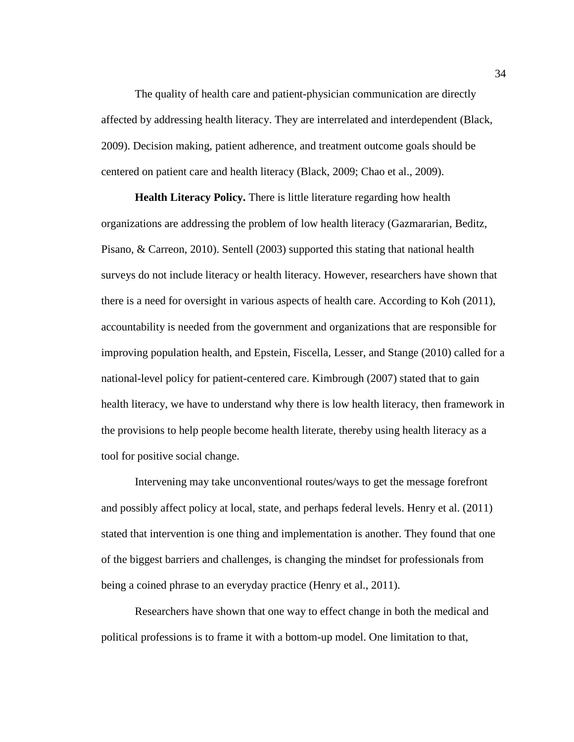The quality of health care and patient-physician communication are directly affected by addressing health literacy. They are interrelated and interdependent (Black, 2009). Decision making, patient adherence, and treatment outcome goals should be centered on patient care and health literacy (Black, 2009; Chao et al., 2009).

**Health Literacy Policy.** There is little literature regarding how health organizations are addressing the problem of low health literacy (Gazmararian, Beditz, Pisano, & Carreon, 2010). Sentell (2003) supported this stating that national health surveys do not include literacy or health literacy. However, researchers have shown that there is a need for oversight in various aspects of health care. According to Koh (2011), accountability is needed from the government and organizations that are responsible for improving population health, and Epstein, Fiscella, Lesser, and Stange (2010) called for a national-level policy for patient-centered care. Kimbrough (2007) stated that to gain health literacy, we have to understand why there is low health literacy, then framework in the provisions to help people become health literate, thereby using health literacy as a tool for positive social change.

Intervening may take unconventional routes/ways to get the message forefront and possibly affect policy at local, state, and perhaps federal levels. Henry et al. (2011) stated that intervention is one thing and implementation is another. They found that one of the biggest barriers and challenges, is changing the mindset for professionals from being a coined phrase to an everyday practice (Henry et al., 2011).

Researchers have shown that one way to effect change in both the medical and political professions is to frame it with a bottom-up model. One limitation to that,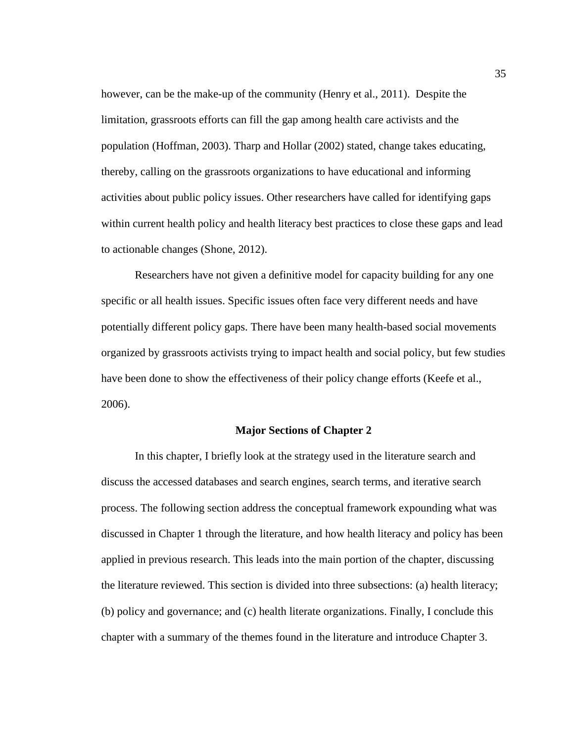however, can be the make-up of the community (Henry et al., 2011). Despite the limitation, grassroots efforts can fill the gap among health care activists and the population (Hoffman, 2003). Tharp and Hollar (2002) stated, change takes educating, thereby, calling on the grassroots organizations to have educational and informing activities about public policy issues. Other researchers have called for identifying gaps within current health policy and health literacy best practices to close these gaps and lead to actionable changes (Shone, 2012).

Researchers have not given a definitive model for capacity building for any one specific or all health issues. Specific issues often face very different needs and have potentially different policy gaps. There have been many health-based social movements organized by grassroots activists trying to impact health and social policy, but few studies have been done to show the effectiveness of their policy change efforts (Keefe et al., 2006).

### **Major Sections of Chapter 2**

In this chapter, I briefly look at the strategy used in the literature search and discuss the accessed databases and search engines, search terms, and iterative search process. The following section address the conceptual framework expounding what was discussed in Chapter 1 through the literature, and how health literacy and policy has been applied in previous research. This leads into the main portion of the chapter, discussing the literature reviewed. This section is divided into three subsections: (a) health literacy; (b) policy and governance; and (c) health literate organizations. Finally, I conclude this chapter with a summary of the themes found in the literature and introduce Chapter 3.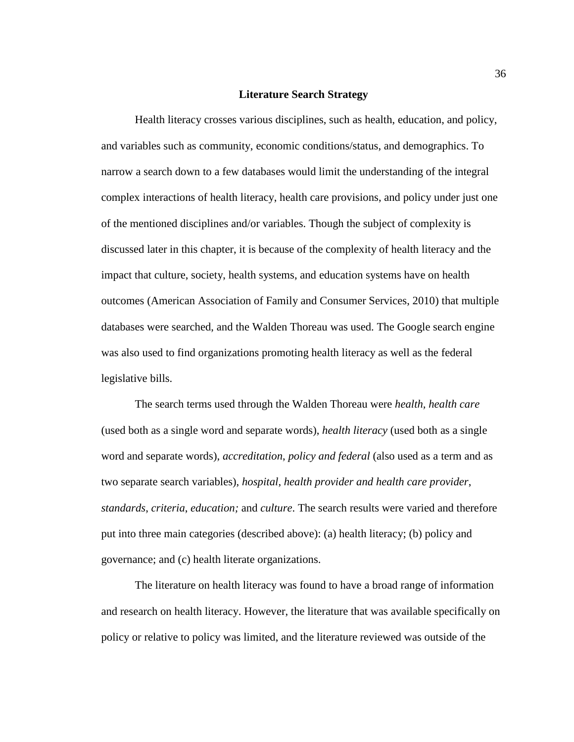### **Literature Search Strategy**

Health literacy crosses various disciplines, such as health, education, and policy, and variables such as community, economic conditions/status, and demographics. To narrow a search down to a few databases would limit the understanding of the integral complex interactions of health literacy, health care provisions, and policy under just one of the mentioned disciplines and/or variables. Though the subject of complexity is discussed later in this chapter, it is because of the complexity of health literacy and the impact that culture, society, health systems, and education systems have on health outcomes (American Association of Family and Consumer Services, 2010) that multiple databases were searched, and the Walden Thoreau was used. The Google search engine was also used to find organizations promoting health literacy as well as the federal legislative bills.

The search terms used through the Walden Thoreau were *health, health care* (used both as a single word and separate words), *health literacy* (used both as a single word and separate words), *accreditation*, *policy and federal* (also used as a term and as two separate search variables), *hospital*, *health provider and health care provider*, *standards*, *criteria*, *education;* and *culture*. The search results were varied and therefore put into three main categories (described above): (a) health literacy; (b) policy and governance; and (c) health literate organizations.

The literature on health literacy was found to have a broad range of information and research on health literacy. However, the literature that was available specifically on policy or relative to policy was limited, and the literature reviewed was outside of the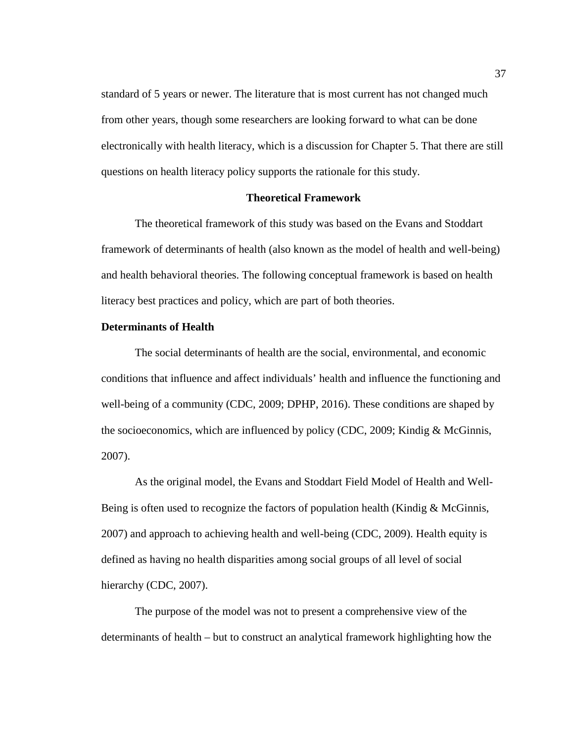standard of 5 years or newer. The literature that is most current has not changed much from other years, though some researchers are looking forward to what can be done electronically with health literacy, which is a discussion for Chapter 5. That there are still questions on health literacy policy supports the rationale for this study.

### **Theoretical Framework**

The theoretical framework of this study was based on the Evans and Stoddart framework of determinants of health (also known as the model of health and well-being) and health behavioral theories. The following conceptual framework is based on health literacy best practices and policy, which are part of both theories.

# **Determinants of Health**

The social determinants of health are the social, environmental, and economic conditions that influence and affect individuals' health and influence the functioning and well-being of a community (CDC, 2009; DPHP, 2016). These conditions are shaped by the socioeconomics, which are influenced by policy (CDC, 2009; Kindig & McGinnis, 2007).

As the original model, the Evans and Stoddart Field Model of Health and Well-Being is often used to recognize the factors of population health (Kindig & McGinnis, 2007) and approach to achieving health and well-being (CDC, 2009). Health equity is defined as having no health disparities among social groups of all level of social hierarchy (CDC, 2007).

The purpose of the model was not to present a comprehensive view of the determinants of health – but to construct an analytical framework highlighting how the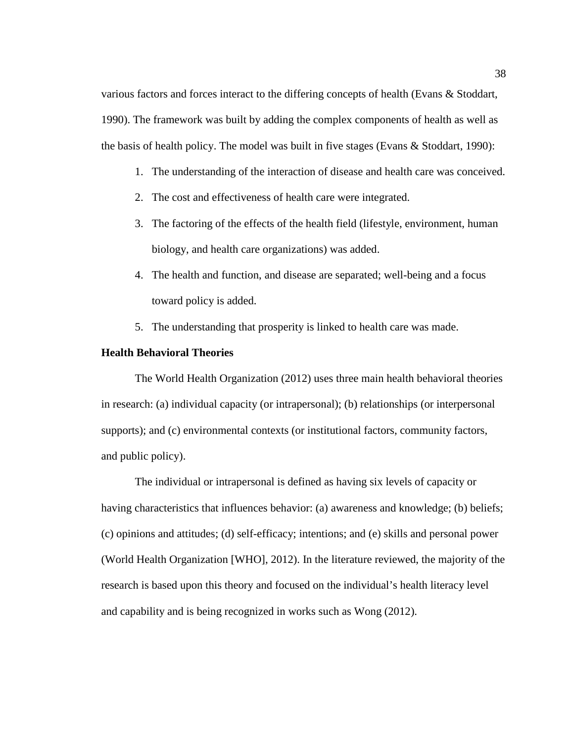various factors and forces interact to the differing concepts of health (Evans & Stoddart, 1990). The framework was built by adding the complex components of health as well as the basis of health policy. The model was built in five stages (Evans & Stoddart, 1990):

- 1. The understanding of the interaction of disease and health care was conceived.
- 2. The cost and effectiveness of health care were integrated.
- 3. The factoring of the effects of the health field (lifestyle, environment, human biology, and health care organizations) was added.
- 4. The health and function, and disease are separated; well-being and a focus toward policy is added.
- 5. The understanding that prosperity is linked to health care was made.

# **Health Behavioral Theories**

The World Health Organization (2012) uses three main health behavioral theories in research: (a) individual capacity (or intrapersonal); (b) relationships (or interpersonal supports); and (c) environmental contexts (or institutional factors, community factors, and public policy).

The individual or intrapersonal is defined as having six levels of capacity or having characteristics that influences behavior: (a) awareness and knowledge; (b) beliefs; (c) opinions and attitudes; (d) self-efficacy; intentions; and (e) skills and personal power (World Health Organization [WHO], 2012). In the literature reviewed, the majority of the research is based upon this theory and focused on the individual's health literacy level and capability and is being recognized in works such as Wong (2012).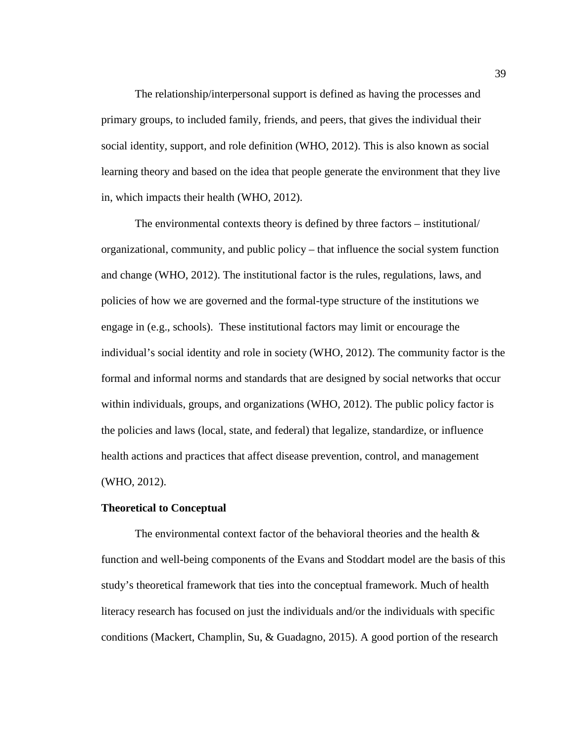The relationship/interpersonal support is defined as having the processes and primary groups, to included family, friends, and peers, that gives the individual their social identity, support, and role definition (WHO, 2012). This is also known as social learning theory and based on the idea that people generate the environment that they live in, which impacts their health (WHO, 2012).

The environmental contexts theory is defined by three factors – institutional/ organizational, community, and public policy – that influence the social system function and change (WHO, 2012). The institutional factor is the rules, regulations, laws, and policies of how we are governed and the formal-type structure of the institutions we engage in (e.g., schools). These institutional factors may limit or encourage the individual's social identity and role in society (WHO, 2012). The community factor is the formal and informal norms and standards that are designed by social networks that occur within individuals, groups, and organizations (WHO, 2012). The public policy factor is the policies and laws (local, state, and federal) that legalize, standardize, or influence health actions and practices that affect disease prevention, control, and management (WHO, 2012).

## **Theoretical to Conceptual**

The environmental context factor of the behavioral theories and the health  $\&$ function and well-being components of the Evans and Stoddart model are the basis of this study's theoretical framework that ties into the conceptual framework. Much of health literacy research has focused on just the individuals and/or the individuals with specific conditions (Mackert, Champlin, Su, & Guadagno, 2015). A good portion of the research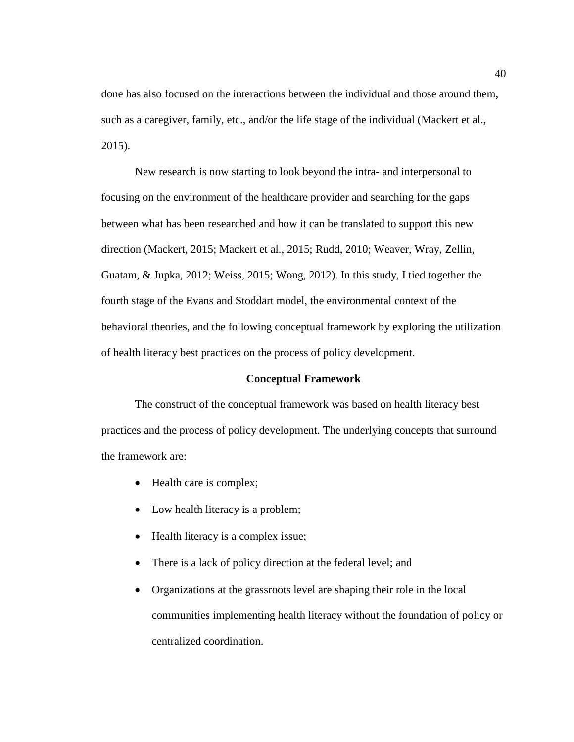done has also focused on the interactions between the individual and those around them, such as a caregiver, family, etc., and/or the life stage of the individual (Mackert et al., 2015).

New research is now starting to look beyond the intra- and interpersonal to focusing on the environment of the healthcare provider and searching for the gaps between what has been researched and how it can be translated to support this new direction (Mackert, 2015; Mackert et al., 2015; Rudd, 2010; Weaver, Wray, Zellin, Guatam, & Jupka, 2012; Weiss, 2015; Wong, 2012). In this study, I tied together the fourth stage of the Evans and Stoddart model, the environmental context of the behavioral theories, and the following conceptual framework by exploring the utilization of health literacy best practices on the process of policy development.

## **Conceptual Framework**

The construct of the conceptual framework was based on health literacy best practices and the process of policy development. The underlying concepts that surround the framework are:

- Health care is complex;
- Low health literacy is a problem;
- Health literacy is a complex issue;
- There is a lack of policy direction at the federal level; and
- Organizations at the grassroots level are shaping their role in the local communities implementing health literacy without the foundation of policy or centralized coordination.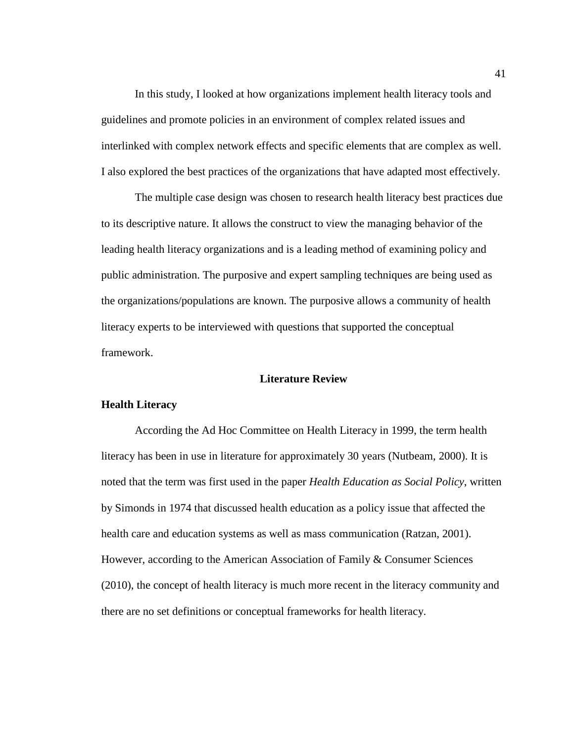In this study, I looked at how organizations implement health literacy tools and guidelines and promote policies in an environment of complex related issues and interlinked with complex network effects and specific elements that are complex as well. I also explored the best practices of the organizations that have adapted most effectively.

The multiple case design was chosen to research health literacy best practices due to its descriptive nature. It allows the construct to view the managing behavior of the leading health literacy organizations and is a leading method of examining policy and public administration. The purposive and expert sampling techniques are being used as the organizations/populations are known. The purposive allows a community of health literacy experts to be interviewed with questions that supported the conceptual framework.

## **Literature Review**

## **Health Literacy**

According the Ad Hoc Committee on Health Literacy in 1999, the term health literacy has been in use in literature for approximately 30 years (Nutbeam, 2000). It is noted that the term was first used in the paper *Health Education as Social Policy*, written by Simonds in 1974 that discussed health education as a policy issue that affected the health care and education systems as well as mass communication (Ratzan, 2001). However, according to the American Association of Family & Consumer Sciences (2010), the concept of health literacy is much more recent in the literacy community and there are no set definitions or conceptual frameworks for health literacy.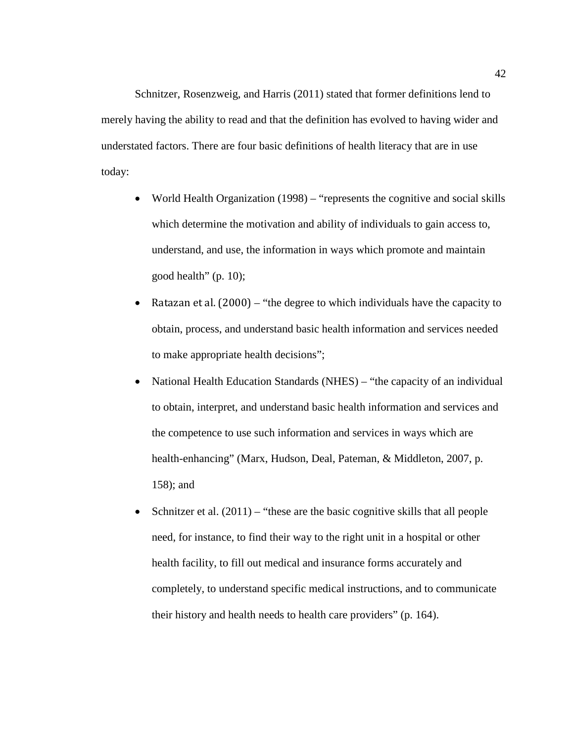Schnitzer, Rosenzweig, and Harris (2011) stated that former definitions lend to merely having the ability to read and that the definition has evolved to having wider and understated factors. There are four basic definitions of health literacy that are in use today:

- World Health Organization (1998) "represents the cognitive and social skills which determine the motivation and ability of individuals to gain access to, understand, and use, the information in ways which promote and maintain good health" (p. 10);
- Ratazan et al.  $(2000)$  "the degree to which individuals have the capacity to obtain, process, and understand basic health information and services needed to make appropriate health decisions";
- National Health Education Standards (NHES) "the capacity of an individual to obtain, interpret, and understand basic health information and services and the competence to use such information and services in ways which are health-enhancing" (Marx, Hudson, Deal, Pateman, & Middleton, 2007, p. 158); and
- Schnitzer et al.  $(2011)$  "these are the basic cognitive skills that all people need, for instance, to find their way to the right unit in a hospital or other health facility, to fill out medical and insurance forms accurately and completely, to understand specific medical instructions, and to communicate their history and health needs to health care providers" (p. 164).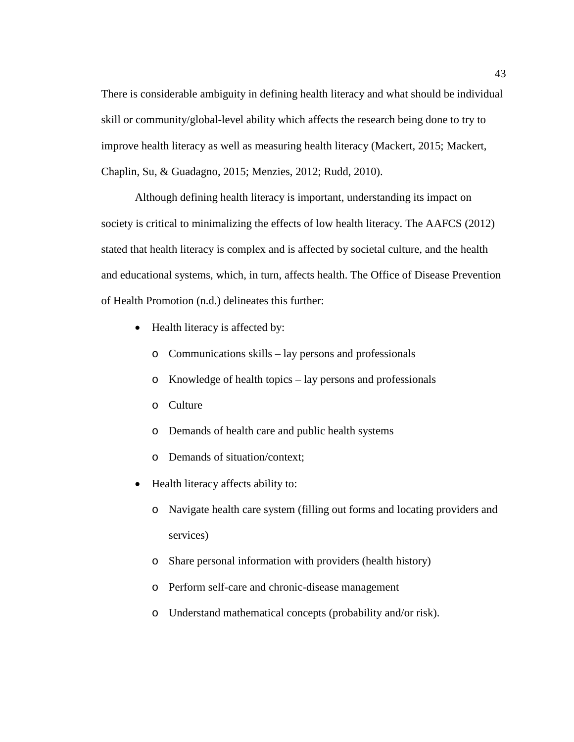There is considerable ambiguity in defining health literacy and what should be individual skill or community/global-level ability which affects the research being done to try to improve health literacy as well as measuring health literacy (Mackert, 2015; Mackert, Chaplin, Su, & Guadagno, 2015; Menzies, 2012; Rudd, 2010).

Although defining health literacy is important, understanding its impact on society is critical to minimalizing the effects of low health literacy. The AAFCS (2012) stated that health literacy is complex and is affected by societal culture, and the health and educational systems, which, in turn, affects health. The Office of Disease Prevention of Health Promotion (n.d.) delineates this further:

- Health literacy is affected by:
	- o Communications skills lay persons and professionals
	- o Knowledge of health topics lay persons and professionals
	- o Culture
	- o Demands of health care and public health systems
	- o Demands of situation/context;
- Health literacy affects ability to:
	- o Navigate health care system (filling out forms and locating providers and services)
	- o Share personal information with providers (health history)
	- o Perform self-care and chronic-disease management
	- o Understand mathematical concepts (probability and/or risk).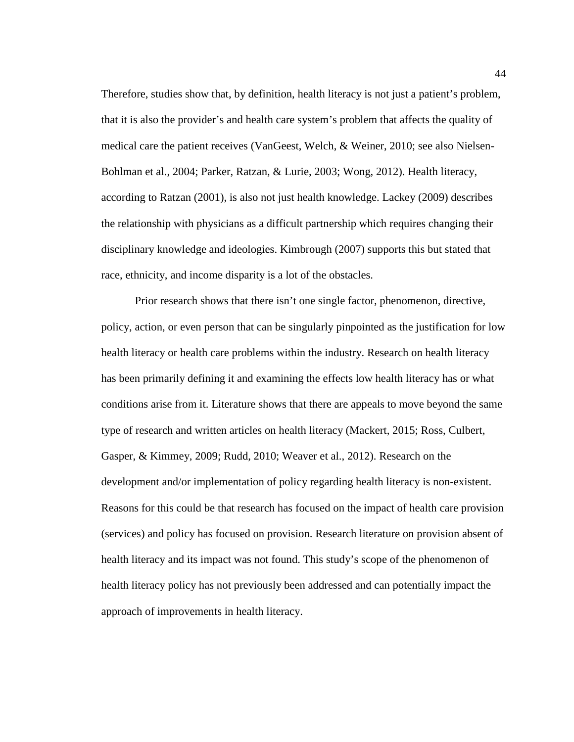Therefore, studies show that, by definition, health literacy is not just a patient's problem, that it is also the provider's and health care system's problem that affects the quality of medical care the patient receives (VanGeest, Welch, & Weiner, 2010; see also Nielsen-Bohlman et al., 2004; Parker, Ratzan, & Lurie, 2003; Wong, 2012). Health literacy, according to Ratzan (2001), is also not just health knowledge. Lackey (2009) describes the relationship with physicians as a difficult partnership which requires changing their disciplinary knowledge and ideologies. Kimbrough (2007) supports this but stated that race, ethnicity, and income disparity is a lot of the obstacles.

Prior research shows that there isn't one single factor, phenomenon, directive, policy, action, or even person that can be singularly pinpointed as the justification for low health literacy or health care problems within the industry. Research on health literacy has been primarily defining it and examining the effects low health literacy has or what conditions arise from it. Literature shows that there are appeals to move beyond the same type of research and written articles on health literacy (Mackert, 2015; Ross, Culbert, Gasper, & Kimmey, 2009; Rudd, 2010; Weaver et al., 2012). Research on the development and/or implementation of policy regarding health literacy is non-existent. Reasons for this could be that research has focused on the impact of health care provision (services) and policy has focused on provision. Research literature on provision absent of health literacy and its impact was not found. This study's scope of the phenomenon of health literacy policy has not previously been addressed and can potentially impact the approach of improvements in health literacy.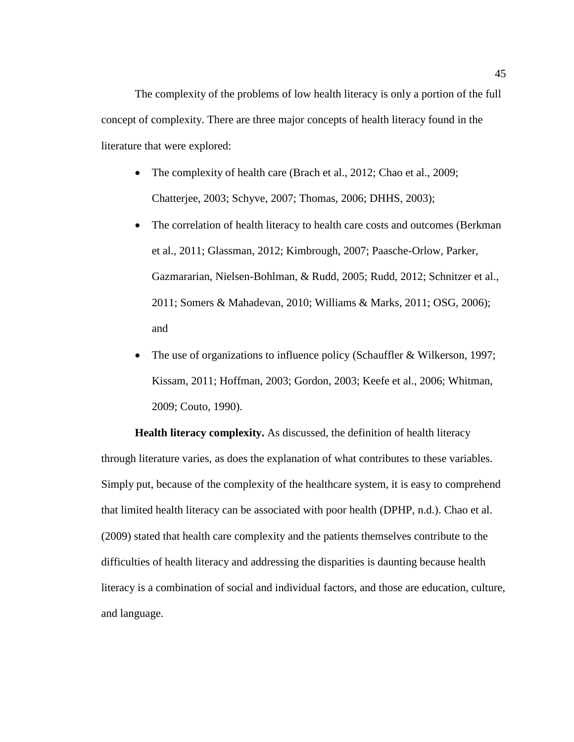The complexity of the problems of low health literacy is only a portion of the full concept of complexity. There are three major concepts of health literacy found in the literature that were explored:

- The complexity of health care (Brach et al., 2012; Chao et al., 2009; Chatterjee, 2003; Schyve, 2007; Thomas, 2006; DHHS, 2003);
- The correlation of health literacy to health care costs and outcomes (Berkman) et al., 2011; Glassman, 2012; Kimbrough, 2007; Paasche-Orlow, Parker, Gazmararian, Nielsen-Bohlman, & Rudd, 2005; Rudd, 2012; Schnitzer et al., 2011; Somers & Mahadevan, 2010; Williams & Marks, 2011; OSG, 2006); and
- The use of organizations to influence policy (Schauffler & Wilkerson, 1997; Kissam, 2011; Hoffman, 2003; Gordon, 2003; Keefe et al., 2006; Whitman, 2009; Couto, 1990).

**Health literacy complexity.** As discussed, the definition of health literacy through literature varies, as does the explanation of what contributes to these variables. Simply put, because of the complexity of the healthcare system, it is easy to comprehend that limited health literacy can be associated with poor health (DPHP, n.d.). Chao et al. (2009) stated that health care complexity and the patients themselves contribute to the difficulties of health literacy and addressing the disparities is daunting because health literacy is a combination of social and individual factors, and those are education, culture, and language.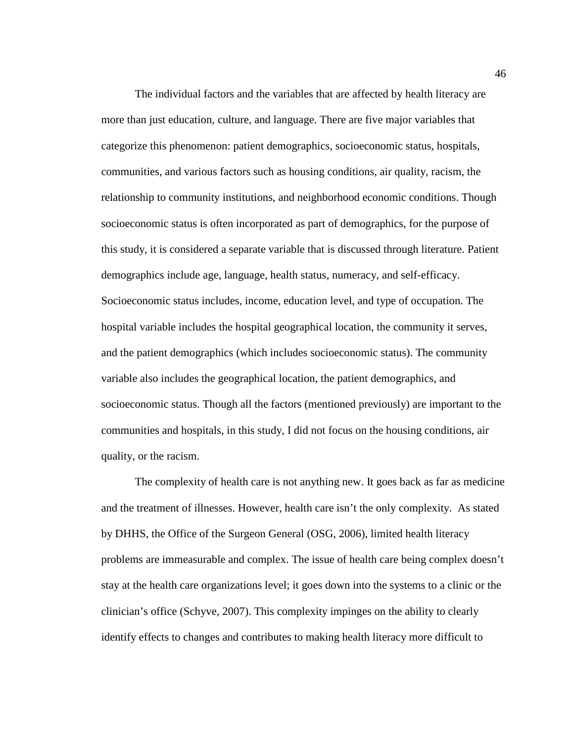The individual factors and the variables that are affected by health literacy are more than just education, culture, and language. There are five major variables that categorize this phenomenon: patient demographics, socioeconomic status, hospitals, communities, and various factors such as housing conditions, air quality, racism, the relationship to community institutions, and neighborhood economic conditions. Though socioeconomic status is often incorporated as part of demographics, for the purpose of this study, it is considered a separate variable that is discussed through literature. Patient demographics include age, language, health status, numeracy, and self-efficacy. Socioeconomic status includes, income, education level, and type of occupation. The hospital variable includes the hospital geographical location, the community it serves, and the patient demographics (which includes socioeconomic status). The community variable also includes the geographical location, the patient demographics, and socioeconomic status. Though all the factors (mentioned previously) are important to the communities and hospitals, in this study, I did not focus on the housing conditions, air quality, or the racism.

The complexity of health care is not anything new. It goes back as far as medicine and the treatment of illnesses. However, health care isn't the only complexity. As stated by DHHS, the Office of the Surgeon General (OSG, 2006), limited health literacy problems are immeasurable and complex. The issue of health care being complex doesn't stay at the health care organizations level; it goes down into the systems to a clinic or the clinician's office (Schyve, 2007). This complexity impinges on the ability to clearly identify effects to changes and contributes to making health literacy more difficult to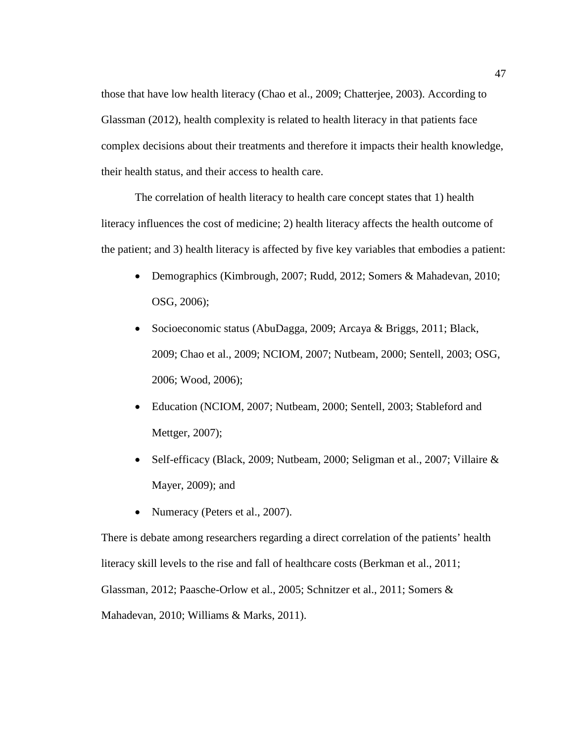those that have low health literacy (Chao et al., 2009; Chatterjee, 2003). According to Glassman (2012), health complexity is related to health literacy in that patients face complex decisions about their treatments and therefore it impacts their health knowledge, their health status, and their access to health care.

The correlation of health literacy to health care concept states that 1) health literacy influences the cost of medicine; 2) health literacy affects the health outcome of the patient; and 3) health literacy is affected by five key variables that embodies a patient:

- Demographics (Kimbrough, 2007; Rudd, 2012; Somers & Mahadevan, 2010; OSG, 2006);
- Socioeconomic status (AbuDagga, 2009; Arcaya & Briggs, 2011; Black, 2009; Chao et al., 2009; NCIOM, 2007; Nutbeam, 2000; Sentell, 2003; OSG, 2006; Wood, 2006);
- Education (NCIOM, 2007; Nutbeam, 2000; Sentell, 2003; Stableford and Mettger, 2007);
- Self-efficacy (Black, 2009; Nutbeam, 2000; Seligman et al., 2007; Villaire & Mayer, 2009); and
- Numeracy (Peters et al., 2007).

There is debate among researchers regarding a direct correlation of the patients' health literacy skill levels to the rise and fall of healthcare costs (Berkman et al., 2011; Glassman, 2012; Paasche-Orlow et al., 2005; Schnitzer et al., 2011; Somers & Mahadevan, 2010; Williams & Marks, 2011).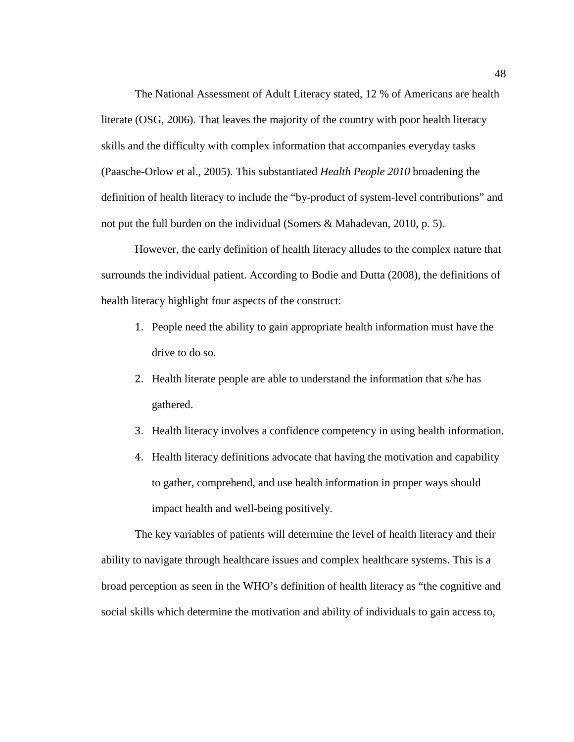The National Assessment of Adult Literacy stated, 12 % of Americans are health literate (OSG, 2006). That leaves the majority of the country with poor health literacy skills and the difficulty with complex information that accompanies everyday tasks (Paasche-Orlow et al., 2005). This substantiated *Health People 2010* broadening the definition of health literacy to include the "by-product of system-level contributions" and not put the full burden on the individual (Somers & Mahadevan, 2010, p. 5).

However, the early definition of health literacy alludes to the complex nature that surrounds the individual patient. According to Bodie and Dutta (2008), the definitions of health literacy highlight four aspects of the construct:

- 1. People need the ability to gain appropriate health information must have the drive to do so.
- 2. Health literate people are able to understand the information that s/he has gathered.
- 3. Health literacy involves a confidence competency in using health information.
- 4. Health literacy definitions advocate that having the motivation and capability to gather, comprehend, and use health information in proper ways should impact health and well-being positively.

The key variables of patients will determine the level of health literacy and their ability to navigate through healthcare issues and complex healthcare systems. This is a broad perception as seen in the WHO's definition of health literacy as "the cognitive and social skills which determine the motivation and ability of individuals to gain access to,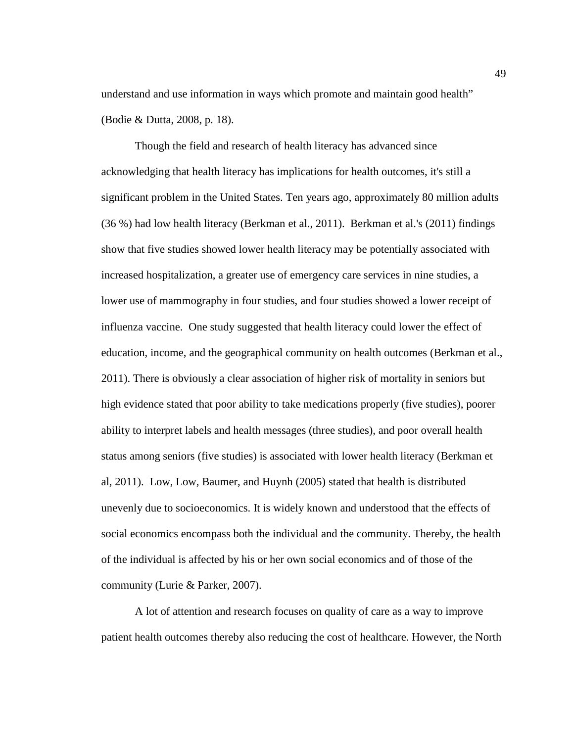understand and use information in ways which promote and maintain good health" (Bodie & Dutta, 2008, p. 18).

Though the field and research of health literacy has advanced since acknowledging that health literacy has implications for health outcomes, it's still a significant problem in the United States. Ten years ago, approximately 80 million adults (36 %) had low health literacy (Berkman et al., 2011). Berkman et al.'s (2011) findings show that five studies showed lower health literacy may be potentially associated with increased hospitalization, a greater use of emergency care services in nine studies, a lower use of mammography in four studies, and four studies showed a lower receipt of influenza vaccine. One study suggested that health literacy could lower the effect of education, income, and the geographical community on health outcomes (Berkman et al., 2011). There is obviously a clear association of higher risk of mortality in seniors but high evidence stated that poor ability to take medications properly (five studies), poorer ability to interpret labels and health messages (three studies), and poor overall health status among seniors (five studies) is associated with lower health literacy (Berkman et al, 2011). Low, Low, Baumer, and Huynh (2005) stated that health is distributed unevenly due to socioeconomics. It is widely known and understood that the effects of social economics encompass both the individual and the community. Thereby, the health of the individual is affected by his or her own social economics and of those of the community (Lurie & Parker, 2007).

A lot of attention and research focuses on quality of care as a way to improve patient health outcomes thereby also reducing the cost of healthcare. However, the North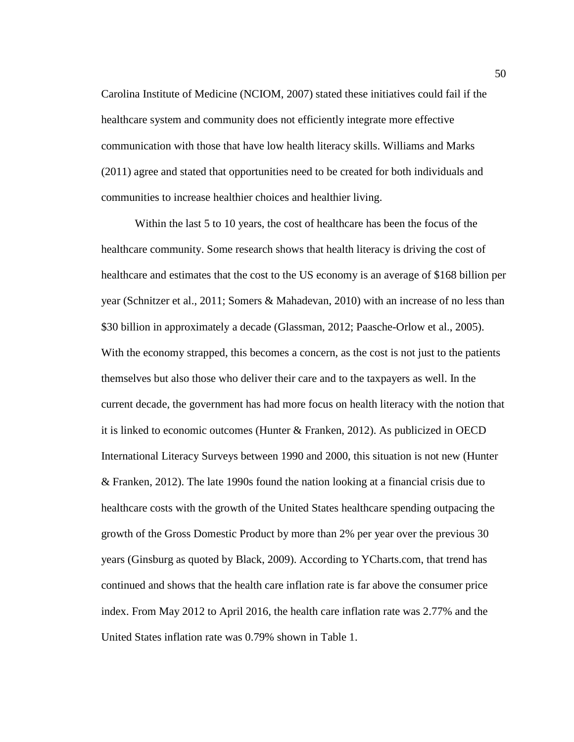Carolina Institute of Medicine (NCIOM, 2007) stated these initiatives could fail if the healthcare system and community does not efficiently integrate more effective communication with those that have low health literacy skills. Williams and Marks (2011) agree and stated that opportunities need to be created for both individuals and communities to increase healthier choices and healthier living.

Within the last 5 to 10 years, the cost of healthcare has been the focus of the healthcare community. Some research shows that health literacy is driving the cost of healthcare and estimates that the cost to the US economy is an average of \$168 billion per year (Schnitzer et al., 2011; Somers & Mahadevan, 2010) with an increase of no less than \$30 billion in approximately a decade (Glassman, 2012; Paasche-Orlow et al., 2005). With the economy strapped, this becomes a concern, as the cost is not just to the patients themselves but also those who deliver their care and to the taxpayers as well. In the current decade, the government has had more focus on health literacy with the notion that it is linked to economic outcomes (Hunter & Franken, 2012). As publicized in OECD International Literacy Surveys between 1990 and 2000, this situation is not new (Hunter & Franken, 2012). The late 1990s found the nation looking at a financial crisis due to healthcare costs with the growth of the United States healthcare spending outpacing the growth of the Gross Domestic Product by more than 2% per year over the previous 30 years (Ginsburg as quoted by Black, 2009). According to YCharts.com, that trend has continued and shows that the health care inflation rate is far above the consumer price index. From May 2012 to April 2016, the health care inflation rate was 2.77% and the United States inflation rate was 0.79% shown in Table 1.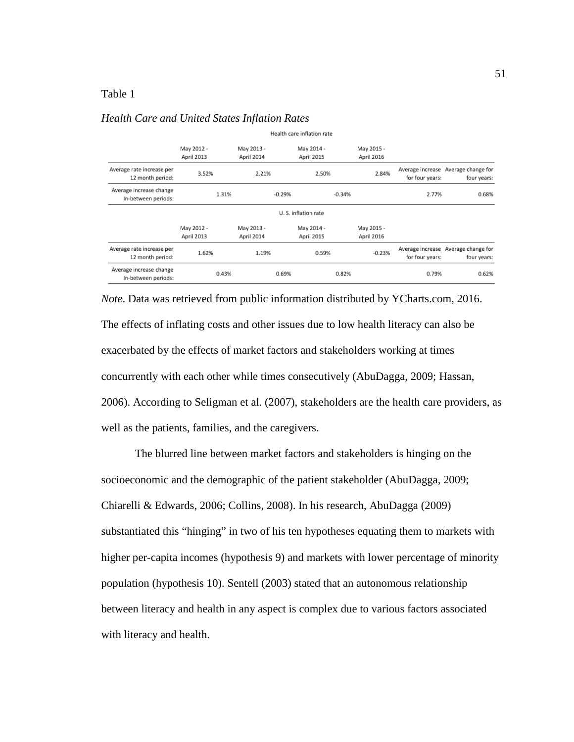## Table 1

## *Health Care and United States Inflation Rates*

| meann care imilation rate                      |                          |                          |          |                          |          |                          |                 |                                                    |
|------------------------------------------------|--------------------------|--------------------------|----------|--------------------------|----------|--------------------------|-----------------|----------------------------------------------------|
|                                                | May 2012 -<br>April 2013 | May 2013 -<br>April 2014 |          | May 2014 -<br>April 2015 |          | May 2015 -<br>April 2016 |                 |                                                    |
| Average rate increase per<br>12 month period:  | 3.52%                    | 2.21%                    |          | 2.50%                    |          | 2.84%                    | for four years: | Average increase Average change for<br>four years: |
| Average increase change<br>In-between periods: | 1.31%                    |                          | $-0.29%$ |                          | $-0.34%$ |                          | 2.77%           | 0.68%                                              |
| U.S. inflation rate                            |                          |                          |          |                          |          |                          |                 |                                                    |
|                                                | May 2012 -<br>April 2013 | May 2013 -<br>April 2014 |          | May 2014 -<br>April 2015 |          | May 2015 -<br>April 2016 |                 |                                                    |
| Average rate increase per<br>12 month period:  | 1.62%                    | 1.19%                    |          | 0.59%                    |          | $-0.23%$                 | for four years: | Average increase Average change for<br>four years: |
| Average increase change<br>In-between periods: | 0.43%                    |                          | 0.69%    |                          | 0.82%    |                          | 0.79%           | 0.62%                                              |

Health case inflation rate

*Note*. Data was retrieved from public information distributed by YCharts.com, 2016. The effects of inflating costs and other issues due to low health literacy can also be exacerbated by the effects of market factors and stakeholders working at times concurrently with each other while times consecutively (AbuDagga, 2009; Hassan, 2006). According to Seligman et al. (2007), stakeholders are the health care providers, as well as the patients, families, and the caregivers.

The blurred line between market factors and stakeholders is hinging on the socioeconomic and the demographic of the patient stakeholder (AbuDagga, 2009; Chiarelli & Edwards, 2006; Collins, 2008). In his research, AbuDagga (2009) substantiated this "hinging" in two of his ten hypotheses equating them to markets with higher per-capita incomes (hypothesis 9) and markets with lower percentage of minority population (hypothesis 10). Sentell (2003) stated that an autonomous relationship between literacy and health in any aspect is complex due to various factors associated with literacy and health.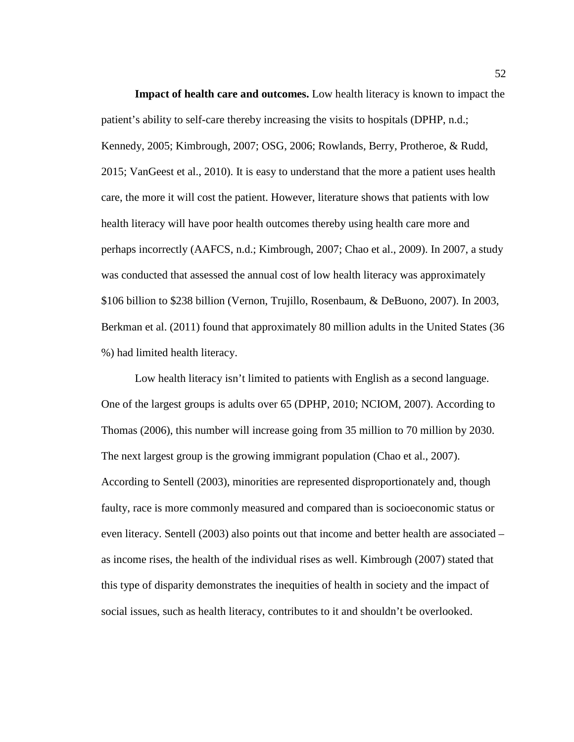**Impact of health care and outcomes.** Low health literacy is known to impact the patient's ability to self-care thereby increasing the visits to hospitals (DPHP, n.d.; Kennedy, 2005; Kimbrough, 2007; OSG, 2006; Rowlands, Berry, Protheroe, & Rudd, 2015; VanGeest et al., 2010). It is easy to understand that the more a patient uses health care, the more it will cost the patient. However, literature shows that patients with low health literacy will have poor health outcomes thereby using health care more and perhaps incorrectly (AAFCS, n.d.; Kimbrough, 2007; Chao et al., 2009). In 2007, a study was conducted that assessed the annual cost of low health literacy was approximately \$106 billion to \$238 billion (Vernon, Trujillo, Rosenbaum, & DeBuono, 2007). In 2003, Berkman et al. (2011) found that approximately 80 million adults in the United States (36 %) had limited health literacy.

Low health literacy isn't limited to patients with English as a second language. One of the largest groups is adults over 65 (DPHP, 2010; NCIOM, 2007). According to Thomas (2006), this number will increase going from 35 million to 70 million by 2030. The next largest group is the growing immigrant population (Chao et al., 2007). According to Sentell (2003), minorities are represented disproportionately and, though faulty, race is more commonly measured and compared than is socioeconomic status or even literacy. Sentell (2003) also points out that income and better health are associated – as income rises, the health of the individual rises as well. Kimbrough (2007) stated that this type of disparity demonstrates the inequities of health in society and the impact of social issues, such as health literacy, contributes to it and shouldn't be overlooked.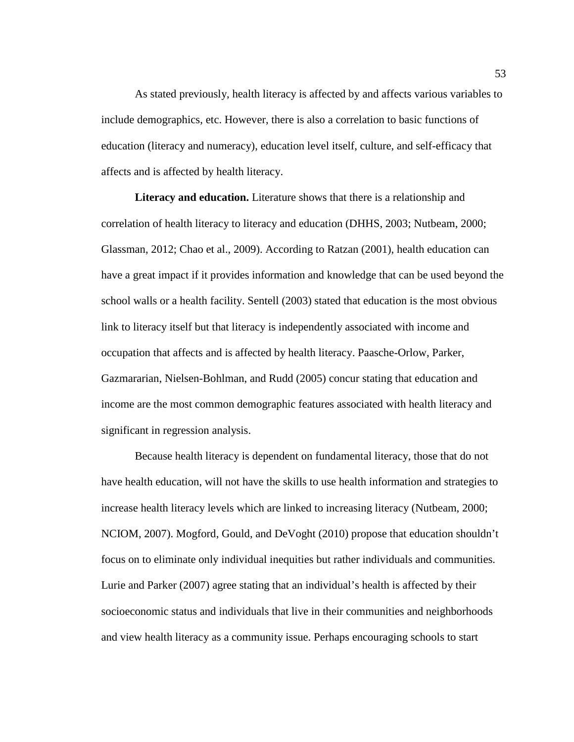As stated previously, health literacy is affected by and affects various variables to include demographics, etc. However, there is also a correlation to basic functions of education (literacy and numeracy), education level itself, culture, and self-efficacy that affects and is affected by health literacy.

**Literacy and education.** Literature shows that there is a relationship and correlation of health literacy to literacy and education (DHHS, 2003; Nutbeam, 2000; Glassman, 2012; Chao et al., 2009). According to Ratzan (2001), health education can have a great impact if it provides information and knowledge that can be used beyond the school walls or a health facility. Sentell (2003) stated that education is the most obvious link to literacy itself but that literacy is independently associated with income and occupation that affects and is affected by health literacy. Paasche-Orlow, Parker, Gazmararian, Nielsen-Bohlman, and Rudd (2005) concur stating that education and income are the most common demographic features associated with health literacy and significant in regression analysis.

Because health literacy is dependent on fundamental literacy, those that do not have health education, will not have the skills to use health information and strategies to increase health literacy levels which are linked to increasing literacy (Nutbeam, 2000; NCIOM, 2007). Mogford, Gould, and DeVoght (2010) propose that education shouldn't focus on to eliminate only individual inequities but rather individuals and communities. Lurie and Parker (2007) agree stating that an individual's health is affected by their socioeconomic status and individuals that live in their communities and neighborhoods and view health literacy as a community issue. Perhaps encouraging schools to start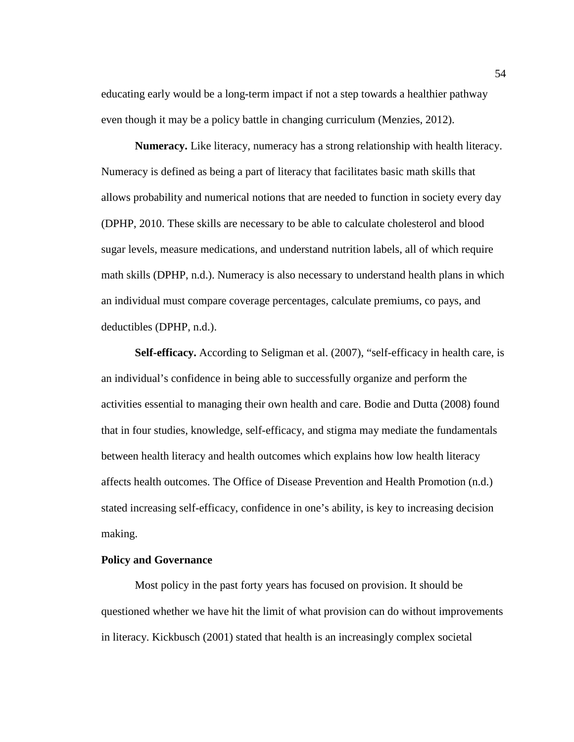educating early would be a long-term impact if not a step towards a healthier pathway even though it may be a policy battle in changing curriculum (Menzies, 2012).

**Numeracy.** Like literacy, numeracy has a strong relationship with health literacy. Numeracy is defined as being a part of literacy that facilitates basic math skills that allows probability and numerical notions that are needed to function in society every day (DPHP, 2010. These skills are necessary to be able to calculate cholesterol and blood sugar levels, measure medications, and understand nutrition labels, all of which require math skills (DPHP, n.d.). Numeracy is also necessary to understand health plans in which an individual must compare coverage percentages, calculate premiums, co pays, and deductibles (DPHP, n.d.).

**Self-efficacy.** According to Seligman et al. (2007), "self-efficacy in health care, is an individual's confidence in being able to successfully organize and perform the activities essential to managing their own health and care. Bodie and Dutta (2008) found that in four studies, knowledge, self-efficacy, and stigma may mediate the fundamentals between health literacy and health outcomes which explains how low health literacy affects health outcomes. The Office of Disease Prevention and Health Promotion (n.d.) stated increasing self-efficacy, confidence in one's ability, is key to increasing decision making.

## **Policy and Governance**

Most policy in the past forty years has focused on provision. It should be questioned whether we have hit the limit of what provision can do without improvements in literacy. Kickbusch (2001) stated that health is an increasingly complex societal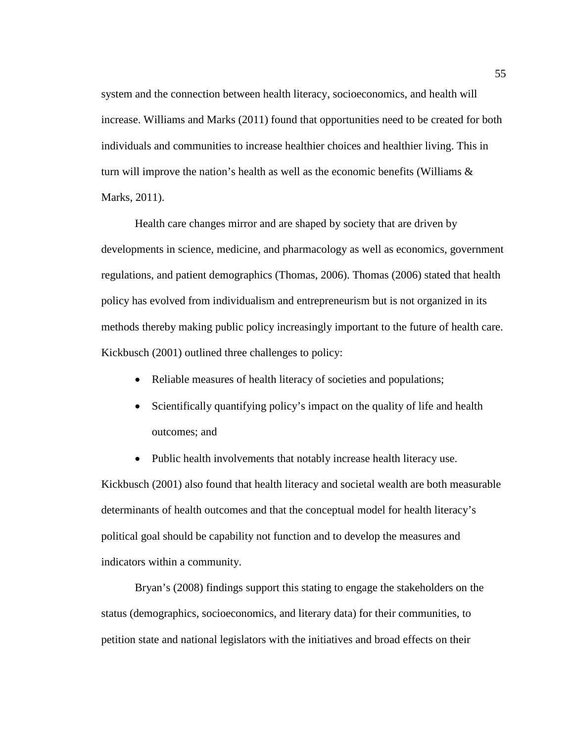system and the connection between health literacy, socioeconomics, and health will increase. Williams and Marks (2011) found that opportunities need to be created for both individuals and communities to increase healthier choices and healthier living. This in turn will improve the nation's health as well as the economic benefits (Williams  $\&$ Marks, 2011).

Health care changes mirror and are shaped by society that are driven by developments in science, medicine, and pharmacology as well as economics, government regulations, and patient demographics (Thomas, 2006). Thomas (2006) stated that health policy has evolved from individualism and entrepreneurism but is not organized in its methods thereby making public policy increasingly important to the future of health care. Kickbusch (2001) outlined three challenges to policy:

- Reliable measures of health literacy of societies and populations;
- Scientifically quantifying policy's impact on the quality of life and health outcomes; and
- Public health involvements that notably increase health literacy use.

Kickbusch (2001) also found that health literacy and societal wealth are both measurable determinants of health outcomes and that the conceptual model for health literacy's political goal should be capability not function and to develop the measures and indicators within a community.

Bryan's (2008) findings support this stating to engage the stakeholders on the status (demographics, socioeconomics, and literary data) for their communities, to petition state and national legislators with the initiatives and broad effects on their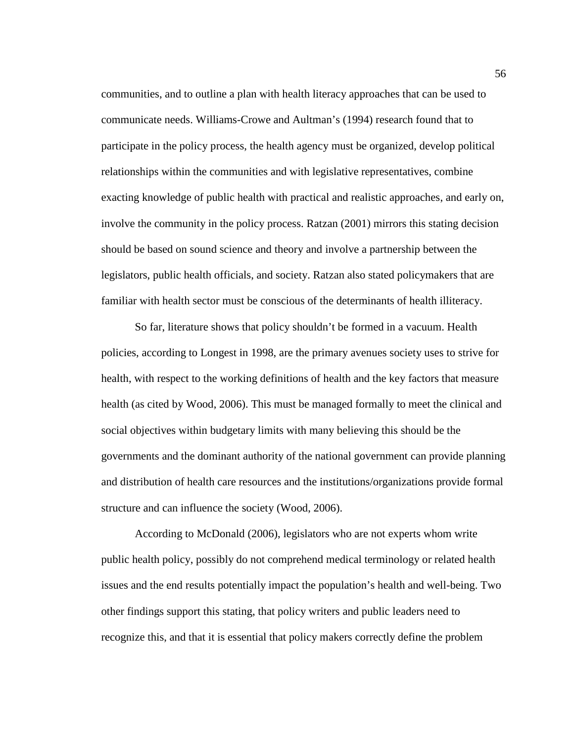communities, and to outline a plan with health literacy approaches that can be used to communicate needs. Williams-Crowe and Aultman's (1994) research found that to participate in the policy process, the health agency must be organized, develop political relationships within the communities and with legislative representatives, combine exacting knowledge of public health with practical and realistic approaches, and early on, involve the community in the policy process. Ratzan (2001) mirrors this stating decision should be based on sound science and theory and involve a partnership between the legislators, public health officials, and society. Ratzan also stated policymakers that are familiar with health sector must be conscious of the determinants of health illiteracy.

So far, literature shows that policy shouldn't be formed in a vacuum. Health policies, according to Longest in 1998, are the primary avenues society uses to strive for health, with respect to the working definitions of health and the key factors that measure health (as cited by Wood, 2006). This must be managed formally to meet the clinical and social objectives within budgetary limits with many believing this should be the governments and the dominant authority of the national government can provide planning and distribution of health care resources and the institutions/organizations provide formal structure and can influence the society (Wood, 2006).

According to McDonald (2006), legislators who are not experts whom write public health policy, possibly do not comprehend medical terminology or related health issues and the end results potentially impact the population's health and well-being. Two other findings support this stating, that policy writers and public leaders need to recognize this, and that it is essential that policy makers correctly define the problem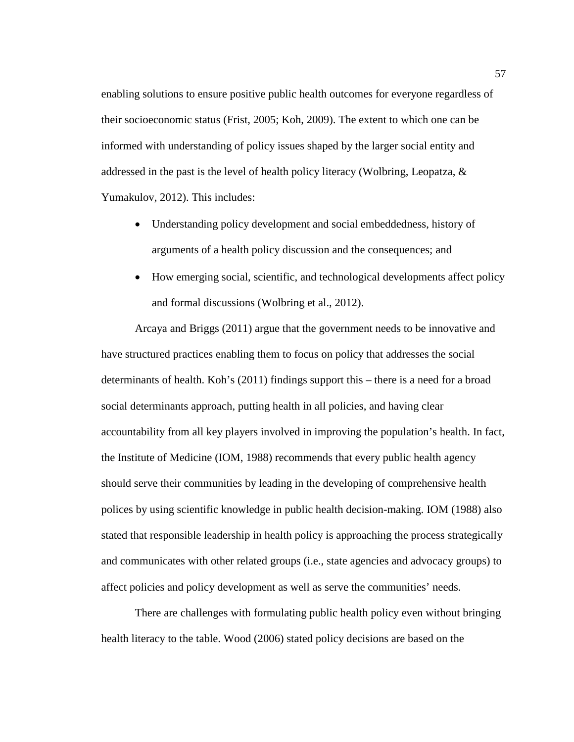enabling solutions to ensure positive public health outcomes for everyone regardless of their socioeconomic status (Frist, 2005; Koh, 2009). The extent to which one can be informed with understanding of policy issues shaped by the larger social entity and addressed in the past is the level of health policy literacy (Wolbring, Leopatza, & Yumakulov, 2012). This includes:

- Understanding policy development and social embeddedness, history of arguments of a health policy discussion and the consequences; and
- How emerging social, scientific, and technological developments affect policy and formal discussions (Wolbring et al., 2012).

Arcaya and Briggs (2011) argue that the government needs to be innovative and have structured practices enabling them to focus on policy that addresses the social determinants of health. Koh's (2011) findings support this – there is a need for a broad social determinants approach, putting health in all policies, and having clear accountability from all key players involved in improving the population's health. In fact, the Institute of Medicine (IOM, 1988) recommends that every public health agency should serve their communities by leading in the developing of comprehensive health polices by using scientific knowledge in public health decision-making. IOM (1988) also stated that responsible leadership in health policy is approaching the process strategically and communicates with other related groups (i.e., state agencies and advocacy groups) to affect policies and policy development as well as serve the communities' needs.

There are challenges with formulating public health policy even without bringing health literacy to the table. Wood (2006) stated policy decisions are based on the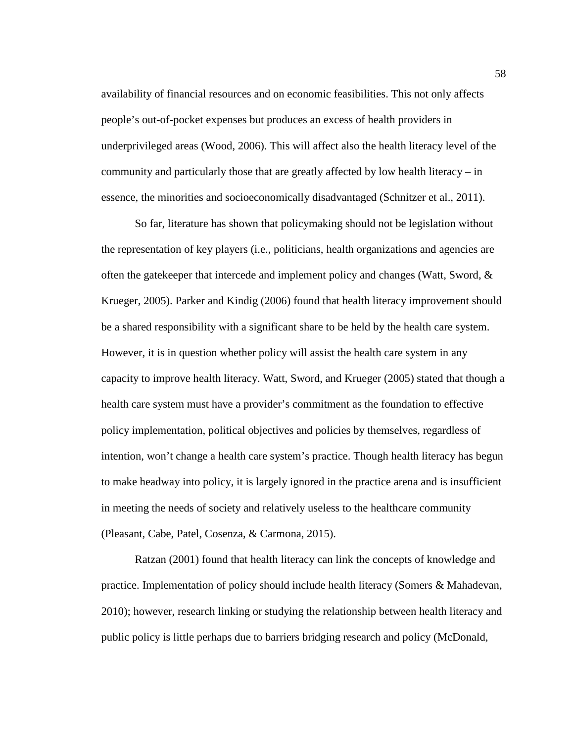availability of financial resources and on economic feasibilities. This not only affects people's out-of-pocket expenses but produces an excess of health providers in underprivileged areas (Wood, 2006). This will affect also the health literacy level of the community and particularly those that are greatly affected by low health literacy – in essence, the minorities and socioeconomically disadvantaged (Schnitzer et al., 2011).

So far, literature has shown that policymaking should not be legislation without the representation of key players (i.e., politicians, health organizations and agencies are often the gatekeeper that intercede and implement policy and changes (Watt, Sword,  $\&$ Krueger, 2005). Parker and Kindig (2006) found that health literacy improvement should be a shared responsibility with a significant share to be held by the health care system. However, it is in question whether policy will assist the health care system in any capacity to improve health literacy. Watt, Sword, and Krueger (2005) stated that though a health care system must have a provider's commitment as the foundation to effective policy implementation, political objectives and policies by themselves, regardless of intention, won't change a health care system's practice. Though health literacy has begun to make headway into policy, it is largely ignored in the practice arena and is insufficient in meeting the needs of society and relatively useless to the healthcare community (Pleasant, Cabe, Patel, Cosenza, & Carmona, 2015).

Ratzan (2001) found that health literacy can link the concepts of knowledge and practice. Implementation of policy should include health literacy (Somers & Mahadevan, 2010); however, research linking or studying the relationship between health literacy and public policy is little perhaps due to barriers bridging research and policy (McDonald,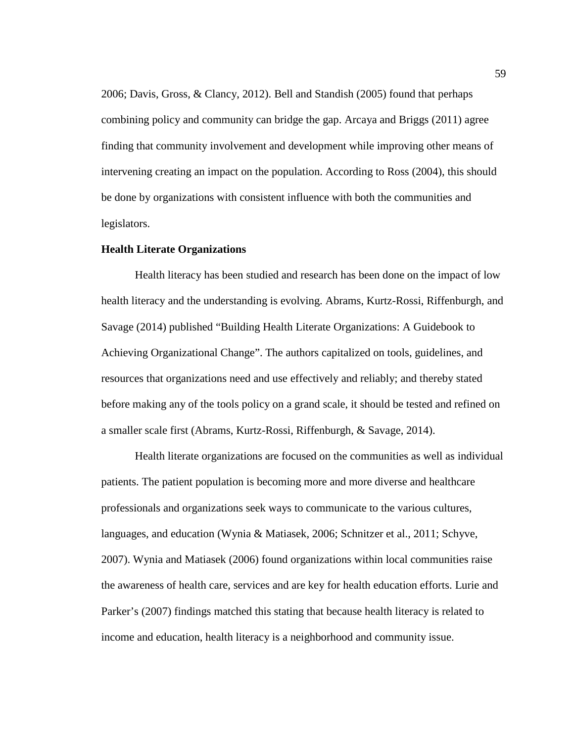2006; Davis, Gross, & Clancy, 2012). Bell and Standish (2005) found that perhaps combining policy and community can bridge the gap. Arcaya and Briggs (2011) agree finding that community involvement and development while improving other means of intervening creating an impact on the population. According to Ross (2004), this should be done by organizations with consistent influence with both the communities and legislators.

### **Health Literate Organizations**

Health literacy has been studied and research has been done on the impact of low health literacy and the understanding is evolving. Abrams, Kurtz-Rossi, Riffenburgh, and Savage (2014) published "Building Health Literate Organizations: A Guidebook to Achieving Organizational Change". The authors capitalized on tools, guidelines, and resources that organizations need and use effectively and reliably; and thereby stated before making any of the tools policy on a grand scale, it should be tested and refined on a smaller scale first (Abrams, Kurtz-Rossi, Riffenburgh, & Savage, 2014).

Health literate organizations are focused on the communities as well as individual patients. The patient population is becoming more and more diverse and healthcare professionals and organizations seek ways to communicate to the various cultures, languages, and education (Wynia & Matiasek, 2006; Schnitzer et al., 2011; Schyve, 2007). Wynia and Matiasek (2006) found organizations within local communities raise the awareness of health care, services and are key for health education efforts. Lurie and Parker's (2007) findings matched this stating that because health literacy is related to income and education, health literacy is a neighborhood and community issue.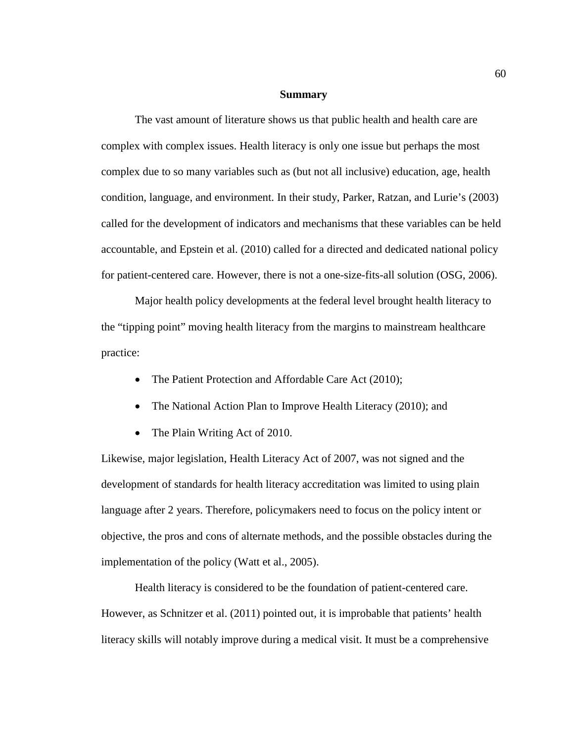#### **Summary**

The vast amount of literature shows us that public health and health care are complex with complex issues. Health literacy is only one issue but perhaps the most complex due to so many variables such as (but not all inclusive) education, age, health condition, language, and environment. In their study, Parker, Ratzan, and Lurie's (2003) called for the development of indicators and mechanisms that these variables can be held accountable, and Epstein et al. (2010) called for a directed and dedicated national policy for patient-centered care. However, there is not a one-size-fits-all solution (OSG, 2006).

Major health policy developments at the federal level brought health literacy to the "tipping point" moving health literacy from the margins to mainstream healthcare practice:

- The Patient Protection and Affordable Care Act (2010);
- The National Action Plan to Improve Health Literacy (2010); and
- The Plain Writing Act of 2010.

Likewise, major legislation, Health Literacy Act of 2007, was not signed and the development of standards for health literacy accreditation was limited to using plain language after 2 years. Therefore, policymakers need to focus on the policy intent or objective, the pros and cons of alternate methods, and the possible obstacles during the implementation of the policy (Watt et al., 2005).

Health literacy is considered to be the foundation of patient-centered care. However, as Schnitzer et al. (2011) pointed out, it is improbable that patients' health literacy skills will notably improve during a medical visit. It must be a comprehensive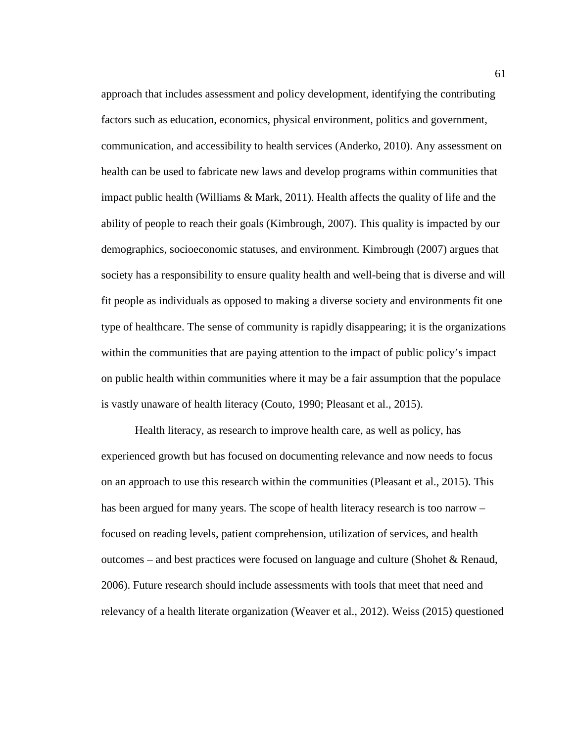approach that includes assessment and policy development, identifying the contributing factors such as education, economics, physical environment, politics and government, communication, and accessibility to health services (Anderko, 2010). Any assessment on health can be used to fabricate new laws and develop programs within communities that impact public health (Williams & Mark, 2011). Health affects the quality of life and the ability of people to reach their goals (Kimbrough, 2007). This quality is impacted by our demographics, socioeconomic statuses, and environment. Kimbrough (2007) argues that society has a responsibility to ensure quality health and well-being that is diverse and will fit people as individuals as opposed to making a diverse society and environments fit one type of healthcare. The sense of community is rapidly disappearing; it is the organizations within the communities that are paying attention to the impact of public policy's impact on public health within communities where it may be a fair assumption that the populace is vastly unaware of health literacy (Couto, 1990; Pleasant et al., 2015).

Health literacy, as research to improve health care, as well as policy, has experienced growth but has focused on documenting relevance and now needs to focus on an approach to use this research within the communities (Pleasant et al., 2015). This has been argued for many years. The scope of health literacy research is too narrow – focused on reading levels, patient comprehension, utilization of services, and health outcomes – and best practices were focused on language and culture (Shohet  $\&$  Renaud, 2006). Future research should include assessments with tools that meet that need and relevancy of a health literate organization (Weaver et al., 2012). Weiss (2015) questioned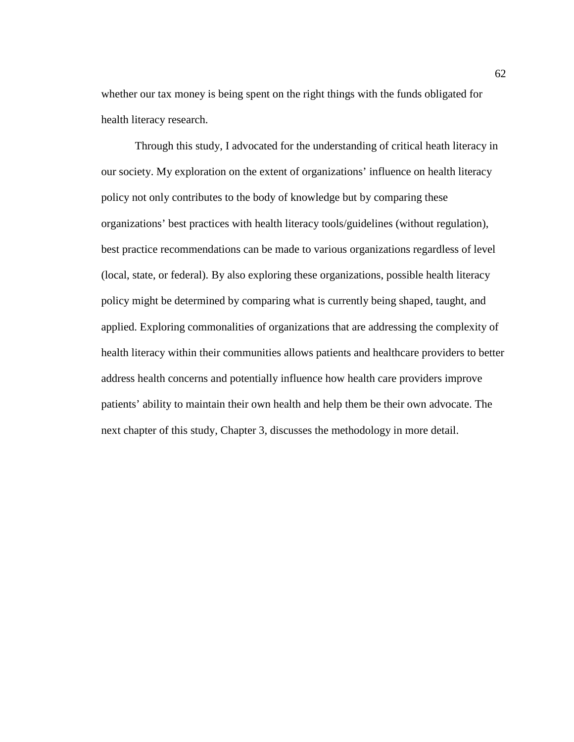whether our tax money is being spent on the right things with the funds obligated for health literacy research.

Through this study, I advocated for the understanding of critical heath literacy in our society. My exploration on the extent of organizations' influence on health literacy policy not only contributes to the body of knowledge but by comparing these organizations' best practices with health literacy tools/guidelines (without regulation), best practice recommendations can be made to various organizations regardless of level (local, state, or federal). By also exploring these organizations, possible health literacy policy might be determined by comparing what is currently being shaped, taught, and applied. Exploring commonalities of organizations that are addressing the complexity of health literacy within their communities allows patients and healthcare providers to better address health concerns and potentially influence how health care providers improve patients' ability to maintain their own health and help them be their own advocate. The next chapter of this study, Chapter 3, discusses the methodology in more detail.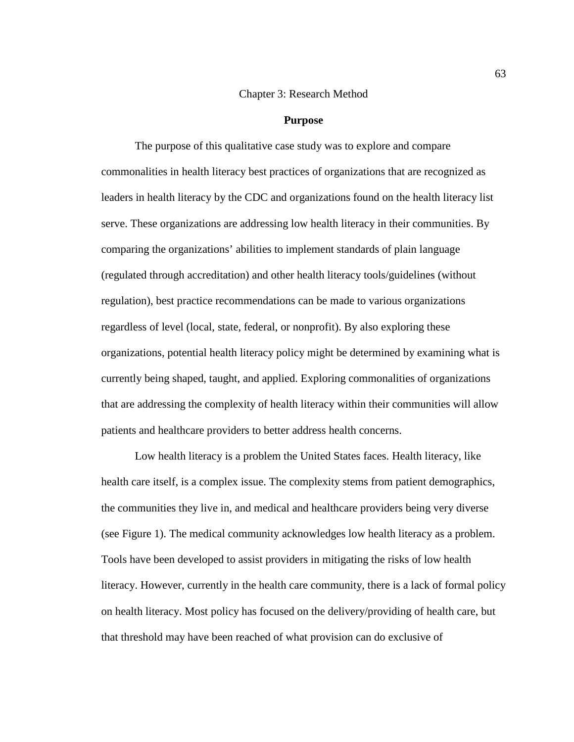#### Chapter 3: Research Method

#### **Purpose**

The purpose of this qualitative case study was to explore and compare commonalities in health literacy best practices of organizations that are recognized as leaders in health literacy by the CDC and organizations found on the health literacy list serve. These organizations are addressing low health literacy in their communities. By comparing the organizations' abilities to implement standards of plain language (regulated through accreditation) and other health literacy tools/guidelines (without regulation), best practice recommendations can be made to various organizations regardless of level (local, state, federal, or nonprofit). By also exploring these organizations, potential health literacy policy might be determined by examining what is currently being shaped, taught, and applied. Exploring commonalities of organizations that are addressing the complexity of health literacy within their communities will allow patients and healthcare providers to better address health concerns.

Low health literacy is a problem the United States faces. Health literacy, like health care itself, is a complex issue. The complexity stems from patient demographics, the communities they live in, and medical and healthcare providers being very diverse (see Figure 1). The medical community acknowledges low health literacy as a problem. Tools have been developed to assist providers in mitigating the risks of low health literacy. However, currently in the health care community, there is a lack of formal policy on health literacy. Most policy has focused on the delivery/providing of health care, but that threshold may have been reached of what provision can do exclusive of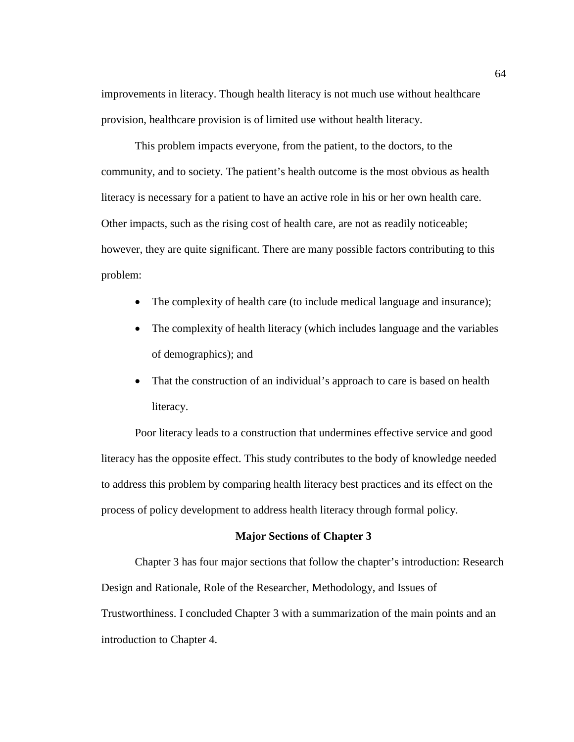improvements in literacy. Though health literacy is not much use without healthcare provision, healthcare provision is of limited use without health literacy.

This problem impacts everyone, from the patient, to the doctors, to the community, and to society. The patient's health outcome is the most obvious as health literacy is necessary for a patient to have an active role in his or her own health care. Other impacts, such as the rising cost of health care, are not as readily noticeable; however, they are quite significant. There are many possible factors contributing to this problem:

- The complexity of health care (to include medical language and insurance);
- The complexity of health literacy (which includes language and the variables of demographics); and
- That the construction of an individual's approach to care is based on health literacy.

Poor literacy leads to a construction that undermines effective service and good literacy has the opposite effect. This study contributes to the body of knowledge needed to address this problem by comparing health literacy best practices and its effect on the process of policy development to address health literacy through formal policy.

### **Major Sections of Chapter 3**

Chapter 3 has four major sections that follow the chapter's introduction: Research Design and Rationale, Role of the Researcher, Methodology, and Issues of Trustworthiness. I concluded Chapter 3 with a summarization of the main points and an introduction to Chapter 4.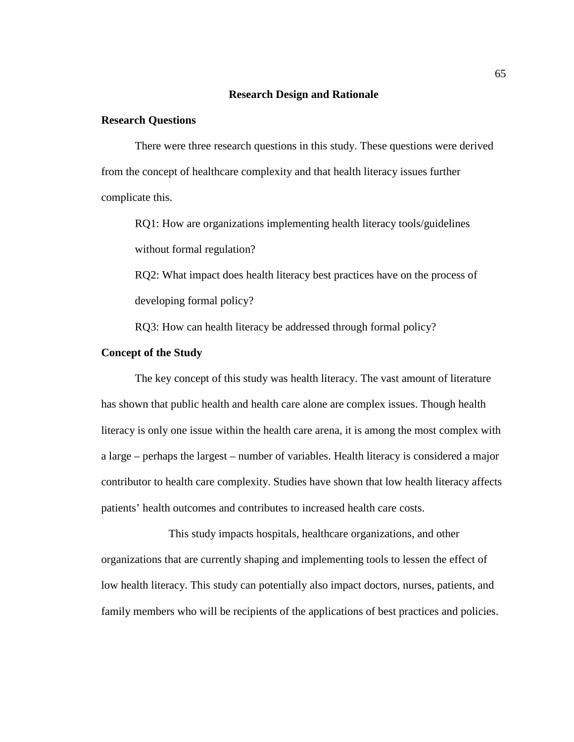### **Research Design and Rationale**

## **Research Questions**

There were three research questions in this study. These questions were derived from the concept of healthcare complexity and that health literacy issues further complicate this.

RQ1: How are organizations implementing health literacy tools/guidelines without formal regulation?

RQ2: What impact does health literacy best practices have on the process of developing formal policy?

RQ3: How can health literacy be addressed through formal policy?

## **Concept of the Study**

The key concept of this study was health literacy. The vast amount of literature has shown that public health and health care alone are complex issues. Though health literacy is only one issue within the health care arena, it is among the most complex with a large – perhaps the largest – number of variables. Health literacy is considered a major contributor to health care complexity. Studies have shown that low health literacy affects patients' health outcomes and contributes to increased health care costs.

This study impacts hospitals, healthcare organizations, and other organizations that are currently shaping and implementing tools to lessen the effect of low health literacy. This study can potentially also impact doctors, nurses, patients, and family members who will be recipients of the applications of best practices and policies.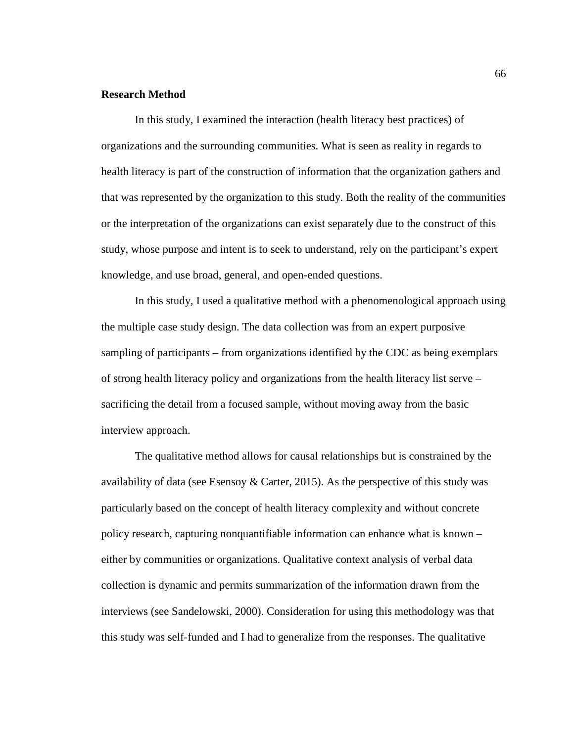## **Research Method**

In this study, I examined the interaction (health literacy best practices) of organizations and the surrounding communities. What is seen as reality in regards to health literacy is part of the construction of information that the organization gathers and that was represented by the organization to this study. Both the reality of the communities or the interpretation of the organizations can exist separately due to the construct of this study, whose purpose and intent is to seek to understand, rely on the participant's expert knowledge, and use broad, general, and open-ended questions.

In this study, I used a qualitative method with a phenomenological approach using the multiple case study design. The data collection was from an expert purposive sampling of participants – from organizations identified by the CDC as being exemplars of strong health literacy policy and organizations from the health literacy list serve – sacrificing the detail from a focused sample, without moving away from the basic interview approach.

The qualitative method allows for causal relationships but is constrained by the availability of data (see Esensoy  $\&$  Carter, 2015). As the perspective of this study was particularly based on the concept of health literacy complexity and without concrete policy research, capturing nonquantifiable information can enhance what is known – either by communities or organizations. Qualitative context analysis of verbal data collection is dynamic and permits summarization of the information drawn from the interviews (see Sandelowski, 2000). Consideration for using this methodology was that this study was self-funded and I had to generalize from the responses. The qualitative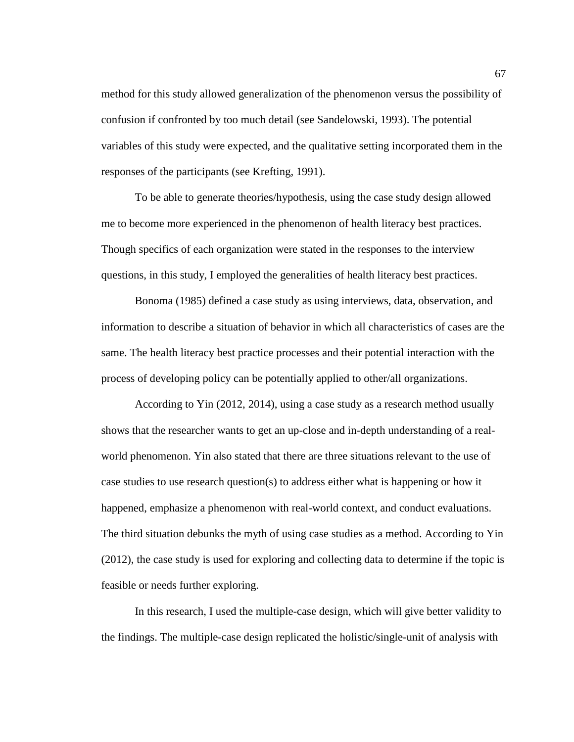method for this study allowed generalization of the phenomenon versus the possibility of confusion if confronted by too much detail (see Sandelowski, 1993). The potential variables of this study were expected, and the qualitative setting incorporated them in the responses of the participants (see Krefting, 1991).

To be able to generate theories/hypothesis, using the case study design allowed me to become more experienced in the phenomenon of health literacy best practices. Though specifics of each organization were stated in the responses to the interview questions, in this study, I employed the generalities of health literacy best practices.

Bonoma (1985) defined a case study as using interviews, data, observation, and information to describe a situation of behavior in which all characteristics of cases are the same. The health literacy best practice processes and their potential interaction with the process of developing policy can be potentially applied to other/all organizations.

According to Yin (2012, 2014), using a case study as a research method usually shows that the researcher wants to get an up-close and in-depth understanding of a realworld phenomenon. Yin also stated that there are three situations relevant to the use of case studies to use research question(s) to address either what is happening or how it happened, emphasize a phenomenon with real-world context, and conduct evaluations. The third situation debunks the myth of using case studies as a method. According to Yin (2012), the case study is used for exploring and collecting data to determine if the topic is feasible or needs further exploring.

In this research, I used the multiple-case design, which will give better validity to the findings. The multiple-case design replicated the holistic/single-unit of analysis with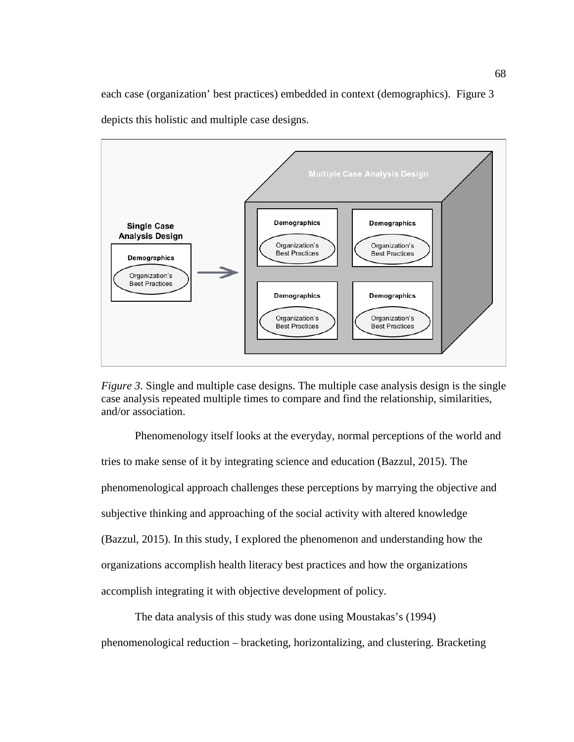each case (organization' best practices) embedded in context (demographics). Figure 3 depicts this holistic and multiple case designs.





Phenomenology itself looks at the everyday, normal perceptions of the world and tries to make sense of it by integrating science and education (Bazzul, 2015). The phenomenological approach challenges these perceptions by marrying the objective and subjective thinking and approaching of the social activity with altered knowledge (Bazzul, 2015). In this study, I explored the phenomenon and understanding how the organizations accomplish health literacy best practices and how the organizations accomplish integrating it with objective development of policy.

The data analysis of this study was done using Moustakas's (1994) phenomenological reduction – bracketing, horizontalizing, and clustering. Bracketing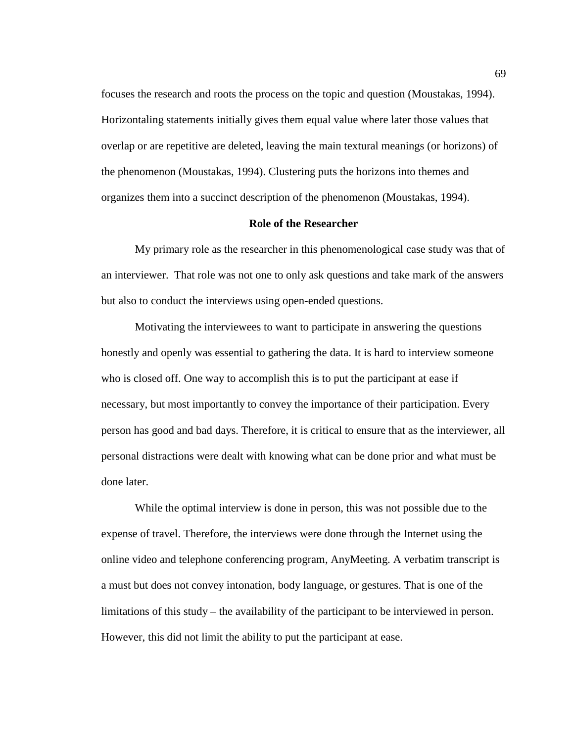focuses the research and roots the process on the topic and question (Moustakas, 1994). Horizontaling statements initially gives them equal value where later those values that overlap or are repetitive are deleted, leaving the main textural meanings (or horizons) of the phenomenon (Moustakas, 1994). Clustering puts the horizons into themes and organizes them into a succinct description of the phenomenon (Moustakas, 1994).

### **Role of the Researcher**

My primary role as the researcher in this phenomenological case study was that of an interviewer. That role was not one to only ask questions and take mark of the answers but also to conduct the interviews using open-ended questions.

Motivating the interviewees to want to participate in answering the questions honestly and openly was essential to gathering the data. It is hard to interview someone who is closed off. One way to accomplish this is to put the participant at ease if necessary, but most importantly to convey the importance of their participation. Every person has good and bad days. Therefore, it is critical to ensure that as the interviewer, all personal distractions were dealt with knowing what can be done prior and what must be done later.

While the optimal interview is done in person, this was not possible due to the expense of travel. Therefore, the interviews were done through the Internet using the online video and telephone conferencing program, AnyMeeting. A verbatim transcript is a must but does not convey intonation, body language, or gestures. That is one of the limitations of this study – the availability of the participant to be interviewed in person. However, this did not limit the ability to put the participant at ease.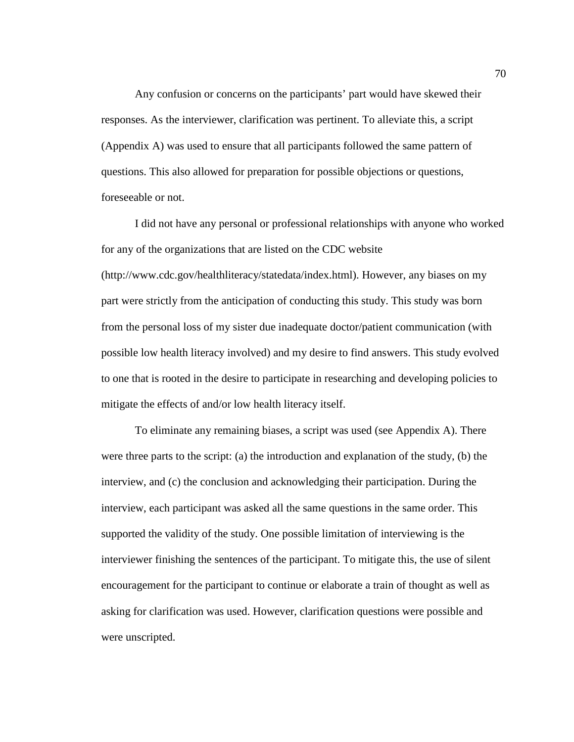Any confusion or concerns on the participants' part would have skewed their responses. As the interviewer, clarification was pertinent. To alleviate this, a script (Appendix A) was used to ensure that all participants followed the same pattern of questions. This also allowed for preparation for possible objections or questions, foreseeable or not.

I did not have any personal or professional relationships with anyone who worked for any of the organizations that are listed on the CDC website (http://www.cdc.gov/healthliteracy/statedata/index.html). However, any biases on my part were strictly from the anticipation of conducting this study. This study was born from the personal loss of my sister due inadequate doctor/patient communication (with possible low health literacy involved) and my desire to find answers. This study evolved to one that is rooted in the desire to participate in researching and developing policies to mitigate the effects of and/or low health literacy itself.

To eliminate any remaining biases, a script was used (see Appendix A). There were three parts to the script: (a) the introduction and explanation of the study, (b) the interview, and (c) the conclusion and acknowledging their participation. During the interview, each participant was asked all the same questions in the same order. This supported the validity of the study. One possible limitation of interviewing is the interviewer finishing the sentences of the participant. To mitigate this, the use of silent encouragement for the participant to continue or elaborate a train of thought as well as asking for clarification was used. However, clarification questions were possible and were unscripted.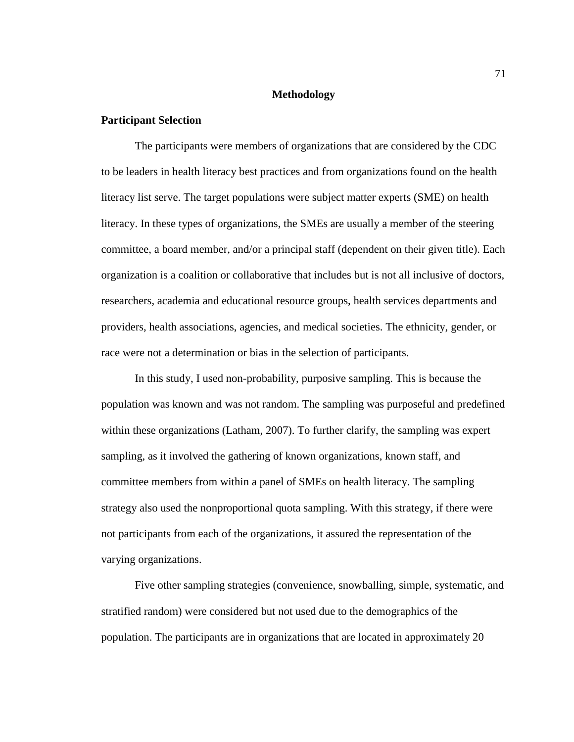### **Methodology**

## **Participant Selection**

The participants were members of organizations that are considered by the CDC to be leaders in health literacy best practices and from organizations found on the health literacy list serve. The target populations were subject matter experts (SME) on health literacy. In these types of organizations, the SMEs are usually a member of the steering committee, a board member, and/or a principal staff (dependent on their given title). Each organization is a coalition or collaborative that includes but is not all inclusive of doctors, researchers, academia and educational resource groups, health services departments and providers, health associations, agencies, and medical societies. The ethnicity, gender, or race were not a determination or bias in the selection of participants.

In this study, I used non-probability, purposive sampling. This is because the population was known and was not random. The sampling was purposeful and predefined within these organizations (Latham, 2007). To further clarify, the sampling was expert sampling, as it involved the gathering of known organizations, known staff, and committee members from within a panel of SMEs on health literacy. The sampling strategy also used the nonproportional quota sampling. With this strategy, if there were not participants from each of the organizations, it assured the representation of the varying organizations.

Five other sampling strategies (convenience, snowballing, simple, systematic, and stratified random) were considered but not used due to the demographics of the population. The participants are in organizations that are located in approximately 20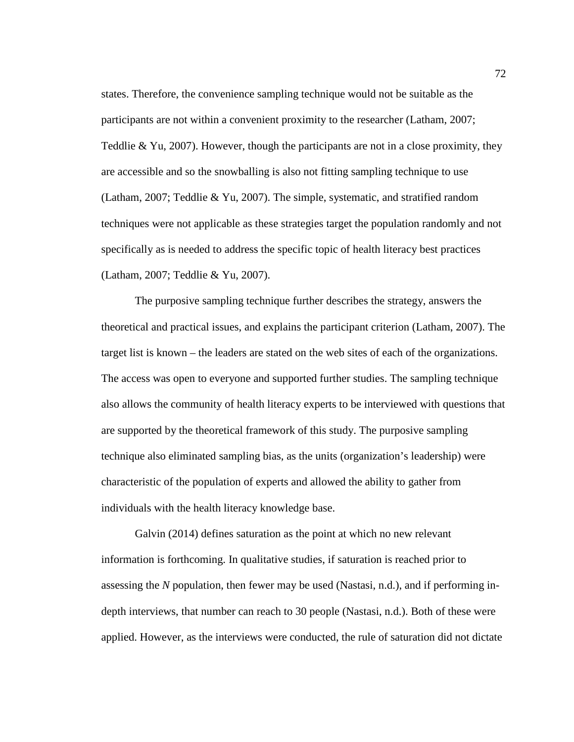states. Therefore, the convenience sampling technique would not be suitable as the participants are not within a convenient proximity to the researcher (Latham, 2007; Teddlie & Yu, 2007). However, though the participants are not in a close proximity, they are accessible and so the snowballing is also not fitting sampling technique to use (Latham, 2007; Teddlie & Yu, 2007). The simple, systematic, and stratified random techniques were not applicable as these strategies target the population randomly and not specifically as is needed to address the specific topic of health literacy best practices (Latham, 2007; Teddlie & Yu, 2007).

The purposive sampling technique further describes the strategy, answers the theoretical and practical issues, and explains the participant criterion (Latham, 2007). The target list is known – the leaders are stated on the web sites of each of the organizations. The access was open to everyone and supported further studies. The sampling technique also allows the community of health literacy experts to be interviewed with questions that are supported by the theoretical framework of this study. The purposive sampling technique also eliminated sampling bias, as the units (organization's leadership) were characteristic of the population of experts and allowed the ability to gather from individuals with the health literacy knowledge base.

Galvin (2014) defines saturation as the point at which no new relevant information is forthcoming. In qualitative studies, if saturation is reached prior to assessing the *N* population, then fewer may be used (Nastasi, n.d.), and if performing indepth interviews, that number can reach to 30 people (Nastasi, n.d.). Both of these were applied. However, as the interviews were conducted, the rule of saturation did not dictate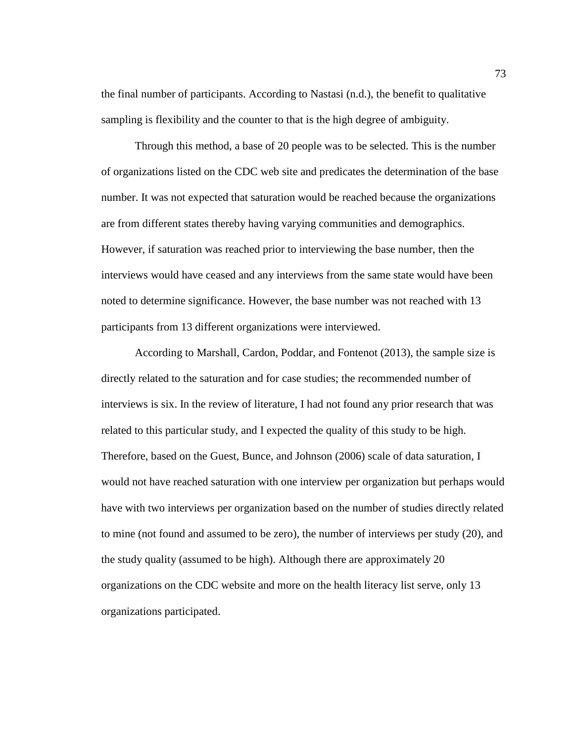the final number of participants. According to Nastasi (n.d.), the benefit to qualitative sampling is flexibility and the counter to that is the high degree of ambiguity.

Through this method, a base of 20 people was to be selected. This is the number of organizations listed on the CDC web site and predicates the determination of the base number. It was not expected that saturation would be reached because the organizations are from different states thereby having varying communities and demographics. However, if saturation was reached prior to interviewing the base number, then the interviews would have ceased and any interviews from the same state would have been noted to determine significance. However, the base number was not reached with 13 participants from 13 different organizations were interviewed.

According to Marshall, Cardon, Poddar, and Fontenot (2013), the sample size is directly related to the saturation and for case studies; the recommended number of interviews is six. In the review of literature, I had not found any prior research that was related to this particular study, and I expected the quality of this study to be high. Therefore, based on the Guest, Bunce, and Johnson (2006) scale of data saturation, I would not have reached saturation with one interview per organization but perhaps would have with two interviews per organization based on the number of studies directly related to mine (not found and assumed to be zero), the number of interviews per study (20), and the study quality (assumed to be high). Although there are approximately 20 organizations on the CDC website and more on the health literacy list serve, only 13 organizations participated.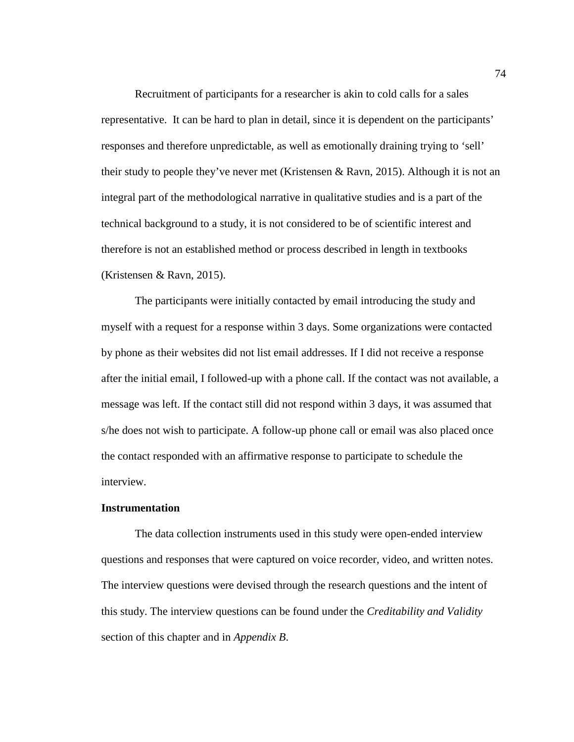Recruitment of participants for a researcher is akin to cold calls for a sales representative. It can be hard to plan in detail, since it is dependent on the participants' responses and therefore unpredictable, as well as emotionally draining trying to 'sell' their study to people they've never met (Kristensen & Ravn, 2015). Although it is not an integral part of the methodological narrative in qualitative studies and is a part of the technical background to a study, it is not considered to be of scientific interest and therefore is not an established method or process described in length in textbooks (Kristensen & Ravn, 2015).

The participants were initially contacted by email introducing the study and myself with a request for a response within 3 days. Some organizations were contacted by phone as their websites did not list email addresses. If I did not receive a response after the initial email, I followed-up with a phone call. If the contact was not available, a message was left. If the contact still did not respond within 3 days, it was assumed that s/he does not wish to participate. A follow-up phone call or email was also placed once the contact responded with an affirmative response to participate to schedule the interview.

#### **Instrumentation**

The data collection instruments used in this study were open-ended interview questions and responses that were captured on voice recorder, video, and written notes. The interview questions were devised through the research questions and the intent of this study. The interview questions can be found under the *Creditability and Validity* section of this chapter and in *Appendix B*.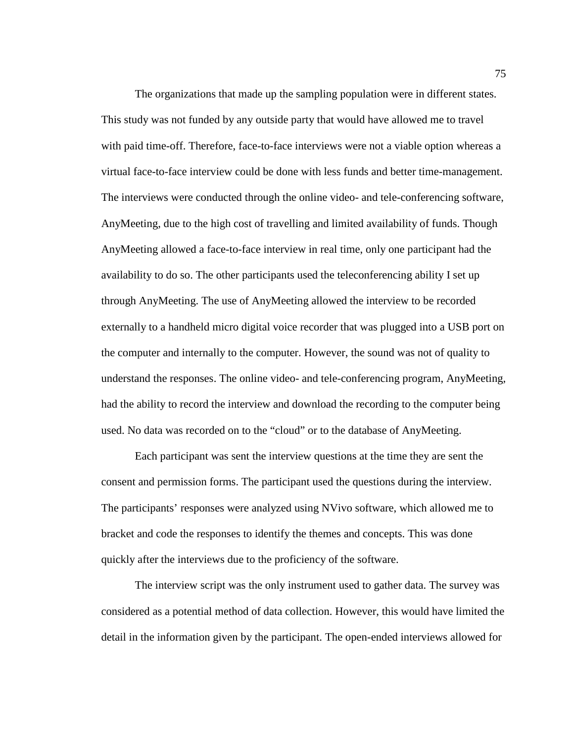The organizations that made up the sampling population were in different states. This study was not funded by any outside party that would have allowed me to travel with paid time-off. Therefore, face-to-face interviews were not a viable option whereas a virtual face-to-face interview could be done with less funds and better time-management. The interviews were conducted through the online video- and tele-conferencing software, AnyMeeting, due to the high cost of travelling and limited availability of funds. Though AnyMeeting allowed a face-to-face interview in real time, only one participant had the availability to do so. The other participants used the teleconferencing ability I set up through AnyMeeting. The use of AnyMeeting allowed the interview to be recorded externally to a handheld micro digital voice recorder that was plugged into a USB port on the computer and internally to the computer. However, the sound was not of quality to understand the responses. The online video- and tele-conferencing program, AnyMeeting, had the ability to record the interview and download the recording to the computer being used. No data was recorded on to the "cloud" or to the database of AnyMeeting.

Each participant was sent the interview questions at the time they are sent the consent and permission forms. The participant used the questions during the interview. The participants' responses were analyzed using NVivo software, which allowed me to bracket and code the responses to identify the themes and concepts. This was done quickly after the interviews due to the proficiency of the software.

The interview script was the only instrument used to gather data. The survey was considered as a potential method of data collection. However, this would have limited the detail in the information given by the participant. The open-ended interviews allowed for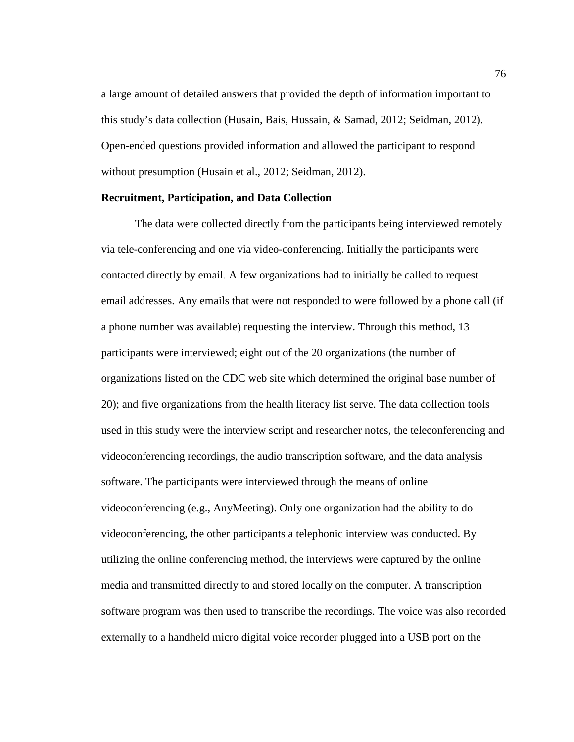a large amount of detailed answers that provided the depth of information important to this study's data collection (Husain, Bais, Hussain, & Samad, 2012; Seidman, 2012). Open-ended questions provided information and allowed the participant to respond without presumption (Husain et al., 2012; Seidman, 2012).

## **Recruitment, Participation, and Data Collection**

The data were collected directly from the participants being interviewed remotely via tele-conferencing and one via video-conferencing. Initially the participants were contacted directly by email. A few organizations had to initially be called to request email addresses. Any emails that were not responded to were followed by a phone call (if a phone number was available) requesting the interview. Through this method, 13 participants were interviewed; eight out of the 20 organizations (the number of organizations listed on the CDC web site which determined the original base number of 20); and five organizations from the health literacy list serve. The data collection tools used in this study were the interview script and researcher notes, the teleconferencing and videoconferencing recordings, the audio transcription software, and the data analysis software. The participants were interviewed through the means of online videoconferencing (e.g., AnyMeeting). Only one organization had the ability to do videoconferencing, the other participants a telephonic interview was conducted. By utilizing the online conferencing method, the interviews were captured by the online media and transmitted directly to and stored locally on the computer. A transcription software program was then used to transcribe the recordings. The voice was also recorded externally to a handheld micro digital voice recorder plugged into a USB port on the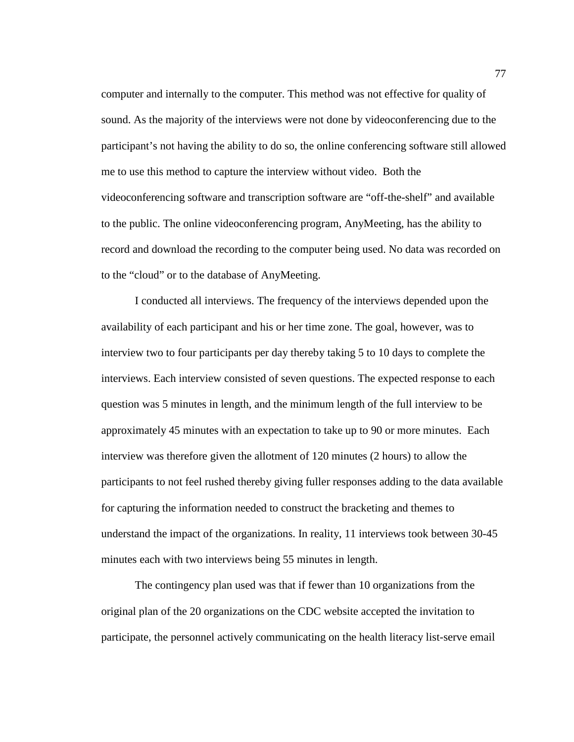computer and internally to the computer. This method was not effective for quality of sound. As the majority of the interviews were not done by videoconferencing due to the participant's not having the ability to do so, the online conferencing software still allowed me to use this method to capture the interview without video. Both the videoconferencing software and transcription software are "off-the-shelf" and available to the public. The online videoconferencing program, AnyMeeting, has the ability to record and download the recording to the computer being used. No data was recorded on to the "cloud" or to the database of AnyMeeting.

I conducted all interviews. The frequency of the interviews depended upon the availability of each participant and his or her time zone. The goal, however, was to interview two to four participants per day thereby taking 5 to 10 days to complete the interviews. Each interview consisted of seven questions. The expected response to each question was 5 minutes in length, and the minimum length of the full interview to be approximately 45 minutes with an expectation to take up to 90 or more minutes. Each interview was therefore given the allotment of 120 minutes (2 hours) to allow the participants to not feel rushed thereby giving fuller responses adding to the data available for capturing the information needed to construct the bracketing and themes to understand the impact of the organizations. In reality, 11 interviews took between 30-45 minutes each with two interviews being 55 minutes in length.

The contingency plan used was that if fewer than 10 organizations from the original plan of the 20 organizations on the CDC website accepted the invitation to participate, the personnel actively communicating on the health literacy list-serve email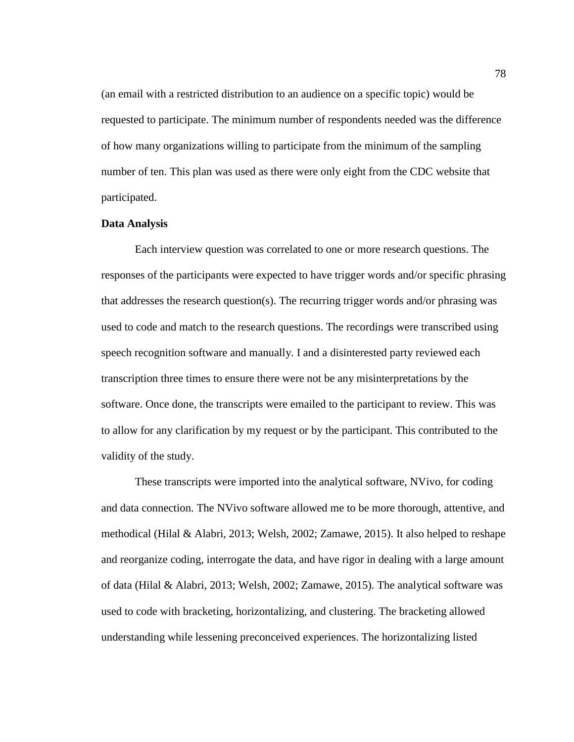(an email with a restricted distribution to an audience on a specific topic) would be requested to participate. The minimum number of respondents needed was the difference of how many organizations willing to participate from the minimum of the sampling number of ten. This plan was used as there were only eight from the CDC website that participated.

## **Data Analysis**

Each interview question was correlated to one or more research questions. The responses of the participants were expected to have trigger words and/or specific phrasing that addresses the research question(s). The recurring trigger words and/or phrasing was used to code and match to the research questions. The recordings were transcribed using speech recognition software and manually. I and a disinterested party reviewed each transcription three times to ensure there were not be any misinterpretations by the software. Once done, the transcripts were emailed to the participant to review. This was to allow for any clarification by my request or by the participant. This contributed to the validity of the study.

These transcripts were imported into the analytical software, NVivo, for coding and data connection. The NVivo software allowed me to be more thorough, attentive, and methodical (Hilal & Alabri, 2013; Welsh, 2002; Zamawe, 2015). It also helped to reshape and reorganize coding, interrogate the data, and have rigor in dealing with a large amount of data (Hilal & Alabri, 2013; Welsh, 2002; Zamawe, 2015). The analytical software was used to code with bracketing, horizontalizing, and clustering. The bracketing allowed understanding while lessening preconceived experiences. The horizontalizing listed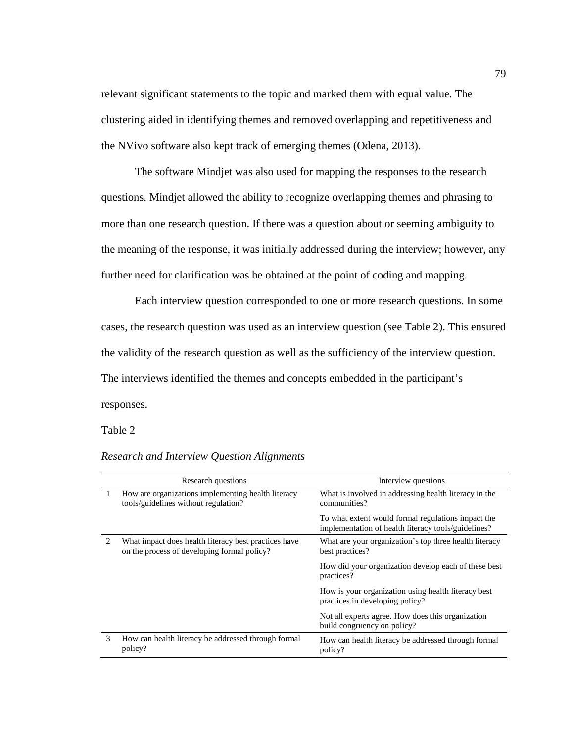relevant significant statements to the topic and marked them with equal value. The clustering aided in identifying themes and removed overlapping and repetitiveness and the NVivo software also kept track of emerging themes (Odena, 2013).

The software Mindjet was also used for mapping the responses to the research questions. Mindjet allowed the ability to recognize overlapping themes and phrasing to more than one research question. If there was a question about or seeming ambiguity to the meaning of the response, it was initially addressed during the interview; however, any further need for clarification was be obtained at the point of coding and mapping.

Each interview question corresponded to one or more research questions. In some cases, the research question was used as an interview question (see Table 2). This ensured the validity of the research question as well as the sufficiency of the interview question. The interviews identified the themes and concepts embedded in the participant's responses.

### Table 2

|   | Research questions                                                                                  | Interview questions                                                                                       |
|---|-----------------------------------------------------------------------------------------------------|-----------------------------------------------------------------------------------------------------------|
| L | How are organizations implementing health literacy<br>tools/guidelines without regulation?          | What is involved in addressing health literacy in the<br>communities?                                     |
|   |                                                                                                     | To what extent would formal regulations impact the<br>implementation of health literacy tools/guidelines? |
| 2 | What impact does health literacy best practices have<br>on the process of developing formal policy? | What are your organization's top three health literacy<br>best practices?                                 |
|   |                                                                                                     | How did your organization develop each of these best<br>practices?                                        |
|   |                                                                                                     | How is your organization using health literacy best<br>practices in developing policy?                    |
|   |                                                                                                     | Not all experts agree. How does this organization<br>build congruency on policy?                          |
| 3 | How can health literacy be addressed through formal<br>policy?                                      | How can health literacy be addressed through formal<br>policy?                                            |

## *Research and Interview Question Alignments*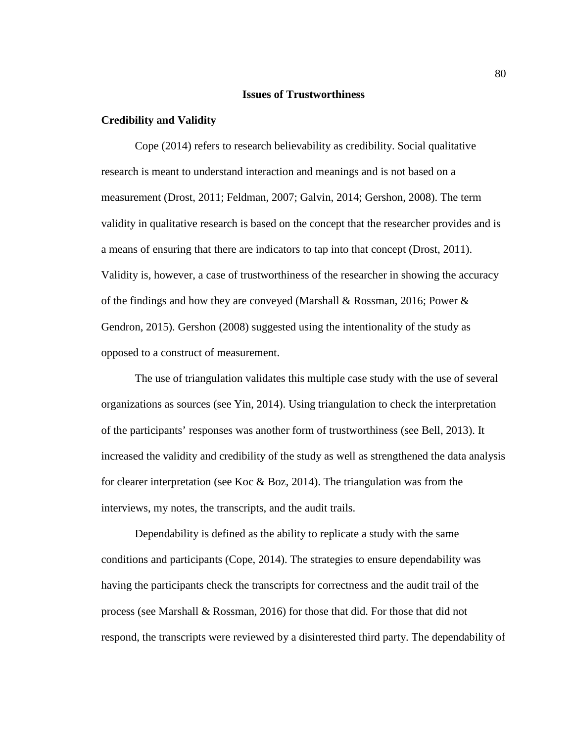#### **Issues of Trustworthiness**

### **Credibility and Validity**

Cope (2014) refers to research believability as credibility. Social qualitative research is meant to understand interaction and meanings and is not based on a measurement (Drost, 2011; Feldman, 2007; Galvin, 2014; Gershon, 2008). The term validity in qualitative research is based on the concept that the researcher provides and is a means of ensuring that there are indicators to tap into that concept (Drost, 2011). Validity is, however, a case of trustworthiness of the researcher in showing the accuracy of the findings and how they are conveyed (Marshall & Rossman, 2016; Power & Gendron, 2015). Gershon (2008) suggested using the intentionality of the study as opposed to a construct of measurement.

The use of triangulation validates this multiple case study with the use of several organizations as sources (see Yin, 2014). Using triangulation to check the interpretation of the participants' responses was another form of trustworthiness (see Bell, 2013). It increased the validity and credibility of the study as well as strengthened the data analysis for clearer interpretation (see Koc & Boz, 2014). The triangulation was from the interviews, my notes, the transcripts, and the audit trails.

Dependability is defined as the ability to replicate a study with the same conditions and participants (Cope, 2014). The strategies to ensure dependability was having the participants check the transcripts for correctness and the audit trail of the process (see Marshall & Rossman, 2016) for those that did. For those that did not respond, the transcripts were reviewed by a disinterested third party. The dependability of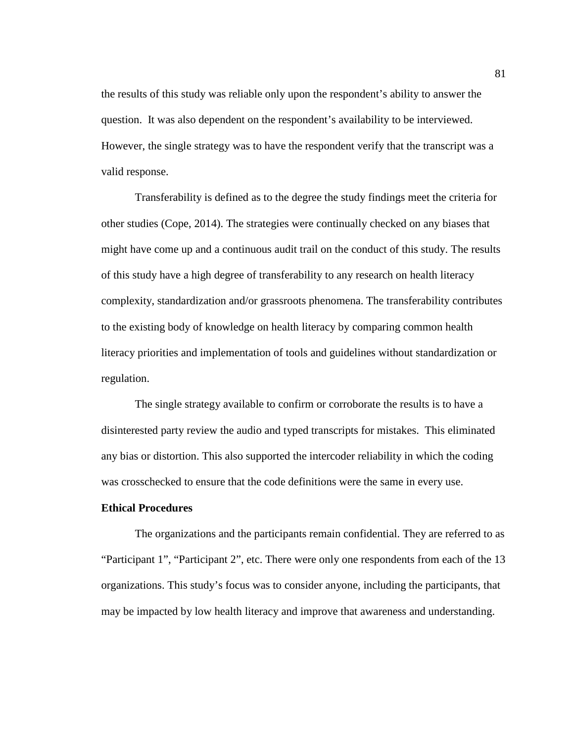the results of this study was reliable only upon the respondent's ability to answer the question. It was also dependent on the respondent's availability to be interviewed. However, the single strategy was to have the respondent verify that the transcript was a valid response.

Transferability is defined as to the degree the study findings meet the criteria for other studies (Cope, 2014). The strategies were continually checked on any biases that might have come up and a continuous audit trail on the conduct of this study. The results of this study have a high degree of transferability to any research on health literacy complexity, standardization and/or grassroots phenomena. The transferability contributes to the existing body of knowledge on health literacy by comparing common health literacy priorities and implementation of tools and guidelines without standardization or regulation.

The single strategy available to confirm or corroborate the results is to have a disinterested party review the audio and typed transcripts for mistakes. This eliminated any bias or distortion. This also supported the intercoder reliability in which the coding was crosschecked to ensure that the code definitions were the same in every use.

#### **Ethical Procedures**

The organizations and the participants remain confidential. They are referred to as "Participant 1", "Participant 2", etc. There were only one respondents from each of the 13 organizations. This study's focus was to consider anyone, including the participants, that may be impacted by low health literacy and improve that awareness and understanding.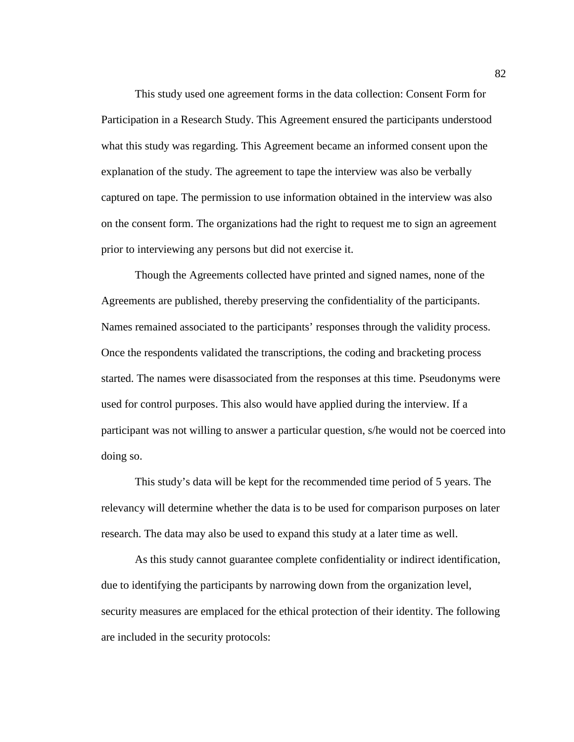This study used one agreement forms in the data collection: Consent Form for Participation in a Research Study. This Agreement ensured the participants understood what this study was regarding. This Agreement became an informed consent upon the explanation of the study. The agreement to tape the interview was also be verbally captured on tape. The permission to use information obtained in the interview was also on the consent form. The organizations had the right to request me to sign an agreement prior to interviewing any persons but did not exercise it.

Though the Agreements collected have printed and signed names, none of the Agreements are published, thereby preserving the confidentiality of the participants. Names remained associated to the participants' responses through the validity process. Once the respondents validated the transcriptions, the coding and bracketing process started. The names were disassociated from the responses at this time. Pseudonyms were used for control purposes. This also would have applied during the interview. If a participant was not willing to answer a particular question, s/he would not be coerced into doing so.

This study's data will be kept for the recommended time period of 5 years. The relevancy will determine whether the data is to be used for comparison purposes on later research. The data may also be used to expand this study at a later time as well.

As this study cannot guarantee complete confidentiality or indirect identification, due to identifying the participants by narrowing down from the organization level, security measures are emplaced for the ethical protection of their identity. The following are included in the security protocols: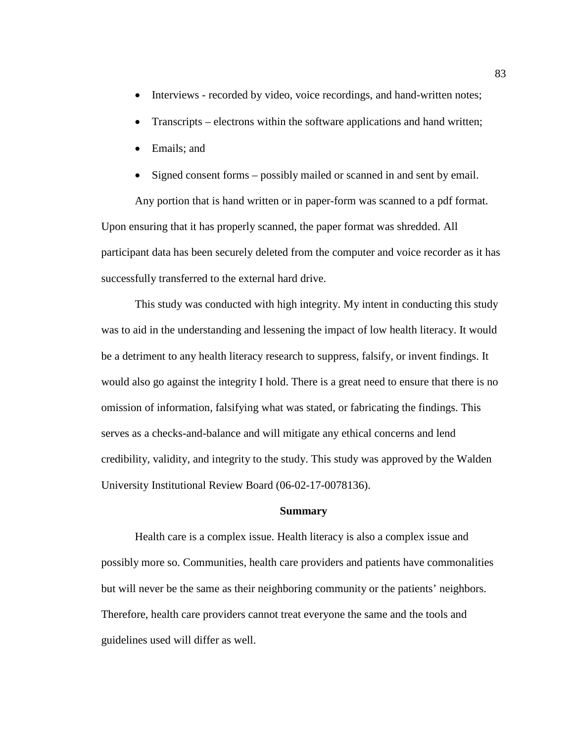- Interviews recorded by video, voice recordings, and hand-written notes;
- Transcripts electrons within the software applications and hand written;
- Emails; and
- Signed consent forms possibly mailed or scanned in and sent by email.

Any portion that is hand written or in paper-form was scanned to a pdf format. Upon ensuring that it has properly scanned, the paper format was shredded. All participant data has been securely deleted from the computer and voice recorder as it has successfully transferred to the external hard drive.

This study was conducted with high integrity. My intent in conducting this study was to aid in the understanding and lessening the impact of low health literacy. It would be a detriment to any health literacy research to suppress, falsify, or invent findings. It would also go against the integrity I hold. There is a great need to ensure that there is no omission of information, falsifying what was stated, or fabricating the findings. This serves as a checks-and-balance and will mitigate any ethical concerns and lend credibility, validity, and integrity to the study. This study was approved by the Walden University Institutional Review Board (06-02-17-0078136).

### **Summary**

Health care is a complex issue. Health literacy is also a complex issue and possibly more so. Communities, health care providers and patients have commonalities but will never be the same as their neighboring community or the patients' neighbors. Therefore, health care providers cannot treat everyone the same and the tools and guidelines used will differ as well.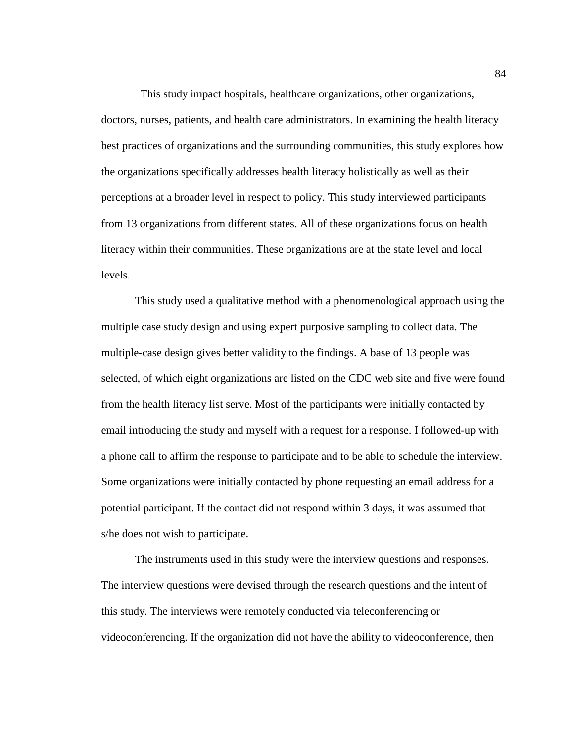This study impact hospitals, healthcare organizations, other organizations, doctors, nurses, patients, and health care administrators. In examining the health literacy best practices of organizations and the surrounding communities, this study explores how the organizations specifically addresses health literacy holistically as well as their perceptions at a broader level in respect to policy. This study interviewed participants from 13 organizations from different states. All of these organizations focus on health literacy within their communities. These organizations are at the state level and local levels.

This study used a qualitative method with a phenomenological approach using the multiple case study design and using expert purposive sampling to collect data. The multiple-case design gives better validity to the findings. A base of 13 people was selected, of which eight organizations are listed on the CDC web site and five were found from the health literacy list serve. Most of the participants were initially contacted by email introducing the study and myself with a request for a response. I followed-up with a phone call to affirm the response to participate and to be able to schedule the interview. Some organizations were initially contacted by phone requesting an email address for a potential participant. If the contact did not respond within 3 days, it was assumed that s/he does not wish to participate.

The instruments used in this study were the interview questions and responses. The interview questions were devised through the research questions and the intent of this study. The interviews were remotely conducted via teleconferencing or videoconferencing. If the organization did not have the ability to videoconference, then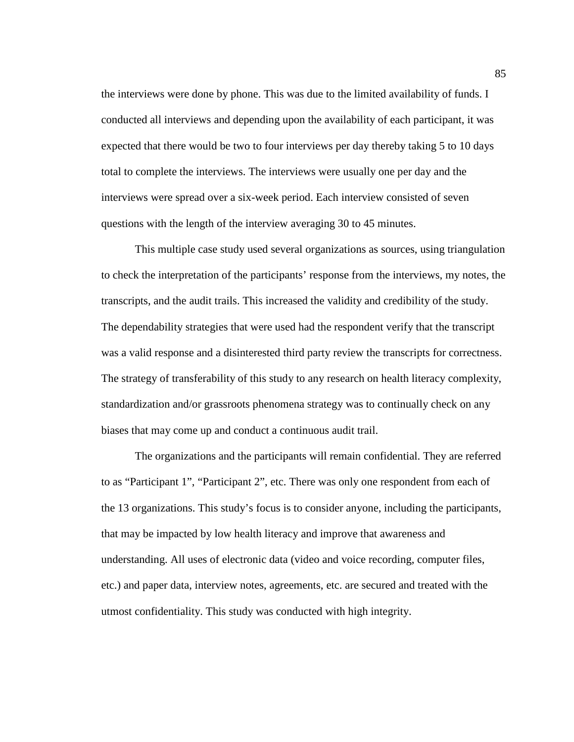the interviews were done by phone. This was due to the limited availability of funds. I conducted all interviews and depending upon the availability of each participant, it was expected that there would be two to four interviews per day thereby taking 5 to 10 days total to complete the interviews. The interviews were usually one per day and the interviews were spread over a six-week period. Each interview consisted of seven questions with the length of the interview averaging 30 to 45 minutes.

This multiple case study used several organizations as sources, using triangulation to check the interpretation of the participants' response from the interviews, my notes, the transcripts, and the audit trails. This increased the validity and credibility of the study. The dependability strategies that were used had the respondent verify that the transcript was a valid response and a disinterested third party review the transcripts for correctness. The strategy of transferability of this study to any research on health literacy complexity, standardization and/or grassroots phenomena strategy was to continually check on any biases that may come up and conduct a continuous audit trail.

The organizations and the participants will remain confidential. They are referred to as "Participant 1", "Participant 2", etc. There was only one respondent from each of the 13 organizations. This study's focus is to consider anyone, including the participants, that may be impacted by low health literacy and improve that awareness and understanding. All uses of electronic data (video and voice recording, computer files, etc.) and paper data, interview notes, agreements, etc. are secured and treated with the utmost confidentiality. This study was conducted with high integrity.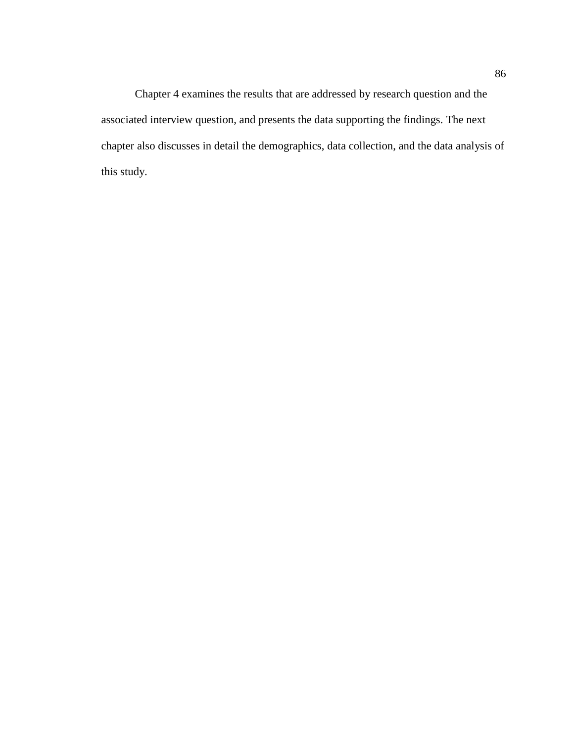Chapter 4 examines the results that are addressed by research question and the associated interview question, and presents the data supporting the findings. The next chapter also discusses in detail the demographics, data collection, and the data analysis of this study.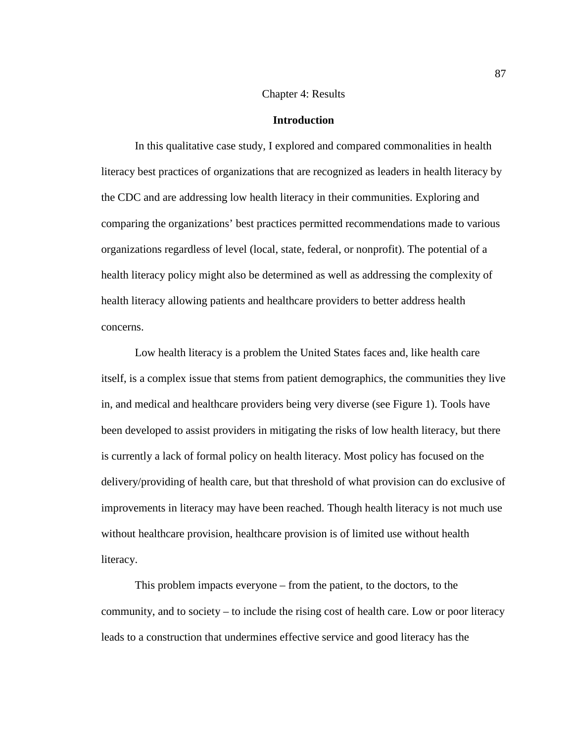## Chapter 4: Results

## **Introduction**

In this qualitative case study, I explored and compared commonalities in health literacy best practices of organizations that are recognized as leaders in health literacy by the CDC and are addressing low health literacy in their communities. Exploring and comparing the organizations' best practices permitted recommendations made to various organizations regardless of level (local, state, federal, or nonprofit). The potential of a health literacy policy might also be determined as well as addressing the complexity of health literacy allowing patients and healthcare providers to better address health concerns.

Low health literacy is a problem the United States faces and, like health care itself, is a complex issue that stems from patient demographics, the communities they live in, and medical and healthcare providers being very diverse (see Figure 1). Tools have been developed to assist providers in mitigating the risks of low health literacy, but there is currently a lack of formal policy on health literacy. Most policy has focused on the delivery/providing of health care, but that threshold of what provision can do exclusive of improvements in literacy may have been reached. Though health literacy is not much use without healthcare provision, healthcare provision is of limited use without health literacy.

This problem impacts everyone – from the patient, to the doctors, to the community, and to society – to include the rising cost of health care. Low or poor literacy leads to a construction that undermines effective service and good literacy has the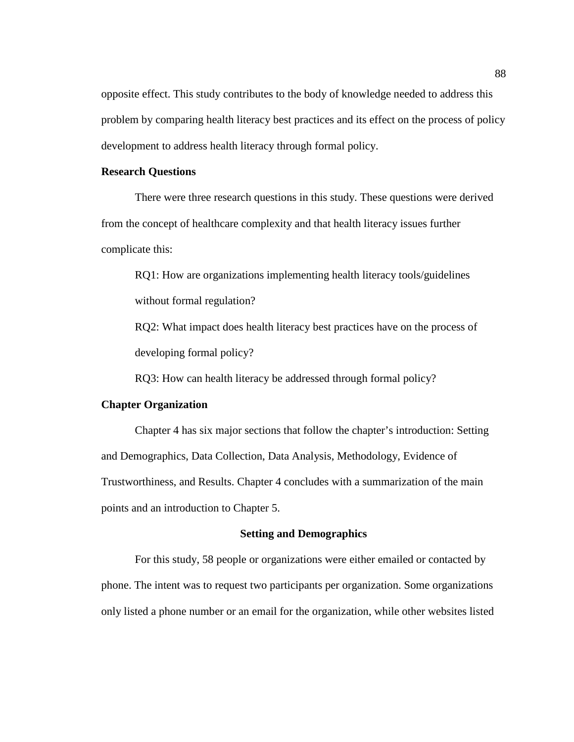opposite effect. This study contributes to the body of knowledge needed to address this problem by comparing health literacy best practices and its effect on the process of policy development to address health literacy through formal policy.

# **Research Questions**

There were three research questions in this study. These questions were derived from the concept of healthcare complexity and that health literacy issues further complicate this:

RQ1: How are organizations implementing health literacy tools/guidelines without formal regulation?

RQ2: What impact does health literacy best practices have on the process of developing formal policy?

RQ3: How can health literacy be addressed through formal policy?

## **Chapter Organization**

Chapter 4 has six major sections that follow the chapter's introduction: Setting and Demographics, Data Collection, Data Analysis, Methodology, Evidence of Trustworthiness, and Results. Chapter 4 concludes with a summarization of the main points and an introduction to Chapter 5.

## **Setting and Demographics**

For this study, 58 people or organizations were either emailed or contacted by phone. The intent was to request two participants per organization. Some organizations only listed a phone number or an email for the organization, while other websites listed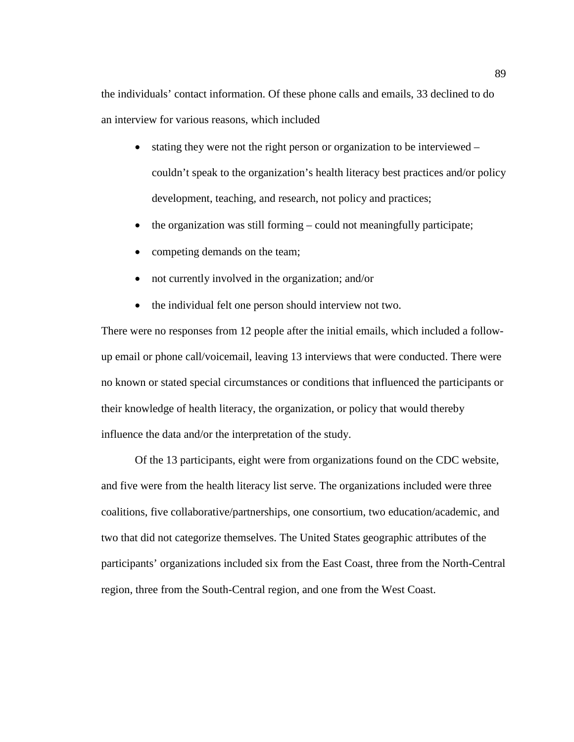the individuals' contact information. Of these phone calls and emails, 33 declined to do an interview for various reasons, which included

- stating they were not the right person or organization to be interviewed couldn't speak to the organization's health literacy best practices and/or policy development, teaching, and research, not policy and practices;
- the organization was still forming could not meaningfully participate;
- competing demands on the team;
- not currently involved in the organization; and/or
- the individual felt one person should interview not two.

There were no responses from 12 people after the initial emails, which included a followup email or phone call/voicemail, leaving 13 interviews that were conducted. There were no known or stated special circumstances or conditions that influenced the participants or their knowledge of health literacy, the organization, or policy that would thereby influence the data and/or the interpretation of the study.

Of the 13 participants, eight were from organizations found on the CDC website, and five were from the health literacy list serve. The organizations included were three coalitions, five collaborative/partnerships, one consortium, two education/academic, and two that did not categorize themselves. The United States geographic attributes of the participants' organizations included six from the East Coast, three from the North-Central region, three from the South-Central region, and one from the West Coast.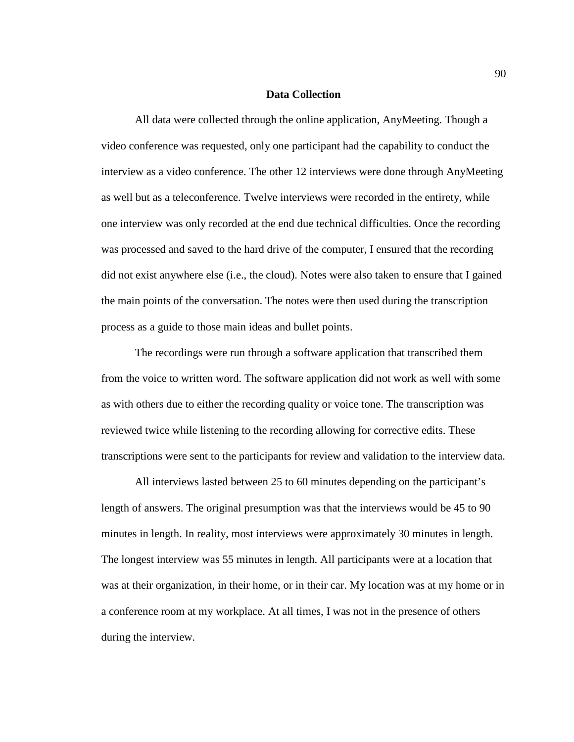#### **Data Collection**

All data were collected through the online application, AnyMeeting. Though a video conference was requested, only one participant had the capability to conduct the interview as a video conference. The other 12 interviews were done through AnyMeeting as well but as a teleconference. Twelve interviews were recorded in the entirety, while one interview was only recorded at the end due technical difficulties. Once the recording was processed and saved to the hard drive of the computer, I ensured that the recording did not exist anywhere else (i.e., the cloud). Notes were also taken to ensure that I gained the main points of the conversation. The notes were then used during the transcription process as a guide to those main ideas and bullet points.

The recordings were run through a software application that transcribed them from the voice to written word. The software application did not work as well with some as with others due to either the recording quality or voice tone. The transcription was reviewed twice while listening to the recording allowing for corrective edits. These transcriptions were sent to the participants for review and validation to the interview data.

All interviews lasted between 25 to 60 minutes depending on the participant's length of answers. The original presumption was that the interviews would be 45 to 90 minutes in length. In reality, most interviews were approximately 30 minutes in length. The longest interview was 55 minutes in length. All participants were at a location that was at their organization, in their home, or in their car. My location was at my home or in a conference room at my workplace. At all times, I was not in the presence of others during the interview.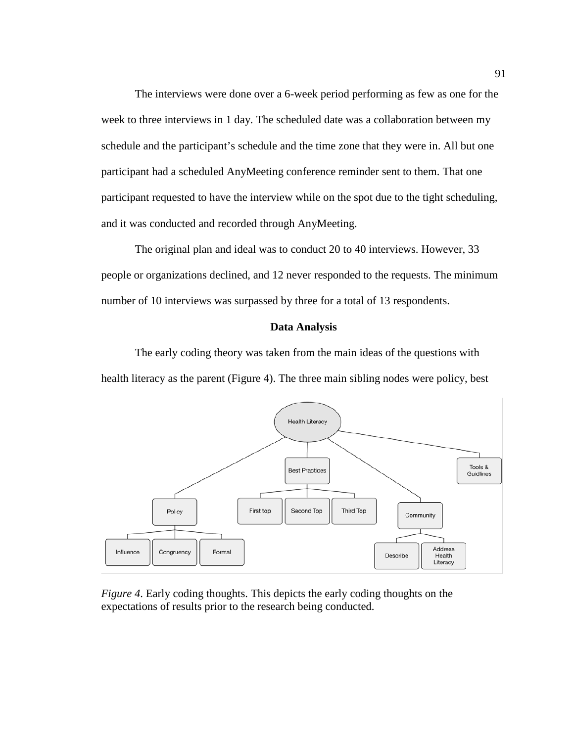The interviews were done over a 6-week period performing as few as one for the week to three interviews in 1 day. The scheduled date was a collaboration between my schedule and the participant's schedule and the time zone that they were in. All but one participant had a scheduled AnyMeeting conference reminder sent to them. That one participant requested to have the interview while on the spot due to the tight scheduling, and it was conducted and recorded through AnyMeeting.

The original plan and ideal was to conduct 20 to 40 interviews. However, 33 people or organizations declined, and 12 never responded to the requests. The minimum number of 10 interviews was surpassed by three for a total of 13 respondents.

## **Data Analysis**

The early coding theory was taken from the main ideas of the questions with health literacy as the parent (Figure 4). The three main sibling nodes were policy, best



*Figure 4*. Early coding thoughts. This depicts the early coding thoughts on the expectations of results prior to the research being conducted.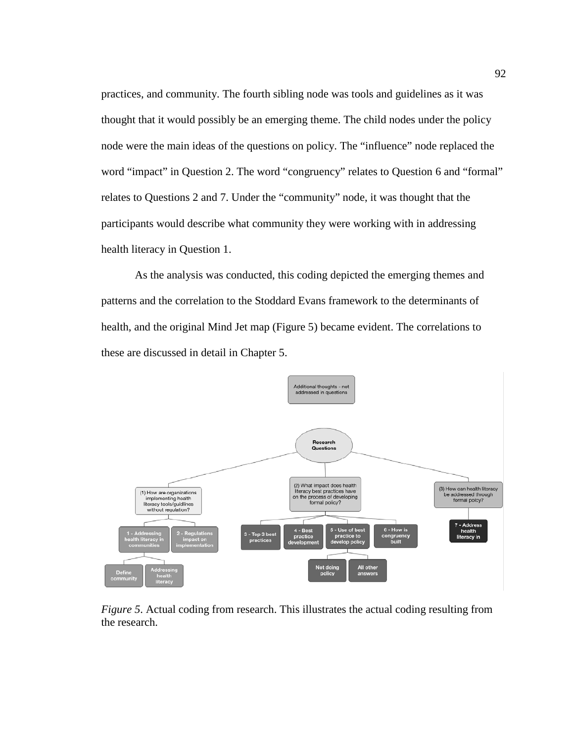practices, and community. The fourth sibling node was tools and guidelines as it was thought that it would possibly be an emerging theme. The child nodes under the policy node were the main ideas of the questions on policy. The "influence" node replaced the word "impact" in Question 2. The word "congruency" relates to Question 6 and "formal" relates to Questions 2 and 7. Under the "community" node, it was thought that the participants would describe what community they were working with in addressing health literacy in Question 1.

As the analysis was conducted, this coding depicted the emerging themes and patterns and the correlation to the Stoddard Evans framework to the determinants of health, and the original Mind Jet map (Figure 5) became evident. The correlations to these are discussed in detail in Chapter 5.



*Figure 5*. Actual coding from research. This illustrates the actual coding resulting from the research.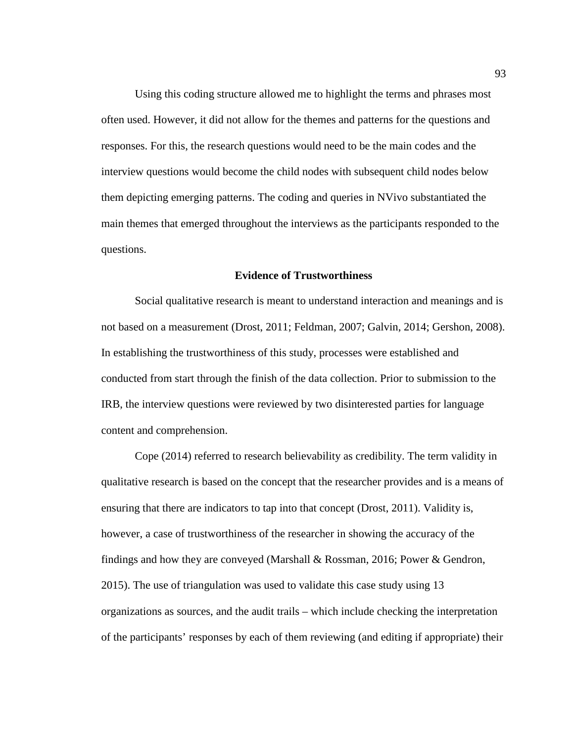Using this coding structure allowed me to highlight the terms and phrases most often used. However, it did not allow for the themes and patterns for the questions and responses. For this, the research questions would need to be the main codes and the interview questions would become the child nodes with subsequent child nodes below them depicting emerging patterns. The coding and queries in NVivo substantiated the main themes that emerged throughout the interviews as the participants responded to the questions.

#### **Evidence of Trustworthiness**

Social qualitative research is meant to understand interaction and meanings and is not based on a measurement (Drost, 2011; Feldman, 2007; Galvin, 2014; Gershon, 2008). In establishing the trustworthiness of this study, processes were established and conducted from start through the finish of the data collection. Prior to submission to the IRB, the interview questions were reviewed by two disinterested parties for language content and comprehension.

Cope (2014) referred to research believability as credibility. The term validity in qualitative research is based on the concept that the researcher provides and is a means of ensuring that there are indicators to tap into that concept (Drost, 2011). Validity is, however, a case of trustworthiness of the researcher in showing the accuracy of the findings and how they are conveyed (Marshall & Rossman, 2016; Power & Gendron, 2015). The use of triangulation was used to validate this case study using 13 organizations as sources, and the audit trails – which include checking the interpretation of the participants' responses by each of them reviewing (and editing if appropriate) their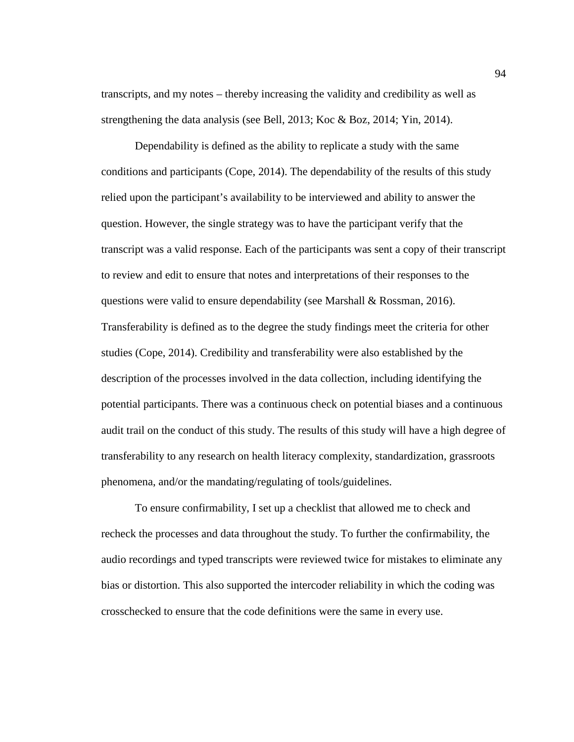transcripts, and my notes – thereby increasing the validity and credibility as well as strengthening the data analysis (see Bell, 2013; Koc & Boz, 2014; Yin, 2014).

Dependability is defined as the ability to replicate a study with the same conditions and participants (Cope, 2014). The dependability of the results of this study relied upon the participant's availability to be interviewed and ability to answer the question. However, the single strategy was to have the participant verify that the transcript was a valid response. Each of the participants was sent a copy of their transcript to review and edit to ensure that notes and interpretations of their responses to the questions were valid to ensure dependability (see Marshall & Rossman, 2016). Transferability is defined as to the degree the study findings meet the criteria for other studies (Cope, 2014). Credibility and transferability were also established by the description of the processes involved in the data collection, including identifying the potential participants. There was a continuous check on potential biases and a continuous audit trail on the conduct of this study. The results of this study will have a high degree of transferability to any research on health literacy complexity, standardization, grassroots phenomena, and/or the mandating/regulating of tools/guidelines.

To ensure confirmability, I set up a checklist that allowed me to check and recheck the processes and data throughout the study. To further the confirmability, the audio recordings and typed transcripts were reviewed twice for mistakes to eliminate any bias or distortion. This also supported the intercoder reliability in which the coding was crosschecked to ensure that the code definitions were the same in every use.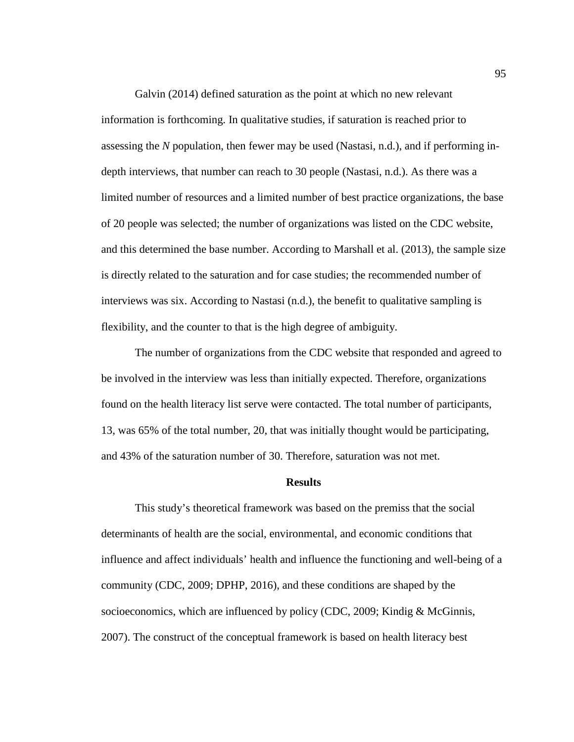Galvin (2014) defined saturation as the point at which no new relevant information is forthcoming. In qualitative studies, if saturation is reached prior to assessing the *N* population, then fewer may be used (Nastasi, n.d.), and if performing indepth interviews, that number can reach to 30 people (Nastasi, n.d.). As there was a limited number of resources and a limited number of best practice organizations, the base of 20 people was selected; the number of organizations was listed on the CDC website, and this determined the base number. According to Marshall et al. (2013), the sample size is directly related to the saturation and for case studies; the recommended number of interviews was six. According to Nastasi (n.d.), the benefit to qualitative sampling is flexibility, and the counter to that is the high degree of ambiguity.

The number of organizations from the CDC website that responded and agreed to be involved in the interview was less than initially expected. Therefore, organizations found on the health literacy list serve were contacted. The total number of participants, 13, was 65% of the total number, 20, that was initially thought would be participating, and 43% of the saturation number of 30. Therefore, saturation was not met.

#### **Results**

This study's theoretical framework was based on the premiss that the social determinants of health are the social, environmental, and economic conditions that influence and affect individuals' health and influence the functioning and well-being of a community (CDC, 2009; DPHP, 2016), and these conditions are shaped by the socioeconomics, which are influenced by policy (CDC, 2009; Kindig & McGinnis, 2007). The construct of the conceptual framework is based on health literacy best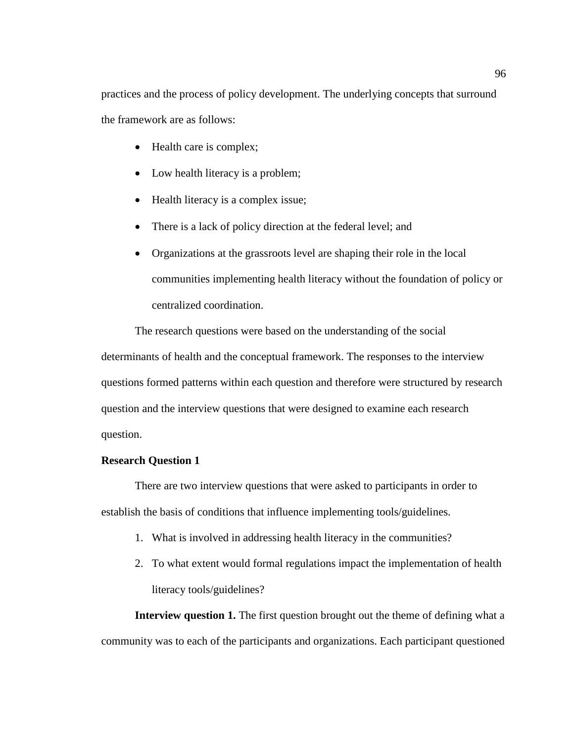practices and the process of policy development. The underlying concepts that surround the framework are as follows:

- Health care is complex;
- Low health literacy is a problem;
- Health literacy is a complex issue;
- There is a lack of policy direction at the federal level; and
- Organizations at the grassroots level are shaping their role in the local communities implementing health literacy without the foundation of policy or centralized coordination.

The research questions were based on the understanding of the social determinants of health and the conceptual framework. The responses to the interview questions formed patterns within each question and therefore were structured by research question and the interview questions that were designed to examine each research question.

### **Research Question 1**

There are two interview questions that were asked to participants in order to establish the basis of conditions that influence implementing tools/guidelines.

- 1. What is involved in addressing health literacy in the communities?
- 2. To what extent would formal regulations impact the implementation of health literacy tools/guidelines?

**Interview question 1.** The first question brought out the theme of defining what a community was to each of the participants and organizations. Each participant questioned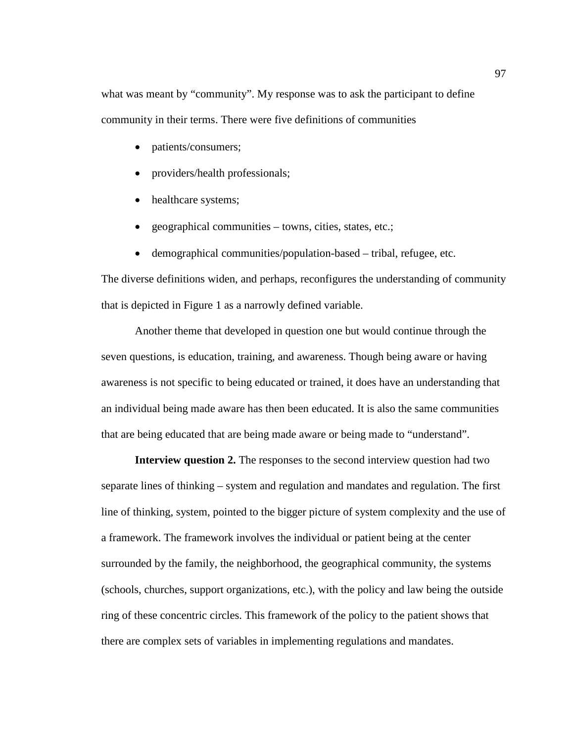what was meant by "community". My response was to ask the participant to define community in their terms. There were five definitions of communities

- patients/consumers;
- providers/health professionals;
- healthcare systems;
- geographical communities towns, cities, states, etc.;
- demographical communities/population-based tribal, refugee, etc.

The diverse definitions widen, and perhaps, reconfigures the understanding of community that is depicted in Figure 1 as a narrowly defined variable.

Another theme that developed in question one but would continue through the seven questions, is education, training, and awareness. Though being aware or having awareness is not specific to being educated or trained, it does have an understanding that an individual being made aware has then been educated. It is also the same communities that are being educated that are being made aware or being made to "understand".

**Interview question 2.** The responses to the second interview question had two separate lines of thinking – system and regulation and mandates and regulation. The first line of thinking, system, pointed to the bigger picture of system complexity and the use of a framework. The framework involves the individual or patient being at the center surrounded by the family, the neighborhood, the geographical community, the systems (schools, churches, support organizations, etc.), with the policy and law being the outside ring of these concentric circles. This framework of the policy to the patient shows that there are complex sets of variables in implementing regulations and mandates.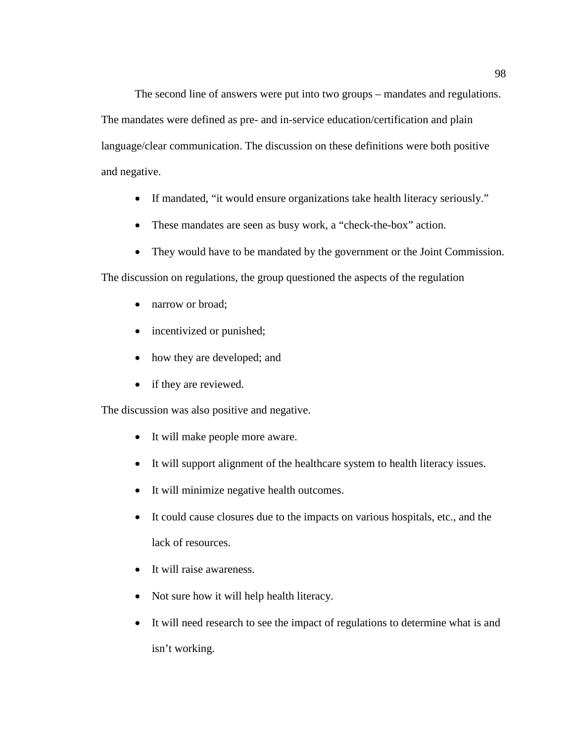The second line of answers were put into two groups – mandates and regulations. The mandates were defined as pre- and in-service education/certification and plain language/clear communication. The discussion on these definitions were both positive and negative.

- If mandated, "it would ensure organizations take health literacy seriously."
- These mandates are seen as busy work, a "check-the-box" action.
- They would have to be mandated by the government or the Joint Commission.

The discussion on regulations, the group questioned the aspects of the regulation

- narrow or broad;
- incentivized or punished;
- how they are developed; and
- if they are reviewed.

The discussion was also positive and negative.

- It will make people more aware.
- It will support alignment of the healthcare system to health literacy issues.
- It will minimize negative health outcomes.
- It could cause closures due to the impacts on various hospitals, etc., and the lack of resources.
- It will raise awareness.
- Not sure how it will help health literacy.
- It will need research to see the impact of regulations to determine what is and isn't working.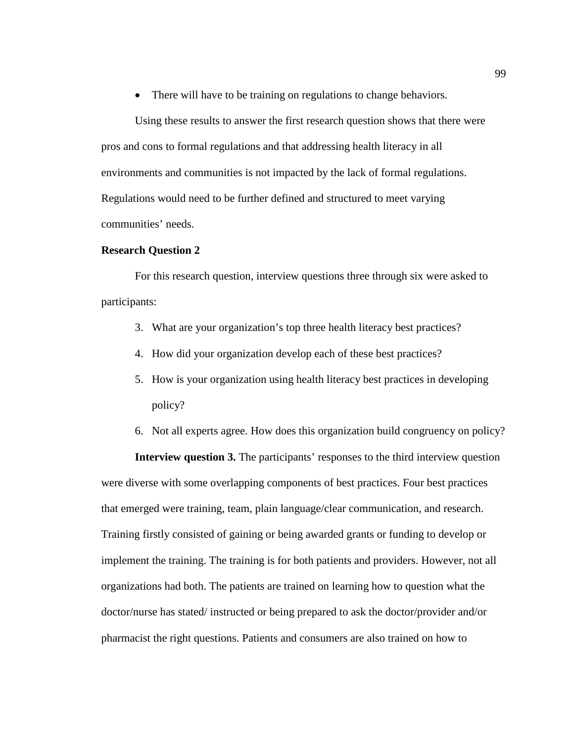• There will have to be training on regulations to change behaviors.

Using these results to answer the first research question shows that there were pros and cons to formal regulations and that addressing health literacy in all environments and communities is not impacted by the lack of formal regulations. Regulations would need to be further defined and structured to meet varying communities' needs.

#### **Research Question 2**

For this research question, interview questions three through six were asked to participants:

- 3. What are your organization's top three health literacy best practices?
- 4. How did your organization develop each of these best practices?
- 5. How is your organization using health literacy best practices in developing policy?
- 6. Not all experts agree. How does this organization build congruency on policy?

**Interview question 3.** The participants' responses to the third interview question were diverse with some overlapping components of best practices. Four best practices that emerged were training, team, plain language/clear communication, and research. Training firstly consisted of gaining or being awarded grants or funding to develop or implement the training. The training is for both patients and providers. However, not all organizations had both. The patients are trained on learning how to question what the doctor/nurse has stated/ instructed or being prepared to ask the doctor/provider and/or pharmacist the right questions. Patients and consumers are also trained on how to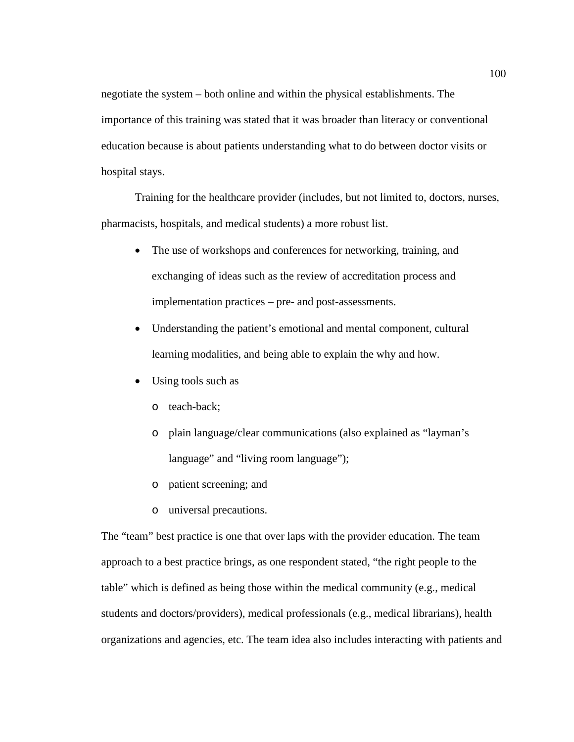negotiate the system – both online and within the physical establishments. The importance of this training was stated that it was broader than literacy or conventional education because is about patients understanding what to do between doctor visits or hospital stays.

Training for the healthcare provider (includes, but not limited to, doctors, nurses, pharmacists, hospitals, and medical students) a more robust list.

- The use of workshops and conferences for networking, training, and exchanging of ideas such as the review of accreditation process and implementation practices – pre- and post-assessments.
- Understanding the patient's emotional and mental component, cultural learning modalities, and being able to explain the why and how.
- Using tools such as
	- o teach-back;
	- o plain language/clear communications (also explained as "layman's language" and "living room language");
	- o patient screening; and
	- o universal precautions.

The "team" best practice is one that over laps with the provider education. The team approach to a best practice brings, as one respondent stated, "the right people to the table" which is defined as being those within the medical community (e.g., medical students and doctors/providers), medical professionals (e.g., medical librarians), health organizations and agencies, etc. The team idea also includes interacting with patients and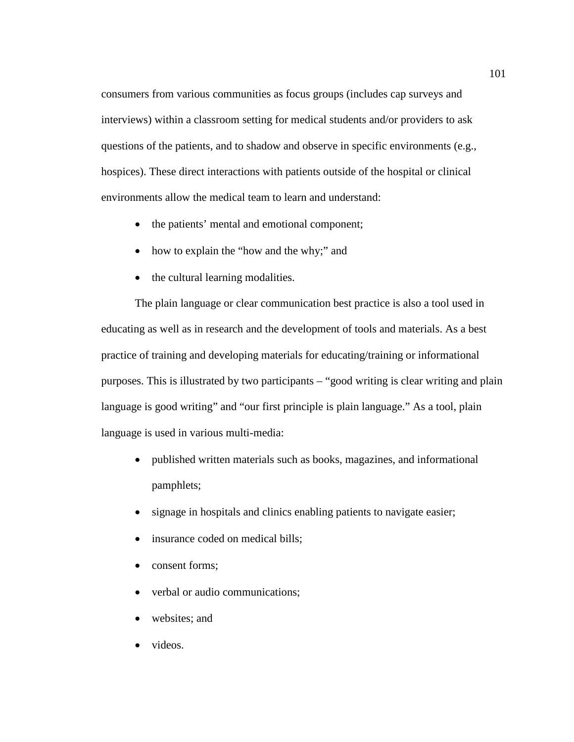consumers from various communities as focus groups (includes cap surveys and interviews) within a classroom setting for medical students and/or providers to ask questions of the patients, and to shadow and observe in specific environments (e.g., hospices). These direct interactions with patients outside of the hospital or clinical environments allow the medical team to learn and understand:

- the patients' mental and emotional component;
- how to explain the "how and the why;" and
- the cultural learning modalities.

The plain language or clear communication best practice is also a tool used in educating as well as in research and the development of tools and materials. As a best practice of training and developing materials for educating/training or informational purposes. This is illustrated by two participants – "good writing is clear writing and plain language is good writing" and "our first principle is plain language." As a tool, plain language is used in various multi-media:

- published written materials such as books, magazines, and informational pamphlets;
- signage in hospitals and clinics enabling patients to navigate easier;
- insurance coded on medical bills;
- consent forms;
- verbal or audio communications;
- websites; and
- videos.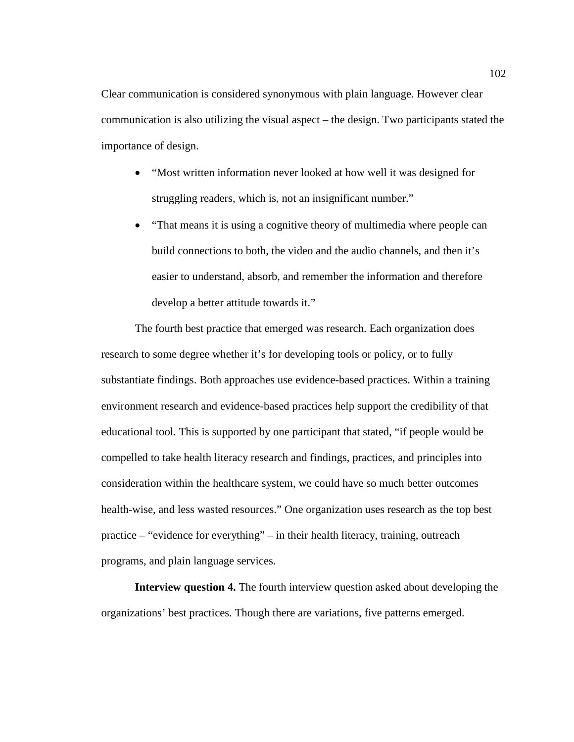Clear communication is considered synonymous with plain language. However clear communication is also utilizing the visual aspect – the design. Two participants stated the importance of design.

- "Most written information never looked at how well it was designed for struggling readers, which is, not an insignificant number."
- "That means it is using a cognitive theory of multimedia where people can build connections to both, the video and the audio channels, and then it's easier to understand, absorb, and remember the information and therefore develop a better attitude towards it."

The fourth best practice that emerged was research. Each organization does research to some degree whether it's for developing tools or policy, or to fully substantiate findings. Both approaches use evidence-based practices. Within a training environment research and evidence-based practices help support the credibility of that educational tool. This is supported by one participant that stated, "if people would be compelled to take health literacy research and findings, practices, and principles into consideration within the healthcare system, we could have so much better outcomes health-wise, and less wasted resources." One organization uses research as the top best practice – "evidence for everything" – in their health literacy, training, outreach programs, and plain language services.

**Interview question 4.** The fourth interview question asked about developing the organizations' best practices. Though there are variations, five patterns emerged.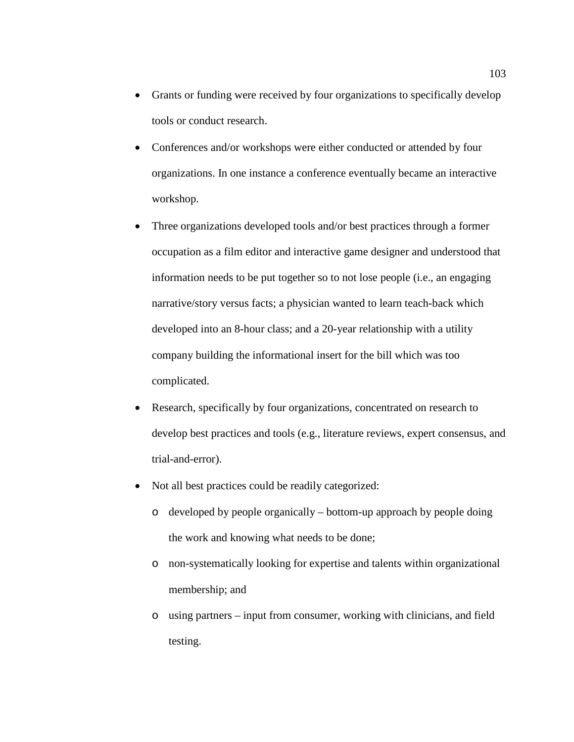- Grants or funding were received by four organizations to specifically develop tools or conduct research.
- Conferences and/or workshops were either conducted or attended by four organizations. In one instance a conference eventually became an interactive workshop.
- Three organizations developed tools and/or best practices through a former occupation as a film editor and interactive game designer and understood that information needs to be put together so to not lose people (i.e., an engaging narrative/story versus facts; a physician wanted to learn teach-back which developed into an 8-hour class; and a 20-year relationship with a utility company building the informational insert for the bill which was too complicated.
- Research, specifically by four organizations, concentrated on research to develop best practices and tools (e.g., literature reviews, expert consensus, and trial-and-error).
- Not all best practices could be readily categorized:
	- o developed by people organically bottom-up approach by people doing the work and knowing what needs to be done;
	- o non-systematically looking for expertise and talents within organizational membership; and
	- o using partners input from consumer, working with clinicians, and field testing.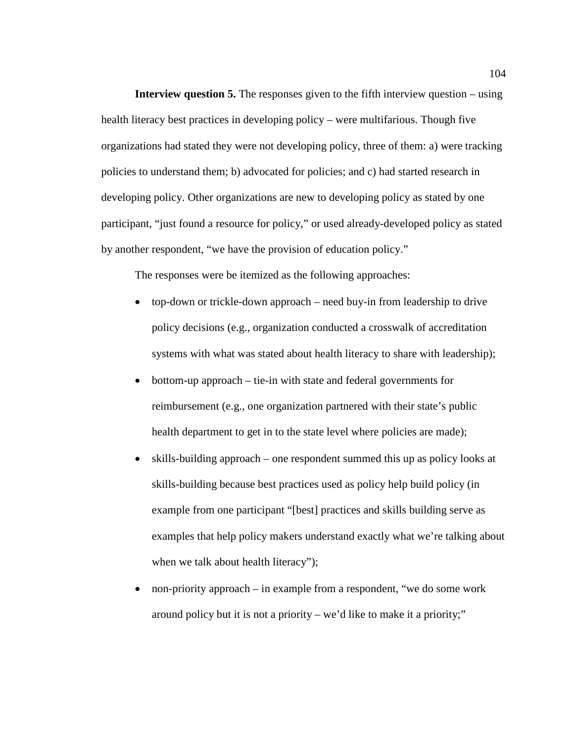**Interview question 5.** The responses given to the fifth interview question – using health literacy best practices in developing policy – were multifarious. Though five organizations had stated they were not developing policy, three of them: a) were tracking policies to understand them; b) advocated for policies; and c) had started research in developing policy. Other organizations are new to developing policy as stated by one participant, "just found a resource for policy," or used already-developed policy as stated by another respondent, "we have the provision of education policy."

The responses were be itemized as the following approaches:

- top-down or trickle-down approach need buy-in from leadership to drive policy decisions (e.g., organization conducted a crosswalk of accreditation systems with what was stated about health literacy to share with leadership);
- bottom-up approach tie-in with state and federal governments for reimbursement (e.g., one organization partnered with their state's public health department to get in to the state level where policies are made);
- skills-building approach one respondent summed this up as policy looks at skills-building because best practices used as policy help build policy (in example from one participant "[best] practices and skills building serve as examples that help policy makers understand exactly what we're talking about when we talk about health literacy");
- non-priority approach in example from a respondent, "we do some work around policy but it is not a priority – we'd like to make it a priority;"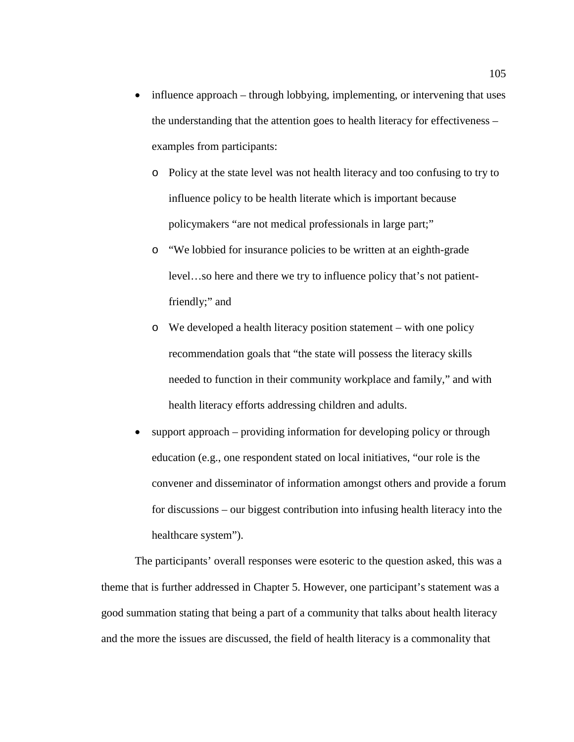- influence approach through lobbying, implementing, or intervening that uses the understanding that the attention goes to health literacy for effectiveness – examples from participants:
	- o Policy at the state level was not health literacy and too confusing to try to influence policy to be health literate which is important because policymakers "are not medical professionals in large part;"
	- o "We lobbied for insurance policies to be written at an eighth-grade level…so here and there we try to influence policy that's not patientfriendly;" and
	- o We developed a health literacy position statement with one policy recommendation goals that "the state will possess the literacy skills needed to function in their community workplace and family," and with health literacy efforts addressing children and adults.
- support approach providing information for developing policy or through education (e.g., one respondent stated on local initiatives, "our role is the convener and disseminator of information amongst others and provide a forum for discussions – our biggest contribution into infusing health literacy into the healthcare system").

The participants' overall responses were esoteric to the question asked, this was a theme that is further addressed in Chapter 5. However, one participant's statement was a good summation stating that being a part of a community that talks about health literacy and the more the issues are discussed, the field of health literacy is a commonality that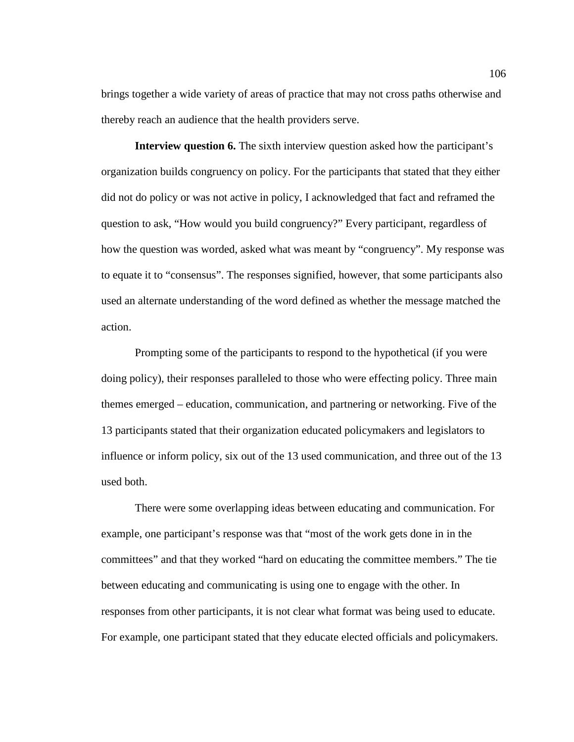brings together a wide variety of areas of practice that may not cross paths otherwise and thereby reach an audience that the health providers serve.

**Interview question 6.** The sixth interview question asked how the participant's organization builds congruency on policy. For the participants that stated that they either did not do policy or was not active in policy, I acknowledged that fact and reframed the question to ask, "How would you build congruency?" Every participant, regardless of how the question was worded, asked what was meant by "congruency". My response was to equate it to "consensus". The responses signified, however, that some participants also used an alternate understanding of the word defined as whether the message matched the action.

Prompting some of the participants to respond to the hypothetical (if you were doing policy), their responses paralleled to those who were effecting policy. Three main themes emerged – education, communication, and partnering or networking. Five of the 13 participants stated that their organization educated policymakers and legislators to influence or inform policy, six out of the 13 used communication, and three out of the 13 used both.

There were some overlapping ideas between educating and communication. For example, one participant's response was that "most of the work gets done in in the committees" and that they worked "hard on educating the committee members." The tie between educating and communicating is using one to engage with the other. In responses from other participants, it is not clear what format was being used to educate. For example, one participant stated that they educate elected officials and policymakers.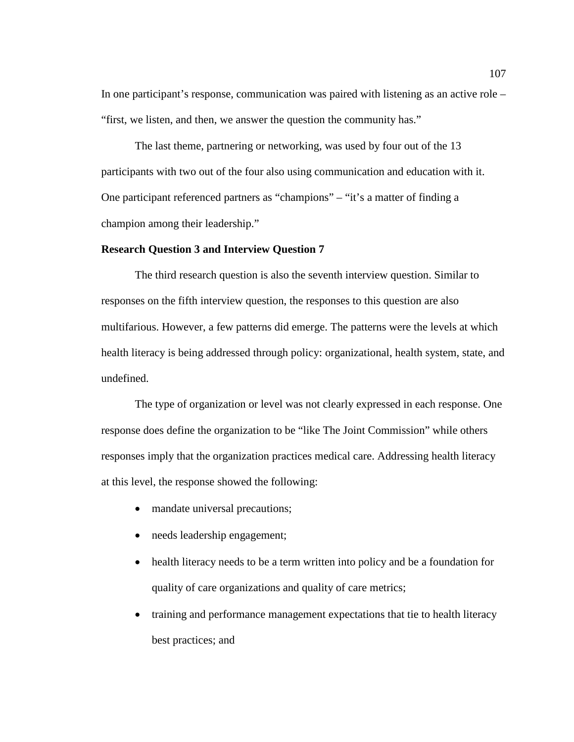In one participant's response, communication was paired with listening as an active role – "first, we listen, and then, we answer the question the community has."

The last theme, partnering or networking, was used by four out of the 13 participants with two out of the four also using communication and education with it. One participant referenced partners as "champions" – "it's a matter of finding a champion among their leadership."

### **Research Question 3 and Interview Question 7**

The third research question is also the seventh interview question. Similar to responses on the fifth interview question, the responses to this question are also multifarious. However, a few patterns did emerge. The patterns were the levels at which health literacy is being addressed through policy: organizational, health system, state, and undefined.

The type of organization or level was not clearly expressed in each response. One response does define the organization to be "like The Joint Commission" while others responses imply that the organization practices medical care. Addressing health literacy at this level, the response showed the following:

- mandate universal precautions;
- needs leadership engagement;
- health literacy needs to be a term written into policy and be a foundation for quality of care organizations and quality of care metrics;
- training and performance management expectations that tie to health literacy best practices; and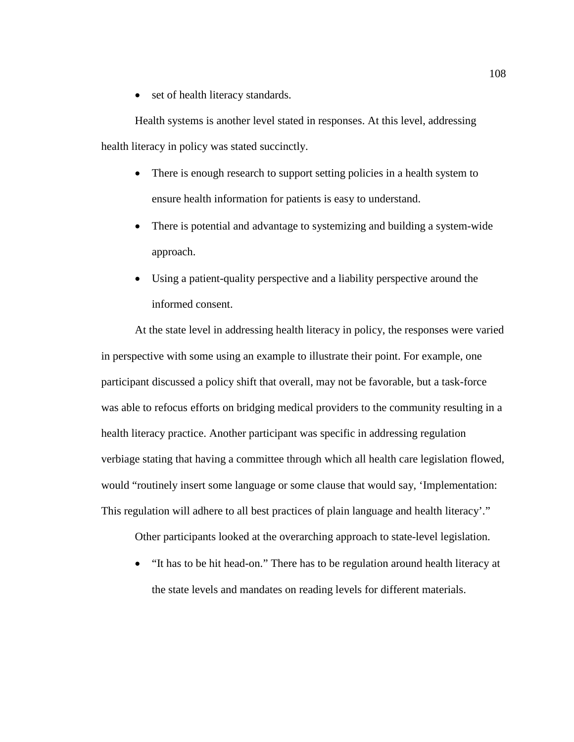• set of health literacy standards.

Health systems is another level stated in responses. At this level, addressing health literacy in policy was stated succinctly.

- There is enough research to support setting policies in a health system to ensure health information for patients is easy to understand.
- There is potential and advantage to systemizing and building a system-wide approach.
- Using a patient-quality perspective and a liability perspective around the informed consent.

At the state level in addressing health literacy in policy, the responses were varied in perspective with some using an example to illustrate their point. For example, one participant discussed a policy shift that overall, may not be favorable, but a task-force was able to refocus efforts on bridging medical providers to the community resulting in a health literacy practice. Another participant was specific in addressing regulation verbiage stating that having a committee through which all health care legislation flowed, would "routinely insert some language or some clause that would say, 'Implementation: This regulation will adhere to all best practices of plain language and health literacy'."

Other participants looked at the overarching approach to state-level legislation.

• "It has to be hit head-on." There has to be regulation around health literacy at the state levels and mandates on reading levels for different materials.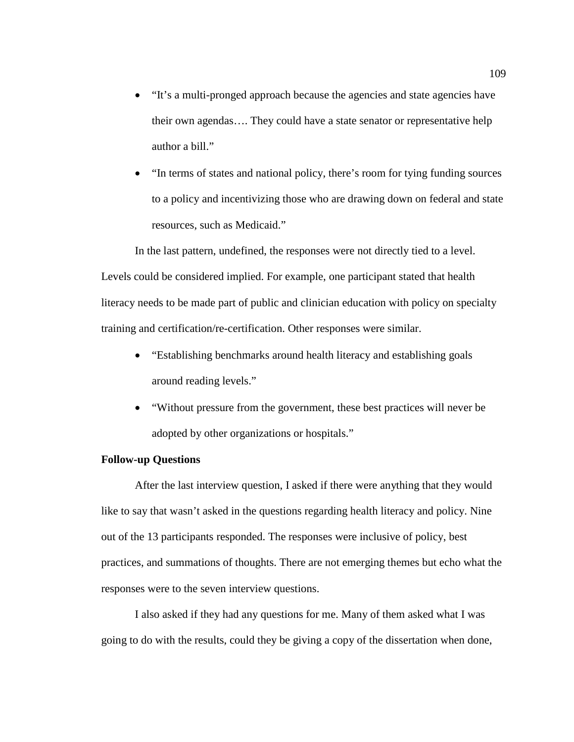- "It's a multi-pronged approach because the agencies and state agencies have their own agendas…. They could have a state senator or representative help author a bill."
- "In terms of states and national policy, there's room for tying funding sources to a policy and incentivizing those who are drawing down on federal and state resources, such as Medicaid."

In the last pattern, undefined, the responses were not directly tied to a level. Levels could be considered implied. For example, one participant stated that health literacy needs to be made part of public and clinician education with policy on specialty training and certification/re-certification. Other responses were similar.

- "Establishing benchmarks around health literacy and establishing goals around reading levels."
- "Without pressure from the government, these best practices will never be adopted by other organizations or hospitals."

## **Follow-up Questions**

After the last interview question, I asked if there were anything that they would like to say that wasn't asked in the questions regarding health literacy and policy. Nine out of the 13 participants responded. The responses were inclusive of policy, best practices, and summations of thoughts. There are not emerging themes but echo what the responses were to the seven interview questions.

I also asked if they had any questions for me. Many of them asked what I was going to do with the results, could they be giving a copy of the dissertation when done,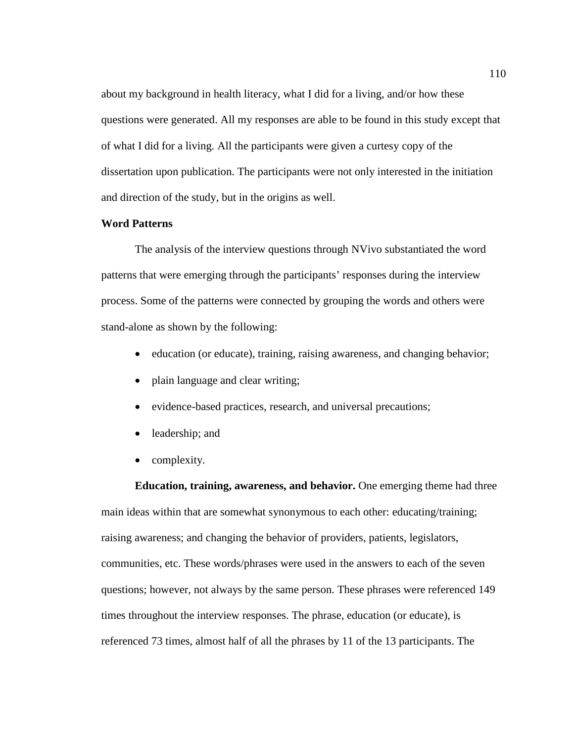about my background in health literacy, what I did for a living, and/or how these questions were generated. All my responses are able to be found in this study except that of what I did for a living. All the participants were given a curtesy copy of the dissertation upon publication. The participants were not only interested in the initiation and direction of the study, but in the origins as well.

# **Word Patterns**

The analysis of the interview questions through NVivo substantiated the word patterns that were emerging through the participants' responses during the interview process. Some of the patterns were connected by grouping the words and others were stand-alone as shown by the following:

- education (or educate), training, raising awareness, and changing behavior;
- plain language and clear writing;
- evidence-based practices, research, and universal precautions;
- leadership; and
- complexity.

**Education, training, awareness, and behavior.** One emerging theme had three main ideas within that are somewhat synonymous to each other: educating/training; raising awareness; and changing the behavior of providers, patients, legislators, communities, etc. These words/phrases were used in the answers to each of the seven questions; however, not always by the same person. These phrases were referenced 149 times throughout the interview responses. The phrase, education (or educate), is referenced 73 times, almost half of all the phrases by 11 of the 13 participants. The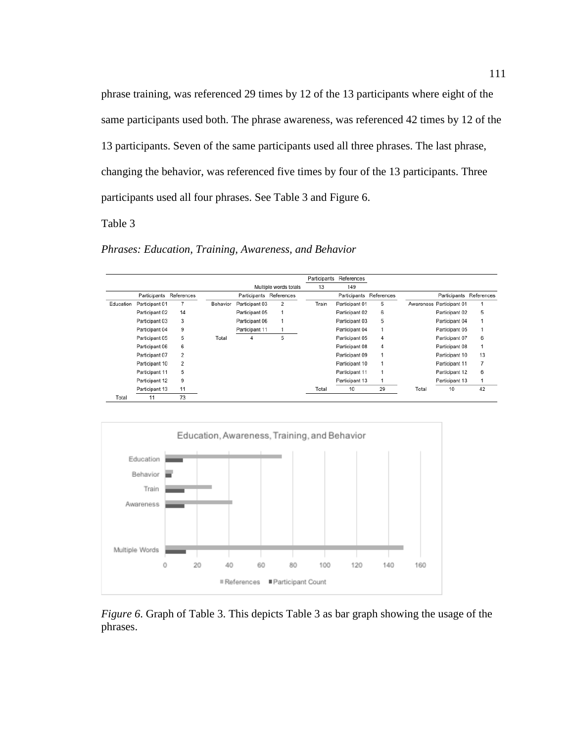phrase training, was referenced 29 times by 12 of the 13 participants where eight of the same participants used both. The phrase awareness, was referenced 42 times by 12 of the 13 participants. Seven of the same participants used all three phrases. The last phrase, changing the behavior, was referenced five times by four of the 13 participants. Three participants used all four phrases. See Table 3 and Figure 6.

Table 3

*Phrases: Education, Training, Awareness, and Behavior*

|           |                |                |          |                |                       | Participants | References     |            |       |                          |            |
|-----------|----------------|----------------|----------|----------------|-----------------------|--------------|----------------|------------|-------|--------------------------|------------|
|           |                |                |          |                | Multiple words totals | 13           | 149            |            |       |                          |            |
|           | Participants   | References     |          | Participants   | References            |              | Participants   | References |       | Participants             | References |
| Education | Participant 01 |                | Behavior | Participant 03 | 2                     | Train        | Participant 01 | 5          |       | Awareness Participant 01 |            |
|           | Participant 02 | 14             |          | Participant 05 |                       |              | Participant 02 | 6          |       | Participant 02           | 5          |
|           | Participant 03 | 3              |          | Participant 06 |                       |              | Participant 03 | 5          |       | Participant 04           |            |
|           | Participant 04 | 9              |          | Participant 11 |                       |              | Participant 04 |            |       | Participant 05           |            |
|           | Participant 05 | 5              | Total    | 4              | 5                     |              | Participant 05 | 4          |       | Participant 07           | 6          |
|           | Participant 06 | 6              |          |                |                       |              | Participant 08 | 4          |       | Participant 08           |            |
|           | Participant 07 | $\overline{2}$ |          |                |                       |              | Participant 09 |            |       | Participant 10           | 13         |
|           | Participant 10 | $\overline{2}$ |          |                |                       |              | Participant 10 |            |       | Participant 11           | 7          |
|           | Participant 11 | 5              |          |                |                       |              | Participant 11 |            |       | Participant 12           | 6          |
|           | Participant 12 | 9              |          |                |                       |              | Participant 13 |            |       | Participant 13           |            |
|           | Participant 13 | 11             |          |                |                       | Total        | 10             | 29         | Total | 10                       | 42         |
| Total     | 11             | 73             |          |                |                       |              |                |            |       |                          |            |



*Figure 6*. Graph of Table 3. This depicts Table 3 as bar graph showing the usage of the phrases.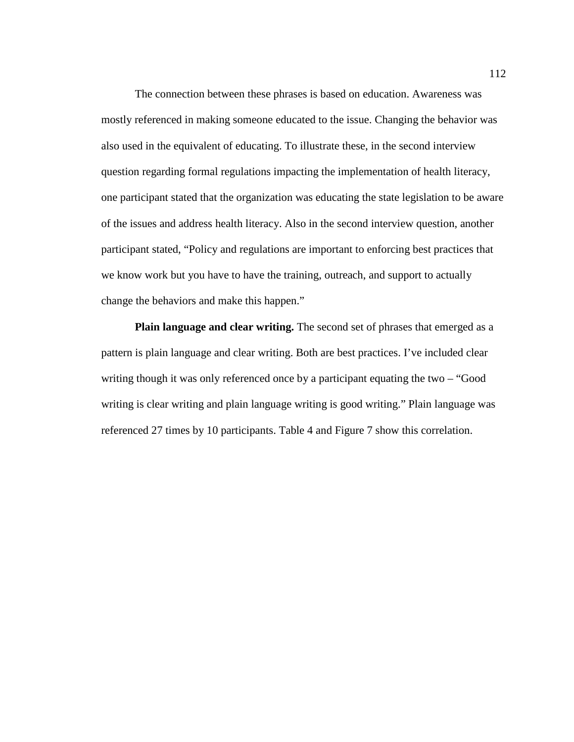The connection between these phrases is based on education. Awareness was mostly referenced in making someone educated to the issue. Changing the behavior was also used in the equivalent of educating. To illustrate these, in the second interview question regarding formal regulations impacting the implementation of health literacy, one participant stated that the organization was educating the state legislation to be aware of the issues and address health literacy. Also in the second interview question, another participant stated, "Policy and regulations are important to enforcing best practices that we know work but you have to have the training, outreach, and support to actually change the behaviors and make this happen."

**Plain language and clear writing.** The second set of phrases that emerged as a pattern is plain language and clear writing. Both are best practices. I've included clear writing though it was only referenced once by a participant equating the two – "Good" writing is clear writing and plain language writing is good writing." Plain language was referenced 27 times by 10 participants. Table 4 and Figure 7 show this correlation.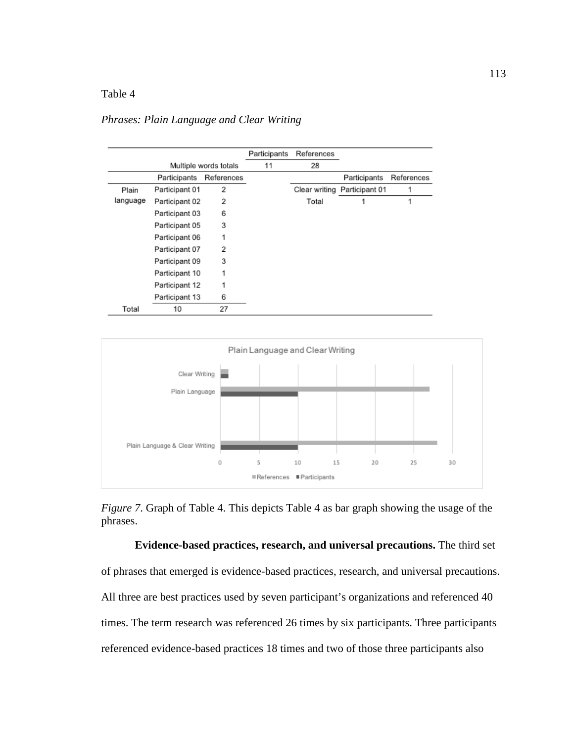# Table 4

## *Phrases: Plain Language and Clear Writing*

|          |                            |                       | Participants | References    |                |            |
|----------|----------------------------|-----------------------|--------------|---------------|----------------|------------|
|          |                            | Multiple words totals | 11           | 28            |                |            |
|          | References<br>Participants |                       |              |               | Participants   | References |
| Plain    | Participant 01             | $\overline{2}$        |              | Clear writing | Participant 01 |            |
| language | Participant 02             | $\overline{2}$        |              | Total         |                | 1          |
|          | Participant 03             | 6                     |              |               |                |            |
|          | Participant 05             | 3                     |              |               |                |            |
|          | Participant 06             | 1                     |              |               |                |            |
|          | Participant 07             | 2                     |              |               |                |            |
|          | Participant 09             | 3                     |              |               |                |            |
|          | Participant 10             | 1                     |              |               |                |            |
|          | Participant 12             | 1                     |              |               |                |            |
|          | Participant 13             | 6                     |              |               |                |            |
| Total    | 10                         | 27                    |              |               |                |            |



*Figure 7*. Graph of Table 4. This depicts Table 4 as bar graph showing the usage of the phrases.

**Evidence-based practices, research, and universal precautions.** The third set of phrases that emerged is evidence-based practices, research, and universal precautions. All three are best practices used by seven participant's organizations and referenced 40 times. The term research was referenced 26 times by six participants. Three participants referenced evidence-based practices 18 times and two of those three participants also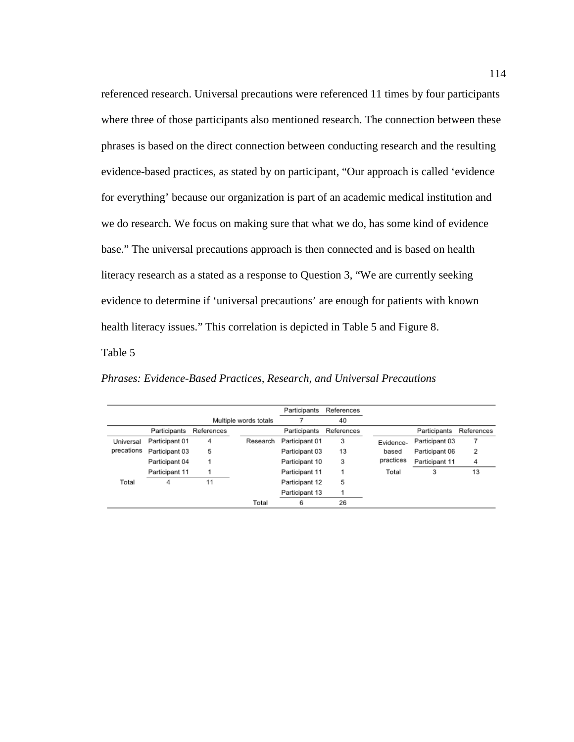referenced research. Universal precautions were referenced 11 times by four participants where three of those participants also mentioned research. The connection between these phrases is based on the direct connection between conducting research and the resulting evidence-based practices, as stated by on participant, "Our approach is called 'evidence for everything' because our organization is part of an academic medical institution and we do research. We focus on making sure that what we do, has some kind of evidence base." The universal precautions approach is then connected and is based on health literacy research as a stated as a response to Question 3, "We are currently seeking evidence to determine if 'universal precautions' are enough for patients with known health literacy issues." This correlation is depicted in Table 5 and Figure 8.

Table 5

*Phrases: Evidence-Based Practices, Research, and Universal Precautions*

|            |                |            |                       | Participants   | References |           |                |            |
|------------|----------------|------------|-----------------------|----------------|------------|-----------|----------------|------------|
|            |                |            | Multiple words totals |                | 40         |           |                |            |
|            | Participants   | References |                       | Participants   | References |           | Participants   | References |
| Universal  | Participant 01 | 4          | Research              | Participant 01 | 3          | Evidence- | Participant 03 |            |
| precations | Participant 03 | 5          |                       | Participant 03 | 13         | based     | Participant 06 | 2          |
|            | Participant 04 |            |                       | Participant 10 | 3          | practices | Participant 11 | 4          |
|            | Participant 11 |            |                       | Participant 11 |            | Total     | 3              | 13         |
| Total      | 4              | 11         |                       | Participant 12 | 5          |           |                |            |
|            |                |            |                       | Participant 13 |            |           |                |            |
|            |                |            | Total                 | 6              | 26         |           |                |            |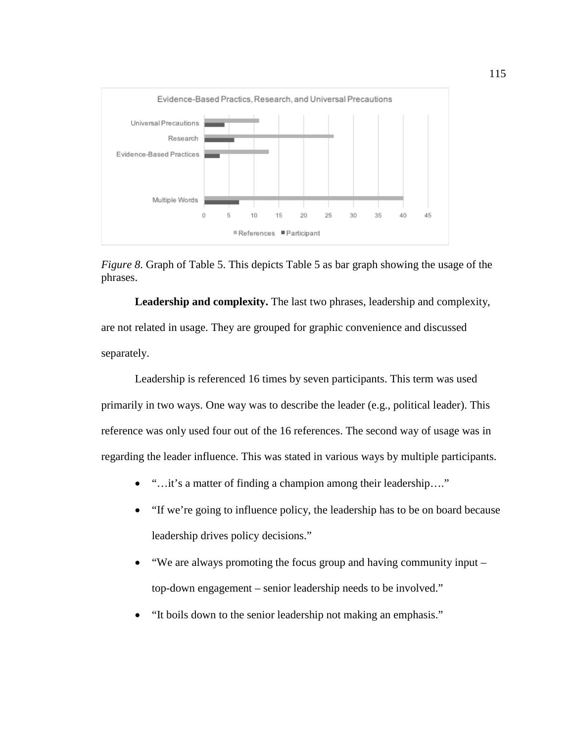



**Leadership and complexity.** The last two phrases, leadership and complexity, are not related in usage. They are grouped for graphic convenience and discussed separately.

Leadership is referenced 16 times by seven participants. This term was used primarily in two ways. One way was to describe the leader (e.g., political leader). This reference was only used four out of the 16 references. The second way of usage was in regarding the leader influence. This was stated in various ways by multiple participants.

- "…it's a matter of finding a champion among their leadership…."
- "If we're going to influence policy, the leadership has to be on board because leadership drives policy decisions."
- "We are always promoting the focus group and having community input top-down engagement – senior leadership needs to be involved."
- "It boils down to the senior leadership not making an emphasis."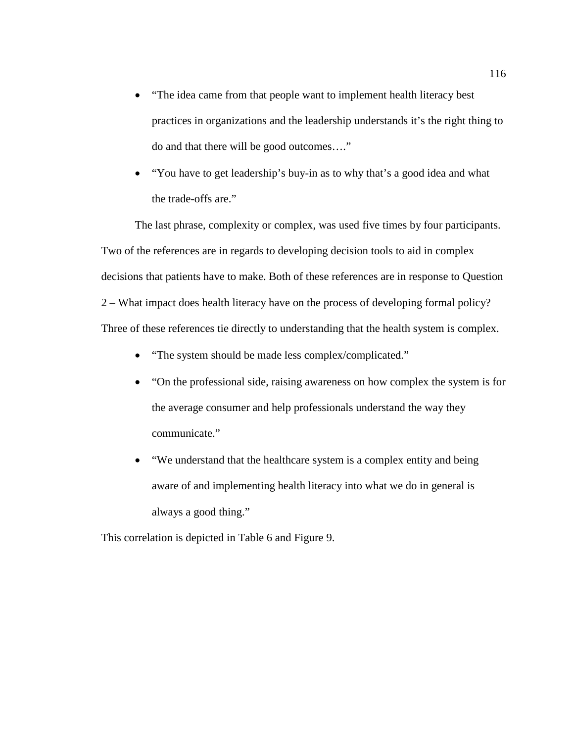- "The idea came from that people want to implement health literacy best practices in organizations and the leadership understands it's the right thing to do and that there will be good outcomes…."
- "You have to get leadership's buy-in as to why that's a good idea and what the trade-offs are."

The last phrase, complexity or complex, was used five times by four participants. Two of the references are in regards to developing decision tools to aid in complex decisions that patients have to make. Both of these references are in response to Question 2 – What impact does health literacy have on the process of developing formal policy? Three of these references tie directly to understanding that the health system is complex.

- "The system should be made less complex/complicated."
- "On the professional side, raising awareness on how complex the system is for the average consumer and help professionals understand the way they communicate."
- "We understand that the healthcare system is a complex entity and being aware of and implementing health literacy into what we do in general is always a good thing."

This correlation is depicted in Table 6 and Figure 9.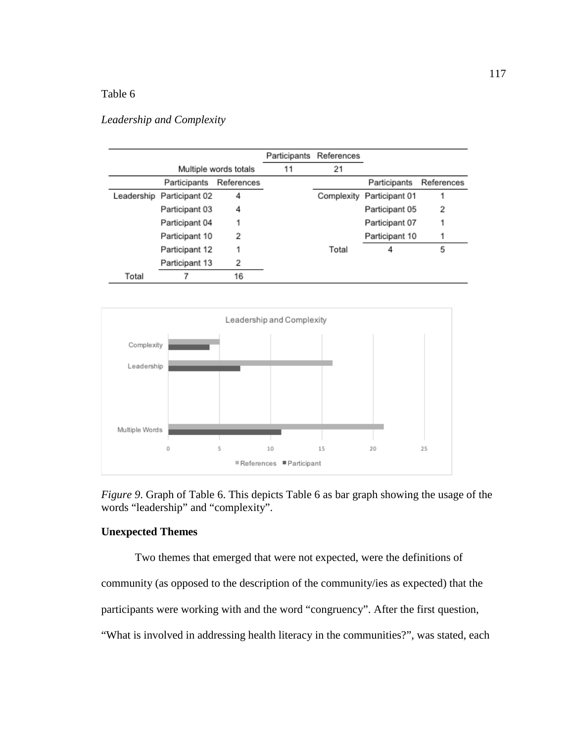# Table 6

## *Leadership and Complexity*

|       |                            |                       |    | Participants References |                |            |
|-------|----------------------------|-----------------------|----|-------------------------|----------------|------------|
|       |                            | Multiple words totals | 11 | 21                      |                |            |
|       | References<br>Participants |                       |    |                         | Participants   | References |
|       | Leadership Participant 02  | 4                     |    | Complexity              | Participant 01 |            |
|       | Participant 03             | 4                     |    |                         | Participant 05 | 2          |
|       | Participant 04             |                       |    |                         | Participant 07 |            |
|       | Participant 10             | 2                     |    |                         | Participant 10 |            |
|       | Participant 12             | 1                     |    | Total                   | 4              | 5          |
|       | Participant 13             | 2                     |    |                         |                |            |
| Total |                            | 16                    |    |                         |                |            |



*Figure 9*. Graph of Table 6. This depicts Table 6 as bar graph showing the usage of the words "leadership" and "complexity".

# **Unexpected Themes**

Two themes that emerged that were not expected, were the definitions of community (as opposed to the description of the community/ies as expected) that the participants were working with and the word "congruency". After the first question, "What is involved in addressing health literacy in the communities?", was stated, each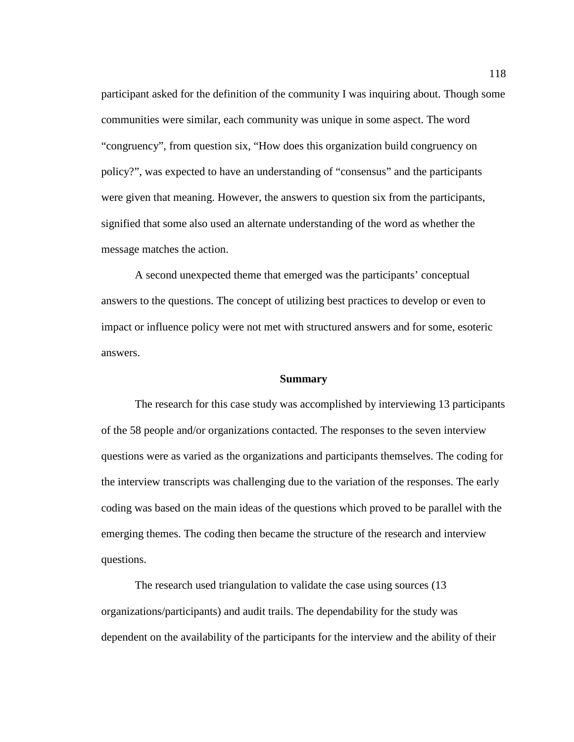participant asked for the definition of the community I was inquiring about. Though some communities were similar, each community was unique in some aspect. The word "congruency", from question six, "How does this organization build congruency on policy?", was expected to have an understanding of "consensus" and the participants were given that meaning. However, the answers to question six from the participants, signified that some also used an alternate understanding of the word as whether the message matches the action.

A second unexpected theme that emerged was the participants' conceptual answers to the questions. The concept of utilizing best practices to develop or even to impact or influence policy were not met with structured answers and for some, esoteric answers.

#### **Summary**

The research for this case study was accomplished by interviewing 13 participants of the 58 people and/or organizations contacted. The responses to the seven interview questions were as varied as the organizations and participants themselves. The coding for the interview transcripts was challenging due to the variation of the responses. The early coding was based on the main ideas of the questions which proved to be parallel with the emerging themes. The coding then became the structure of the research and interview questions.

The research used triangulation to validate the case using sources (13 organizations/participants) and audit trails. The dependability for the study was dependent on the availability of the participants for the interview and the ability of their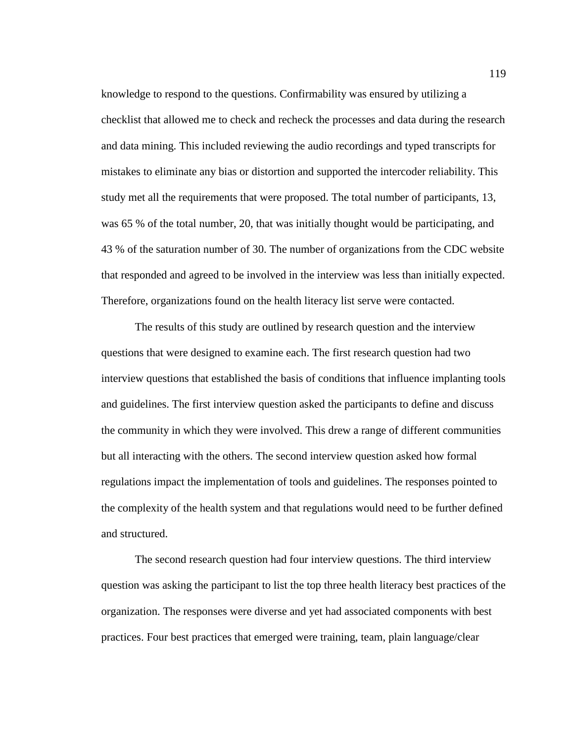knowledge to respond to the questions. Confirmability was ensured by utilizing a checklist that allowed me to check and recheck the processes and data during the research and data mining. This included reviewing the audio recordings and typed transcripts for mistakes to eliminate any bias or distortion and supported the intercoder reliability. This study met all the requirements that were proposed. The total number of participants, 13, was 65 % of the total number, 20, that was initially thought would be participating, and 43 % of the saturation number of 30. The number of organizations from the CDC website that responded and agreed to be involved in the interview was less than initially expected. Therefore, organizations found on the health literacy list serve were contacted.

The results of this study are outlined by research question and the interview questions that were designed to examine each. The first research question had two interview questions that established the basis of conditions that influence implanting tools and guidelines. The first interview question asked the participants to define and discuss the community in which they were involved. This drew a range of different communities but all interacting with the others. The second interview question asked how formal regulations impact the implementation of tools and guidelines. The responses pointed to the complexity of the health system and that regulations would need to be further defined and structured.

The second research question had four interview questions. The third interview question was asking the participant to list the top three health literacy best practices of the organization. The responses were diverse and yet had associated components with best practices. Four best practices that emerged were training, team, plain language/clear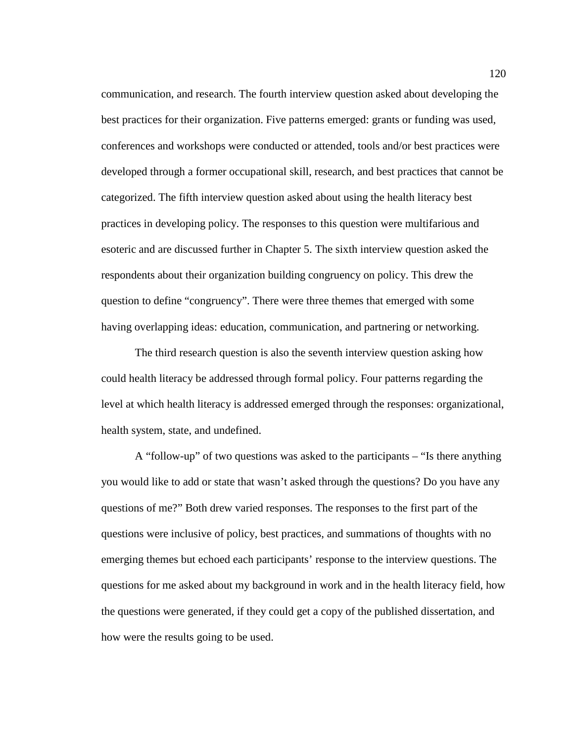communication, and research. The fourth interview question asked about developing the best practices for their organization. Five patterns emerged: grants or funding was used, conferences and workshops were conducted or attended, tools and/or best practices were developed through a former occupational skill, research, and best practices that cannot be categorized. The fifth interview question asked about using the health literacy best practices in developing policy. The responses to this question were multifarious and esoteric and are discussed further in Chapter 5. The sixth interview question asked the respondents about their organization building congruency on policy. This drew the question to define "congruency". There were three themes that emerged with some having overlapping ideas: education, communication, and partnering or networking.

The third research question is also the seventh interview question asking how could health literacy be addressed through formal policy. Four patterns regarding the level at which health literacy is addressed emerged through the responses: organizational, health system, state, and undefined.

A "follow-up" of two questions was asked to the participants – "Is there anything you would like to add or state that wasn't asked through the questions? Do you have any questions of me?" Both drew varied responses. The responses to the first part of the questions were inclusive of policy, best practices, and summations of thoughts with no emerging themes but echoed each participants' response to the interview questions. The questions for me asked about my background in work and in the health literacy field, how the questions were generated, if they could get a copy of the published dissertation, and how were the results going to be used.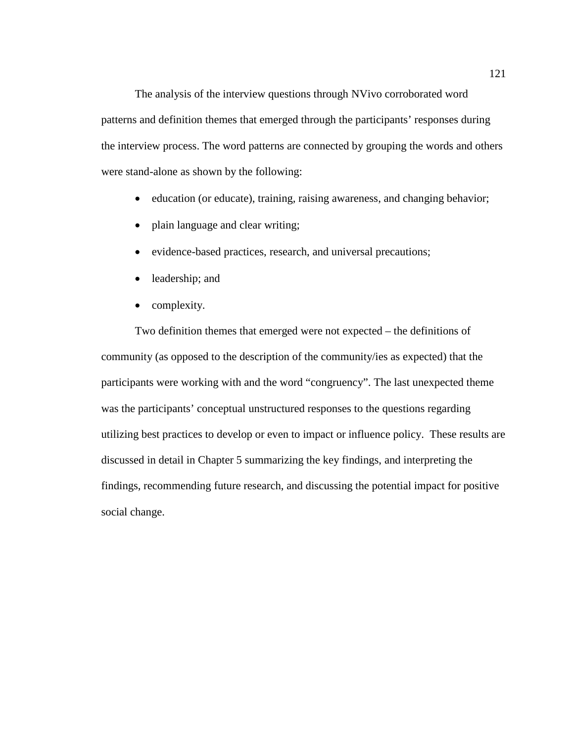The analysis of the interview questions through NVivo corroborated word patterns and definition themes that emerged through the participants' responses during the interview process. The word patterns are connected by grouping the words and others were stand-alone as shown by the following:

- education (or educate), training, raising awareness, and changing behavior;
- plain language and clear writing;
- evidence-based practices, research, and universal precautions;
- leadership; and
- complexity.

Two definition themes that emerged were not expected – the definitions of community (as opposed to the description of the community/ies as expected) that the participants were working with and the word "congruency". The last unexpected theme was the participants' conceptual unstructured responses to the questions regarding utilizing best practices to develop or even to impact or influence policy. These results are discussed in detail in Chapter 5 summarizing the key findings, and interpreting the findings, recommending future research, and discussing the potential impact for positive social change.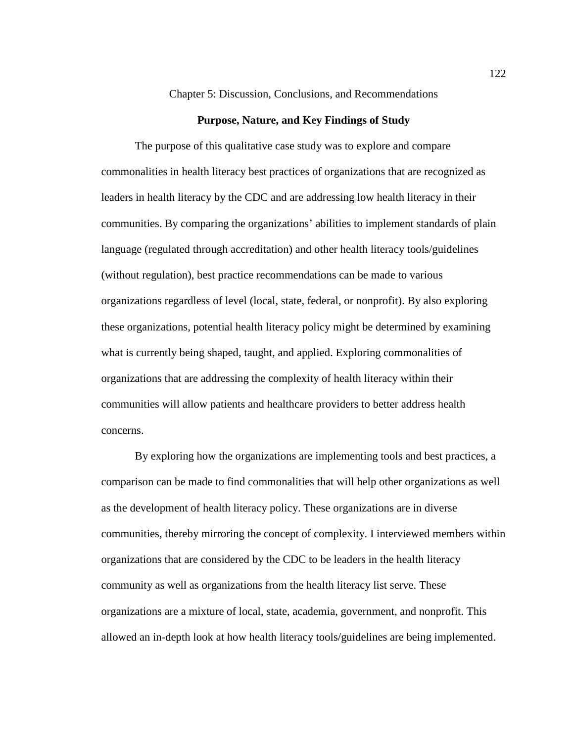#### Chapter 5: Discussion, Conclusions, and Recommendations

#### **Purpose, Nature, and Key Findings of Study**

The purpose of this qualitative case study was to explore and compare commonalities in health literacy best practices of organizations that are recognized as leaders in health literacy by the CDC and are addressing low health literacy in their communities. By comparing the organizations' abilities to implement standards of plain language (regulated through accreditation) and other health literacy tools/guidelines (without regulation), best practice recommendations can be made to various organizations regardless of level (local, state, federal, or nonprofit). By also exploring these organizations, potential health literacy policy might be determined by examining what is currently being shaped, taught, and applied. Exploring commonalities of organizations that are addressing the complexity of health literacy within their communities will allow patients and healthcare providers to better address health concerns.

By exploring how the organizations are implementing tools and best practices, a comparison can be made to find commonalities that will help other organizations as well as the development of health literacy policy. These organizations are in diverse communities, thereby mirroring the concept of complexity. I interviewed members within organizations that are considered by the CDC to be leaders in the health literacy community as well as organizations from the health literacy list serve. These organizations are a mixture of local, state, academia, government, and nonprofit. This allowed an in-depth look at how health literacy tools/guidelines are being implemented.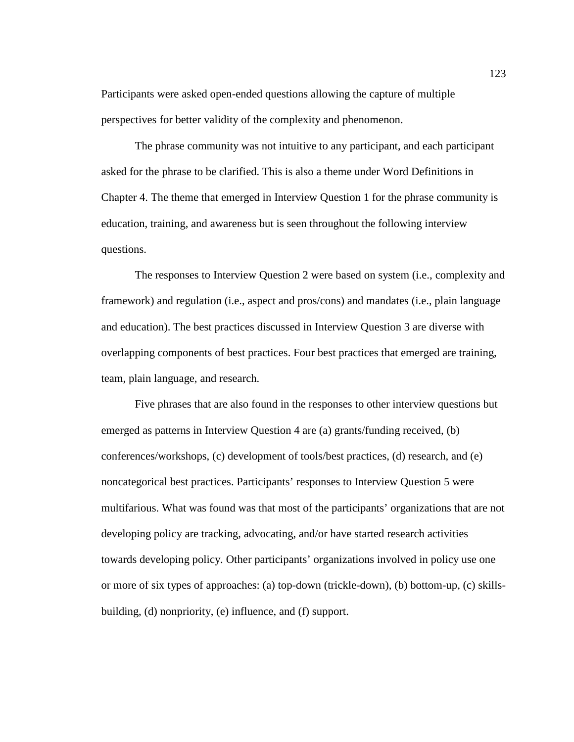Participants were asked open-ended questions allowing the capture of multiple perspectives for better validity of the complexity and phenomenon.

The phrase community was not intuitive to any participant, and each participant asked for the phrase to be clarified. This is also a theme under Word Definitions in Chapter 4. The theme that emerged in Interview Question 1 for the phrase community is education, training, and awareness but is seen throughout the following interview questions.

The responses to Interview Question 2 were based on system (i.e., complexity and framework) and regulation (i.e., aspect and pros/cons) and mandates (i.e., plain language and education). The best practices discussed in Interview Question 3 are diverse with overlapping components of best practices. Four best practices that emerged are training, team, plain language, and research.

Five phrases that are also found in the responses to other interview questions but emerged as patterns in Interview Question 4 are (a) grants/funding received, (b) conferences/workshops, (c) development of tools/best practices, (d) research, and (e) noncategorical best practices. Participants' responses to Interview Question 5 were multifarious. What was found was that most of the participants' organizations that are not developing policy are tracking, advocating, and/or have started research activities towards developing policy. Other participants' organizations involved in policy use one or more of six types of approaches: (a) top-down (trickle-down), (b) bottom-up, (c) skillsbuilding, (d) nonpriority, (e) influence, and (f) support.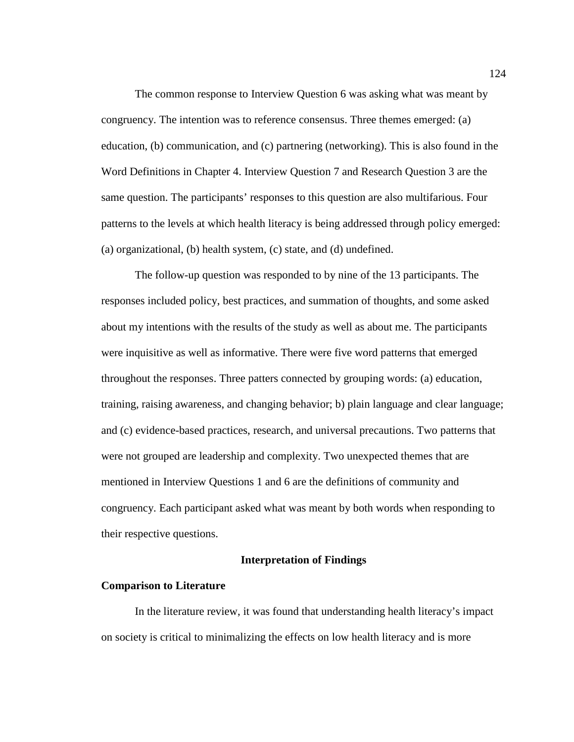The common response to Interview Question 6 was asking what was meant by congruency. The intention was to reference consensus. Three themes emerged: (a) education, (b) communication, and (c) partnering (networking). This is also found in the Word Definitions in Chapter 4. Interview Question 7 and Research Question 3 are the same question. The participants' responses to this question are also multifarious. Four patterns to the levels at which health literacy is being addressed through policy emerged: (a) organizational, (b) health system, (c) state, and (d) undefined.

The follow-up question was responded to by nine of the 13 participants. The responses included policy, best practices, and summation of thoughts, and some asked about my intentions with the results of the study as well as about me. The participants were inquisitive as well as informative. There were five word patterns that emerged throughout the responses. Three patters connected by grouping words: (a) education, training, raising awareness, and changing behavior; b) plain language and clear language; and (c) evidence-based practices, research, and universal precautions. Two patterns that were not grouped are leadership and complexity. Two unexpected themes that are mentioned in Interview Questions 1 and 6 are the definitions of community and congruency. Each participant asked what was meant by both words when responding to their respective questions.

### **Interpretation of Findings**

#### **Comparison to Literature**

In the literature review, it was found that understanding health literacy's impact on society is critical to minimalizing the effects on low health literacy and is more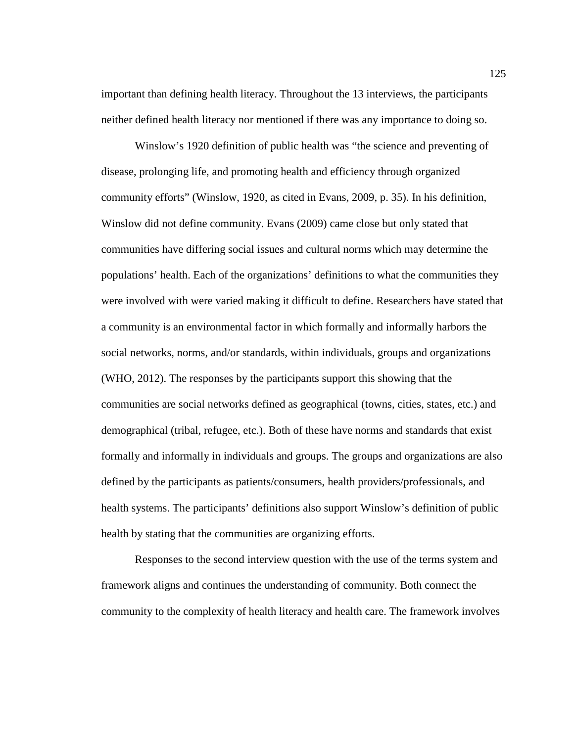important than defining health literacy. Throughout the 13 interviews, the participants neither defined health literacy nor mentioned if there was any importance to doing so.

Winslow's 1920 definition of public health was "the science and preventing of disease, prolonging life, and promoting health and efficiency through organized community efforts" (Winslow, 1920, as cited in Evans, 2009, p. 35). In his definition, Winslow did not define community. Evans (2009) came close but only stated that communities have differing social issues and cultural norms which may determine the populations' health. Each of the organizations' definitions to what the communities they were involved with were varied making it difficult to define. Researchers have stated that a community is an environmental factor in which formally and informally harbors the social networks, norms, and/or standards, within individuals, groups and organizations (WHO, 2012). The responses by the participants support this showing that the communities are social networks defined as geographical (towns, cities, states, etc.) and demographical (tribal, refugee, etc.). Both of these have norms and standards that exist formally and informally in individuals and groups. The groups and organizations are also defined by the participants as patients/consumers, health providers/professionals, and health systems. The participants' definitions also support Winslow's definition of public health by stating that the communities are organizing efforts.

Responses to the second interview question with the use of the terms system and framework aligns and continues the understanding of community. Both connect the community to the complexity of health literacy and health care. The framework involves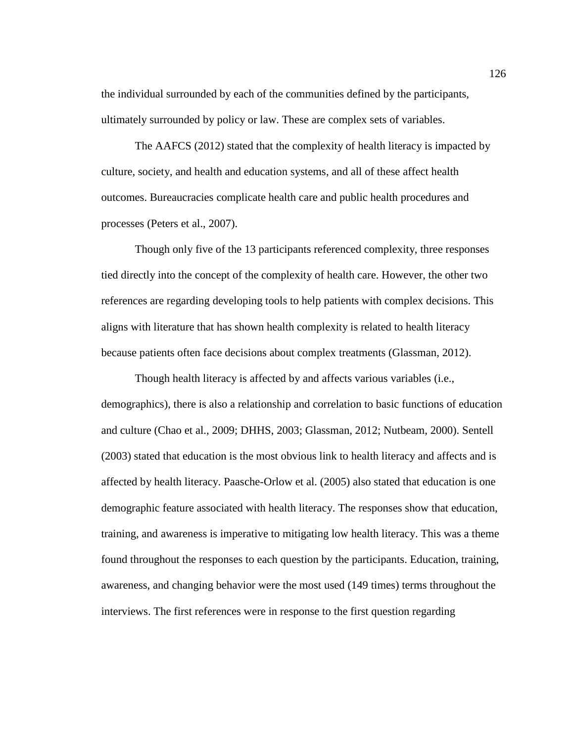the individual surrounded by each of the communities defined by the participants, ultimately surrounded by policy or law. These are complex sets of variables.

The AAFCS (2012) stated that the complexity of health literacy is impacted by culture, society, and health and education systems, and all of these affect health outcomes. Bureaucracies complicate health care and public health procedures and processes (Peters et al., 2007).

Though only five of the 13 participants referenced complexity, three responses tied directly into the concept of the complexity of health care. However, the other two references are regarding developing tools to help patients with complex decisions. This aligns with literature that has shown health complexity is related to health literacy because patients often face decisions about complex treatments (Glassman, 2012).

Though health literacy is affected by and affects various variables (i.e., demographics), there is also a relationship and correlation to basic functions of education and culture (Chao et al., 2009; DHHS, 2003; Glassman, 2012; Nutbeam, 2000). Sentell (2003) stated that education is the most obvious link to health literacy and affects and is affected by health literacy. Paasche-Orlow et al. (2005) also stated that education is one demographic feature associated with health literacy. The responses show that education, training, and awareness is imperative to mitigating low health literacy. This was a theme found throughout the responses to each question by the participants. Education, training, awareness, and changing behavior were the most used (149 times) terms throughout the interviews. The first references were in response to the first question regarding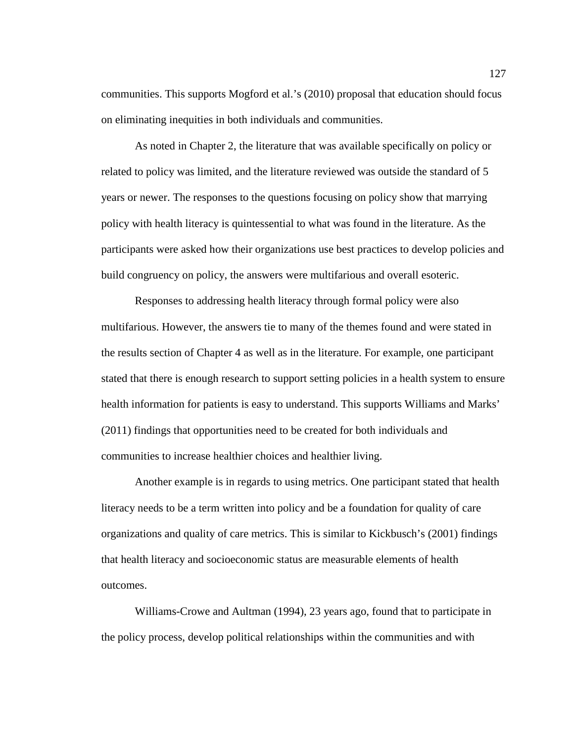communities. This supports Mogford et al.'s (2010) proposal that education should focus on eliminating inequities in both individuals and communities.

As noted in Chapter 2, the literature that was available specifically on policy or related to policy was limited, and the literature reviewed was outside the standard of 5 years or newer. The responses to the questions focusing on policy show that marrying policy with health literacy is quintessential to what was found in the literature. As the participants were asked how their organizations use best practices to develop policies and build congruency on policy, the answers were multifarious and overall esoteric.

Responses to addressing health literacy through formal policy were also multifarious. However, the answers tie to many of the themes found and were stated in the results section of Chapter 4 as well as in the literature. For example, one participant stated that there is enough research to support setting policies in a health system to ensure health information for patients is easy to understand. This supports Williams and Marks' (2011) findings that opportunities need to be created for both individuals and communities to increase healthier choices and healthier living.

Another example is in regards to using metrics. One participant stated that health literacy needs to be a term written into policy and be a foundation for quality of care organizations and quality of care metrics. This is similar to Kickbusch's (2001) findings that health literacy and socioeconomic status are measurable elements of health outcomes.

Williams-Crowe and Aultman (1994), 23 years ago, found that to participate in the policy process, develop political relationships within the communities and with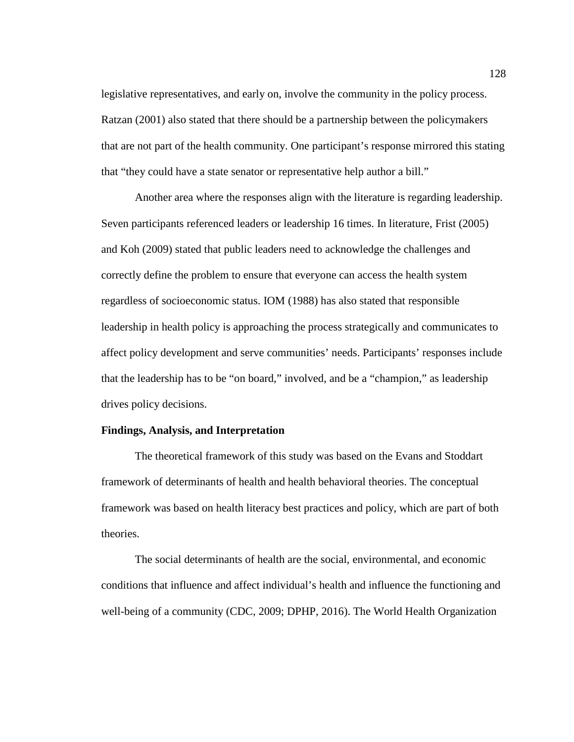legislative representatives, and early on, involve the community in the policy process. Ratzan (2001) also stated that there should be a partnership between the policymakers that are not part of the health community. One participant's response mirrored this stating that "they could have a state senator or representative help author a bill."

Another area where the responses align with the literature is regarding leadership. Seven participants referenced leaders or leadership 16 times. In literature, Frist (2005) and Koh (2009) stated that public leaders need to acknowledge the challenges and correctly define the problem to ensure that everyone can access the health system regardless of socioeconomic status. IOM (1988) has also stated that responsible leadership in health policy is approaching the process strategically and communicates to affect policy development and serve communities' needs. Participants' responses include that the leadership has to be "on board," involved, and be a "champion," as leadership drives policy decisions.

### **Findings, Analysis, and Interpretation**

The theoretical framework of this study was based on the Evans and Stoddart framework of determinants of health and health behavioral theories. The conceptual framework was based on health literacy best practices and policy, which are part of both theories.

The social determinants of health are the social, environmental, and economic conditions that influence and affect individual's health and influence the functioning and well-being of a community (CDC, 2009; DPHP, 2016). The World Health Organization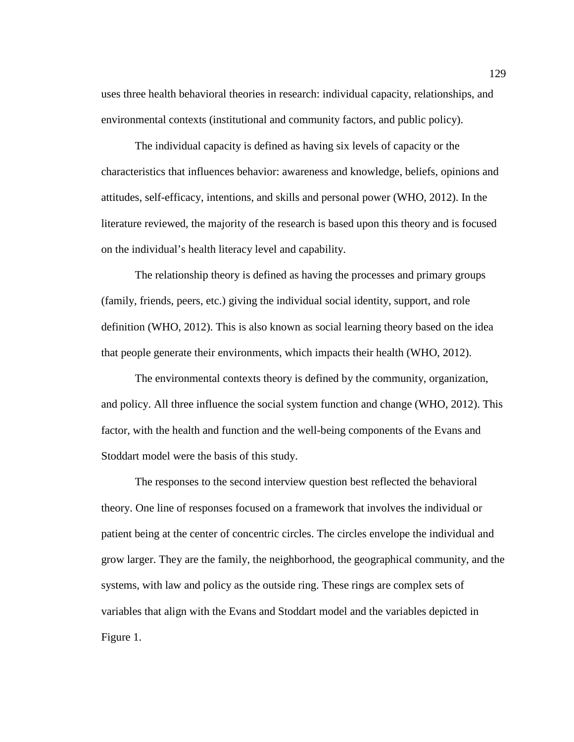uses three health behavioral theories in research: individual capacity, relationships, and environmental contexts (institutional and community factors, and public policy).

The individual capacity is defined as having six levels of capacity or the characteristics that influences behavior: awareness and knowledge, beliefs, opinions and attitudes, self-efficacy, intentions, and skills and personal power (WHO, 2012). In the literature reviewed, the majority of the research is based upon this theory and is focused on the individual's health literacy level and capability.

The relationship theory is defined as having the processes and primary groups (family, friends, peers, etc.) giving the individual social identity, support, and role definition (WHO, 2012). This is also known as social learning theory based on the idea that people generate their environments, which impacts their health (WHO, 2012).

The environmental contexts theory is defined by the community, organization, and policy. All three influence the social system function and change (WHO, 2012). This factor, with the health and function and the well-being components of the Evans and Stoddart model were the basis of this study.

The responses to the second interview question best reflected the behavioral theory. One line of responses focused on a framework that involves the individual or patient being at the center of concentric circles. The circles envelope the individual and grow larger. They are the family, the neighborhood, the geographical community, and the systems, with law and policy as the outside ring. These rings are complex sets of variables that align with the Evans and Stoddart model and the variables depicted in Figure 1.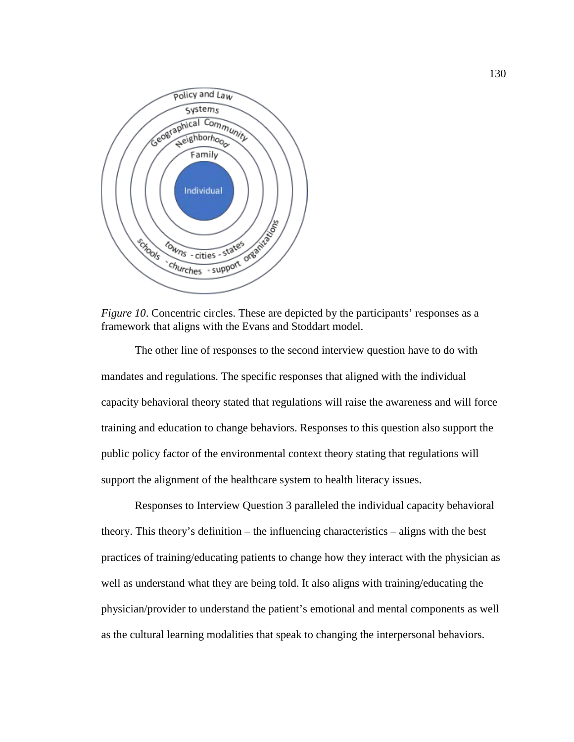

*Figure 10.* Concentric circles. These are depicted by the participants' responses as a framework that aligns with the Evans and Stoddart model.

The other line of responses to the second interview question have to do with mandates and regulations. The specific responses that aligned with the individual capacity behavioral theory stated that regulations will raise the awareness and will force training and education to change behaviors. Responses to this question also support the public policy factor of the environmental context theory stating that regulations will support the alignment of the healthcare system to health literacy issues.

Responses to Interview Question 3 paralleled the individual capacity behavioral theory. This theory's definition – the influencing characteristics – aligns with the best practices of training/educating patients to change how they interact with the physician as well as understand what they are being told. It also aligns with training/educating the physician/provider to understand the patient's emotional and mental components as well as the cultural learning modalities that speak to changing the interpersonal behaviors.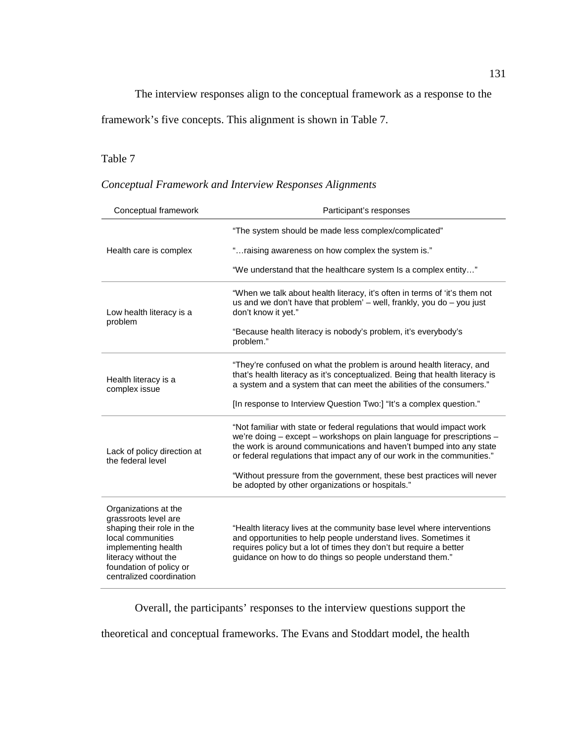The interview responses align to the conceptual framework as a response to the

framework's five concepts. This alignment is shown in Table 7.

# Table 7

# *Conceptual Framework and Interview Responses Alignments*

| Conceptual framework                                                                                                                                                                                 | Participant's responses                                                                                                                                                                                                                                                                            |  |  |  |  |  |
|------------------------------------------------------------------------------------------------------------------------------------------------------------------------------------------------------|----------------------------------------------------------------------------------------------------------------------------------------------------------------------------------------------------------------------------------------------------------------------------------------------------|--|--|--|--|--|
|                                                                                                                                                                                                      | "The system should be made less complex/complicated"                                                                                                                                                                                                                                               |  |  |  |  |  |
| Health care is complex                                                                                                                                                                               | "raising awareness on how complex the system is."                                                                                                                                                                                                                                                  |  |  |  |  |  |
|                                                                                                                                                                                                      | "We understand that the healthcare system Is a complex entity"                                                                                                                                                                                                                                     |  |  |  |  |  |
| Low health literacy is a<br>problem                                                                                                                                                                  | "When we talk about health literacy, it's often in terms of 'it's them not<br>us and we don't have that problem' $-$ well, frankly, you do $-$ you just<br>don't know it yet."                                                                                                                     |  |  |  |  |  |
|                                                                                                                                                                                                      | "Because health literacy is nobody's problem, it's everybody's<br>problem."                                                                                                                                                                                                                        |  |  |  |  |  |
| Health literacy is a<br>complex issue                                                                                                                                                                | "They're confused on what the problem is around health literacy, and<br>that's health literacy as it's conceptualized. Being that health literacy is<br>a system and a system that can meet the abilities of the consumers."                                                                       |  |  |  |  |  |
|                                                                                                                                                                                                      | [In response to Interview Question Two:] "It's a complex question."                                                                                                                                                                                                                                |  |  |  |  |  |
| Lack of policy direction at<br>the federal level                                                                                                                                                     | "Not familiar with state or federal regulations that would impact work<br>we're doing - except - workshops on plain language for prescriptions -<br>the work is around communications and haven't bumped into any state<br>or federal regulations that impact any of our work in the communities." |  |  |  |  |  |
|                                                                                                                                                                                                      | "Without pressure from the government, these best practices will never<br>be adopted by other organizations or hospitals."                                                                                                                                                                         |  |  |  |  |  |
| Organizations at the<br>grassroots level are<br>shaping their role in the<br>local communities<br>implementing health<br>literacy without the<br>foundation of policy or<br>centralized coordination | "Health literacy lives at the community base level where interventions<br>and opportunities to help people understand lives. Sometimes it<br>requires policy but a lot of times they don't but require a better<br>guidance on how to do things so people understand them."                        |  |  |  |  |  |

Overall, the participants' responses to the interview questions support the

theoretical and conceptual frameworks. The Evans and Stoddart model, the health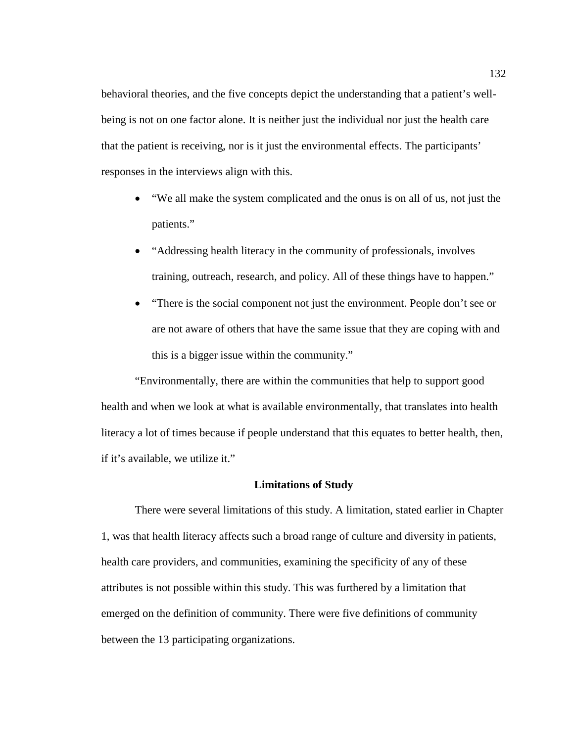behavioral theories, and the five concepts depict the understanding that a patient's wellbeing is not on one factor alone. It is neither just the individual nor just the health care that the patient is receiving, nor is it just the environmental effects. The participants' responses in the interviews align with this.

- "We all make the system complicated and the onus is on all of us, not just the patients."
- "Addressing health literacy in the community of professionals, involves training, outreach, research, and policy. All of these things have to happen."
- "There is the social component not just the environment. People don't see or are not aware of others that have the same issue that they are coping with and this is a bigger issue within the community."

"Environmentally, there are within the communities that help to support good health and when we look at what is available environmentally, that translates into health literacy a lot of times because if people understand that this equates to better health, then, if it's available, we utilize it."

# **Limitations of Study**

There were several limitations of this study. A limitation, stated earlier in Chapter 1, was that health literacy affects such a broad range of culture and diversity in patients, health care providers, and communities, examining the specificity of any of these attributes is not possible within this study. This was furthered by a limitation that emerged on the definition of community. There were five definitions of community between the 13 participating organizations.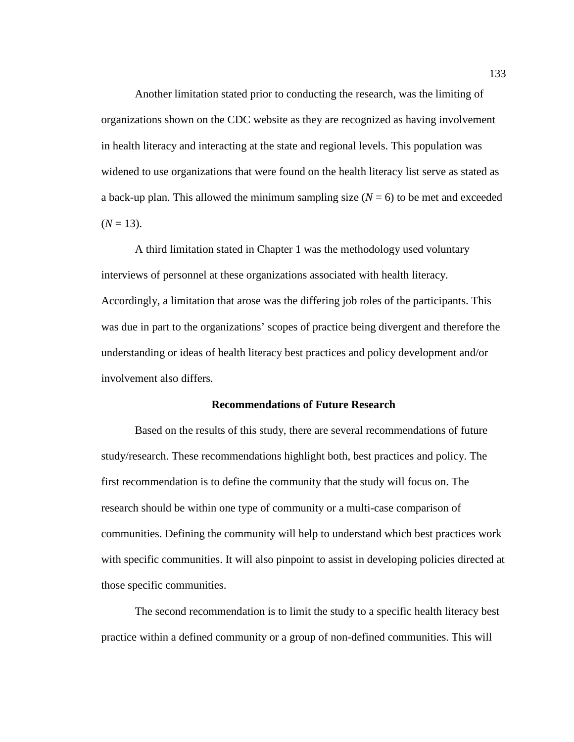Another limitation stated prior to conducting the research, was the limiting of organizations shown on the CDC website as they are recognized as having involvement in health literacy and interacting at the state and regional levels. This population was widened to use organizations that were found on the health literacy list serve as stated as a back-up plan. This allowed the minimum sampling size  $(N = 6)$  to be met and exceeded  $(N = 13)$ .

A third limitation stated in Chapter 1 was the methodology used voluntary interviews of personnel at these organizations associated with health literacy. Accordingly, a limitation that arose was the differing job roles of the participants. This was due in part to the organizations' scopes of practice being divergent and therefore the understanding or ideas of health literacy best practices and policy development and/or involvement also differs.

## **Recommendations of Future Research**

Based on the results of this study, there are several recommendations of future study/research. These recommendations highlight both, best practices and policy. The first recommendation is to define the community that the study will focus on. The research should be within one type of community or a multi-case comparison of communities. Defining the community will help to understand which best practices work with specific communities. It will also pinpoint to assist in developing policies directed at those specific communities.

The second recommendation is to limit the study to a specific health literacy best practice within a defined community or a group of non-defined communities. This will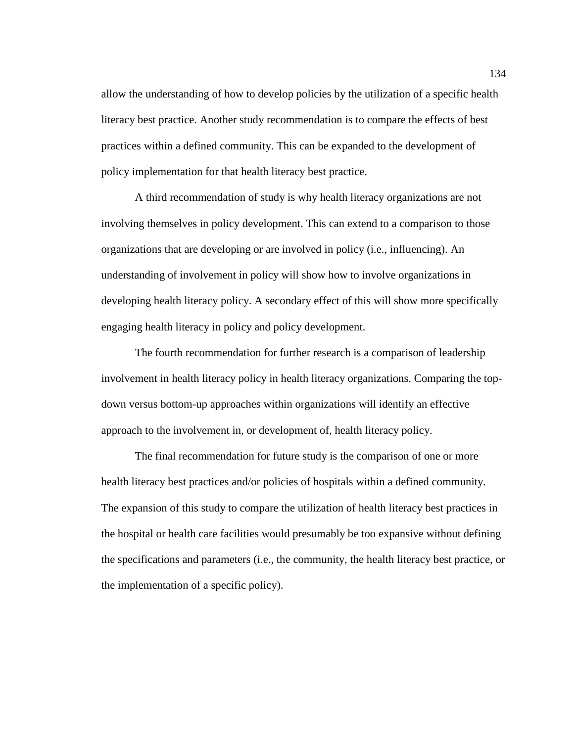allow the understanding of how to develop policies by the utilization of a specific health literacy best practice. Another study recommendation is to compare the effects of best practices within a defined community. This can be expanded to the development of policy implementation for that health literacy best practice.

A third recommendation of study is why health literacy organizations are not involving themselves in policy development. This can extend to a comparison to those organizations that are developing or are involved in policy (i.e., influencing). An understanding of involvement in policy will show how to involve organizations in developing health literacy policy. A secondary effect of this will show more specifically engaging health literacy in policy and policy development.

The fourth recommendation for further research is a comparison of leadership involvement in health literacy policy in health literacy organizations. Comparing the topdown versus bottom-up approaches within organizations will identify an effective approach to the involvement in, or development of, health literacy policy.

The final recommendation for future study is the comparison of one or more health literacy best practices and/or policies of hospitals within a defined community. The expansion of this study to compare the utilization of health literacy best practices in the hospital or health care facilities would presumably be too expansive without defining the specifications and parameters (i.e., the community, the health literacy best practice, or the implementation of a specific policy).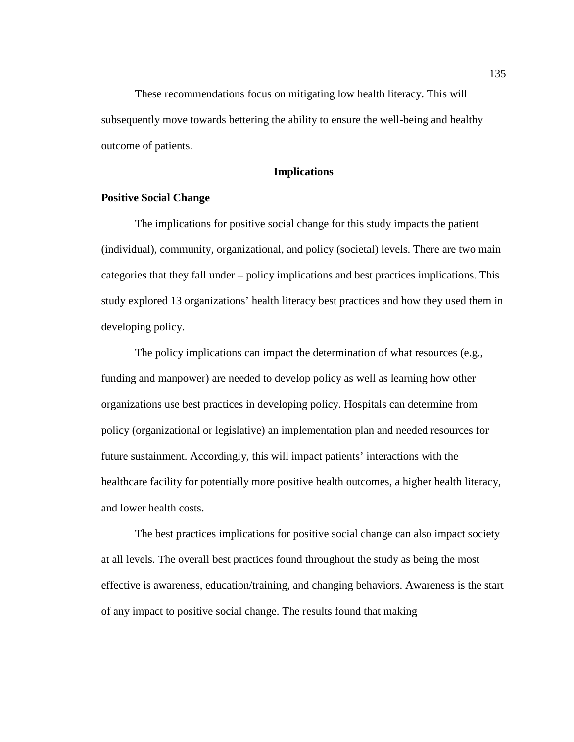These recommendations focus on mitigating low health literacy. This will subsequently move towards bettering the ability to ensure the well-being and healthy outcome of patients.

# **Implications**

# **Positive Social Change**

The implications for positive social change for this study impacts the patient (individual), community, organizational, and policy (societal) levels. There are two main categories that they fall under – policy implications and best practices implications. This study explored 13 organizations' health literacy best practices and how they used them in developing policy.

The policy implications can impact the determination of what resources (e.g., funding and manpower) are needed to develop policy as well as learning how other organizations use best practices in developing policy. Hospitals can determine from policy (organizational or legislative) an implementation plan and needed resources for future sustainment. Accordingly, this will impact patients' interactions with the healthcare facility for potentially more positive health outcomes, a higher health literacy, and lower health costs.

The best practices implications for positive social change can also impact society at all levels. The overall best practices found throughout the study as being the most effective is awareness, education/training, and changing behaviors. Awareness is the start of any impact to positive social change. The results found that making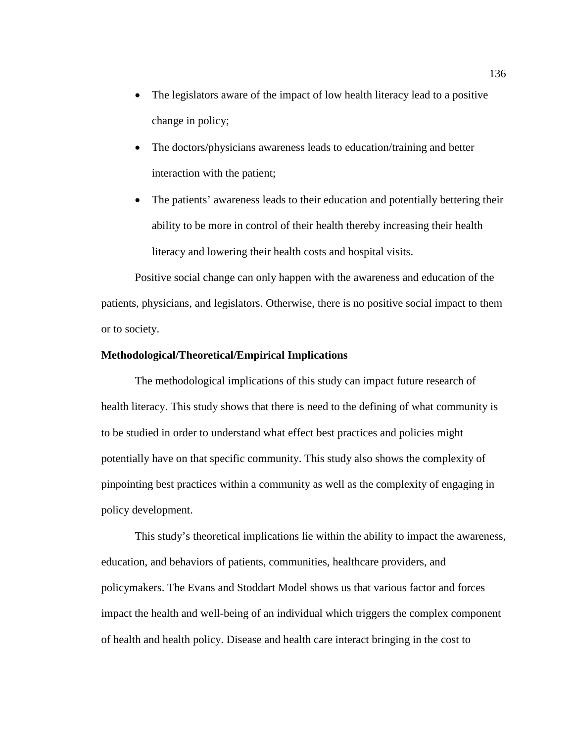- The legislators aware of the impact of low health literacy lead to a positive change in policy;
- The doctors/physicians awareness leads to education/training and better interaction with the patient;
- The patients' awareness leads to their education and potentially bettering their ability to be more in control of their health thereby increasing their health literacy and lowering their health costs and hospital visits.

Positive social change can only happen with the awareness and education of the patients, physicians, and legislators. Otherwise, there is no positive social impact to them or to society.

# **Methodological/Theoretical/Empirical Implications**

The methodological implications of this study can impact future research of health literacy. This study shows that there is need to the defining of what community is to be studied in order to understand what effect best practices and policies might potentially have on that specific community. This study also shows the complexity of pinpointing best practices within a community as well as the complexity of engaging in policy development.

This study's theoretical implications lie within the ability to impact the awareness, education, and behaviors of patients, communities, healthcare providers, and policymakers. The Evans and Stoddart Model shows us that various factor and forces impact the health and well-being of an individual which triggers the complex component of health and health policy. Disease and health care interact bringing in the cost to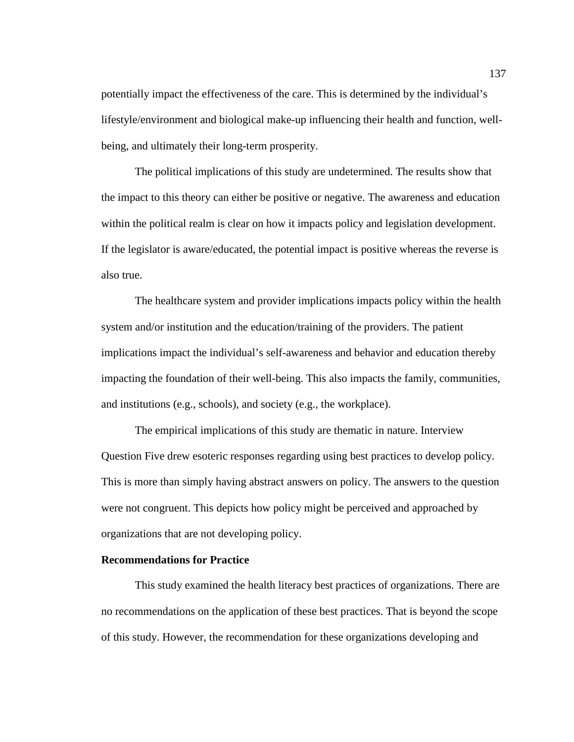potentially impact the effectiveness of the care. This is determined by the individual's lifestyle/environment and biological make-up influencing their health and function, wellbeing, and ultimately their long-term prosperity.

The political implications of this study are undetermined. The results show that the impact to this theory can either be positive or negative. The awareness and education within the political realm is clear on how it impacts policy and legislation development. If the legislator is aware/educated, the potential impact is positive whereas the reverse is also true.

The healthcare system and provider implications impacts policy within the health system and/or institution and the education/training of the providers. The patient implications impact the individual's self-awareness and behavior and education thereby impacting the foundation of their well-being. This also impacts the family, communities, and institutions (e.g., schools), and society (e.g., the workplace).

The empirical implications of this study are thematic in nature. Interview Question Five drew esoteric responses regarding using best practices to develop policy. This is more than simply having abstract answers on policy. The answers to the question were not congruent. This depicts how policy might be perceived and approached by organizations that are not developing policy.

# **Recommendations for Practice**

This study examined the health literacy best practices of organizations. There are no recommendations on the application of these best practices. That is beyond the scope of this study. However, the recommendation for these organizations developing and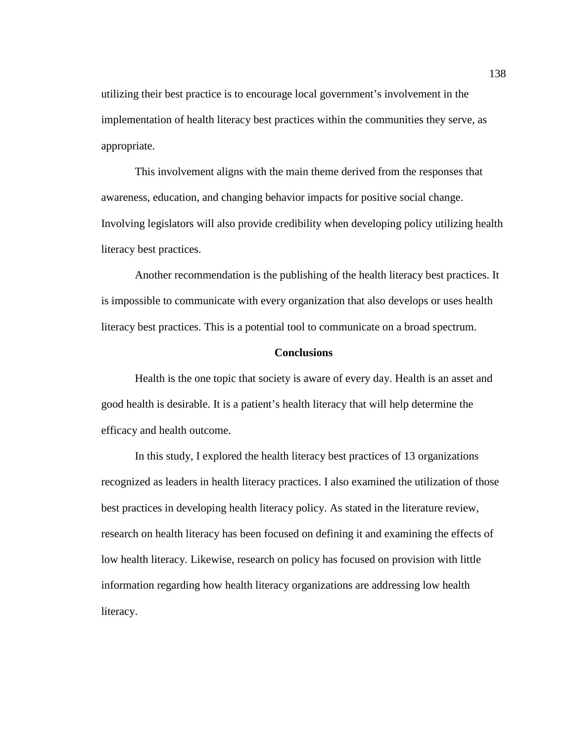utilizing their best practice is to encourage local government's involvement in the implementation of health literacy best practices within the communities they serve, as appropriate.

This involvement aligns with the main theme derived from the responses that awareness, education, and changing behavior impacts for positive social change. Involving legislators will also provide credibility when developing policy utilizing health literacy best practices.

Another recommendation is the publishing of the health literacy best practices. It is impossible to communicate with every organization that also develops or uses health literacy best practices. This is a potential tool to communicate on a broad spectrum.

## **Conclusions**

Health is the one topic that society is aware of every day. Health is an asset and good health is desirable. It is a patient's health literacy that will help determine the efficacy and health outcome.

In this study, I explored the health literacy best practices of 13 organizations recognized as leaders in health literacy practices. I also examined the utilization of those best practices in developing health literacy policy. As stated in the literature review, research on health literacy has been focused on defining it and examining the effects of low health literacy. Likewise, research on policy has focused on provision with little information regarding how health literacy organizations are addressing low health literacy.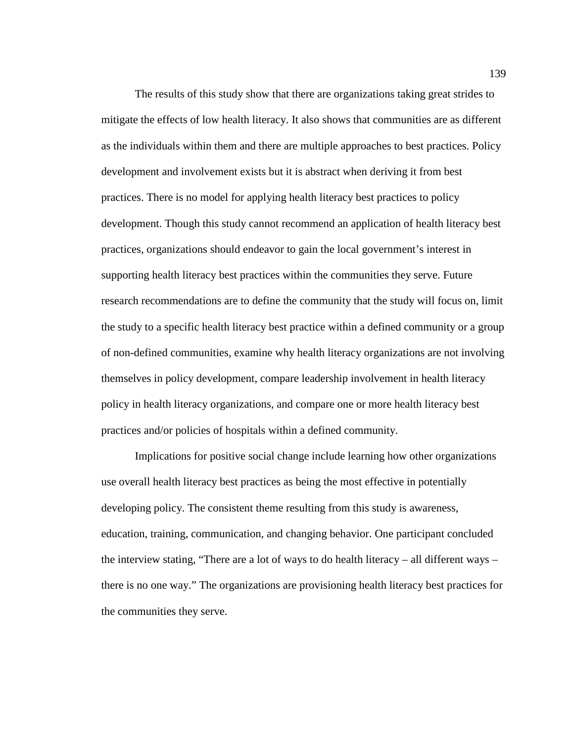The results of this study show that there are organizations taking great strides to mitigate the effects of low health literacy. It also shows that communities are as different as the individuals within them and there are multiple approaches to best practices. Policy development and involvement exists but it is abstract when deriving it from best practices. There is no model for applying health literacy best practices to policy development. Though this study cannot recommend an application of health literacy best practices, organizations should endeavor to gain the local government's interest in supporting health literacy best practices within the communities they serve. Future research recommendations are to define the community that the study will focus on, limit the study to a specific health literacy best practice within a defined community or a group of non-defined communities, examine why health literacy organizations are not involving themselves in policy development, compare leadership involvement in health literacy policy in health literacy organizations, and compare one or more health literacy best practices and/or policies of hospitals within a defined community.

Implications for positive social change include learning how other organizations use overall health literacy best practices as being the most effective in potentially developing policy. The consistent theme resulting from this study is awareness, education, training, communication, and changing behavior. One participant concluded the interview stating, "There are a lot of ways to do health literacy – all different ways – there is no one way." The organizations are provisioning health literacy best practices for the communities they serve.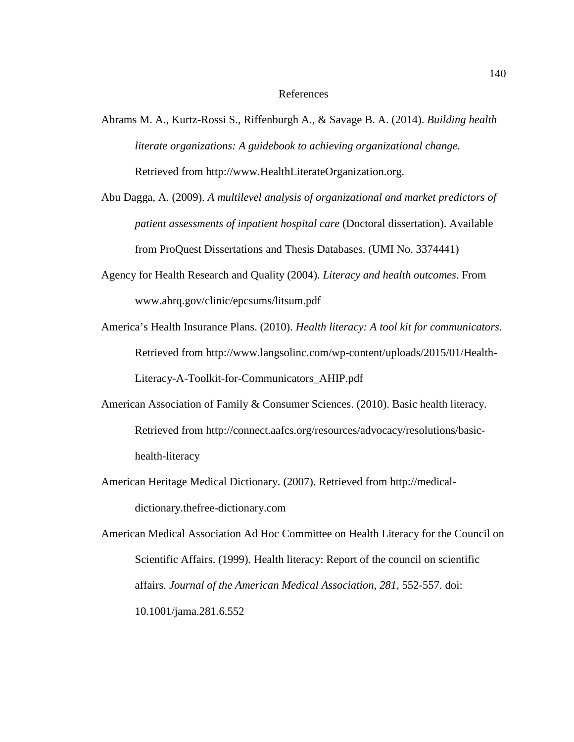#### References

- Abrams M. A., Kurtz-Rossi S., Riffenburgh A., & Savage B. A. (2014). *Building health literate organizations: A guidebook to achieving organizational change.* Retrieved from http://www.HealthLiterateOrganization.org.
- Abu Dagga, A. (2009). *A multilevel analysis of organizational and market predictors of patient assessments of inpatient hospital care* (Doctoral dissertation). Available from ProQuest Dissertations and Thesis Databases. (UMI No. 3374441)
- Agency for Health Research and Quality (2004). *Literacy and health outcomes*. From www.ahrq.gov/clinic/epcsums/litsum.pdf
- America's Health Insurance Plans. (2010). *Health literacy: A tool kit for communicators.* Retrieved from http://www.langsolinc.com/wp-content/uploads/2015/01/Health-Literacy-A-Toolkit-for-Communicators\_AHIP.pdf
- American Association of Family & Consumer Sciences. (2010). Basic health literacy. Retrieved from http://connect.aafcs.org/resources/advocacy/resolutions/basichealth-literacy
- American Heritage Medical Dictionary. (2007). Retrieved from http://medicaldictionary.thefree-dictionary.com
- American Medical Association Ad Hoc Committee on Health Literacy for the Council on Scientific Affairs. (1999). Health literacy: Report of the council on scientific affairs. *Journal of the American Medical Association*, *281*, 552-557. doi: 10.1001/jama.281.6.552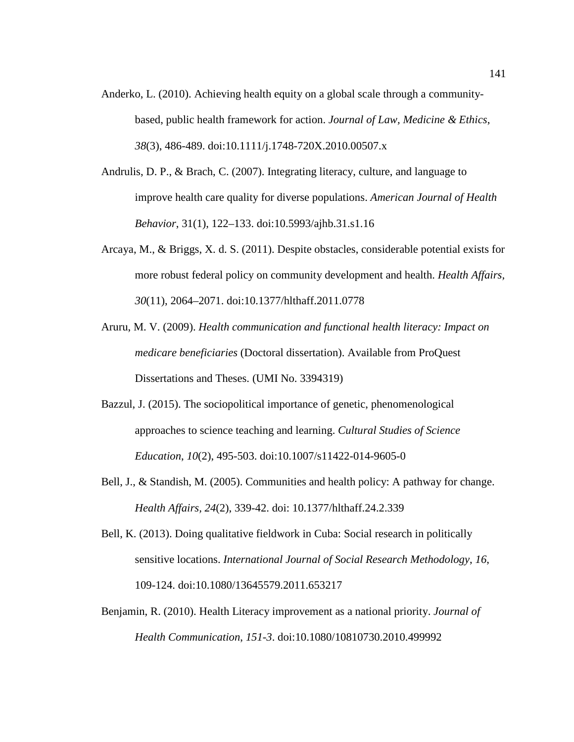- Anderko, L. (2010). Achieving health equity on a global scale through a communitybased, public health framework for action. *Journal of Law, Medicine & Ethics*, *38*(3), 486-489. doi:10.1111/j.1748-720X.2010.00507.x
- Andrulis, D. P., & Brach, C. (2007). Integrating literacy, culture, and language to improve health care quality for diverse populations. *American Journal of Health Behavior*, 31(1), 122–133. doi:10.5993/ajhb.31.s1.16
- Arcaya, M., & Briggs, X. d. S. (2011). Despite obstacles, considerable potential exists for more robust federal policy on community development and health. *Health Affairs, 30*(11), 2064–2071. doi:10.1377/hlthaff.2011.0778
- Aruru, M. V. (2009). *Health communication and functional health literacy: Impact on medicare beneficiaries* (Doctoral dissertation). Available from ProQuest Dissertations and Theses. (UMI No. 3394319)
- Bazzul, J. (2015). The sociopolitical importance of genetic, phenomenological approaches to science teaching and learning. *Cultural Studies of Science Education*, *10*(2), 495-503. doi:10.1007/s11422-014-9605-0
- Bell, J., & Standish, M. (2005). Communities and health policy: A pathway for change. *Health Affairs, 24*(2), 339-42. doi: 10.1377/hlthaff.24.2.339
- Bell, K. (2013). Doing qualitative fieldwork in Cuba: Social research in politically sensitive locations. *International Journal of Social Research Methodology*, *16*, 109-124. doi:10.1080/13645579.2011.653217
- Benjamin, R. (2010). Health Literacy improvement as a national priority. *Journal of Health Communication*, *151-3*. doi:10.1080/10810730.2010.499992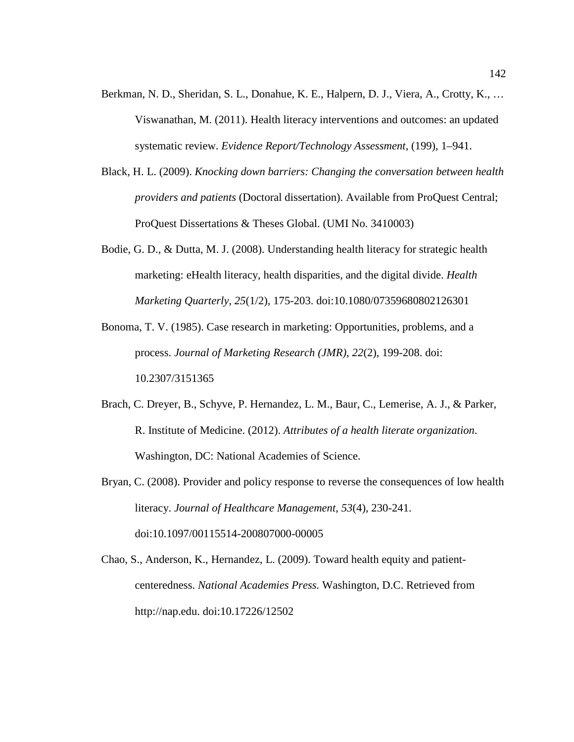- Berkman, N. D., Sheridan, S. L., Donahue, K. E., Halpern, D. J., Viera, A., Crotty, K., … Viswanathan, M. (2011). Health literacy interventions and outcomes: an updated systematic review. *Evidence Report/Technology Assessment*, (199), 1–941.
- Black, H. L. (2009). *Knocking down barriers: Changing the conversation between health providers and patients* (Doctoral dissertation). Available from ProQuest Central; ProQuest Dissertations & Theses Global. (UMI No. 3410003)
- Bodie, G. D., & Dutta, M. J. (2008). Understanding health literacy for strategic health marketing: eHealth literacy, health disparities, and the digital divide. *Health Marketing Quarterly*, *25*(1/2), 175-203. doi:10.1080/07359680802126301
- Bonoma, T. V. (1985). Case research in marketing: Opportunities, problems, and a process. *Journal of Marketing Research (JMR)*, *22*(2), 199-208. doi: 10.2307/3151365
- Brach, C. Dreyer, B., Schyve, P. Hernandez, L. M., Baur, C., Lemerise, A. J., & Parker, R. Institute of Medicine. (2012). *Attributes of a health literate organization*. Washington, DC: National Academies of Science.
- Bryan, C. (2008). Provider and policy response to reverse the consequences of low health literacy. *Journal of Healthcare Management*, *53*(4), 230-241. doi:10.1097/00115514-200807000-00005
- Chao, S., Anderson, K., Hernandez, L. (2009). Toward health equity and patientcenteredness. *National Academies Press.* Washington, D.C. Retrieved from http://nap.edu. doi:10.17226/12502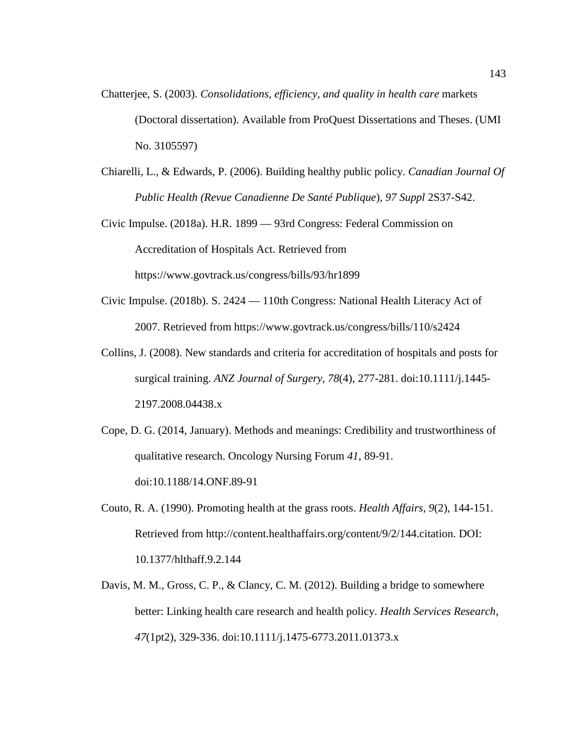- Chatterjee, S. (2003). *Consolidations, efficiency, and quality in health care* markets (Doctoral dissertation). Available from ProQuest Dissertations and Theses. (UMI No. 3105597)
- Chiarelli, L., & Edwards, P. (2006). Building healthy public policy. *Canadian Journal Of Public Health (Revue Canadienne De Santé Publique*)*, 97 Suppl* 2S37-S42.

Civic Impulse. (2018a). H.R. 1899 — 93rd Congress: Federal Commission on Accreditation of Hospitals Act. Retrieved from https://www.govtrack.us/congress/bills/93/hr1899

- Civic Impulse. (2018b). S. 2424 110th Congress: National Health Literacy Act of 2007. Retrieved from https://www.govtrack.us/congress/bills/110/s2424
- Collins, J. (2008). New standards and criteria for accreditation of hospitals and posts for surgical training. *ANZ Journal of Surgery*, *78*(4), 277-281. doi:10.1111/j.1445- 2197.2008.04438.x
- Cope, D. G. (2014, January). Methods and meanings: Credibility and trustworthiness of qualitative research. Oncology Nursing Forum *41*, 89-91. doi:10.1188/14.ONF.89-91
- Couto, R. A. (1990). Promoting health at the grass roots. *Health Affairs*, *9*(2), 144-151. Retrieved from http://content.healthaffairs.org/content/9/2/144.citation. DOI: 10.1377/hlthaff.9.2.144
- Davis, M. M., Gross, C. P., & Clancy, C. M. (2012). Building a bridge to somewhere better: Linking health care research and health policy. *Health Services Research*, *47*(1pt2), 329-336. doi:10.1111/j.1475-6773.2011.01373.x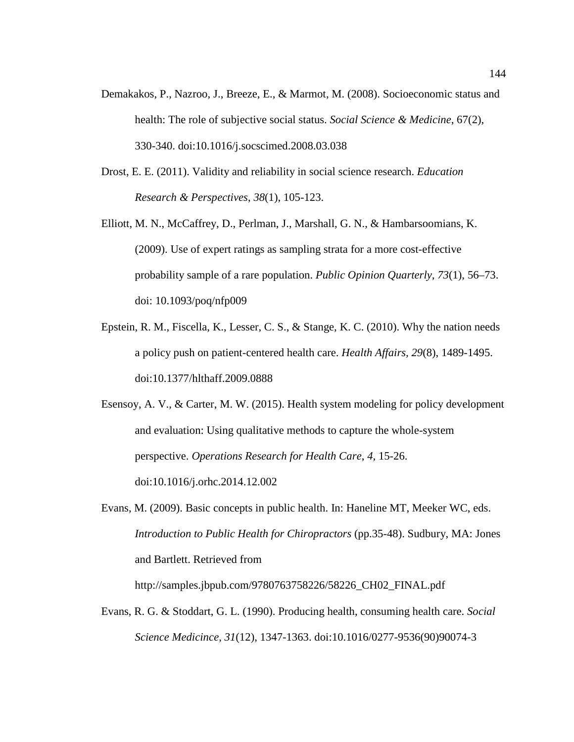- Demakakos, P., Nazroo, J., Breeze, E., & Marmot, M. (2008). Socioeconomic status and health: The role of subjective social status. *Social Science & Medicine*, 67(2), 330-340. doi:10.1016/j.socscimed.2008.03.038
- Drost, E. E. (2011). Validity and reliability in social science research. *Education Research & Perspectives*, *38*(1), 105-123.
- Elliott, M. N., McCaffrey, D., Perlman, J., Marshall, G. N., & Hambarsoomians, K. (2009). Use of expert ratings as sampling strata for a more cost-effective probability sample of a rare population. *Public Opinion Quarterly*, *73*(1), 56–73. doi: 10.1093/poq/nfp009
- Epstein, R. M., Fiscella, K., Lesser, C. S., & Stange, K. C. (2010). Why the nation needs a policy push on patient-centered health care. *Health Affairs, 29*(8), 1489-1495. doi:10.1377/hlthaff.2009.0888
- Esensoy, A. V., & Carter, M. W. (2015). Health system modeling for policy development and evaluation: Using qualitative methods to capture the whole-system perspective. *Operations Research for Health Care*, *4*, 15-26. doi:10.1016/j.orhc.2014.12.002
- Evans, M. (2009). Basic concepts in public health. In: Haneline MT, Meeker WC, eds. *Introduction to Public Health for Chiropractors* (pp.35-48). Sudbury, MA: Jones and Bartlett. Retrieved from http://samples.jbpub.com/9780763758226/58226\_CH02\_FINAL.pdf
- Evans, R. G. & Stoddart, G. L. (1990). Producing health, consuming health care. *Social Science Medicince*, *31*(12), 1347-1363. doi:10.1016/0277-9536(90)90074-3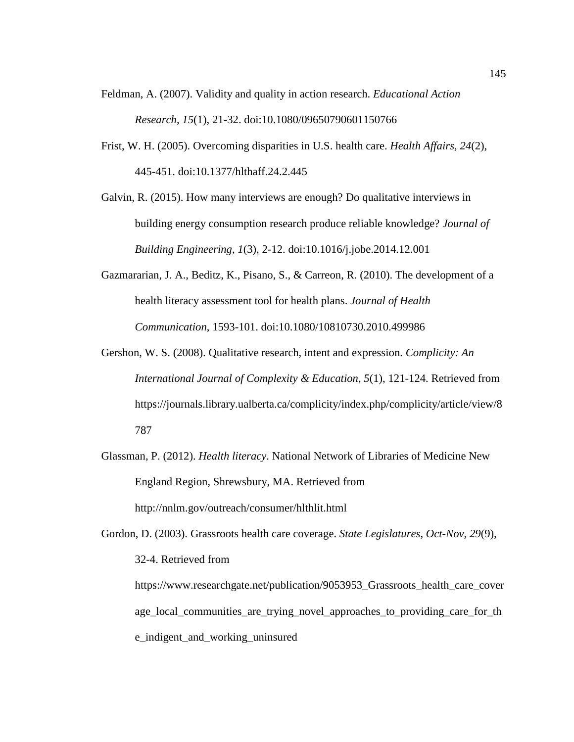- Feldman, A. (2007). Validity and quality in action research. *Educational Action Research*, *15*(1), 21-32. doi:10.1080/09650790601150766
- Frist, W. H. (2005). Overcoming disparities in U.S. health care. *Health Affairs, 24*(2), 445-451. doi:10.1377/hlthaff.24.2.445
- Galvin, R. (2015). How many interviews are enough? Do qualitative interviews in building energy consumption research produce reliable knowledge? *Journal of Building Engineering*, *1*(3), 2-12. doi:10.1016/j.jobe.2014.12.001
- Gazmararian, J. A., Beditz, K., Pisano, S., & Carreon, R. (2010). The development of a health literacy assessment tool for health plans. *Journal of Health Communication*, 1593-101. doi:10.1080/10810730.2010.499986
- Gershon, W. S. (2008). Qualitative research, intent and expression. *Complicity: An International Journal of Complexity & Education*, *5*(1), 121-124. Retrieved from https://journals.library.ualberta.ca/complicity/index.php/complicity/article/view/8 787
- Glassman, P. (2012). *Health literacy*. National Network of Libraries of Medicine New England Region, Shrewsbury, MA. Retrieved from http://nnlm.gov/outreach/consumer/hlthlit.html
- Gordon, D. (2003). Grassroots health care coverage. *State Legislatures, Oct-Nov*, *29*(9), 32-4. Retrieved from

https://www.researchgate.net/publication/9053953\_Grassroots\_health\_care\_cover age\_local\_communities\_are\_trying\_novel\_approaches\_to\_providing\_care\_for\_th e\_indigent\_and\_working\_uninsured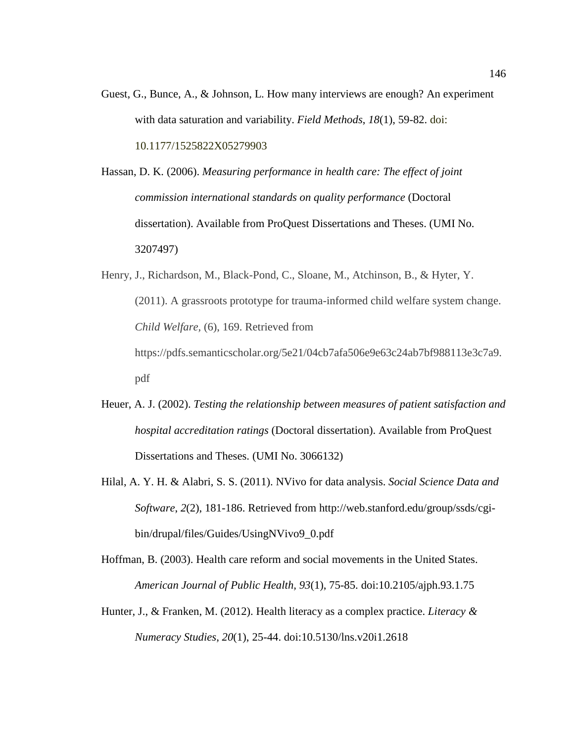Guest, G., Bunce, A., & Johnson, L. How many interviews are enough? An experiment with data saturation and variability. *Field Methods*, *18*(1), 59-82. doi: 10.1177/1525822X05279903

Hassan, D. K. (2006). *Measuring performance in health care: The effect of joint commission international standards on quality performance* (Doctoral dissertation). Available from ProQuest Dissertations and Theses. (UMI No. 3207497)

- Henry, J., Richardson, M., Black-Pond, C., Sloane, M., Atchinson, B., & Hyter, Y. (2011). A grassroots prototype for trauma-informed child welfare system change. *Child Welfare,* (6), 169. Retrieved from https://pdfs.semanticscholar.org/5e21/04cb7afa506e9e63c24ab7bf988113e3c7a9. pdf
- Heuer, A. J. (2002). *Testing the relationship between measures of patient satisfaction and hospital accreditation ratings* (Doctoral dissertation). Available from ProQuest Dissertations and Theses. (UMI No. 3066132)
- Hilal, A. Y. H. & Alabri, S. S. (2011). NVivo for data analysis. *Social Science Data and Software*, *2*(2), 181-186. Retrieved from http://web.stanford.edu/group/ssds/cgibin/drupal/files/Guides/UsingNVivo9\_0.pdf
- Hoffman, B. (2003). Health care reform and social movements in the United States. *American Journal of Public Health, 93*(1), 75-85. doi:10.2105/ajph.93.1.75
- Hunter, J., & Franken, M. (2012). Health literacy as a complex practice. *Literacy & Numeracy Studies*, *20*(1), 25-44. doi:10.5130/lns.v20i1.2618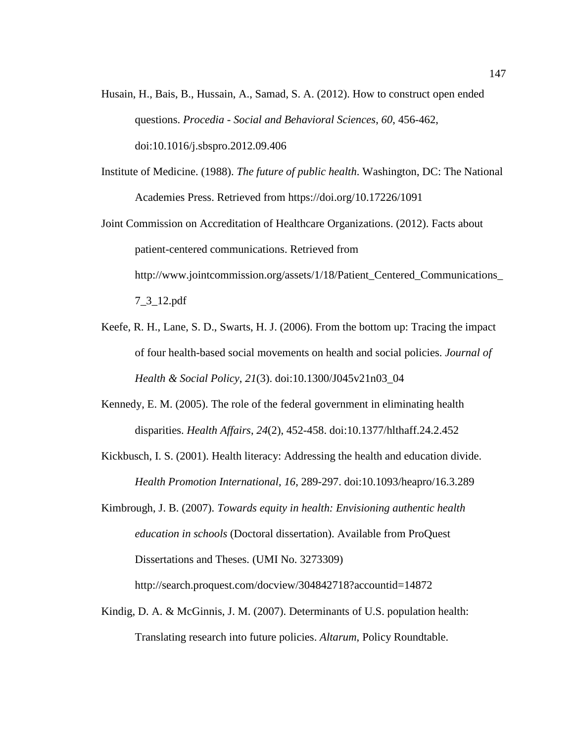- Husain, H., Bais, B., Hussain, A., Samad, S. A. (2012). How to construct open ended questions. *Procedia - Social and Behavioral Sciences*, *60*, 456-462, doi:10.1016/j.sbspro.2012.09.406
- Institute of Medicine. (1988). *The future of public health*. Washington, DC: The National Academies Press. Retrieved from https://doi.org/10.17226/1091
- Joint Commission on Accreditation of Healthcare Organizations. (2012). Facts about patient-centered communications. Retrieved from http://www.jointcommission.org/assets/1/18/Patient\_Centered\_Communications\_ 7\_3\_12.pdf
- Keefe, R. H., Lane, S. D., Swarts, H. J. (2006). From the bottom up: Tracing the impact of four health-based social movements on health and social policies. *Journal of Health & Social Policy*, *21*(3). doi:10.1300/J045v21n03\_04
- Kennedy, E. M. (2005). The role of the federal government in eliminating health disparities. *Health Affairs*, *24*(2), 452-458. doi:10.1377/hlthaff.24.2.452
- Kickbusch, I. S. (2001). Health literacy: Addressing the health and education divide. *Health Promotion International*, *16*, 289-297. doi:10.1093/heapro/16.3.289
- Kimbrough, J. B. (2007). *Towards equity in health: Envisioning authentic health education in schools* (Doctoral dissertation). Available from ProQuest Dissertations and Theses. (UMI No. 3273309) http://search.proquest.com/docview/304842718?accountid=14872
- Kindig, D. A. & McGinnis, J. M. (2007). Determinants of U.S. population health: Translating research into future policies. *Altarum*, Policy Roundtable.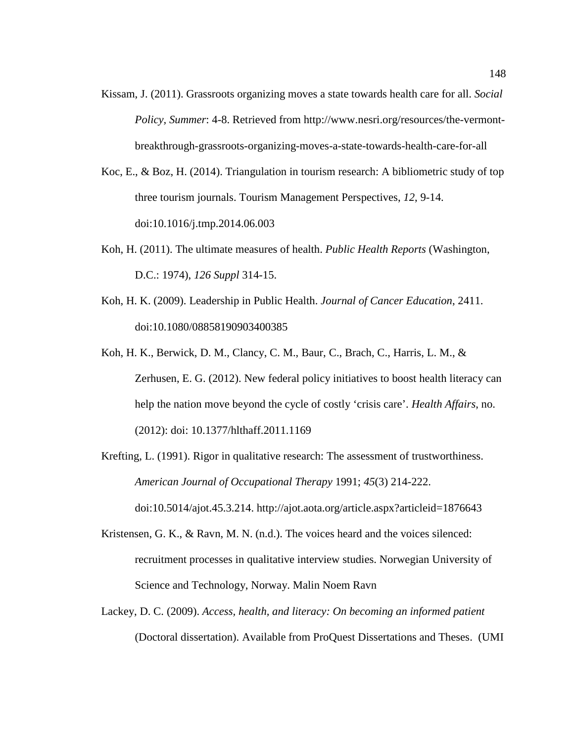- Kissam, J. (2011). Grassroots organizing moves a state towards health care for all. *Social Policy, Summer*: 4-8. Retrieved from http://www.nesri.org/resources/the-vermontbreakthrough-grassroots-organizing-moves-a-state-towards-health-care-for-all
- Koc, E., & Boz, H. (2014). Triangulation in tourism research: A bibliometric study of top three tourism journals. Tourism Management Perspectives, *12*, 9-14. doi:10.1016/j.tmp.2014.06.003
- Koh, H. (2011). The ultimate measures of health. *Public Health Reports* (Washington, D.C.: 1974), *126 Suppl* 314-15.
- Koh, H. K. (2009). Leadership in Public Health. *Journal of Cancer Education*, 2411. doi:10.1080/08858190903400385
- Koh, H. K., Berwick, D. M., Clancy, C. M., Baur, C., Brach, C., Harris, L. M., & Zerhusen, E. G. (2012). New federal policy initiatives to boost health literacy can help the nation move beyond the cycle of costly 'crisis care'. *Health Affairs*, no. (2012): doi: 10.1377/hlthaff.2011.1169
- Krefting, L. (1991). Rigor in qualitative research: The assessment of trustworthiness. *American Journal of Occupational Therapy* 1991; *45*(3) 214-222.
	- doi:10.5014/ajot.45.3.214. http://ajot.aota.org/article.aspx?articleid=1876643
- Kristensen, G. K., & Ravn, M. N. (n.d.). The voices heard and the voices silenced: recruitment processes in qualitative interview studies. Norwegian University of Science and Technology, Norway. Malin Noem Ravn
- Lackey, D. C. (2009). *Access, health, and literacy: On becoming an informed patient* (Doctoral dissertation). Available from ProQuest Dissertations and Theses. (UMI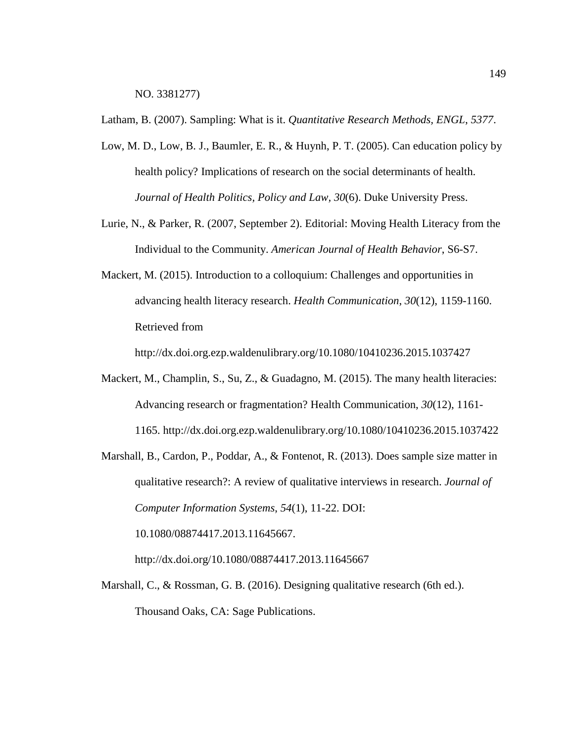NO. 3381277)

Latham, B. (2007). Sampling: What is it. *Quantitative Research Methods, ENGL*, *5377*.

- Low, M. D., Low, B. J., Baumler, E. R., & Huynh, P. T. (2005). Can education policy by health policy? Implications of research on the social determinants of health. *Journal of Health Politics, Policy and Law, 30*(6). Duke University Press.
- Lurie, N., & Parker, R. (2007, September 2). Editorial: Moving Health Literacy from the Individual to the Community. *American Journal of Health Behavior*, S6-S7.
- Mackert, M. (2015). Introduction to a colloquium: Challenges and opportunities in advancing health literacy research. *Health Communication*, *30*(12), 1159-1160. Retrieved from

http://dx.doi.org.ezp.waldenulibrary.org/10.1080/10410236.2015.1037427

- Mackert, M., Champlin, S., Su, Z., & Guadagno, M. (2015). The many health literacies: Advancing research or fragmentation? Health Communication, *30*(12), 1161- 1165. http://dx.doi.org.ezp.waldenulibrary.org/10.1080/10410236.2015.1037422
- Marshall, B., Cardon, P., Poddar, A., & Fontenot, R. (2013). Does sample size matter in qualitative research?: A review of qualitative interviews in research. *Journal of Computer Information Systems*, *54*(1), 11-22. DOI: 10.1080/08874417.2013.11645667.

http://dx.doi.org/10.1080/08874417.2013.11645667

Marshall, C., & Rossman, G. B. (2016). Designing qualitative research (6th ed.). Thousand Oaks, CA: Sage Publications.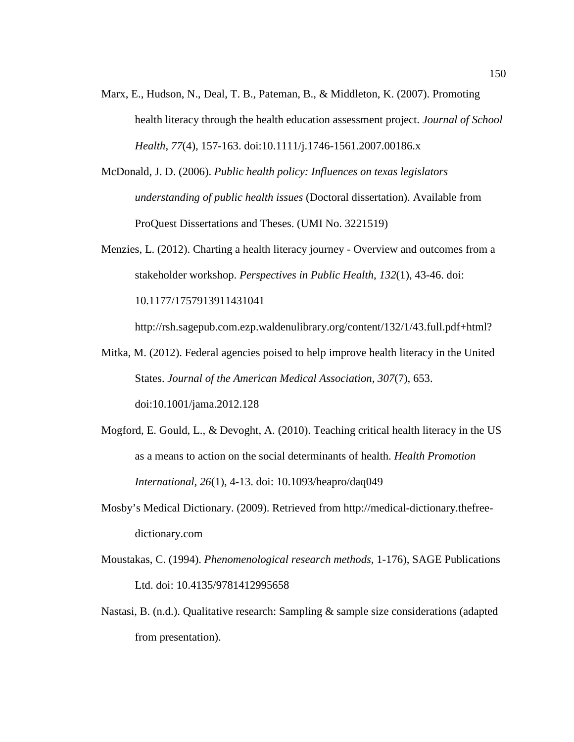- Marx, E., Hudson, N., Deal, T. B., Pateman, B., & Middleton, K. (2007). Promoting health literacy through the health education assessment project. *Journal of School Health*, *77*(4), 157-163. doi:10.1111/j.1746-1561.2007.00186.x
- McDonald, J. D. (2006). *Public health policy: Influences on texas legislators understanding of public health issues* (Doctoral dissertation). Available from ProQuest Dissertations and Theses. (UMI No. 3221519)
- Menzies, L. (2012). Charting a health literacy journey Overview and outcomes from a stakeholder workshop. *Perspectives in Public Health*, *132*(1), 43-46. doi: 10.1177/1757913911431041

http://rsh.sagepub.com.ezp.waldenulibrary.org/content/132/1/43.full.pdf+html?

- Mitka, M. (2012). Federal agencies poised to help improve health literacy in the United States. *Journal of the American Medical Association*, *307*(7), 653. doi:10.1001/jama.2012.128
- Mogford, E. Gould, L., & Devoght, A. (2010). Teaching critical health literacy in the US as a means to action on the social determinants of health. *Health Promotion International*, *26*(1), 4-13. doi: 10.1093/heapro/daq049
- Mosby's Medical Dictionary. (2009). Retrieved from http://medical-dictionary.thefreedictionary.com
- Moustakas, C. (1994). *Phenomenological research methods,* 1-176), SAGE Publications Ltd. doi: 10.4135/9781412995658
- Nastasi, B. (n.d.). Qualitative research: Sampling & sample size considerations (adapted from presentation).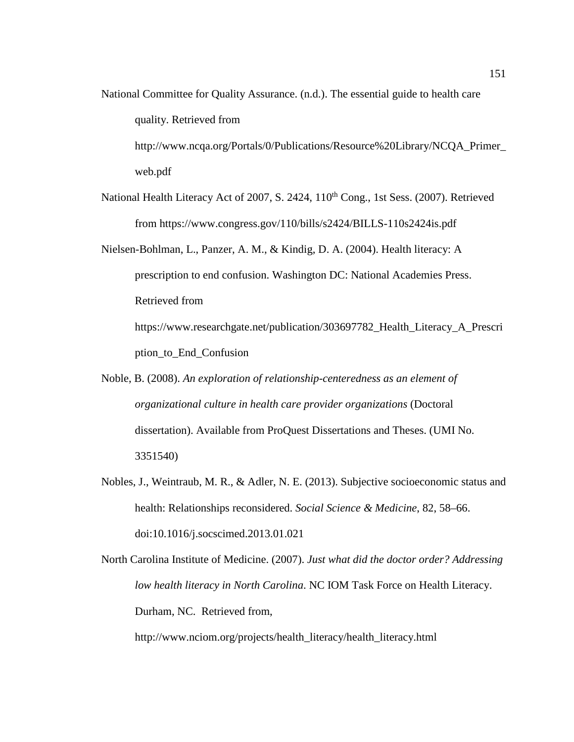National Committee for Quality Assurance. (n.d.). The essential guide to health care quality. Retrieved from

http://www.ncqa.org/Portals/0/Publications/Resource%20Library/NCQA\_Primer\_ web.pdf

- National Health Literacy Act of 2007, S. 2424, 110<sup>th</sup> Cong., 1st Sess. (2007). Retrieved from https://www.congress.gov/110/bills/s2424/BILLS-110s2424is.pdf
- Nielsen-Bohlman, L., Panzer, A. M., & Kindig, D. A. (2004). Health literacy: A prescription to end confusion. Washington DC: National Academies Press. Retrieved from https://www.researchgate.net/publication/303697782\_Health\_Literacy\_A\_Prescri ption\_to\_End\_Confusion
- Noble, B. (2008). *An exploration of relationship-centeredness as an element of organizational culture in health care provider organizations* (Doctoral dissertation). Available from ProQuest Dissertations and Theses. (UMI No. 3351540)
- Nobles, J., Weintraub, M. R., & Adler, N. E. (2013). Subjective socioeconomic status and health: Relationships reconsidered. *Social Science & Medicine*, 82, 58–66. doi:10.1016/j.socscimed.2013.01.021

North Carolina Institute of Medicine. (2007). *Just what did the doctor order? Addressing low health literacy in North Carolina*. NC IOM Task Force on Health Literacy. Durham, NC. Retrieved from,

http://www.nciom.org/projects/health\_literacy/health\_literacy.html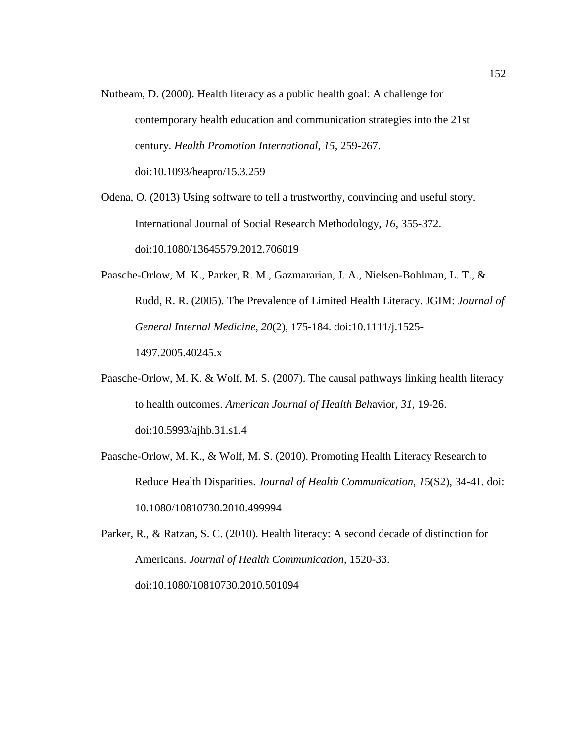Nutbeam, D. (2000). Health literacy as a public health goal: A challenge for contemporary health education and communication strategies into the 21st century. *Health Promotion International*, *15*, 259-267. doi:10.1093/heapro/15.3.259

Odena, O. (2013) Using software to tell a trustworthy, convincing and useful story. International Journal of Social Research Methodology, *16*, 355-372. doi:10.1080/13645579.2012.706019

- Paasche-Orlow, M. K., Parker, R. M., Gazmararian, J. A., Nielsen-Bohlman, L. T., & Rudd, R. R. (2005). The Prevalence of Limited Health Literacy. JGIM: *Journal of General Internal Medicine*, *20*(2), 175-184. doi:10.1111/j.1525- 1497.2005.40245.x
- Paasche-Orlow, M. K. & Wolf, M. S. (2007). The causal pathways linking health literacy to health outcomes. *American Journal of Health Beh*avior, *31*, 19-26. doi:10.5993/ajhb.31.s1.4
- Paasche-Orlow, M. K., & Wolf, M. S. (2010). Promoting Health Literacy Research to Reduce Health Disparities. *Journal of Health Communication*, *1*5(S2), 34-41. doi: 10.1080/10810730.2010.499994

Parker, R., & Ratzan, S. C. (2010). Health literacy: A second decade of distinction for Americans. *Journal of Health Communication*, 1520-33. doi:10.1080/10810730.2010.501094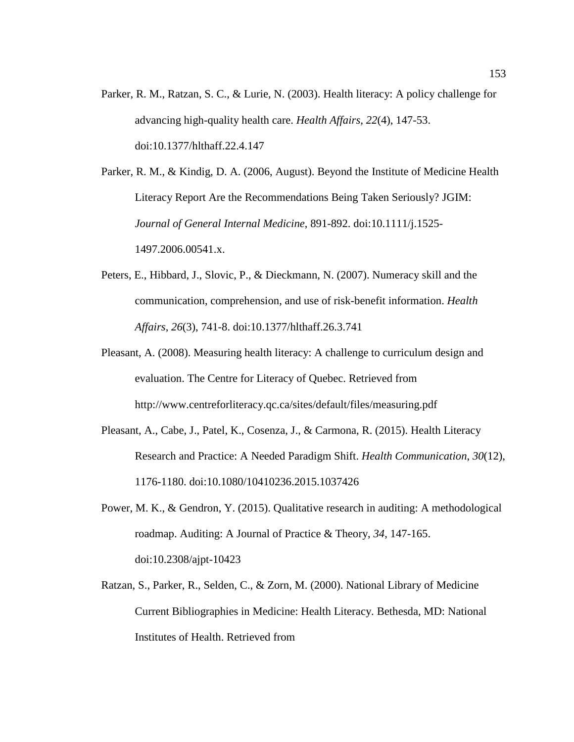Parker, R. M., Ratzan, S. C., & Lurie, N. (2003). Health literacy: A policy challenge for advancing high-quality health care. *Health Affairs, 22*(4), 147-53. doi:10.1377/hlthaff.22.4.147

Parker, R. M., & Kindig, D. A. (2006, August). Beyond the Institute of Medicine Health Literacy Report Are the Recommendations Being Taken Seriously? JGIM: *Journal of General Internal Medicine*, 891-892. doi:10.1111/j.1525- 1497.2006.00541.x.

- Peters, E., Hibbard, J., Slovic, P., & Dieckmann, N. (2007). Numeracy skill and the communication, comprehension, and use of risk-benefit information. *Health Affairs*, *26*(3), 741-8. doi:10.1377/hlthaff.26.3.741
- Pleasant, A. (2008). Measuring health literacy: A challenge to curriculum design and evaluation. The Centre for Literacy of Quebec. Retrieved from http://www.centreforliteracy.qc.ca/sites/default/files/measuring.pdf
- Pleasant, A., Cabe, J., Patel, K., Cosenza, J., & Carmona, R. (2015). Health Literacy Research and Practice: A Needed Paradigm Shift. *Health Communication*, *30*(12), 1176-1180. doi:10.1080/10410236.2015.1037426
- Power, M. K., & Gendron, Y. (2015). Qualitative research in auditing: A methodological roadmap. Auditing: A Journal of Practice & Theory, *34*, 147-165. doi:10.2308/ajpt-10423
- Ratzan, S., Parker, R., Selden, C., & Zorn, M. (2000). National Library of Medicine Current Bibliographies in Medicine: Health Literacy. Bethesda, MD: National Institutes of Health. Retrieved from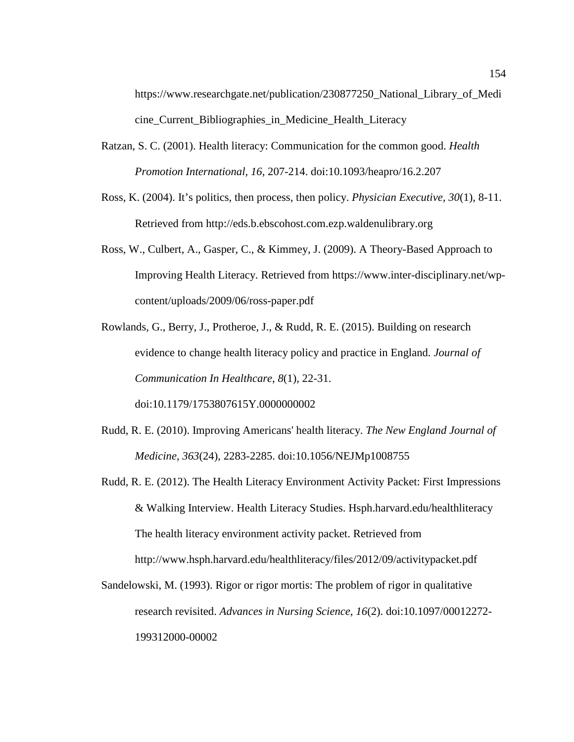https://www.researchgate.net/publication/230877250\_National\_Library\_of\_Medi cine Current Bibliographies in Medicine Health Literacy

- Ratzan, S. C. (2001). Health literacy: Communication for the common good. *Health Promotion International*, *16*, 207-214. doi:10.1093/heapro/16.2.207
- Ross, K. (2004). It's politics, then process, then policy. *Physician Executive, 30*(1), 8-11. Retrieved from http://eds.b.ebscohost.com.ezp.waldenulibrary.org
- Ross, W., Culbert, A., Gasper, C., & Kimmey, J. (2009). A Theory-Based Approach to Improving Health Literacy. Retrieved from https://www.inter-disciplinary.net/wpcontent/uploads/2009/06/ross-paper.pdf

Rowlands, G., Berry, J., Protheroe, J., & Rudd, R. E. (2015). Building on research evidence to change health literacy policy and practice in England. *Journal of Communication In Healthcare*, *8*(1), 22-31.

doi:10.1179/1753807615Y.0000000002

- Rudd, R. E. (2010). Improving Americans' health literacy. *The New England Journal of Medicine*, *363*(24), 2283-2285. doi:10.1056/NEJMp1008755
- Rudd, R. E. (2012). The Health Literacy Environment Activity Packet: First Impressions & Walking Interview. Health Literacy Studies. Hsph.harvard.edu/healthliteracy The health literacy environment activity packet. Retrieved from http://www.hsph.harvard.edu/healthliteracy/files/2012/09/activitypacket.pdf
- Sandelowski, M. (1993). Rigor or rigor mortis: The problem of rigor in qualitative research revisited. *Advances in Nursing Science*, *16*(2). doi:10.1097/00012272- 199312000-00002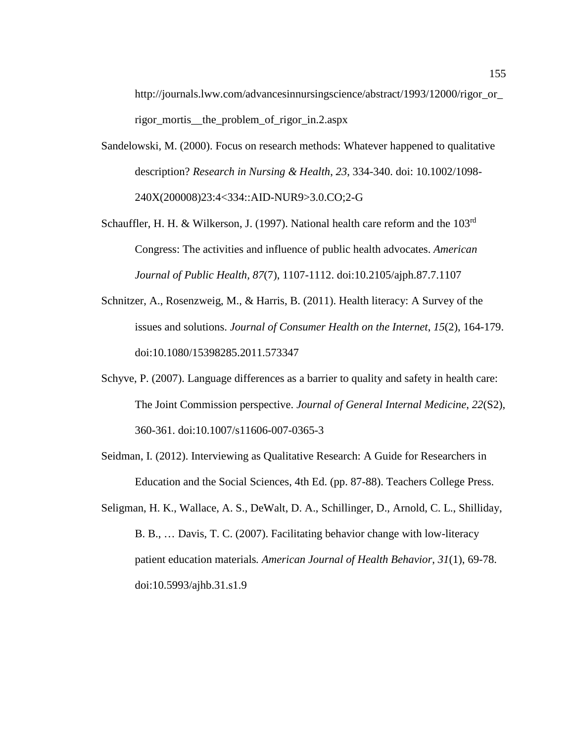http://journals.lww.com/advancesinnursingscience/abstract/1993/12000/rigor\_or\_ rigor mortis the problem of rigor in.2.aspx

- Sandelowski, M. (2000). Focus on research methods: Whatever happened to qualitative description? *Research in Nursing & Health*, *23*, 334-340. doi: 10.1002/1098- 240X(200008)23:4<334::AID-NUR9>3.0.CO;2-G
- Schauffler, H. H. & Wilkerson, J. (1997). National health care reform and the 103<sup>rd</sup> Congress: The activities and influence of public health advocates. *American Journal of Public Health, 87*(7), 1107-1112. doi:10.2105/ajph.87.7.1107
- Schnitzer, A., Rosenzweig, M., & Harris, B. (2011). Health literacy: A Survey of the issues and solutions. *Journal of Consumer Health on the Internet*, *15*(2), 164-179. doi:10.1080/15398285.2011.573347
- Schyve, P. (2007). Language differences as a barrier to quality and safety in health care: The Joint Commission perspective. *Journal of General Internal Medicine*, *22*(S2), 360-361. doi:10.1007/s11606-007-0365-3
- Seidman, I. (2012). Interviewing as Qualitative Research: A Guide for Researchers in Education and the Social Sciences, 4th Ed. (pp. 87-88). Teachers College Press.
- Seligman, H. K., Wallace, A. S., DeWalt, D. A., Schillinger, D., Arnold, C. L., Shilliday, B. B., … Davis, T. C. (2007). Facilitating behavior change with low-literacy patient education materials*. American Journal of Health Behavior*, *31*(1), 69-78. doi:10.5993/ajhb.31.s1.9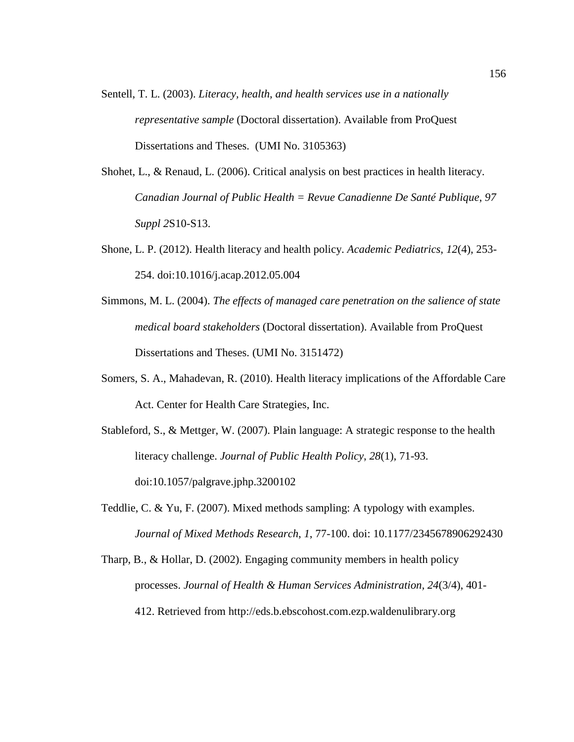- Sentell, T. L. (2003). *Literacy, health, and health services use in a nationally representative sample* (Doctoral dissertation). Available from ProQuest Dissertations and Theses. (UMI No. 3105363)
- Shohet, L., & Renaud, L. (2006). Critical analysis on best practices in health literacy. *Canadian Journal of Public Health = Revue Canadienne De Santé Publique*, *97 Suppl 2*S10-S13.
- Shone, L. P. (2012). Health literacy and health policy. *Academic Pediatrics*, *12*(4), 253- 254. doi:10.1016/j.acap.2012.05.004
- Simmons, M. L. (2004). *The effects of managed care penetration on the salience of state medical board stakeholders* (Doctoral dissertation). Available from ProQuest Dissertations and Theses. (UMI No. 3151472)
- Somers, S. A., Mahadevan, R. (2010). Health literacy implications of the Affordable Care Act. Center for Health Care Strategies, Inc.
- Stableford, S., & Mettger, W. (2007). Plain language: A strategic response to the health literacy challenge. *Journal of Public Health Policy*, *28*(1), 71-93. doi:10.1057/palgrave.jphp.3200102
- Teddlie, C. & Yu, F. (2007). Mixed methods sampling: A typology with examples. *Journal of Mixed Methods Research*, *1*, 77-100. doi: 10.1177/2345678906292430
- Tharp, B., & Hollar, D. (2002). Engaging community members in health policy processes. *Journal of Health & Human Services Administration, 24*(3/4), 401- 412. Retrieved from http://eds.b.ebscohost.com.ezp.waldenulibrary.org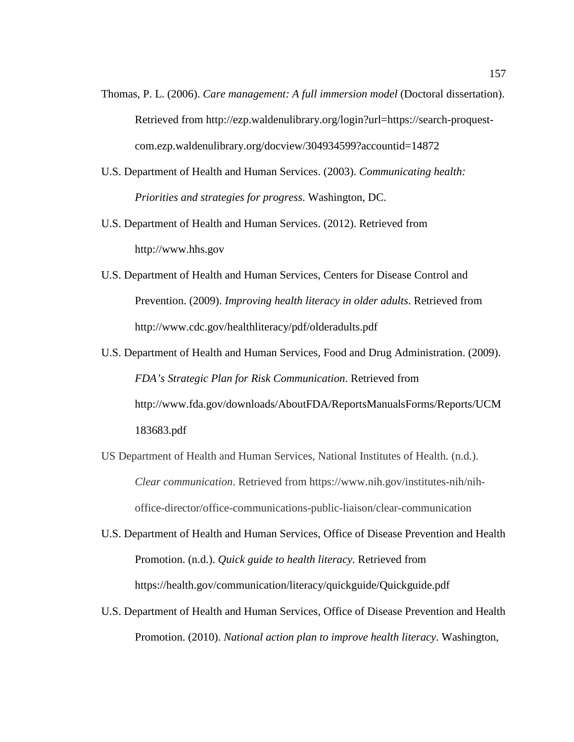- Thomas, P. L. (2006). *Care management: A full immersion model* (Doctoral dissertation). Retrieved from http://ezp.waldenulibrary.org/login?url=https://search-proquestcom.ezp.waldenulibrary.org/docview/304934599?accountid=14872
- U.S. Department of Health and Human Services. (2003). *Communicating health: Priorities and strategies for progress*. Washington, DC.
- U.S. Department of Health and Human Services. (2012). Retrieved from http://www.hhs.gov
- U.S. Department of Health and Human Services, Centers for Disease Control and Prevention. (2009). *Improving health literacy in older adults*. Retrieved from http://www.cdc.gov/healthliteracy/pdf/olderadults.pdf
- U.S. Department of Health and Human Services, Food and Drug Administration. (2009). *FDA's Strategic Plan for Risk Communication*. Retrieved from http://www.fda.gov/downloads/AboutFDA/ReportsManualsForms/Reports/UCM 183683.pdf
- US Department of Health and Human Services, National Institutes of Health. (n.d.). *Clear communication*. Retrieved from https://www.nih.gov/institutes-nih/nihoffice-director/office-communications-public-liaison/clear-communication
- U.S. Department of Health and Human Services, Office of Disease Prevention and Health Promotion. (n.d.). *Quick guide to health literacy*. Retrieved from https://health.gov/communication/literacy/quickguide/Quickguide.pdf
- U.S. Department of Health and Human Services, Office of Disease Prevention and Health Promotion. (2010). *National action plan to improve health literacy*. Washington,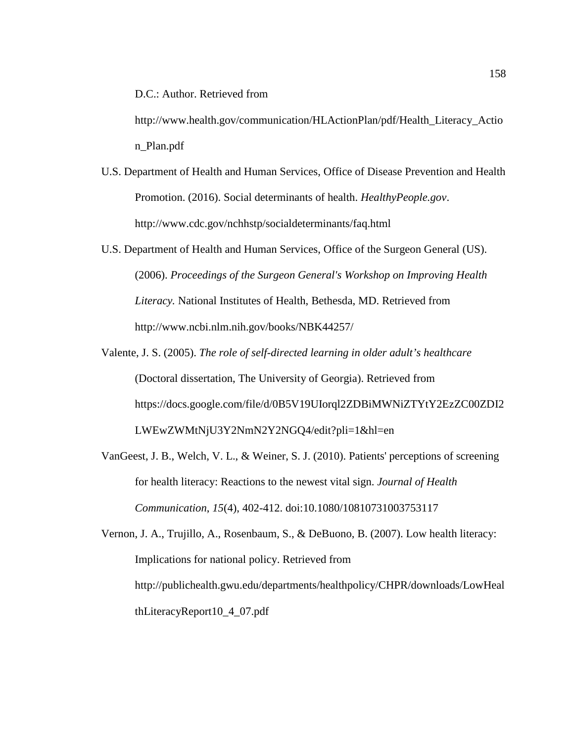D.C.: Author. Retrieved from

http://www.health.gov/communication/HLActionPlan/pdf/Health\_Literacy\_Actio n\_Plan.pdf

- U.S. Department of Health and Human Services, Office of Disease Prevention and Health Promotion. (2016). Social determinants of health. *HealthyPeople.gov*. http://www.cdc.gov/nchhstp/socialdeterminants/faq.html
- U.S. Department of Health and Human Services, Office of the Surgeon General (US). (2006). *Proceedings of the Surgeon General's Workshop on Improving Health Literacy.* National Institutes of Health, Bethesda, MD. Retrieved from http://www.ncbi.nlm.nih.gov/books/NBK44257/
- Valente, J. S. (2005). *The role of self-directed learning in older adult's healthcare* (Doctoral dissertation, The University of Georgia). Retrieved from https://docs.google.com/file/d/0B5V19UIorql2ZDBiMWNiZTYtY2EzZC00ZDI2 LWEwZWMtNjU3Y2NmN2Y2NGQ4/edit?pli=1&hl=en
- VanGeest, J. B., Welch, V. L., & Weiner, S. J. (2010). Patients' perceptions of screening for health literacy: Reactions to the newest vital sign. *Journal of Health Communication*, *15*(4), 402-412. doi:10.1080/10810731003753117
- Vernon, J. A., Trujillo, A., Rosenbaum, S., & DeBuono, B. (2007). Low health literacy: Implications for national policy. Retrieved from http://publichealth.gwu.edu/departments/healthpolicy/CHPR/downloads/LowHeal thLiteracyReport10\_4\_07.pdf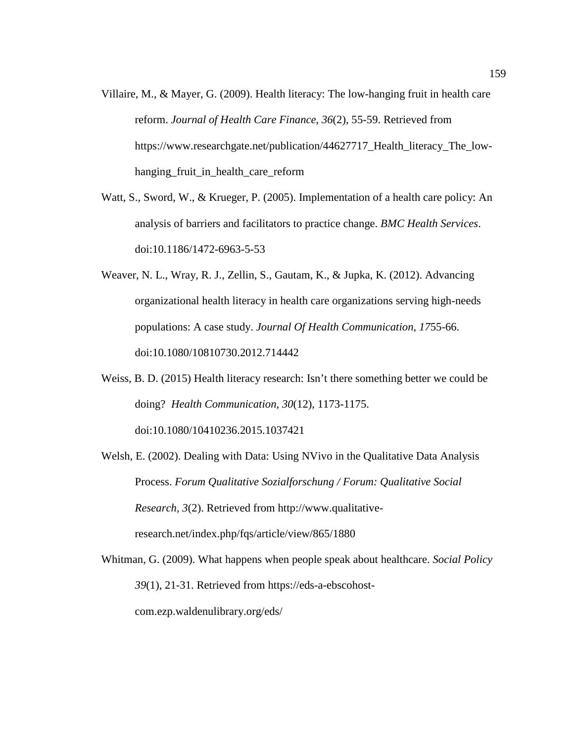- Villaire, M., & Mayer, G. (2009). Health literacy: The low-hanging fruit in health care reform. *Journal of Health Care Finance*, *36*(2), 55-59. Retrieved from https://www.researchgate.net/publication/44627717 Health literacy The lowhanging\_fruit\_in\_health\_care\_reform
- Watt, S., Sword, W., & Krueger, P. (2005). Implementation of a health care policy: An analysis of barriers and facilitators to practice change. *BMC Health Services*. doi:10.1186/1472-6963-5-53
- Weaver, N. L., Wray, R. J., Zellin, S., Gautam, K., & Jupka, K. (2012). Advancing organizational health literacy in health care organizations serving high-needs populations: A case study. *Journal Of Health Communication*, *17*55-66. doi:10.1080/10810730.2012.714442
- Weiss, B. D. (2015) Health literacy research: Isn't there something better we could be doing? *Health Communication*, *30*(12), 1173-1175.

doi:10.1080/10410236.2015.1037421

Welsh, E. (2002). Dealing with Data: Using NVivo in the Qualitative Data Analysis Process. *Forum Qualitative Sozialforschung / Forum: Qualitative Social Research, 3*(2). Retrieved from http://www.qualitativeresearch.net/index.php/fqs/article/view/865/1880

Whitman, G. (2009). What happens when people speak about healthcare. *Social Policy 39*(1), 21-31. Retrieved from https://eds-a-ebscohostcom.ezp.waldenulibrary.org/eds/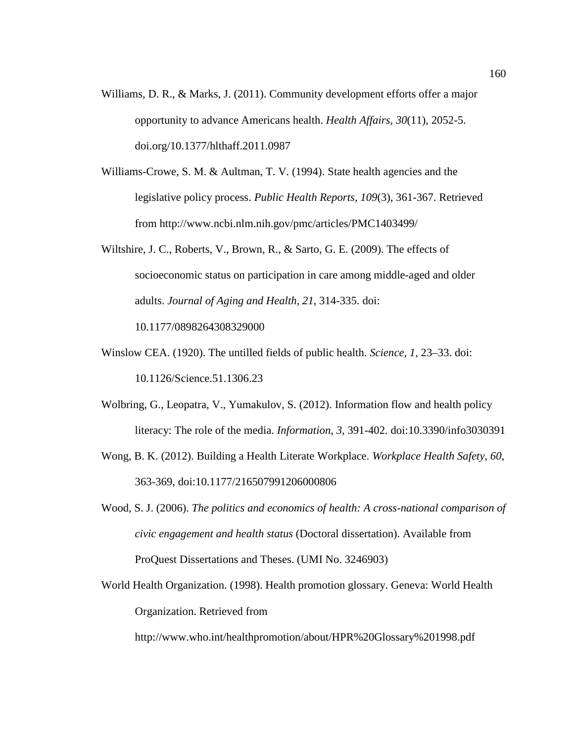- Williams, D. R., & Marks, J. (2011). Community development efforts offer a major opportunity to advance Americans health. *Health Affairs, 30*(11), 2052-5. doi.org/10.1377/hlthaff.2011.0987
- Williams-Crowe, S. M. & Aultman, T. V. (1994). State health agencies and the legislative policy process. *Public Health Reports, 109*(3), 361-367. Retrieved from http://www.ncbi.nlm.nih.gov/pmc/articles/PMC1403499/
- Wiltshire, J. C., Roberts, V., Brown, R., & Sarto, G. E. (2009). The effects of socioeconomic status on participation in care among middle-aged and older adults. *Journal of Aging and Health, 21*, 314-335. doi: 10.1177/0898264308329000
- Winslow CEA. (1920). The untilled fields of public health. *Science*, *1*, 23–33. doi: 10.1126/Science.51.1306.23
- Wolbring, G., Leopatra, V., Yumakulov, S. (2012). Information flow and health policy literacy: The role of the media. *Information*, *3*, 391-402. doi:10.3390/info3030391
- Wong, B. K. (2012). Building a Health Literate Workplace. *Workplace Health Safety*, *60*, 363-369, doi:10.1177/216507991206000806
- Wood, S. J. (2006). *The politics and economics of health: A cross-national comparison of civic engagement and health status* (Doctoral dissertation). Available from ProQuest Dissertations and Theses. (UMI No. 3246903)
- World Health Organization. (1998). Health promotion glossary. Geneva: World Health Organization. Retrieved from

http://www.who.int/healthpromotion/about/HPR%20Glossary%201998.pdf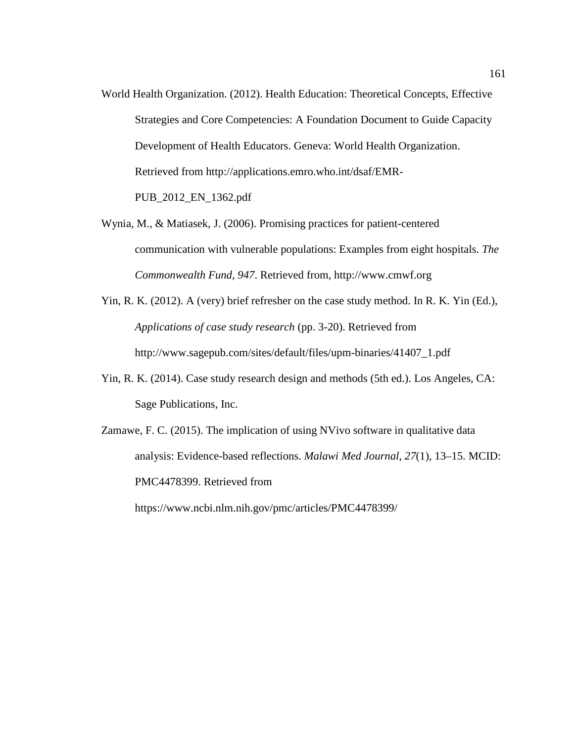- World Health Organization. (2012). Health Education: Theoretical Concepts, Effective Strategies and Core Competencies: A Foundation Document to Guide Capacity Development of Health Educators. Geneva: World Health Organization. Retrieved from http://applications.emro.who.int/dsaf/EMR-PUB\_2012\_EN\_1362.pdf
- Wynia, M., & Matiasek, J. (2006). Promising practices for patient-centered communication with vulnerable populations: Examples from eight hospitals. *The Commonwealth Fund*, *947*. Retrieved from, http://www.cmwf.org
- Yin, R. K. (2012). A (very) brief refresher on the case study method. In R. K. Yin (Ed.), *Applications of case study research* (pp. 3-20). Retrieved from http://www.sagepub.com/sites/default/files/upm-binaries/41407\_1.pdf
- Yin, R. K. (2014). Case study research design and methods (5th ed.). Los Angeles, CA: Sage Publications, Inc.
- Zamawe, F. C. (2015). The implication of using NVivo software in qualitative data analysis: Evidence-based reflections. *Malawi Med Journal*, *27*(1), 13–15. MCID: PMC4478399. Retrieved from

https://www.ncbi.nlm.nih.gov/pmc/articles/PMC4478399/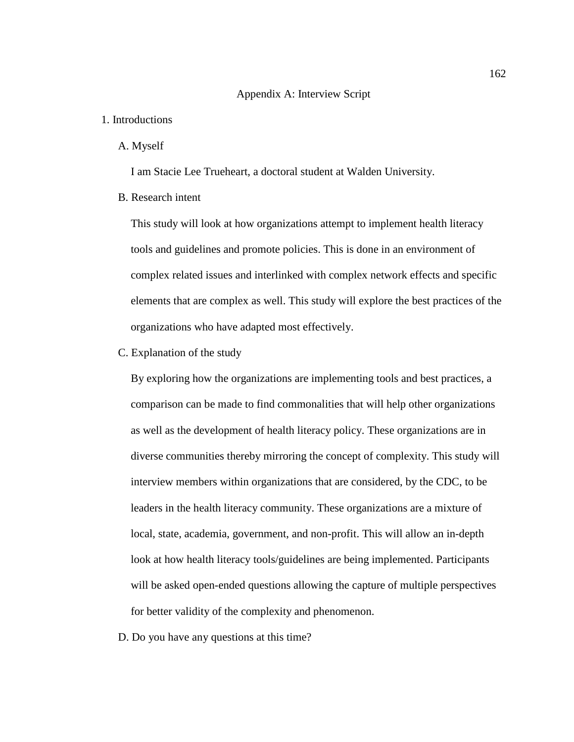#### Appendix A: Interview Script

# 1. Introductions

A. Myself

I am Stacie Lee Trueheart, a doctoral student at Walden University.

B. Research intent

This study will look at how organizations attempt to implement health literacy tools and guidelines and promote policies. This is done in an environment of complex related issues and interlinked with complex network effects and specific elements that are complex as well. This study will explore the best practices of the organizations who have adapted most effectively.

C. Explanation of the study

By exploring how the organizations are implementing tools and best practices, a comparison can be made to find commonalities that will help other organizations as well as the development of health literacy policy. These organizations are in diverse communities thereby mirroring the concept of complexity. This study will interview members within organizations that are considered, by the CDC, to be leaders in the health literacy community. These organizations are a mixture of local, state, academia, government, and non-profit. This will allow an in-depth look at how health literacy tools/guidelines are being implemented. Participants will be asked open-ended questions allowing the capture of multiple perspectives for better validity of the complexity and phenomenon.

D. Do you have any questions at this time?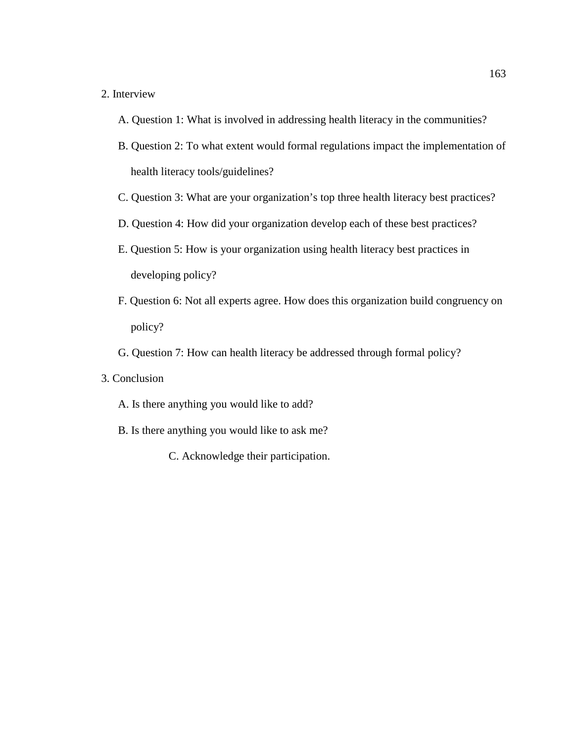# 2. Interview

- A. Question 1: What is involved in addressing health literacy in the communities?
- B. Question 2: To what extent would formal regulations impact the implementation of health literacy tools/guidelines?
- C. Question 3: What are your organization's top three health literacy best practices?
- D. Question 4: How did your organization develop each of these best practices?
- E. Question 5: How is your organization using health literacy best practices in developing policy?
- F. Question 6: Not all experts agree. How does this organization build congruency on policy?
- G. Question 7: How can health literacy be addressed through formal policy?
- 3. Conclusion
	- A. Is there anything you would like to add?
	- B. Is there anything you would like to ask me?
		- C. Acknowledge their participation.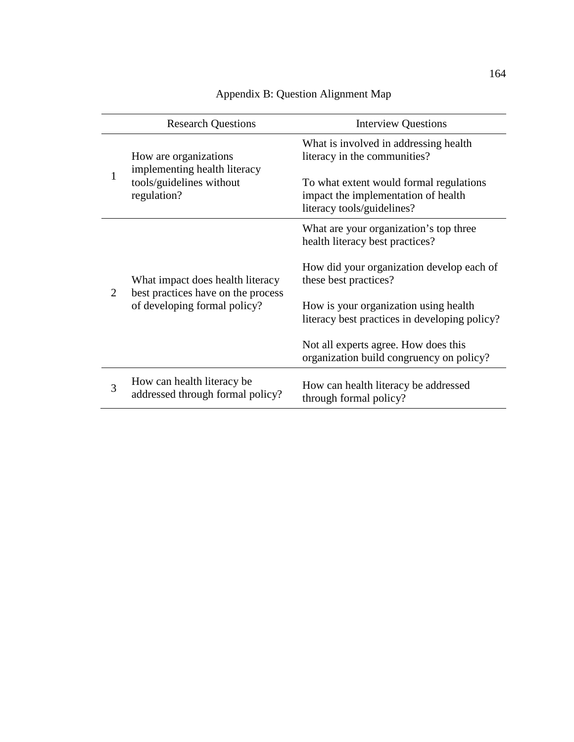|   | <b>Research Questions</b>                                                                              | <b>Interview Questions</b>                                                                                   |
|---|--------------------------------------------------------------------------------------------------------|--------------------------------------------------------------------------------------------------------------|
|   | How are organizations<br>implementing health literacy<br>tools/guidelines without<br>regulation?       | What is involved in addressing health.<br>literacy in the communities?                                       |
|   |                                                                                                        | To what extent would formal regulations<br>impact the implementation of health<br>literacy tools/guidelines? |
| 2 | What impact does health literacy<br>best practices have on the process<br>of developing formal policy? | What are your organization's top three<br>health literacy best practices?                                    |
|   |                                                                                                        | How did your organization develop each of<br>these best practices?                                           |
|   |                                                                                                        | How is your organization using health<br>literacy best practices in developing policy?                       |
|   |                                                                                                        | Not all experts agree. How does this<br>organization build congruency on policy?                             |
| 3 | How can health literacy be.<br>addressed through formal policy?                                        | How can health literacy be addressed<br>through formal policy?                                               |

# Appendix B: Question Alignment Map